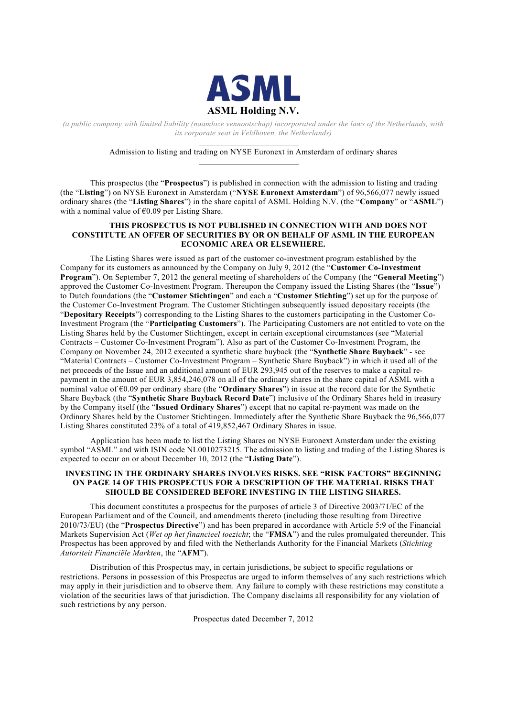

*(a public company with limited liability (naamloze vennootschap) incorporated under the laws of the Netherlands, with its corporate seat in Veldhoven, the Netherlands)*

Admission to listing and trading on NYSE Euronext in Amsterdam of ordinary shares

This prospectus (the "**Prospectus**") is published in connection with the admission to listing and trading (the "**Listing**") on NYSE Euronext in Amsterdam ("**NYSE Euronext Amsterdam**") of 96,566,077 newly issued ordinary shares (the "**Listing Shares**") in the share capital of ASML Holding N.V. (the "**Company**" or "**ASML**") with a nominal value of  $\epsilon$ 0.09 per Listing Share.

## **THIS PROSPECTUS IS NOT PUBLISHED IN CONNECTION WITH AND DOES NOT CONSTITUTE AN OFFER OF SECURITIES BY OR ON BEHALF OF ASML IN THE EUROPEAN ECONOMIC AREA OR ELSEWHERE.**

The Listing Shares were issued as part of the customer co-investment program established by the Company for its customers as announced by the Company on July 9, 2012 (the "**Customer Co-Investment Program**"). On September 7, 2012 the general meeting of shareholders of the Company (the "**General Meeting**") approved the Customer Co-Investment Program. Thereupon the Company issued the Listing Shares (the "**Issue**") to Dutch foundations (the "**Customer Stichtingen**" and each a "**Customer Stichting**") set up for the purpose of the Customer Co-Investment Program. The Customer Stichtingen subsequently issued depositary receipts (the "**Depositary Receipts**") corresponding to the Listing Shares to the customers participating in the Customer Co-Investment Program (the "**Participating Customers**"). The Participating Customers are not entitled to vote on the Listing Shares held by the Customer Stichtingen, except in certain exceptional circumstances (see "Material Contracts – Customer Co-Investment Program"). Also as part of the Customer Co-Investment Program, the Company on November 24, 2012 executed a synthetic share buyback (the "**Synthetic Share Buyback**" - see "Material Contracts – Customer Co-Investment Program – Synthetic Share Buyback") in which it used all of the net proceeds of the Issue and an additional amount of EUR 293,945 out of the reserves to make a capital repayment in the amount of EUR 3,854,246,078 on all of the ordinary shares in the share capital of ASML with a nominal value of €0.09 per ordinary share (the "**Ordinary Shares**") in issue at the record date for the Synthetic Share Buyback (the "**Synthetic Share Buyback Record Date**") inclusive of the Ordinary Shares held in treasury by the Company itself (the "**Issued Ordinary Shares**") except that no capital re-payment was made on the Ordinary Shares held by the Customer Stichtingen. Immediately after the Synthetic Share Buyback the 96,566,077 Listing Shares constituted 23% of a total of 419,852,467 Ordinary Shares in issue.

Application has been made to list the Listing Shares on NYSE Euronext Amsterdam under the existing symbol "ASML" and with ISIN code NL0010273215. The admission to listing and trading of the Listing Shares is expected to occur on or about December 10, 2012 (the "**Listing Date**").

## **INVESTING IN THE ORDINARY SHARES INVOLVES RISKS. SEE "RISK FACTORS" BEGINNING ON PAGE 14 OF THIS PROSPECTUS FOR A DESCRIPTION OF THE MATERIAL RISKS THAT SHOULD BE CONSIDERED BEFORE INVESTING IN THE LISTING SHARES.**

This document constitutes a prospectus for the purposes of article 3 of Directive 2003/71/EC of the European Parliament and of the Council, and amendments thereto (including those resulting from Directive 2010/73/EU) (the "**Prospectus Directive**") and has been prepared in accordance with Article 5:9 of the Financial Markets Supervision Act (*Wet op het financieel toezicht*; the "**FMSA**") and the rules promulgated thereunder. This Prospectus has been approved by and filed with the Netherlands Authority for the Financial Markets (*Stichting Autoriteit Financiële Markten*, the "**AFM**").

Distribution of this Prospectus may, in certain jurisdictions, be subject to specific regulations or restrictions. Persons in possession of this Prospectus are urged to inform themselves of any such restrictions which may apply in their jurisdiction and to observe them. Any failure to comply with these restrictions may constitute a violation of the securities laws of that jurisdiction. The Company disclaims all responsibility for any violation of such restrictions by any person.

Prospectus dated December 7, 2012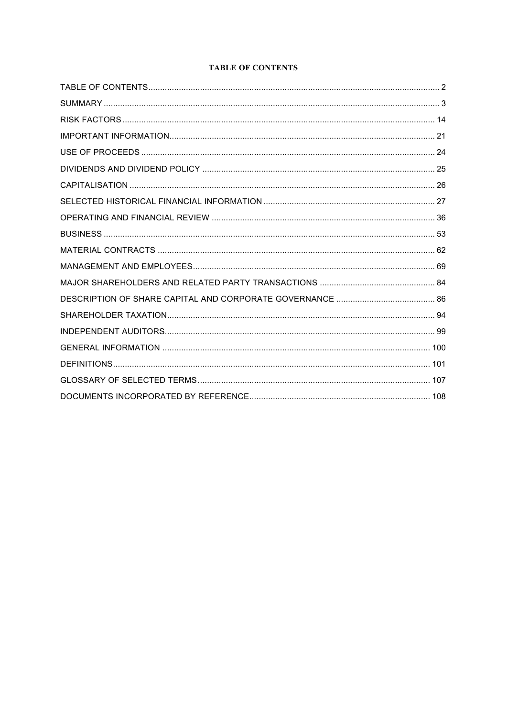# **TABLE OF CONTENTS**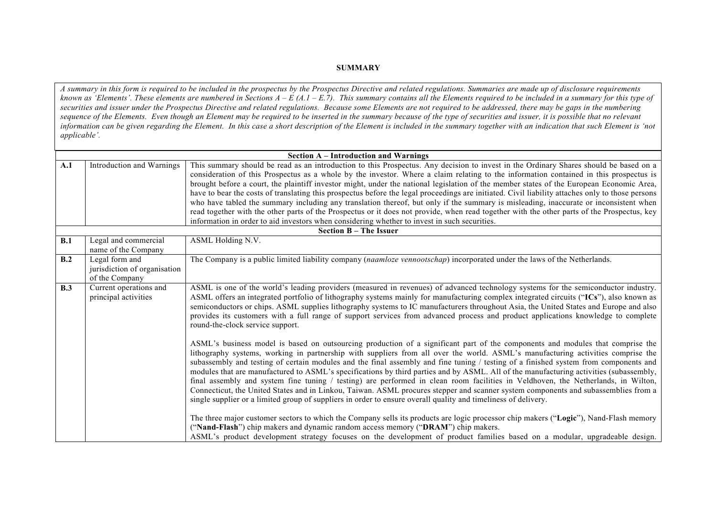## **SUMMARY**

*A summary in this form is required to be included in the prospectus by the Prospectus Directive and related regulations. Summaries are made up of disclosure requirements known as 'Elements'. These elements are numbered in Sections A – E (A.1 – E.7). This summary contains all the Elements required to be included in a summary for this type of securities and issuer under the Prospectus Directive and related regulations. Because some Elements are not required to be addressed, there may be gaps in the numbering*  sequence of the Elements. Even though an Element may be required to be inserted in the summary because of the type of securities and issuer, it is possible that no relevant *information can be given regarding the Element. In this case a short description of the Element is included in the summary together with an indication that such Element is 'not applicable'.*

|     |                                                                  | <b>Section A – Introduction and Warnings</b>                                                                                                                                                                                                                                                                                                                                                                                                                                                                                                                                                                                                                                                                                                                                                                                                                                                                                                      |
|-----|------------------------------------------------------------------|---------------------------------------------------------------------------------------------------------------------------------------------------------------------------------------------------------------------------------------------------------------------------------------------------------------------------------------------------------------------------------------------------------------------------------------------------------------------------------------------------------------------------------------------------------------------------------------------------------------------------------------------------------------------------------------------------------------------------------------------------------------------------------------------------------------------------------------------------------------------------------------------------------------------------------------------------|
| A.1 | Introduction and Warnings                                        | This summary should be read as an introduction to this Prospectus. Any decision to invest in the Ordinary Shares should be based on a<br>consideration of this Prospectus as a whole by the investor. Where a claim relating to the information contained in this prospectus is<br>brought before a court, the plaintiff investor might, under the national legislation of the member states of the European Economic Area,<br>have to bear the costs of translating this prospectus before the legal proceedings are initiated. Civil liability attaches only to those persons                                                                                                                                                                                                                                                                                                                                                                   |
|     |                                                                  | who have tabled the summary including any translation thereof, but only if the summary is misleading, inaccurate or inconsistent when<br>read together with the other parts of the Prospectus or it does not provide, when read together with the other parts of the Prospectus, key<br>information in order to aid investors when considering whether to invest in such securities.                                                                                                                                                                                                                                                                                                                                                                                                                                                                                                                                                              |
|     |                                                                  | <b>Section B - The Issuer</b>                                                                                                                                                                                                                                                                                                                                                                                                                                                                                                                                                                                                                                                                                                                                                                                                                                                                                                                     |
| B.1 | Legal and commercial<br>name of the Company                      | ASML Holding N.V.                                                                                                                                                                                                                                                                                                                                                                                                                                                                                                                                                                                                                                                                                                                                                                                                                                                                                                                                 |
| B.2 | Legal form and<br>jurisdiction of organisation<br>of the Company | The Company is a public limited liability company (naamloze vennootschap) incorporated under the laws of the Netherlands.                                                                                                                                                                                                                                                                                                                                                                                                                                                                                                                                                                                                                                                                                                                                                                                                                         |
| B.3 | Current operations and<br>principal activities                   | ASML is one of the world's leading providers (measured in revenues) of advanced technology systems for the semiconductor industry.<br>ASML offers an integrated portfolio of lithography systems mainly for manufacturing complex integrated circuits ("ICs"), also known as<br>semiconductors or chips. ASML supplies lithography systems to IC manufacturers throughout Asia, the United States and Europe and also<br>provides its customers with a full range of support services from advanced process and product applications knowledge to complete<br>round-the-clock service support.                                                                                                                                                                                                                                                                                                                                                    |
|     |                                                                  | ASML's business model is based on outsourcing production of a significant part of the components and modules that comprise the<br>lithography systems, working in partnership with suppliers from all over the world. ASML's manufacturing activities comprise the<br>subassembly and testing of certain modules and the final assembly and fine tuning / testing of a finished system from components and<br>modules that are manufactured to ASML's specifications by third parties and by ASML. All of the manufacturing activities (subassembly,<br>final assembly and system fine tuning / testing) are performed in clean room facilities in Veldhoven, the Netherlands, in Wilton,<br>Connecticut, the United States and in Linkou, Taiwan. ASML procures stepper and scanner system components and subassemblies from a<br>single supplier or a limited group of suppliers in order to ensure overall quality and timeliness of delivery. |
|     |                                                                  | The three major customer sectors to which the Company sells its products are logic processor chip makers ("Logic"), Nand-Flash memory<br>("Nand-Flash") chip makers and dynamic random access memory ("DRAM") chip makers.<br>ASML's product development strategy focuses on the development of product families based on a modular, upgradeable design.                                                                                                                                                                                                                                                                                                                                                                                                                                                                                                                                                                                          |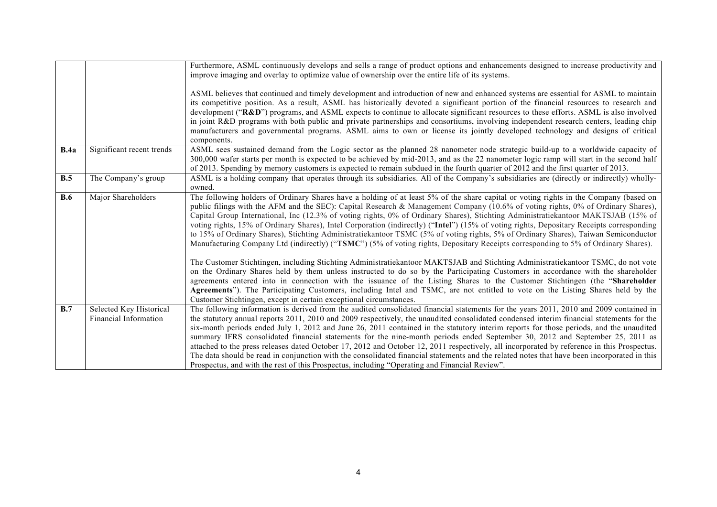|      |                                                  | Furthermore, ASML continuously develops and sells a range of product options and enhancements designed to increase productivity and<br>improve imaging and overlay to optimize value of ownership over the entire life of its systems.                                                                                                                                                                                                                                                                                                                                                                                                                                                                                                                                                                                                                                                                                                                                                                                                                                                                                                                                                                                                                                                                                                                                            |
|------|--------------------------------------------------|-----------------------------------------------------------------------------------------------------------------------------------------------------------------------------------------------------------------------------------------------------------------------------------------------------------------------------------------------------------------------------------------------------------------------------------------------------------------------------------------------------------------------------------------------------------------------------------------------------------------------------------------------------------------------------------------------------------------------------------------------------------------------------------------------------------------------------------------------------------------------------------------------------------------------------------------------------------------------------------------------------------------------------------------------------------------------------------------------------------------------------------------------------------------------------------------------------------------------------------------------------------------------------------------------------------------------------------------------------------------------------------|
|      |                                                  | ASML believes that continued and timely development and introduction of new and enhanced systems are essential for ASML to maintain<br>its competitive position. As a result, ASML has historically devoted a significant portion of the financial resources to research and<br>development ("R&D") programs, and ASML expects to continue to allocate significant resources to these efforts. ASML is also involved<br>in joint R&D programs with both public and private partnerships and consortiums, involving independent research centers, leading chip<br>manufacturers and governmental programs. ASML aims to own or license its jointly developed technology and designs of critical<br>components.                                                                                                                                                                                                                                                                                                                                                                                                                                                                                                                                                                                                                                                                     |
| B.4a | Significant recent trends                        | ASML sees sustained demand from the Logic sector as the planned 28 nanometer node strategic build-up to a worldwide capacity of<br>300,000 wafer starts per month is expected to be achieved by mid-2013, and as the 22 nanometer logic ramp will start in the second half<br>of 2013. Spending by memory customers is expected to remain subdued in the fourth quarter of 2012 and the first quarter of 2013.                                                                                                                                                                                                                                                                                                                                                                                                                                                                                                                                                                                                                                                                                                                                                                                                                                                                                                                                                                    |
| B.5  | The Company's group                              | ASML is a holding company that operates through its subsidiaries. All of the Company's subsidiaries are (directly or indirectly) wholly-<br>owned.                                                                                                                                                                                                                                                                                                                                                                                                                                                                                                                                                                                                                                                                                                                                                                                                                                                                                                                                                                                                                                                                                                                                                                                                                                |
| B.6  | Major Shareholders                               | The following holders of Ordinary Shares have a holding of at least 5% of the share capital or voting rights in the Company (based on<br>public filings with the AFM and the SEC): Capital Research & Management Company (10.6% of voting rights, 0% of Ordinary Shares),<br>Capital Group International, Inc (12.3% of voting rights, 0% of Ordinary Shares), Stichting Administratiekantoor MAKTSJAB (15% of<br>voting rights, 15% of Ordinary Shares), Intel Corporation (indirectly) ("Intel") (15% of voting rights, Depositary Receipts corresponding<br>to 15% of Ordinary Shares), Stichting Administratiekantoor TSMC (5% of voting rights, 5% of Ordinary Shares), Taiwan Semiconductor<br>Manufacturing Company Ltd (indirectly) ("TSMC") (5% of voting rights, Depositary Receipts corresponding to 5% of Ordinary Shares).<br>The Customer Stichtingen, including Stichting Administratiekantoor MAKTSJAB and Stichting Administratiekantoor TSMC, do not vote<br>on the Ordinary Shares held by them unless instructed to do so by the Participating Customers in accordance with the shareholder<br>agreements entered into in connection with the issuance of the Listing Shares to the Customer Stichtingen (the "Shareholder<br>Agreements"). The Participating Customers, including Intel and TSMC, are not entitled to vote on the Listing Shares held by the |
|      |                                                  | Customer Stichtingen, except in certain exceptional circumstances.                                                                                                                                                                                                                                                                                                                                                                                                                                                                                                                                                                                                                                                                                                                                                                                                                                                                                                                                                                                                                                                                                                                                                                                                                                                                                                                |
| B.7  | Selected Key Historical<br>Financial Information | The following information is derived from the audited consolidated financial statements for the years 2011, 2010 and 2009 contained in<br>the statutory annual reports 2011, 2010 and 2009 respectively, the unaudited consolidated condensed interim financial statements for the<br>six-month periods ended July 1, 2012 and June 26, 2011 contained in the statutory interim reports for those periods, and the unaudited<br>summary IFRS consolidated financial statements for the nine-month periods ended September 30, 2012 and September 25, 2011 as<br>attached to the press releases dated October 17, 2012 and October 12, 2011 respectively, all incorporated by reference in this Prospectus.<br>The data should be read in conjunction with the consolidated financial statements and the related notes that have been incorporated in this<br>Prospectus, and with the rest of this Prospectus, including "Operating and Financial Review".                                                                                                                                                                                                                                                                                                                                                                                                                        |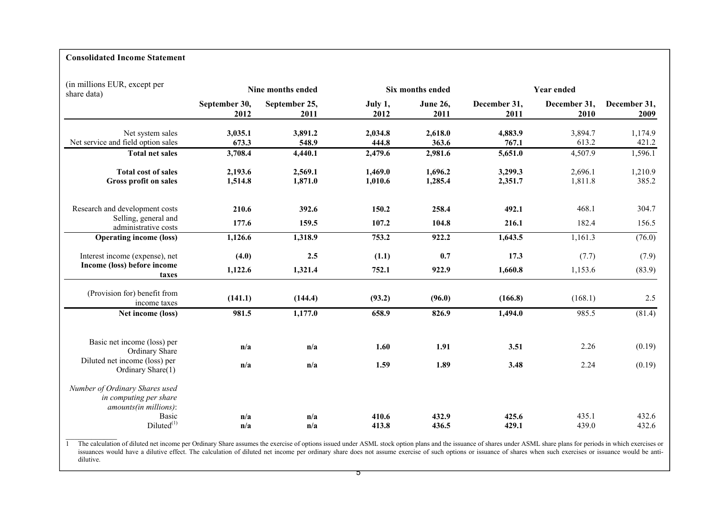# **Consolidated Income Statement**

| (in millions EUR, except per<br>share data)                                       |               | Nine months ended |                | Six months ended | <b>Year ended</b> |                |                |  |
|-----------------------------------------------------------------------------------|---------------|-------------------|----------------|------------------|-------------------|----------------|----------------|--|
|                                                                                   | September 30, | September 25,     | July 1,        | <b>June 26,</b>  | December 31,      | December 31,   | December 31,   |  |
|                                                                                   | 2012          | 2011              | 2012           | 2011             | 2011              | 2010           | 2009           |  |
| Net system sales                                                                  | 3,035.1       | 3,891.2           | 2,034.8        | 2,618.0          | 4,883.9           | 3,894.7        | 1,174.9        |  |
| Net service and field option sales                                                | 673.3         | 548.9             | 444.8          | 363.6            | 767.1             | 613.2          | 421.2          |  |
| <b>Total net sales</b>                                                            | 3,708.4       | 4,440.1           | 2,479.6        | 2,981.6          | 5,651.0           | 4,507.9        | 1,596.1        |  |
| <b>Total cost of sales</b>                                                        | 2,193.6       | 2,569.1           | 1,469.0        | 1,696.2          | 3,299.3           | 2,696.1        | 1,210.9        |  |
| <b>Gross profit on sales</b>                                                      | 1,514.8       | 1,871.0           | 1,010.6        | 1,285.4          | 2,351.7           | 1,811.8        | 385.2          |  |
| Research and development costs                                                    | 210.6         | 392.6             | 150.2          | 258.4            | 492.1             | 468.1          | 304.7          |  |
| Selling, general and<br>administrative costs                                      | 177.6         | 159.5             | 107.2          | 104.8            | 216.1             | 182.4          | 156.5          |  |
| <b>Operating income (loss)</b>                                                    | 1,126.6       | 1,318.9           | 753.2          | 922.2            | 1,643.5           | 1,161.3        | (76.0)         |  |
| Interest income (expense), net                                                    | (4.0)         | 2.5               | (1.1)          | 0.7              | 17.3              | (7.7)          | (7.9)          |  |
| Income (loss) before income<br>taxes                                              | 1,122.6       | 1,321.4           | 752.1          | 922.9            | 1,660.8           | 1,153.6        | (83.9)         |  |
| (Provision for) benefit from<br>income taxes                                      | (141.1)       | (144.4)           | (93.2)         | (96.0)           | (166.8)           | (168.1)        | 2.5            |  |
| Net income (loss)                                                                 | 981.5         | 1,177.0           | 658.9          | 826.9            | 1,494.0           | 985.5          | (81.4)         |  |
| Basic net income (loss) per<br>Ordinary Share                                     | n/a           | n/a               | 1.60           | 1.91             | 3.51              | 2.26           | (0.19)         |  |
| Diluted net income (loss) per<br>Ordinary Share(1)                                | n/a           | n/a               | 1.59           | 1.89             | 3.48              | 2.24           | (0.19)         |  |
| Number of Ordinary Shares used<br>in computing per share<br>amounts(in millions): |               |                   |                |                  |                   |                |                |  |
| <b>Basic</b><br>$Diluted^{(1)}$                                                   | n/a<br>n/a    | n/a<br>n/a        | 410.6<br>413.8 | 432.9<br>436.5   | 425.6<br>429.1    | 435.1<br>439.0 | 432.6<br>432.6 |  |
|                                                                                   |               |                   |                |                  |                   |                |                |  |

<sup>1</sup> The calculation of diluted net income per Ordinary Share assumes the exercise of options issued under ASML stock option plans and the issuance of shares under ASML share plans for periods in which exercises or issuances would have a dilutive effect. The calculation of diluted net income per ordinary share does not assume exercise of such options or issuance of shares when such exercises or issuance would be antidilutive.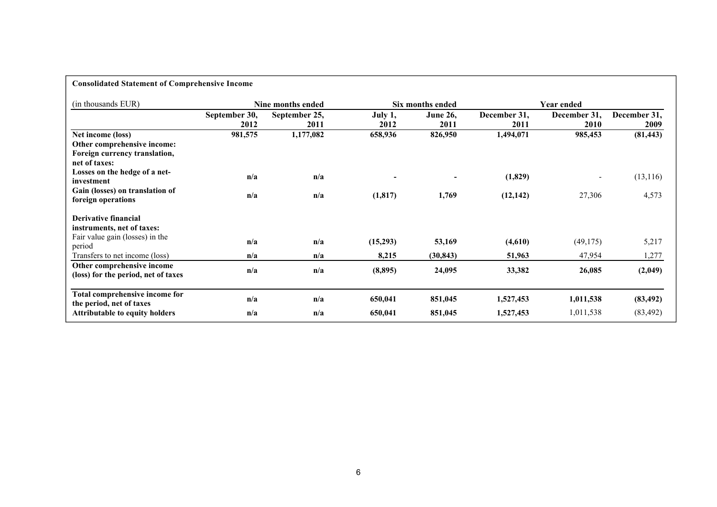| <b>Consolidated Statement of Comprehensive Income</b>      |               |                   |                            |                  |              |              |           |  |
|------------------------------------------------------------|---------------|-------------------|----------------------------|------------------|--------------|--------------|-----------|--|
| (in thousands EUR)                                         |               | Nine months ended |                            | Six months ended |              |              |           |  |
|                                                            | September 30, | September 25,     | <b>June 26,</b><br>July 1, |                  | December 31, | December 31, |           |  |
|                                                            | 2012          | 2011              | 2012                       | 2011             | 2011         | 2010         | 2009      |  |
| Net income (loss)                                          | 981,575       | 1,177,082         | 658,936                    | 826,950          | 1,494,071    | 985,453      | (81, 443) |  |
| Other comprehensive income:                                |               |                   |                            |                  |              |              |           |  |
| Foreign currency translation,                              |               |                   |                            |                  |              |              |           |  |
| net of taxes:                                              |               |                   |                            |                  |              |              |           |  |
| Losses on the hedge of a net-                              | n/a           | n/a               |                            |                  | (1,829)      |              | (13, 116) |  |
| investment                                                 |               |                   |                            |                  |              |              |           |  |
| Gain (losses) on translation of                            | n/a           | n/a               | (1, 817)                   | 1,769            | (12, 142)    | 27,306       | 4,573     |  |
| foreign operations                                         |               |                   |                            |                  |              |              |           |  |
| Derivative financial                                       |               |                   |                            |                  |              |              |           |  |
| instruments, net of taxes:                                 |               |                   |                            |                  |              |              |           |  |
| Fair value gain (losses) in the                            | n/a           | n/a               | (15,293)                   | 53,169           | (4,610)      | (49,175)     | 5,217     |  |
| period                                                     |               |                   |                            |                  |              |              |           |  |
| Transfers to net income (loss)                             | n/a           | n/a               | 8,215                      | (30, 843)        | 51,963       | 47,954       | 1,277     |  |
| Other comprehensive income                                 | n/a           | n/a               | (8,895)                    | 24,095           | 33,382       | 26,085       | (2,049)   |  |
| (loss) for the period, net of taxes                        |               |                   |                            |                  |              |              |           |  |
|                                                            |               |                   |                            |                  |              |              |           |  |
| Total comprehensive income for<br>the period, net of taxes | n/a           | n/a               | 650,041                    | 851,045          | 1,527,453    | 1,011,538    | (83, 492) |  |
| <b>Attributable to equity holders</b>                      | n/a           | n/a               | 650,041                    | 851,045          | 1,527,453    | 1,011,538    | (83, 492) |  |
|                                                            |               |                   |                            |                  |              |              |           |  |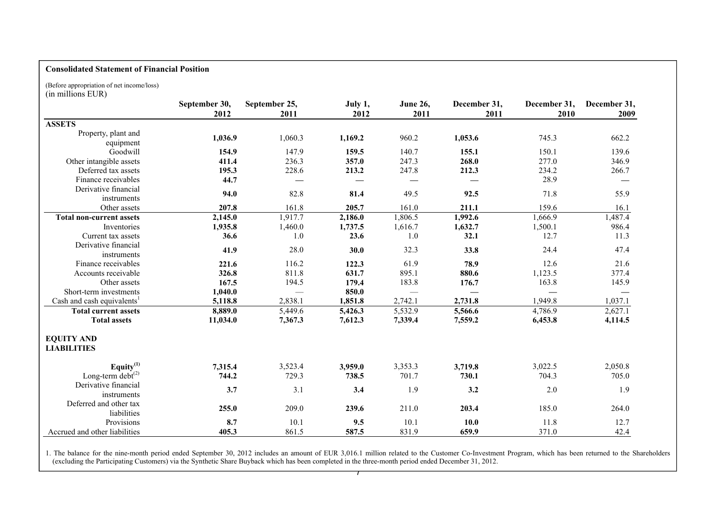# **Consolidated Statement of Financial Position**

(Before appropriation of net income/loss) (in millions EUR)

|                                             | September 30,<br>2012 | September 25,<br>2011 | July 1,<br>2012 | <b>June 26,</b><br>2011 | December 31,<br>2011 | December 31,<br>2010 | December 31,<br>2009 |
|---------------------------------------------|-----------------------|-----------------------|-----------------|-------------------------|----------------------|----------------------|----------------------|
| <b>ASSETS</b>                               |                       |                       |                 |                         |                      |                      |                      |
| Property, plant and<br>equipment            | 1,036.9               | 1,060.3               | 1,169.2         | 960.2                   | 1,053.6              | 745.3                | 662.2                |
| Goodwill                                    | 154.9                 | 147.9                 | 159.5           | 140.7                   | 155.1                | 150.1                | 139.6                |
| Other intangible assets                     | 411.4                 | 236.3                 | 357.0           | 247.3                   | 268.0                | 277.0                | 346.9                |
| Deferred tax assets                         | 195.3                 | 228.6                 | 213.2           | 247.8                   | 212.3                | 234.2                | 266.7                |
| Finance receivables                         | 44.7                  |                       |                 |                         |                      | 28.9                 |                      |
| Derivative financial<br>instruments         | 94.0                  | 82.8                  | 81.4            | 49.5                    | 92.5                 | 71.8                 | 55.9                 |
| Other assets                                | 207.8                 | 161.8                 | 205.7           | 161.0                   | 211.1                | 159.6                | 16.1                 |
| <b>Total non-current assets</b>             | 2,145.0               | 1,917.7               | 2,186.0         | 1,806.5                 | 1,992.6              | 1,666.9              | 1,487.4              |
| Inventories                                 | 1,935.8               | 1,460.0               | 1,737.5         | 1,616.7                 | 1,632.7              | 1,500.1              | 986.4                |
| Current tax assets                          | 36.6                  | 1.0                   | 23.6            | $1.0\,$                 | 32.1                 | 12.7                 | 11.3                 |
| Derivative financial<br>instruments         | 41.9                  | 28.0                  | 30.0            | 32.3                    | 33.8                 | 24.4                 | 47.4                 |
| Finance receivables                         | 221.6                 | 116.2                 | 122.3           | 61.9                    | 78.9                 | 12.6                 | 21.6                 |
| Accounts receivable                         | 326.8                 | 811.8                 | 631.7           | 895.1                   | 880.6                | 1,123.5              | 377.4                |
| Other assets                                | 167.5                 | 194.5                 | 179.4           | 183.8                   | 176.7                | 163.8                | 145.9                |
| Short-term investments                      | 1,040.0               |                       | 850.0           |                         |                      |                      |                      |
| Cash and cash equivalents <sup>1</sup>      | 5,118.8               | 2,838.1               | 1,851.8         | 2,742.1                 | 2,731.8              | 1,949.8              | 1,037.1              |
| <b>Total current assets</b>                 | 8,889.0               | 5,449.6               | 5,426.3         | 5,532.9                 | 5,566.6              | 4,786.9              | 2,627.1              |
| <b>Total assets</b>                         | 11,034.0              | 7,367.3               | 7,612.3         | 7,339.4                 | 7,559.2              | 6,453.8              | 4,114.5              |
| <b>EQUITY AND</b><br><b>LIABILITIES</b>     |                       |                       |                 |                         |                      |                      |                      |
| Equity $(1)$                                | 7,315.4               | 3,523.4               | 3,959.0         | 3,353.3                 | 3,719.8              | 3,022.5              | 2,050.8              |
| Long-term $\det^{(2)}$                      | 744.2                 | 729.3                 | 738.5           | 701.7                   | 730.1                | 704.3                | 705.0                |
| Derivative financial<br>instruments         | 3.7                   | 3.1                   | 3.4             | 1.9                     | 3.2                  | 2.0                  | 1.9                  |
| Deferred and other tax<br>liabilities       | 255.0                 | 209.0                 | 239.6           | 211.0                   | 203.4                | 185.0                | 264.0                |
| Provisions<br>Accrued and other liabilities | 8.7<br>405.3          | 10.1<br>861.5         | 9.5<br>587.5    | 10.1<br>831.9           | 10.0<br>659.9        | 11.8<br>371.0        | 12.7<br>42.4         |

 $\overline{\phantom{0}}$ 1. The balance for the nine-month period ended September 30, 2012 includes an amount of EUR 3,016.1 million related to the Customer Co-Investment Program, which has been returned to the Shareholders (excluding the Participating Customers) via the Synthetic Share Buyback which has been completed in the three-month period ended December 31, 2012.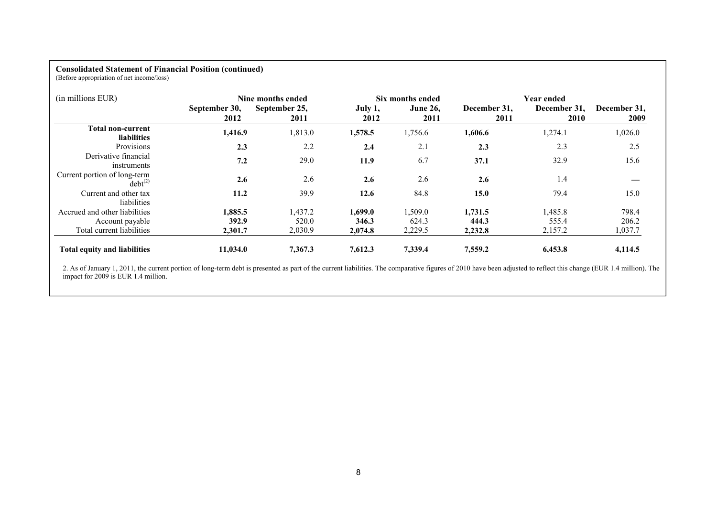# **Consolidated Statement of Financial Position (continued)**

(Before appropriation of net income/loss)

| (in millions EUR)                              |                       | Nine months ended     |                 | Six months ended        |                      | <b>Year ended</b>    |                      |  |
|------------------------------------------------|-----------------------|-----------------------|-----------------|-------------------------|----------------------|----------------------|----------------------|--|
|                                                | September 30,<br>2012 | September 25,<br>2011 | July 1,<br>2012 | <b>June 26,</b><br>2011 | December 31,<br>2011 | December 31.<br>2010 | December 31,<br>2009 |  |
| <b>Total non-current</b><br><b>liabilities</b> | 1,416.9               | 1,813.0               | 1,578.5         | 1,756.6                 | 1,606.6              | 1,274.1              | 1,026.0              |  |
| Provisions                                     | 2.3                   | 2.2                   | 2.4             | 2.1                     | 2.3                  | 2.3                  | 2.5                  |  |
| Derivative financial<br>instruments            | 7.2                   | 29.0                  | 11.9            | 6.7                     | 37.1                 | 32.9                 | 15.6                 |  |
| Current portion of long-term<br>$debt^{(2)}$   | 2.6                   | 2.6                   | 2.6             | 2.6                     | 2.6                  | 1.4                  |                      |  |
| Current and other tax<br>liabilities           | 11.2                  | 39.9                  | 12.6            | 84.8                    | 15.0                 | 79.4                 | 15.0                 |  |
| Accrued and other liabilities                  | 1.885.5               | 1,437.2               | 1.699.0         | 1,509.0                 | 1.731.5              | 1,485.8              | 798.4                |  |
| Account payable                                | 392.9                 | 520.0                 | 346.3           | 624.3                   | 444.3                | 555.4                | 206.2                |  |
| Total current liabilities                      | 2,301.7               | 2,030.9               | 2,074.8         | 2,229.5                 | 2,232.8              | 2,157.2              | 1,037.7              |  |
| <b>Total equity and liabilities</b>            | 11,034.0              | 7,367.3               | 7,612.3         | 7,339.4                 | 7,559.2              | 6,453.8              | 4,114.5              |  |

2. As of January 1, 2011, the current portion of long-term debt is presented as part of the current liabilities. The comparative figures of 2010 have been adjusted to reflect this change (EUR 1.4 million). The impact for 2009 is EUR 1.4 million.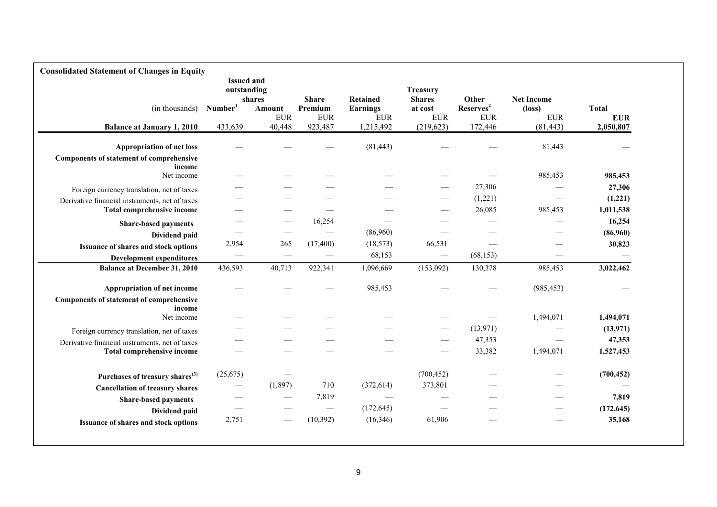| <b>Consolidated Statement of Changes in Equity</b> |                                  |                          |                       |                               |                                 |                                      |                                 |                            |
|----------------------------------------------------|----------------------------------|--------------------------|-----------------------|-------------------------------|---------------------------------|--------------------------------------|---------------------------------|----------------------------|
|                                                    | <b>Issued and</b><br>outstanding | shares                   | <b>Share</b>          | Retained                      | Treasury<br><b>Shares</b>       | Other                                | <b>Net Income</b>               |                            |
| (in thousands)                                     | Number <sup>1</sup>              | Amount<br><b>EUR</b>     | Premium<br><b>EUR</b> | <b>Earnings</b><br><b>EUR</b> | at cost<br>${\rm EUR}$          | Reserves <sup>2</sup><br>${\rm EUR}$ | $(\text{loss})$<br>${\rm EUR}$  | <b>Total</b><br><b>EUR</b> |
| <b>Balance at January 1, 2010</b>                  | 433,639                          | 40,448                   | 923,487               | 1,215,492                     | (219, 623)                      | 172,446                              | (81, 443)                       | 2,050,807                  |
| <b>Appropriation of net loss</b>                   |                                  |                          |                       | (81, 443)                     |                                 |                                      | 81,443                          |                            |
| Components of statement of comprehensive<br>income |                                  |                          |                       |                               |                                 |                                      |                                 |                            |
| Net income                                         |                                  |                          |                       |                               |                                 |                                      | 985,453                         | 985,453                    |
| Foreign currency translation, net of taxes         |                                  |                          |                       |                               |                                 | 27,306                               |                                 | 27,306                     |
| Derivative financial instruments, net of taxes     |                                  |                          |                       |                               |                                 | (1,221)                              |                                 | (1,221)                    |
| Total comprehensive income                         |                                  |                          |                       |                               |                                 | 26,085                               | 985,453                         | 1,011,538                  |
| <b>Share-based payments</b>                        |                                  |                          | 16,254                |                               |                                 |                                      |                                 | 16,254                     |
| Dividend paid                                      |                                  |                          |                       | (86,960)                      |                                 |                                      |                                 | (86,960)                   |
| Issuance of shares and stock options               | 2,954                            | 265                      | (17, 400)             | (18, 573)                     | 66,531                          | $\overline{\phantom{m}}$             |                                 | 30,823                     |
| <b>Development expenditures</b>                    |                                  | $\overline{\phantom{0}}$ |                       | 68,153                        |                                 | (68, 153)                            |                                 |                            |
| <b>Balance at December 31, 2010</b>                | 436,593                          | 40,713                   | 922,341               | 1,096,669                     | (153,092)                       | 130,378                              | 985,453                         | 3,022,462                  |
| Appropriation of net income                        |                                  |                          |                       | 985,453                       |                                 |                                      | (985, 453)                      |                            |
| Components of statement of comprehensive<br>income |                                  |                          |                       |                               |                                 |                                      |                                 |                            |
| Net income                                         |                                  |                          |                       |                               |                                 |                                      | 1,494,071                       | 1,494,071                  |
| Foreign currency translation, net of taxes         |                                  |                          |                       |                               |                                 | (13, 971)                            |                                 | (13,971)                   |
| Derivative financial instruments, net of taxes     |                                  |                          |                       |                               | $\hspace{0.1mm}-\hspace{0.1mm}$ | 47,353                               | $\hspace{0.1mm}-\hspace{0.1mm}$ | 47,353                     |
| Total comprehensive income                         |                                  |                          |                       |                               |                                 | 33,382                               | 1,494,071                       | 1,527,453                  |
| Purchases of treasury shares <sup>(3)</sup>        | (25,675)                         |                          |                       |                               | (700, 452)                      |                                      |                                 | (700, 452)                 |
| <b>Cancellation of treasury shares</b>             |                                  | (1,897)                  | 710                   | (372, 614)                    | 373,801                         |                                      |                                 |                            |
| <b>Share-based payments</b>                        |                                  |                          | 7,819                 |                               |                                 |                                      |                                 | 7,819                      |
| Dividend paid                                      |                                  |                          |                       | (172, 645)                    | $\overline{\phantom{0}}$        |                                      |                                 | (172, 645)                 |
| Issuance of shares and stock options               | 2,751                            |                          | (10, 392)             | (16,346)                      | 61,906                          |                                      |                                 | 35,168                     |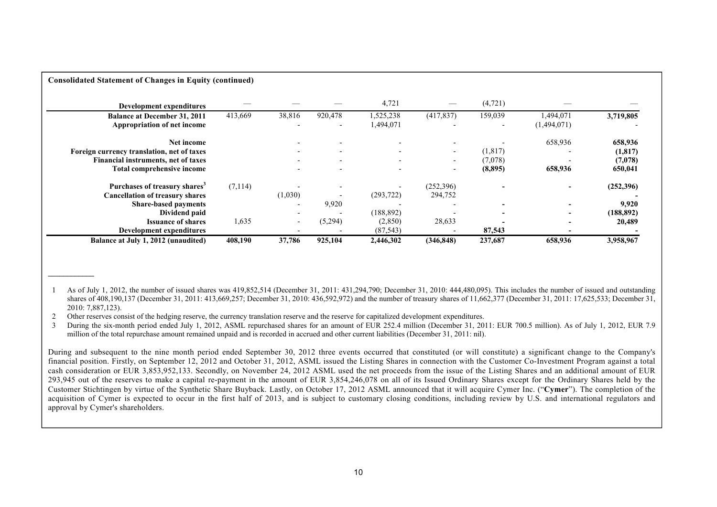| <b>Consolidated Statement of Changes in Equity (continued)</b> |          |                          |                          |            |                          |          |             |            |
|----------------------------------------------------------------|----------|--------------------------|--------------------------|------------|--------------------------|----------|-------------|------------|
| Development expenditures                                       |          |                          |                          | 4,721      |                          | (4,721)  |             |            |
| <b>Balance at December 31, 2011</b>                            | 413,669  | 38,816                   | 920,478                  | 1,525,238  | (417, 837)               | 159,039  | 1,494,071   | 3,719,805  |
| Appropriation of net income                                    |          |                          | $\overline{\phantom{a}}$ | 1,494,071  |                          |          | (1,494,071) |            |
| Net income                                                     |          |                          |                          |            |                          |          | 658,936     | 658,936    |
| Foreign currency translation, net of taxes                     |          |                          | $\overline{\phantom{0}}$ |            | $\overline{\phantom{0}}$ | (1, 817) |             | (1, 817)   |
| Financial instruments, net of taxes                            |          | $\overline{\phantom{0}}$ | $\overline{\phantom{0}}$ |            | $\overline{\phantom{0}}$ | (7,078)  |             | (7,078)    |
| Total comprehensive income                                     |          |                          | $\overline{\phantom{0}}$ |            | $\overline{\phantom{a}}$ | (8,895)  | 658,936     | 650,041    |
| Purchases of treasury shares <sup>3</sup>                      | (7, 114) |                          |                          |            | (252,396)                |          |             | (252,396)  |
| <b>Cancellation of treasury shares</b>                         |          | (1,030)                  |                          | (293, 722) | 294,752                  |          |             |            |
| <b>Share-based payments</b>                                    |          | $\overline{\phantom{0}}$ | 9,920                    |            |                          |          |             | 9,920      |
| Dividend paid                                                  |          | $\overline{\phantom{0}}$ | $\overline{\phantom{a}}$ | (188, 892) |                          |          |             | (188, 892) |
| <b>Issuance of shares</b>                                      | 1,635    | $\overline{\phantom{a}}$ | (5,294)                  | (2,850)    | 28,633                   |          |             | 20,489     |
| Development expenditures                                       |          |                          |                          | (87, 543)  | $\overline{\phantom{0}}$ | 87,543   | $\,$        |            |
| Balance at July 1, 2012 (unaudited)                            | 408,190  | 37,786                   | 925,104                  | 2,446,302  | (346, 848)               | 237,687  | 658,936     | 3,958,967  |

1 As of July 1, 2012, the number of issued shares was 419,852,514 (December 31, 2011: 431,294,790; December 31, 2010: 444,480,095). This includes the number of issued and outstanding shares of 408,190,137 (December 31, 2011: 413,669,257; December 31, 2010: 436,592,972) and the number of treasury shares of 11,662,377 (December 31, 2011: 17,625,533; December 31, 2010: 7,887,123).

2 Other reserves consist of the hedging reserve, the currency translation reserve and the reserve for capitalized development expenditures.

**\_\_\_\_\_\_\_\_\_\_\_\_**

3 During the six-month period ended July 1, 2012, ASML repurchased shares for an amount of EUR 252.4 million (December 31, 2011: EUR 700.5 million). As of July 1, 2012, EUR 7.9 million of the total repurchase amount remained unpaid and is recorded in accrued and other current liabilities (December 31, 2011: nil).

During and subsequent to the nine month period ended September 30, 2012 three events occurred that constituted (or will constitute) a significant change to the Company's financial position. Firstly, on September 12, 2012 and October 31, 2012, ASML issued the Listing Shares in connection with the Customer Co-Investment Program against a total cash consideration or EUR 3,853,952,133. Secondly, on November 24, 2012 ASML used the net proceeds from the issue of the Listing Shares and an additional amount of EUR 293,945 out of the reserves to make a capital re-payment in the amount of EUR 3,854,246,078 on all of its Issued Ordinary Shares except for the Ordinary Shares held by the Customer Stichtingen by virtue of the Synthetic Share Buyback. Lastly, on October 17, 2012 ASML announced that it will acquire Cymer Inc. ("**Cymer**"). The completion of the acquisition of Cymer is expected to occur in the first half of 2013, and is subject to customary closing conditions, including review by U.S. and international regulators and approval by Cymer's shareholders.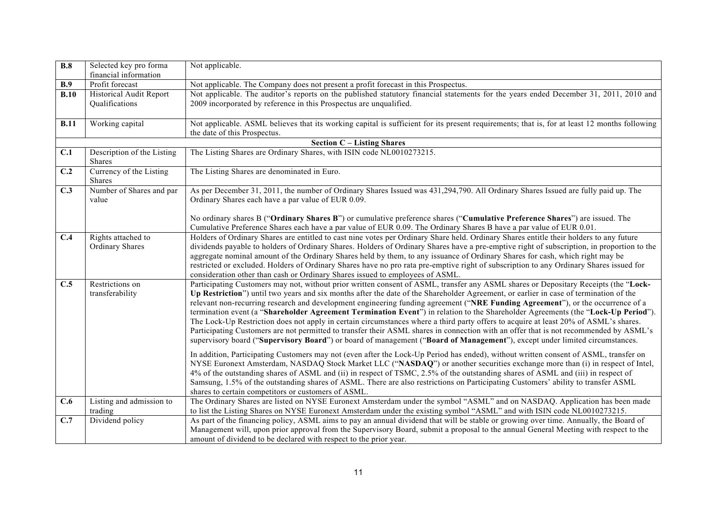| $\overline{B.8}$ | Selected key pro forma                   | Not applicable.                                                                                                                                                                                                                                                           |
|------------------|------------------------------------------|---------------------------------------------------------------------------------------------------------------------------------------------------------------------------------------------------------------------------------------------------------------------------|
| B.9              | financial information<br>Profit forecast |                                                                                                                                                                                                                                                                           |
| B.10             | Historical Audit Report                  | Not applicable. The Company does not present a profit forecast in this Prospectus.<br>Not applicable. The auditor's reports on the published statutory financial statements for the years ended December 31, 2011, 2010 and                                               |
|                  | Qualifications                           | 2009 incorporated by reference in this Prospectus are unqualified.                                                                                                                                                                                                        |
|                  |                                          |                                                                                                                                                                                                                                                                           |
| B.11             | Working capital                          | Not applicable. ASML believes that its working capital is sufficient for its present requirements; that is, for at least 12 months following                                                                                                                              |
|                  |                                          | the date of this Prospectus.                                                                                                                                                                                                                                              |
|                  |                                          | <b>Section C - Listing Shares</b>                                                                                                                                                                                                                                         |
| C.1              | Description of the Listing               | The Listing Shares are Ordinary Shares, with ISIN code NL0010273215.                                                                                                                                                                                                      |
|                  | Shares                                   |                                                                                                                                                                                                                                                                           |
| C.2              | Currency of the Listing                  | The Listing Shares are denominated in Euro.                                                                                                                                                                                                                               |
|                  | Shares                                   |                                                                                                                                                                                                                                                                           |
| C.3              | Number of Shares and par                 | As per December 31, 2011, the number of Ordinary Shares Issued was 431,294,790. All Ordinary Shares Issued are fully paid up. The                                                                                                                                         |
|                  | value                                    | Ordinary Shares each have a par value of EUR 0.09.                                                                                                                                                                                                                        |
|                  |                                          | No ordinary shares B ("Ordinary Shares B") or cumulative preference shares ("Cumulative Preference Shares") are issued. The                                                                                                                                               |
|                  |                                          | Cumulative Preference Shares each have a par value of EUR 0.09. The Ordinary Shares B have a par value of EUR 0.01.                                                                                                                                                       |
| C.4              | Rights attached to                       | Holders of Ordinary Shares are entitled to cast nine votes per Ordinary Share held. Ordinary Shares entitle their holders to any future                                                                                                                                   |
|                  | Ordinary Shares                          | dividends payable to holders of Ordinary Shares. Holders of Ordinary Shares have a pre-emptive right of subscription, in proportion to the                                                                                                                                |
|                  |                                          | aggregate nominal amount of the Ordinary Shares held by them, to any issuance of Ordinary Shares for cash, which right may be                                                                                                                                             |
|                  |                                          | restricted or excluded. Holders of Ordinary Shares have no pro rata pre-emptive right of subscription to any Ordinary Shares issued for                                                                                                                                   |
|                  |                                          | consideration other than cash or Ordinary Shares issued to employees of ASML.                                                                                                                                                                                             |
| C.5              | Restrictions on                          | Participating Customers may not, without prior written consent of ASML, transfer any ASML shares or Depositary Receipts (the "Lock-                                                                                                                                       |
|                  | transferability                          | Up Restriction") until two years and six months after the date of the Shareholder Agreement, or earlier in case of termination of the                                                                                                                                     |
|                  |                                          | relevant non-recurring research and development engineering funding agreement ("NRE Funding Agreement"), or the occurrence of a                                                                                                                                           |
|                  |                                          | termination event (a "Shareholder Agreement Termination Event") in relation to the Shareholder Agreements (the "Lock-Up Period").<br>The Lock-Up Restriction does not apply in certain circumstances where a third party offers to acquire at least 20% of ASML's shares. |
|                  |                                          | Participating Customers are not permitted to transfer their ASML shares in connection with an offer that is not recommended by ASML's                                                                                                                                     |
|                  |                                          | supervisory board ("Supervisory Board") or board of management ("Board of Management"), except under limited circumstances.                                                                                                                                               |
|                  |                                          |                                                                                                                                                                                                                                                                           |
|                  |                                          | In addition, Participating Customers may not (even after the Lock-Up Period has ended), without written consent of ASML, transfer on<br>NYSE Euronext Amsterdam, NASDAQ Stock Market LLC ("NASDAQ") or another securities exchange more than (i) in respect of Intel,     |
|                  |                                          | 4% of the outstanding shares of ASML and (ii) in respect of TSMC, 2.5% of the outstanding shares of ASML and (iii) in respect of                                                                                                                                          |
|                  |                                          | Samsung, 1.5% of the outstanding shares of ASML. There are also restrictions on Participating Customers' ability to transfer ASML                                                                                                                                         |
|                  |                                          | shares to certain competitors or customers of ASML.                                                                                                                                                                                                                       |
| $\overline{C.6}$ | Listing and admission to                 | The Ordinary Shares are listed on NYSE Euronext Amsterdam under the symbol "ASML" and on NASDAQ. Application has been made                                                                                                                                                |
|                  | trading                                  | to list the Listing Shares on NYSE Euronext Amsterdam under the existing symbol "ASML" and with ISIN code NL0010273215.                                                                                                                                                   |
| C.7              | Dividend policy                          | As part of the financing policy, ASML aims to pay an annual dividend that will be stable or growing over time. Annually, the Board of                                                                                                                                     |
|                  |                                          | Management will, upon prior approval from the Supervisory Board, submit a proposal to the annual General Meeting with respect to the                                                                                                                                      |
|                  |                                          | amount of dividend to be declared with respect to the prior year.                                                                                                                                                                                                         |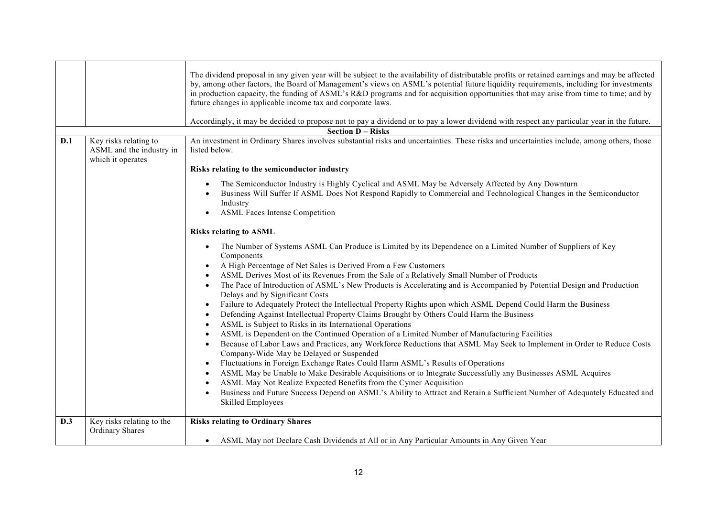|     |                                                                        | The dividend proposal in any given year will be subject to the availability of distributable profits or retained earnings and may be affected<br>by, among other factors, the Board of Management's views on ASML's potential future liquidity requirements, including for investments<br>in production capacity, the funding of ASML's R&D programs and for acquisition opportunities that may arise from time to time; and by<br>future changes in applicable income tax and corporate laws.<br>Accordingly, it may be decided to propose not to pay a dividend or to pay a lower dividend with respect any particular year in the future.                                                                                                                                                                                                                                                                                                                                                                                                                                                                                                                                                                                                                                                                                                                                                                                                                                                |
|-----|------------------------------------------------------------------------|---------------------------------------------------------------------------------------------------------------------------------------------------------------------------------------------------------------------------------------------------------------------------------------------------------------------------------------------------------------------------------------------------------------------------------------------------------------------------------------------------------------------------------------------------------------------------------------------------------------------------------------------------------------------------------------------------------------------------------------------------------------------------------------------------------------------------------------------------------------------------------------------------------------------------------------------------------------------------------------------------------------------------------------------------------------------------------------------------------------------------------------------------------------------------------------------------------------------------------------------------------------------------------------------------------------------------------------------------------------------------------------------------------------------------------------------------------------------------------------------|
|     |                                                                        | <b>Section D - Risks</b>                                                                                                                                                                                                                                                                                                                                                                                                                                                                                                                                                                                                                                                                                                                                                                                                                                                                                                                                                                                                                                                                                                                                                                                                                                                                                                                                                                                                                                                                    |
| D.1 | Key risks relating to<br>ASML and the industry in<br>which it operates | An investment in Ordinary Shares involves substantial risks and uncertainties. These risks and uncertainties include, among others, those<br>listed below.                                                                                                                                                                                                                                                                                                                                                                                                                                                                                                                                                                                                                                                                                                                                                                                                                                                                                                                                                                                                                                                                                                                                                                                                                                                                                                                                  |
|     |                                                                        | Risks relating to the semiconductor industry                                                                                                                                                                                                                                                                                                                                                                                                                                                                                                                                                                                                                                                                                                                                                                                                                                                                                                                                                                                                                                                                                                                                                                                                                                                                                                                                                                                                                                                |
|     |                                                                        | The Semiconductor Industry is Highly Cyclical and ASML May be Adversely Affected by Any Downturn<br>Business Will Suffer If ASML Does Not Respond Rapidly to Commercial and Technological Changes in the Semiconductor<br>Industry<br><b>ASML Faces Intense Competition</b>                                                                                                                                                                                                                                                                                                                                                                                                                                                                                                                                                                                                                                                                                                                                                                                                                                                                                                                                                                                                                                                                                                                                                                                                                 |
|     |                                                                        | <b>Risks relating to ASML</b>                                                                                                                                                                                                                                                                                                                                                                                                                                                                                                                                                                                                                                                                                                                                                                                                                                                                                                                                                                                                                                                                                                                                                                                                                                                                                                                                                                                                                                                               |
|     |                                                                        | The Number of Systems ASML Can Produce is Limited by its Dependence on a Limited Number of Suppliers of Key<br>$\bullet$<br>Components<br>A High Percentage of Net Sales is Derived From a Few Customers<br>$\bullet$<br>ASML Derives Most of its Revenues From the Sale of a Relatively Small Number of Products<br>The Pace of Introduction of ASML's New Products is Accelerating and is Accompanied by Potential Design and Production<br>$\bullet$<br>Delays and by Significant Costs<br>Failure to Adequately Protect the Intellectual Property Rights upon which ASML Depend Could Harm the Business<br>$\bullet$<br>Defending Against Intellectual Property Claims Brought by Others Could Harm the Business<br>ASML is Subject to Risks in its International Operations<br>ASML is Dependent on the Continued Operation of a Limited Number of Manufacturing Facilities<br>Because of Labor Laws and Practices, any Workforce Reductions that ASML May Seek to Implement in Order to Reduce Costs<br>Company-Wide May be Delayed or Suspended<br>Fluctuations in Foreign Exchange Rates Could Harm ASML's Results of Operations<br>ASML May be Unable to Make Desirable Acquisitions or to Integrate Successfully any Businesses ASML Acquires<br>$\bullet$<br>ASML May Not Realize Expected Benefits from the Cymer Acquisition<br>Business and Future Success Depend on ASML's Ability to Attract and Retain a Sufficient Number of Adequately Educated and<br>Skilled Employees |
| D.3 | Key risks relating to the                                              | <b>Risks relating to Ordinary Shares</b>                                                                                                                                                                                                                                                                                                                                                                                                                                                                                                                                                                                                                                                                                                                                                                                                                                                                                                                                                                                                                                                                                                                                                                                                                                                                                                                                                                                                                                                    |
|     | <b>Ordinary Shares</b>                                                 | • ASML May not Declare Cash Dividends at All or in Any Particular Amounts in Any Given Year                                                                                                                                                                                                                                                                                                                                                                                                                                                                                                                                                                                                                                                                                                                                                                                                                                                                                                                                                                                                                                                                                                                                                                                                                                                                                                                                                                                                 |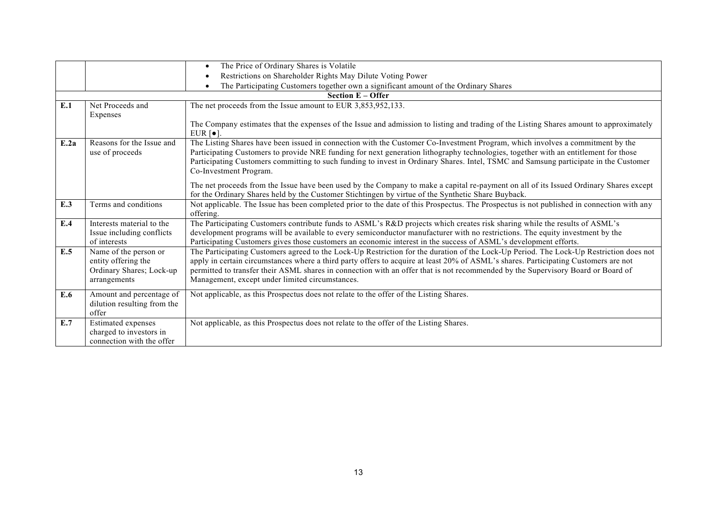|      |                                                                                          | The Price of Ordinary Shares is Volatile                                                                                                                                                                                                                                                                                                                                                                                                                             |
|------|------------------------------------------------------------------------------------------|----------------------------------------------------------------------------------------------------------------------------------------------------------------------------------------------------------------------------------------------------------------------------------------------------------------------------------------------------------------------------------------------------------------------------------------------------------------------|
|      |                                                                                          | Restrictions on Shareholder Rights May Dilute Voting Power                                                                                                                                                                                                                                                                                                                                                                                                           |
|      |                                                                                          | The Participating Customers together own a significant amount of the Ordinary Shares                                                                                                                                                                                                                                                                                                                                                                                 |
|      |                                                                                          | <b>Section E - Offer</b>                                                                                                                                                                                                                                                                                                                                                                                                                                             |
| E.1  | Net Proceeds and                                                                         | The net proceeds from the Issue amount to EUR 3,853,952,133.                                                                                                                                                                                                                                                                                                                                                                                                         |
|      | Expenses                                                                                 |                                                                                                                                                                                                                                                                                                                                                                                                                                                                      |
|      |                                                                                          | The Company estimates that the expenses of the Issue and admission to listing and trading of the Listing Shares amount to approximately<br>EUR $\lceil \bullet \rceil$ .                                                                                                                                                                                                                                                                                             |
| E.2a | Reasons for the Issue and<br>use of proceeds                                             | The Listing Shares have been issued in connection with the Customer Co-Investment Program, which involves a commitment by the<br>Participating Customers to provide NRE funding for next generation lithography technologies, together with an entitlement for those<br>Participating Customers committing to such funding to invest in Ordinary Shares. Intel, TSMC and Samsung participate in the Customer<br>Co-Investment Program.                               |
|      |                                                                                          | The net proceeds from the Issue have been used by the Company to make a capital re-payment on all of its Issued Ordinary Shares except<br>for the Ordinary Shares held by the Customer Stichtingen by virtue of the Synthetic Share Buyback.                                                                                                                                                                                                                         |
| E.3  | Terms and conditions                                                                     | Not applicable. The Issue has been completed prior to the date of this Prospectus. The Prospectus is not published in connection with any<br>offering.                                                                                                                                                                                                                                                                                                               |
| E.4  | Interests material to the<br>Issue including conflicts<br>of interests                   | The Participating Customers contribute funds to ASML's R&D projects which creates risk sharing while the results of ASML's<br>development programs will be available to every semiconductor manufacturer with no restrictions. The equity investment by the<br>Participating Customers gives those customers an economic interest in the success of ASML's development efforts.                                                                                      |
| E.5  | Name of the person or<br>entity offering the<br>Ordinary Shares; Lock-up<br>arrangements | The Participating Customers agreed to the Lock-Up Restriction for the duration of the Lock-Up Period. The Lock-Up Restriction does not<br>apply in certain circumstances where a third party offers to acquire at least 20% of ASML's shares. Participating Customers are not<br>permitted to transfer their ASML shares in connection with an offer that is not recommended by the Supervisory Board or Board of<br>Management, except under limited circumstances. |
| E.6  | Amount and percentage of<br>dilution resulting from the<br>offer                         | Not applicable, as this Prospectus does not relate to the offer of the Listing Shares.                                                                                                                                                                                                                                                                                                                                                                               |
| E.7  | <b>Estimated</b> expenses<br>charged to investors in<br>connection with the offer        | Not applicable, as this Prospectus does not relate to the offer of the Listing Shares.                                                                                                                                                                                                                                                                                                                                                                               |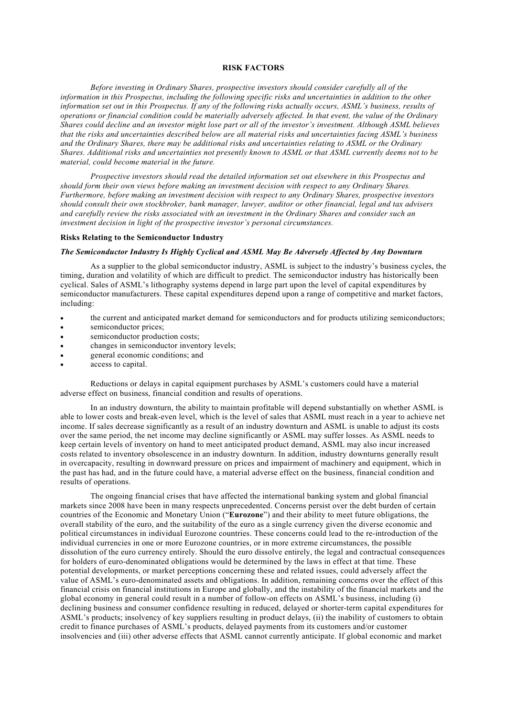### **RISK FACTORS**

*Before investing in Ordinary Shares, prospective investors should consider carefully all of the information in this Prospectus, including the following specific risks and uncertainties in addition to the other information set out in this Prospectus. If any of the following risks actually occurs, ASML's business, results of operations or financial condition could be materially adversely affected. In that event, the value of the Ordinary Shares could decline and an investor might lose part or all of the investor's investment. Although ASML believes that the risks and uncertainties described below are all material risks and uncertainties facing ASML's business and the Ordinary Shares, there may be additional risks and uncertainties relating to ASML or the Ordinary Shares. Additional risks and uncertainties not presently known to ASML or that ASML currently deems not to be material, could become material in the future.*

*Prospective investors should read the detailed information set out elsewhere in this Prospectus and should form their own views before making an investment decision with respect to any Ordinary Shares. Furthermore, before making an investment decision with respect to any Ordinary Shares, prospective investors should consult their own stockbroker, bank manager, lawyer, auditor or other financial, legal and tax advisers and carefully review the risks associated with an investment in the Ordinary Shares and consider such an investment decision in light of the prospective investor's personal circumstances.*

## **Risks Relating to the Semiconductor Industry**

## *The Semiconductor Industry Is Highly Cyclical and ASML May Be Adversely Affected by Any Downturn*

As a supplier to the global semiconductor industry, ASML is subject to the industry's business cycles, the timing, duration and volatility of which are difficult to predict. The semiconductor industry has historically been cyclical. Sales of ASML's lithography systems depend in large part upon the level of capital expenditures by semiconductor manufacturers. These capital expenditures depend upon a range of competitive and market factors, including:

- the current and anticipated market demand for semiconductors and for products utilizing semiconductors;
- semiconductor prices;
- semiconductor production costs;
- changes in semiconductor inventory levels;
- general economic conditions; and
- access to capital.

Reductions or delays in capital equipment purchases by ASML's customers could have a material adverse effect on business, financial condition and results of operations.

In an industry downturn, the ability to maintain profitable will depend substantially on whether ASML is able to lower costs and break-even level, which is the level of sales that ASML must reach in a year to achieve net income. If sales decrease significantly as a result of an industry downturn and ASML is unable to adjust its costs over the same period, the net income may decline significantly or ASML may suffer losses. As ASML needs to keep certain levels of inventory on hand to meet anticipated product demand, ASML may also incur increased costs related to inventory obsolescence in an industry downturn. In addition, industry downturns generally result in overcapacity, resulting in downward pressure on prices and impairment of machinery and equipment, which in the past has had, and in the future could have, a material adverse effect on the business, financial condition and results of operations.

The ongoing financial crises that have affected the international banking system and global financial markets since 2008 have been in many respects unprecedented. Concerns persist over the debt burden of certain countries of the Economic and Monetary Union ("**Eurozone**") and their ability to meet future obligations, the overall stability of the euro, and the suitability of the euro as a single currency given the diverse economic and political circumstances in individual Eurozone countries. These concerns could lead to the re-introduction of the individual currencies in one or more Eurozone countries, or in more extreme circumstances, the possible dissolution of the euro currency entirely. Should the euro dissolve entirely, the legal and contractual consequences for holders of euro-denominated obligations would be determined by the laws in effect at that time. These potential developments, or market perceptions concerning these and related issues, could adversely affect the value of ASML's euro-denominated assets and obligations. In addition, remaining concerns over the effect of this financial crisis on financial institutions in Europe and globally, and the instability of the financial markets and the global economy in general could result in a number of follow-on effects on ASML's business, including (i) declining business and consumer confidence resulting in reduced, delayed or shorter-term capital expenditures for ASML's products; insolvency of key suppliers resulting in product delays, (ii) the inability of customers to obtain credit to finance purchases of ASML's products, delayed payments from its customers and/or customer insolvencies and (iii) other adverse effects that ASML cannot currently anticipate. If global economic and market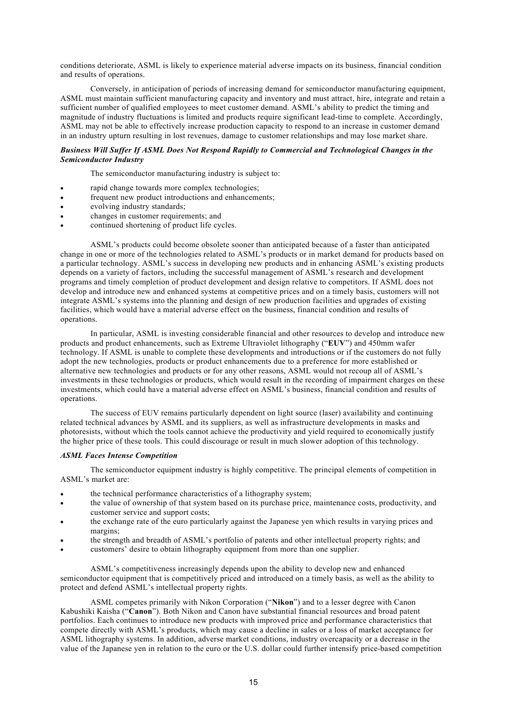conditions deteriorate, ASML is likely to experience material adverse impacts on its business, financial condition and results of operations.

Conversely, in anticipation of periods of increasing demand for semiconductor manufacturing equipment, ASML must maintain sufficient manufacturing capacity and inventory and must attract, hire, integrate and retain a sufficient number of qualified employees to meet customer demand. ASML's ability to predict the timing and magnitude of industry fluctuations is limited and products require significant lead-time to complete. Accordingly, ASML may not be able to effectively increase production capacity to respond to an increase in customer demand in an industry upturn resulting in lost revenues, damage to customer relationships and may lose market share.

## *Business Will Suffer If ASML Does Not Respond Rapidly to Commercial and Technological Changes in the Semiconductor Industry*

The semiconductor manufacturing industry is subject to:

- rapid change towards more complex technologies;
- frequent new product introductions and enhancements;
- evolving industry standards;
- changes in customer requirements; and
- continued shortening of product life cycles.

ASML's products could become obsolete sooner than anticipated because of a faster than anticipated change in one or more of the technologies related to ASML's products or in market demand for products based on a particular technology. ASML's success in developing new products and in enhancing ASML's existing products depends on a variety of factors, including the successful management of ASML's research and development programs and timely completion of product development and design relative to competitors. If ASML does not develop and introduce new and enhanced systems at competitive prices and on a timely basis, customers will not integrate ASML's systems into the planning and design of new production facilities and upgrades of existing facilities, which would have a material adverse effect on the business, financial condition and results of operations.

In particular, ASML is investing considerable financial and other resources to develop and introduce new products and product enhancements, such as Extreme Ultraviolet lithography ("**EUV**") and 450mm wafer technology. If ASML is unable to complete these developments and introductions or if the customers do not fully adopt the new technologies, products or product enhancements due to a preference for more established or alternative new technologies and products or for any other reasons, ASML would not recoup all of ASML's investments in these technologies or products, which would result in the recording of impairment charges on these investments, which could have a material adverse effect on ASML's business, financial condition and results of operations.

The success of EUV remains particularly dependent on light source (laser) availability and continuing related technical advances by ASML and its suppliers, as well as infrastructure developments in masks and photoresists, without which the tools cannot achieve the productivity and yield required to economically justify the higher price of these tools. This could discourage or result in much slower adoption of this technology.

### *ASML Faces Intense Competition*

The semiconductor equipment industry is highly competitive. The principal elements of competition in ASML's market are:

- the technical performance characteristics of a lithography system;
- the value of ownership of that system based on its purchase price, maintenance costs, productivity, and customer service and support costs;
- the exchange rate of the euro particularly against the Japanese yen which results in varying prices and margins;
- the strength and breadth of ASML's portfolio of patents and other intellectual property rights; and
- customers' desire to obtain lithography equipment from more than one supplier.

ASML's competitiveness increasingly depends upon the ability to develop new and enhanced semiconductor equipment that is competitively priced and introduced on a timely basis, as well as the ability to protect and defend ASML's intellectual property rights.

ASML competes primarily with Nikon Corporation ("**Nikon**") and to a lesser degree with Canon Kabushiki Kaisha ("**Canon**"). Both Nikon and Canon have substantial financial resources and broad patent portfolios. Each continues to introduce new products with improved price and performance characteristics that compete directly with ASML's products, which may cause a decline in sales or a loss of market acceptance for ASML lithography systems. In addition, adverse market conditions, industry overcapacity or a decrease in the value of the Japanese yen in relation to the euro or the U.S. dollar could further intensify price-based competition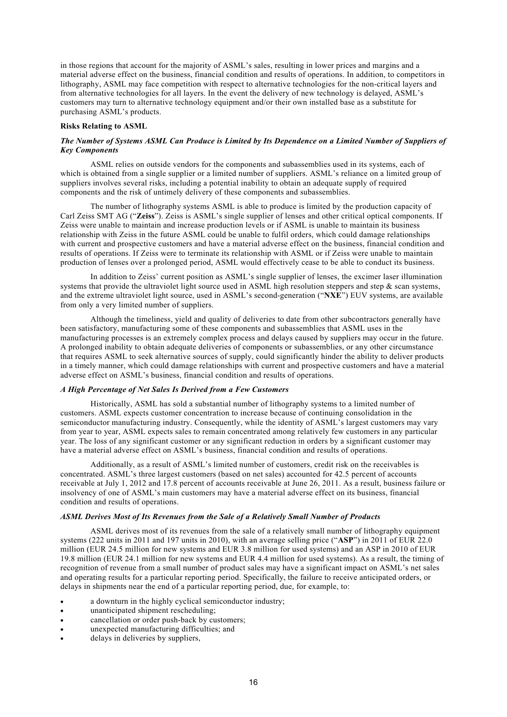in those regions that account for the majority of ASML's sales, resulting in lower prices and margins and a material adverse effect on the business, financial condition and results of operations. In addition, to competitors in lithography, ASML may face competition with respect to alternative technologies for the non-critical layers and from alternative technologies for all layers. In the event the delivery of new technology is delayed, ASML's customers may turn to alternative technology equipment and/or their own installed base as a substitute for purchasing ASML's products.

## **Risks Relating to ASML**

## *The Number of Systems ASML Can Produce is Limited by Its Dependence on a Limited Number of Suppliers of Key Components*

ASML relies on outside vendors for the components and subassemblies used in its systems, each of which is obtained from a single supplier or a limited number of suppliers. ASML's reliance on a limited group of suppliers involves several risks, including a potential inability to obtain an adequate supply of required components and the risk of untimely delivery of these components and subassemblies.

The number of lithography systems ASML is able to produce is limited by the production capacity of Carl Zeiss SMT AG ("**Zeiss**"). Zeiss is ASML's single supplier of lenses and other critical optical components. If Zeiss were unable to maintain and increase production levels or if ASML is unable to maintain its business relationship with Zeiss in the future ASML could be unable to fulfil orders, which could damage relationships with current and prospective customers and have a material adverse effect on the business, financial condition and results of operations. If Zeiss were to terminate its relationship with ASML or if Zeiss were unable to maintain production of lenses over a prolonged period, ASML would effectively cease to be able to conduct its business.

In addition to Zeiss' current position as ASML's single supplier of lenses, the excimer laser illumination systems that provide the ultraviolet light source used in ASML high resolution steppers and step & scan systems, and the extreme ultraviolet light source, used in ASML's second-generation ("**NXE**") EUV systems, are available from only a very limited number of suppliers.

Although the timeliness, yield and quality of deliveries to date from other subcontractors generally have been satisfactory, manufacturing some of these components and subassemblies that ASML uses in the manufacturing processes is an extremely complex process and delays caused by suppliers may occur in the future. A prolonged inability to obtain adequate deliveries of components or subassemblies, or any other circumstance that requires ASML to seek alternative sources of supply, could significantly hinder the ability to deliver products in a timely manner, which could damage relationships with current and prospective customers and have a material adverse effect on ASML's business, financial condition and results of operations.

# *A High Percentage of Net Sales Is Derived from a Few Customers*

Historically, ASML has sold a substantial number of lithography systems to a limited number of customers. ASML expects customer concentration to increase because of continuing consolidation in the semiconductor manufacturing industry. Consequently, while the identity of ASML's largest customers may vary from year to year, ASML expects sales to remain concentrated among relatively few customers in any particular year. The loss of any significant customer or any significant reduction in orders by a significant customer may have a material adverse effect on ASML's business, financial condition and results of operations.

Additionally, as a result of ASML's limited number of customers, credit risk on the receivables is concentrated. ASML's three largest customers (based on net sales) accounted for 42.5 percent of accounts receivable at July 1, 2012 and 17.8 percent of accounts receivable at June 26, 2011. As a result, business failure or insolvency of one of ASML's main customers may have a material adverse effect on its business, financial condition and results of operations.

## *ASML Derives Most of Its Revenues from the Sale of a Relatively Small Number of Products*

ASML derives most of its revenues from the sale of a relatively small number of lithography equipment systems (222 units in 2011 and 197 units in 2010), with an average selling price ("**ASP**") in 2011 of EUR 22.0 million (EUR 24.5 million for new systems and EUR 3.8 million for used systems) and an ASP in 2010 of EUR 19.8 million (EUR 24.1 million for new systems and EUR 4.4 million for used systems). As a result, the timing of recognition of revenue from a small number of product sales may have a significant impact on ASML's net sales and operating results for a particular reporting period. Specifically, the failure to receive anticipated orders, or delays in shipments near the end of a particular reporting period, due, for example, to:

- a downturn in the highly cyclical semiconductor industry;
- unanticipated shipment rescheduling;
- cancellation or order push-back by customers;
- unexpected manufacturing difficulties; and
- delays in deliveries by suppliers,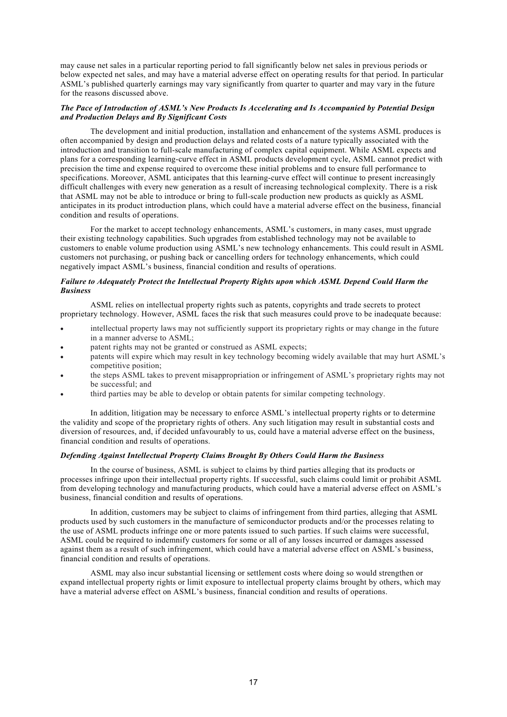may cause net sales in a particular reporting period to fall significantly below net sales in previous periods or below expected net sales, and may have a material adverse effect on operating results for that period. In particular ASML's published quarterly earnings may vary significantly from quarter to quarter and may vary in the future for the reasons discussed above.

# *The Pace of Introduction of ASML's New Products Is Accelerating and Is Accompanied by Potential Design and Production Delays and By Significant Costs*

The development and initial production, installation and enhancement of the systems ASML produces is often accompanied by design and production delays and related costs of a nature typically associated with the introduction and transition to full-scale manufacturing of complex capital equipment. While ASML expects and plans for a corresponding learning-curve effect in ASML products development cycle, ASML cannot predict with precision the time and expense required to overcome these initial problems and to ensure full performance to specifications. Moreover, ASML anticipates that this learning-curve effect will continue to present increasingly difficult challenges with every new generation as a result of increasing technological complexity. There is a risk that ASML may not be able to introduce or bring to full-scale production new products as quickly as ASML anticipates in its product introduction plans, which could have a material adverse effect on the business, financial condition and results of operations.

For the market to accept technology enhancements, ASML's customers, in many cases, must upgrade their existing technology capabilities. Such upgrades from established technology may not be available to customers to enable volume production using ASML's new technology enhancements. This could result in ASML customers not purchasing, or pushing back or cancelling orders for technology enhancements, which could negatively impact ASML's business, financial condition and results of operations.

## *Failure to Adequately Protect the Intellectual Property Rights upon which ASML Depend Could Harm the Business*

ASML relies on intellectual property rights such as patents, copyrights and trade secrets to protect proprietary technology. However, ASML faces the risk that such measures could prove to be inadequate because:

- intellectual property laws may not sufficiently support its proprietary rights or may change in the future in a manner adverse to ASML;
- patent rights may not be granted or construed as ASML expects;
- patents will expire which may result in key technology becoming widely available that may hurt ASML's competitive position;
- the steps ASML takes to prevent misappropriation or infringement of ASML's proprietary rights may not be successful; and
- third parties may be able to develop or obtain patents for similar competing technology.

In addition, litigation may be necessary to enforce ASML's intellectual property rights or to determine the validity and scope of the proprietary rights of others. Any such litigation may result in substantial costs and diversion of resources, and, if decided unfavourably to us, could have a material adverse effect on the business, financial condition and results of operations.

## *Defending Against Intellectual Property Claims Brought By Others Could Harm the Business*

In the course of business, ASML is subject to claims by third parties alleging that its products or processes infringe upon their intellectual property rights. If successful, such claims could limit or prohibit ASML from developing technology and manufacturing products, which could have a material adverse effect on ASML's business, financial condition and results of operations.

In addition, customers may be subject to claims of infringement from third parties, alleging that ASML products used by such customers in the manufacture of semiconductor products and/or the processes relating to the use of ASML products infringe one or more patents issued to such parties. If such claims were successful, ASML could be required to indemnify customers for some or all of any losses incurred or damages assessed against them as a result of such infringement, which could have a material adverse effect on ASML's business, financial condition and results of operations.

ASML may also incur substantial licensing or settlement costs where doing so would strengthen or expand intellectual property rights or limit exposure to intellectual property claims brought by others, which may have a material adverse effect on ASML's business, financial condition and results of operations.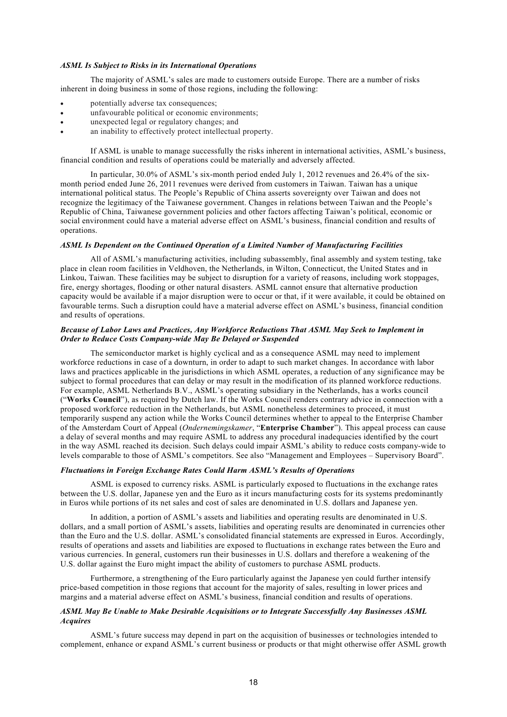### *ASML Is Subject to Risks in its International Operations*

The majority of ASML's sales are made to customers outside Europe. There are a number of risks inherent in doing business in some of those regions, including the following:

- potentially adverse tax consequences;
- unfavourable political or economic environments;
- unexpected legal or regulatory changes; and
- an inability to effectively protect intellectual property.

If ASML is unable to manage successfully the risks inherent in international activities, ASML's business, financial condition and results of operations could be materially and adversely affected.

In particular, 30.0% of ASML's six-month period ended July 1, 2012 revenues and 26.4% of the sixmonth period ended June 26, 2011 revenues were derived from customers in Taiwan. Taiwan has a unique international political status. The People's Republic of China asserts sovereignty over Taiwan and does not recognize the legitimacy of the Taiwanese government. Changes in relations between Taiwan and the People's Republic of China, Taiwanese government policies and other factors affecting Taiwan's political, economic or social environment could have a material adverse effect on ASML's business, financial condition and results of operations.

# *ASML Is Dependent on the Continued Operation of a Limited Number of Manufacturing Facilities*

All of ASML's manufacturing activities, including subassembly, final assembly and system testing, take place in clean room facilities in Veldhoven, the Netherlands, in Wilton, Connecticut, the United States and in Linkou, Taiwan. These facilities may be subject to disruption for a variety of reasons, including work stoppages, fire, energy shortages, flooding or other natural disasters. ASML cannot ensure that alternative production capacity would be available if a major disruption were to occur or that, if it were available, it could be obtained on favourable terms. Such a disruption could have a material adverse effect on ASML's business, financial condition and results of operations.

## *Because of Labor Laws and Practices, Any Workforce Reductions That ASML May Seek to Implement in Order to Reduce Costs Company-wide May Be Delayed or Suspended*

The semiconductor market is highly cyclical and as a consequence ASML may need to implement workforce reductions in case of a downturn, in order to adapt to such market changes. In accordance with labor laws and practices applicable in the jurisdictions in which ASML operates, a reduction of any significance may be subject to formal procedures that can delay or may result in the modification of its planned workforce reductions. For example, ASML Netherlands B.V., ASML's operating subsidiary in the Netherlands, has a works council ("**Works Council**"), as required by Dutch law. If the Works Council renders contrary advice in connection with a proposed workforce reduction in the Netherlands, but ASML nonetheless determines to proceed, it must temporarily suspend any action while the Works Council determines whether to appeal to the Enterprise Chamber of the Amsterdam Court of Appeal (*Ondernemingskamer*, "**Enterprise Chamber**"). This appeal process can cause a delay of several months and may require ASML to address any procedural inadequacies identified by the court in the way ASML reached its decision. Such delays could impair ASML's ability to reduce costs company-wide to levels comparable to those of ASML's competitors. See also "Management and Employees – Supervisory Board".

## *Fluctuations in Foreign Exchange Rates Could Harm ASML's Results of Operations*

ASML is exposed to currency risks. ASML is particularly exposed to fluctuations in the exchange rates between the U.S. dollar, Japanese yen and the Euro as it incurs manufacturing costs for its systems predominantly in Euros while portions of its net sales and cost of sales are denominated in U.S. dollars and Japanese yen.

In addition, a portion of ASML's assets and liabilities and operating results are denominated in U.S. dollars, and a small portion of ASML's assets, liabilities and operating results are denominated in currencies other than the Euro and the U.S. dollar. ASML's consolidated financial statements are expressed in Euros. Accordingly, results of operations and assets and liabilities are exposed to fluctuations in exchange rates between the Euro and various currencies. In general, customers run their businesses in U.S. dollars and therefore a weakening of the U.S. dollar against the Euro might impact the ability of customers to purchase ASML products.

Furthermore, a strengthening of the Euro particularly against the Japanese yen could further intensify price-based competition in those regions that account for the majority of sales, resulting in lower prices and margins and a material adverse effect on ASML's business, financial condition and results of operations.

## *ASML May Be Unable to Make Desirable Acquisitions or to Integrate Successfully Any Businesses ASML Acquires*

ASML's future success may depend in part on the acquisition of businesses or technologies intended to complement, enhance or expand ASML's current business or products or that might otherwise offer ASML growth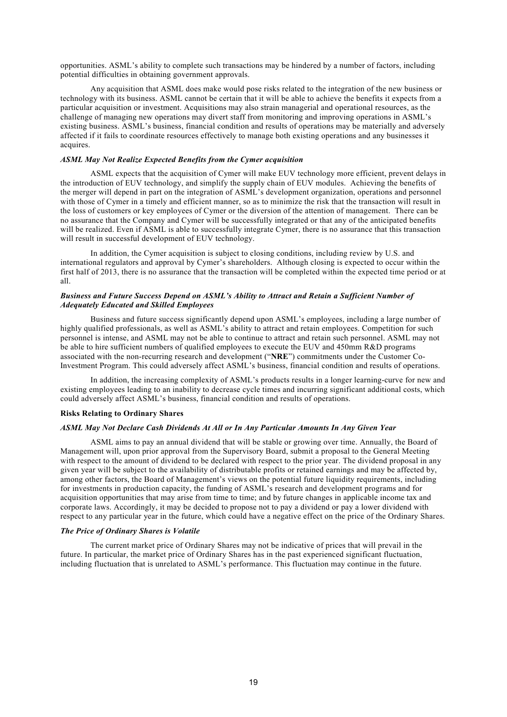opportunities. ASML's ability to complete such transactions may be hindered by a number of factors, including potential difficulties in obtaining government approvals.

Any acquisition that ASML does make would pose risks related to the integration of the new business or technology with its business. ASML cannot be certain that it will be able to achieve the benefits it expects from a particular acquisition or investment. Acquisitions may also strain managerial and operational resources, as the challenge of managing new operations may divert staff from monitoring and improving operations in ASML's existing business. ASML's business, financial condition and results of operations may be materially and adversely affected if it fails to coordinate resources effectively to manage both existing operations and any businesses it acquires.

## *ASML May Not Realize Expected Benefits from the Cymer acquisition*

ASML expects that the acquisition of Cymer will make EUV technology more efficient, prevent delays in the introduction of EUV technology, and simplify the supply chain of EUV modules. Achieving the benefits of the merger will depend in part on the integration of ASML's development organization, operations and personnel with those of Cymer in a timely and efficient manner, so as to minimize the risk that the transaction will result in the loss of customers or key employees of Cymer or the diversion of the attention of management. There can be no assurance that the Company and Cymer will be successfully integrated or that any of the anticipated benefits will be realized. Even if ASML is able to successfully integrate Cymer, there is no assurance that this transaction will result in successful development of EUV technology.

In addition, the Cymer acquisition is subject to closing conditions, including review by U.S. and international regulators and approval by Cymer's shareholders. Although closing is expected to occur within the first half of 2013, there is no assurance that the transaction will be completed within the expected time period or at all.

# *Business and Future Success Depend on ASML's Ability to Attract and Retain a Sufficient Number of Adequately Educated and Skilled Employees*

Business and future success significantly depend upon ASML's employees, including a large number of highly qualified professionals, as well as ASML's ability to attract and retain employees. Competition for such personnel is intense, and ASML may not be able to continue to attract and retain such personnel. ASML may not be able to hire sufficient numbers of qualified employees to execute the EUV and 450mm R&D programs associated with the non-recurring research and development ("**NRE**") commitments under the Customer Co-Investment Program. This could adversely affect ASML's business, financial condition and results of operations.

In addition, the increasing complexity of ASML's products results in a longer learning-curve for new and existing employees leading to an inability to decrease cycle times and incurring significant additional costs, which could adversely affect ASML's business, financial condition and results of operations.

#### **Risks Relating to Ordinary Shares**

#### *ASML May Not Declare Cash Dividends At All or In Any Particular Amounts In Any Given Year*

ASML aims to pay an annual dividend that will be stable or growing over time. Annually, the Board of Management will, upon prior approval from the Supervisory Board, submit a proposal to the General Meeting with respect to the amount of dividend to be declared with respect to the prior year. The dividend proposal in any given year will be subject to the availability of distributable profits or retained earnings and may be affected by, among other factors, the Board of Management's views on the potential future liquidity requirements, including for investments in production capacity, the funding of ASML's research and development programs and for acquisition opportunities that may arise from time to time; and by future changes in applicable income tax and corporate laws. Accordingly, it may be decided to propose not to pay a dividend or pay a lower dividend with respect to any particular year in the future, which could have a negative effect on the price of the Ordinary Shares.

## *The Price of Ordinary Shares is Volatile*

The current market price of Ordinary Shares may not be indicative of prices that will prevail in the future. In particular, the market price of Ordinary Shares has in the past experienced significant fluctuation, including fluctuation that is unrelated to ASML's performance. This fluctuation may continue in the future.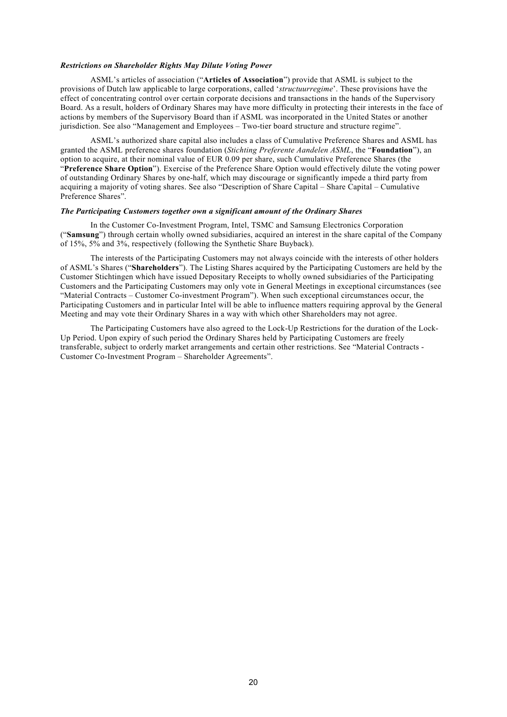## *Restrictions on Shareholder Rights May Dilute Voting Power*

ASML's articles of association ("**Articles of Association**") provide that ASML is subject to the provisions of Dutch law applicable to large corporations, called '*structuurregime*'. These provisions have the effect of concentrating control over certain corporate decisions and transactions in the hands of the Supervisory Board. As a result, holders of Ordinary Shares may have more difficulty in protecting their interests in the face of actions by members of the Supervisory Board than if ASML was incorporated in the United States or another jurisdiction. See also "Management and Employees – Two-tier board structure and structure regime".

ASML's authorized share capital also includes a class of Cumulative Preference Shares and ASML has granted the ASML preference shares foundation (*Stichting Preferente Aandelen ASML*, the "**Foundation**"), an option to acquire, at their nominal value of EUR 0.09 per share, such Cumulative Preference Shares (the "**Preference Share Option**"). Exercise of the Preference Share Option would effectively dilute the voting power of outstanding Ordinary Shares by one-half, which may discourage or significantly impede a third party from acquiring a majority of voting shares. See also "Description of Share Capital – Share Capital – Cumulative Preference Shares".

## *The Participating Customers together own a significant amount of the Ordinary Shares*

In the Customer Co-Investment Program, Intel, TSMC and Samsung Electronics Corporation ("**Samsung**") through certain wholly owned subsidiaries, acquired an interest in the share capital of the Company of 15%, 5% and 3%, respectively (following the Synthetic Share Buyback).

The interests of the Participating Customers may not always coincide with the interests of other holders of ASML's Shares ("**Shareholders**"). The Listing Shares acquired by the Participating Customers are held by the Customer Stichtingen which have issued Depositary Receipts to wholly owned subsidiaries of the Participating Customers and the Participating Customers may only vote in General Meetings in exceptional circumstances (see "Material Contracts – Customer Co-investment Program"). When such exceptional circumstances occur, the Participating Customers and in particular Intel will be able to influence matters requiring approval by the General Meeting and may vote their Ordinary Shares in a way with which other Shareholders may not agree.

The Participating Customers have also agreed to the Lock-Up Restrictions for the duration of the Lock-Up Period. Upon expiry of such period the Ordinary Shares held by Participating Customers are freely transferable, subject to orderly market arrangements and certain other restrictions. See "Material Contracts - Customer Co-Investment Program – Shareholder Agreements".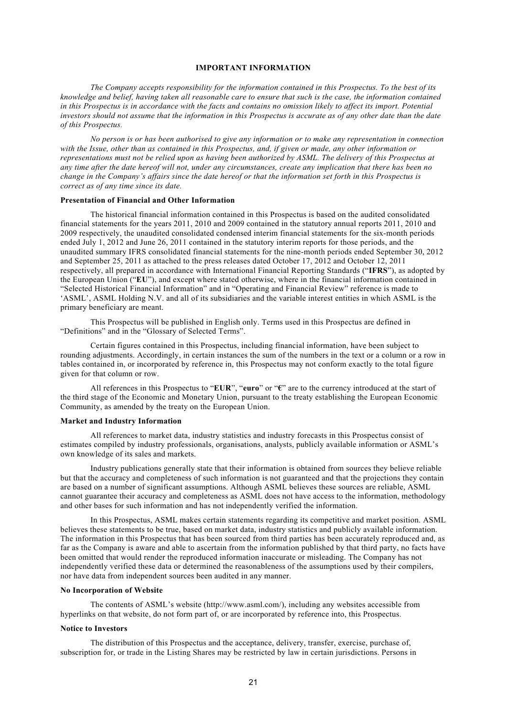# **IMPORTANT INFORMATION**

*The Company accepts responsibility for the information contained in this Prospectus. To the best of its knowledge and belief, having taken all reasonable care to ensure that such is the case, the information contained in this Prospectus is in accordance with the facts and contains no omission likely to affect its import. Potential*  investors should not assume that the information in this Prospectus is accurate as of any other date than the date *of this Prospectus.* 

*No person is or has been authorised to give any information or to make any representation in connection with the Issue, other than as contained in this Prospectus, and, if given or made, any other information or representations must not be relied upon as having been authorized by ASML. The delivery of this Prospectus at any time after the date hereof will not, under any circumstances, create any implication that there has been no change in the Company's affairs since the date hereof or that the information set forth in this Prospectus is correct as of any time since its date.* 

#### **Presentation of Financial and Other Information**

The historical financial information contained in this Prospectus is based on the audited consolidated financial statements for the years 2011, 2010 and 2009 contained in the statutory annual reports 2011, 2010 and 2009 respectively, the unaudited consolidated condensed interim financial statements for the six-month periods ended July 1, 2012 and June 26, 2011 contained in the statutory interim reports for those periods, and the unaudited summary IFRS consolidated financial statements for the nine-month periods ended September 30, 2012 and September 25, 2011 as attached to the press releases dated October 17, 2012 and October 12, 2011 respectively, all prepared in accordance with International Financial Reporting Standards ("**IFRS**"), as adopted by the European Union ("**EU**"), and except where stated otherwise, where in the financial information contained in "Selected Historical Financial Information" and in "Operating and Financial Review" reference is made to 'ASML', ASML Holding N.V. and all of its subsidiaries and the variable interest entities in which ASML is the primary beneficiary are meant.

This Prospectus will be published in English only. Terms used in this Prospectus are defined in "Definitions" and in the "Glossary of Selected Terms".

Certain figures contained in this Prospectus, including financial information, have been subject to rounding adjustments. Accordingly, in certain instances the sum of the numbers in the text or a column or a row in tables contained in, or incorporated by reference in, this Prospectus may not conform exactly to the total figure given for that column or row.

All references in this Prospectus to "**EUR**", "**euro**" or "**€**" are to the currency introduced at the start of the third stage of the Economic and Monetary Union, pursuant to the treaty establishing the European Economic Community, as amended by the treaty on the European Union.

#### **Market and Industry Information**

All references to market data, industry statistics and industry forecasts in this Prospectus consist of estimates compiled by industry professionals, organisations, analysts, publicly available information or ASML's own knowledge of its sales and markets.

Industry publications generally state that their information is obtained from sources they believe reliable but that the accuracy and completeness of such information is not guaranteed and that the projections they contain are based on a number of significant assumptions. Although ASML believes these sources are reliable, ASML cannot guarantee their accuracy and completeness as ASML does not have access to the information, methodology and other bases for such information and has not independently verified the information.

In this Prospectus, ASML makes certain statements regarding its competitive and market position. ASML believes these statements to be true, based on market data, industry statistics and publicly available information. The information in this Prospectus that has been sourced from third parties has been accurately reproduced and, as far as the Company is aware and able to ascertain from the information published by that third party, no facts have been omitted that would render the reproduced information inaccurate or misleading. The Company has not independently verified these data or determined the reasonableness of the assumptions used by their compilers, nor have data from independent sources been audited in any manner.

## **No Incorporation of Website**

The contents of ASML's website (http://www.asml.com/), including any websites accessible from hyperlinks on that website, do not form part of, or are incorporated by reference into, this Prospectus.

### **Notice to Investors**

The distribution of this Prospectus and the acceptance, delivery, transfer, exercise, purchase of, subscription for, or trade in the Listing Shares may be restricted by law in certain jurisdictions. Persons in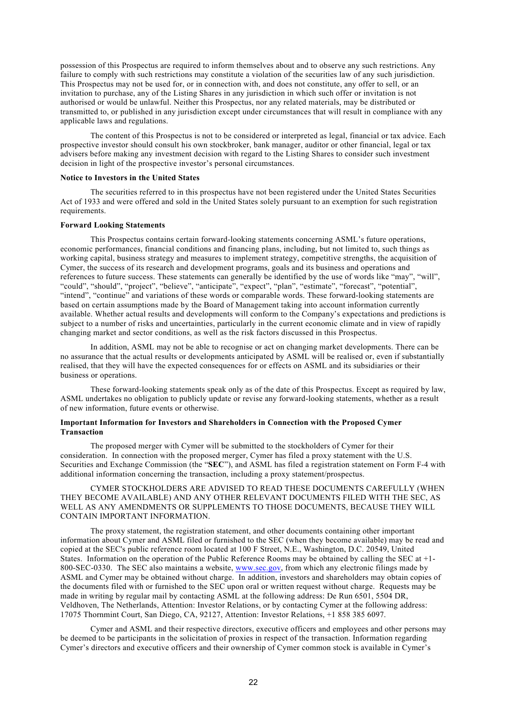possession of this Prospectus are required to inform themselves about and to observe any such restrictions. Any failure to comply with such restrictions may constitute a violation of the securities law of any such jurisdiction. This Prospectus may not be used for, or in connection with, and does not constitute, any offer to sell, or an invitation to purchase, any of the Listing Shares in any jurisdiction in which such offer or invitation is not authorised or would be unlawful. Neither this Prospectus, nor any related materials, may be distributed or transmitted to, or published in any jurisdiction except under circumstances that will result in compliance with any applicable laws and regulations.

The content of this Prospectus is not to be considered or interpreted as legal, financial or tax advice. Each prospective investor should consult his own stockbroker, bank manager, auditor or other financial, legal or tax advisers before making any investment decision with regard to the Listing Shares to consider such investment decision in light of the prospective investor's personal circumstances.

### **Notice to Investors in the United States**

The securities referred to in this prospectus have not been registered under the United States Securities Act of 1933 and were offered and sold in the United States solely pursuant to an exemption for such registration requirements.

#### **Forward Looking Statements**

This Prospectus contains certain forward-looking statements concerning ASML's future operations, economic performances, financial conditions and financing plans, including, but not limited to, such things as working capital, business strategy and measures to implement strategy, competitive strengths, the acquisition of Cymer, the success of its research and development programs, goals and its business and operations and references to future success. These statements can generally be identified by the use of words like "may", "will", "could", "should", "project", "believe", "anticipate", "expect", "plan", "estimate", "forecast", "potential", "intend", "continue" and variations of these words or comparable words. These forward-looking statements are based on certain assumptions made by the Board of Management taking into account information currently available. Whether actual results and developments will conform to the Company's expectations and predictions is subject to a number of risks and uncertainties, particularly in the current economic climate and in view of rapidly changing market and sector conditions, as well as the risk factors discussed in this Prospectus.

In addition, ASML may not be able to recognise or act on changing market developments. There can be no assurance that the actual results or developments anticipated by ASML will be realised or, even if substantially realised, that they will have the expected consequences for or effects on ASML and its subsidiaries or their business or operations.

These forward-looking statements speak only as of the date of this Prospectus. Except as required by law, ASML undertakes no obligation to publicly update or revise any forward-looking statements, whether as a result of new information, future events or otherwise.

## **Important Information for Investors and Shareholders in Connection with the Proposed Cymer Transaction**

The proposed merger with Cymer will be submitted to the stockholders of Cymer for their consideration. In connection with the proposed merger, Cymer has filed a proxy statement with the U.S. Securities and Exchange Commission (the "**SEC**"), and ASML has filed a registration statement on Form F-4 with additional information concerning the transaction, including a proxy statement/prospectus.

## CYMER STOCKHOLDERS ARE ADVISED TO READ THESE DOCUMENTS CAREFULLY (WHEN THEY BECOME AVAILABLE) AND ANY OTHER RELEVANT DOCUMENTS FILED WITH THE SEC, AS WELL AS ANY AMENDMENTS OR SUPPLEMENTS TO THOSE DOCUMENTS, BECAUSE THEY WILL CONTAIN IMPORTANT INFORMATION.

The proxy statement, the registration statement, and other documents containing other important information about Cymer and ASML filed or furnished to the SEC (when they become available) may be read and copied at the SEC's public reference room located at 100 F Street, N.E., Washington, D.C. 20549, United States. Information on the operation of the Public Reference Rooms may be obtained by calling the SEC at +1- 800-SEC-0330. The SEC also maintains a website, [www.sec.gov](http://www.sec.gov/), from which any electronic filings made by ASML and Cymer may be obtained without charge. In addition, investors and shareholders may obtain copies of the documents filed with or furnished to the SEC upon oral or written request without charge. Requests may be made in writing by regular mail by contacting ASML at the following address: De Run 6501, 5504 DR, Veldhoven, The Netherlands, Attention: Investor Relations, or by contacting Cymer at the following address: 17075 Thornmint Court, San Diego, CA, 92127, Attention: Investor Relations, +1 858 385 6097.

Cymer and ASML and their respective directors, executive officers and employees and other persons may be deemed to be participants in the solicitation of proxies in respect of the transaction. Information regarding Cymer's directors and executive officers and their ownership of Cymer common stock is available in Cymer's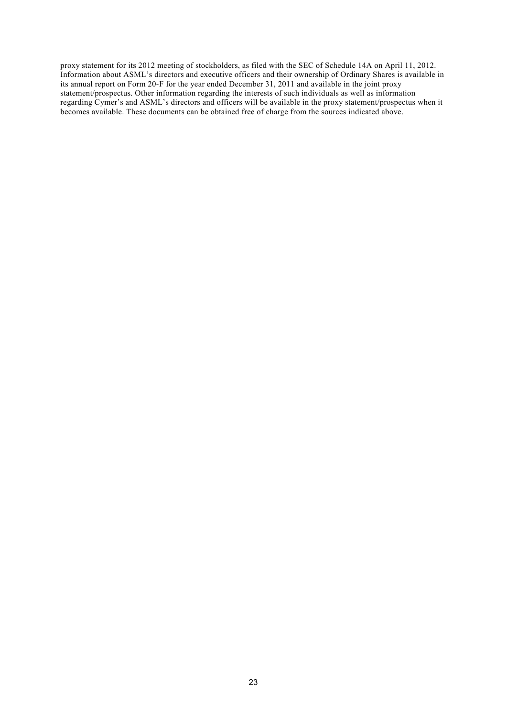proxy statement for its 2012 meeting of stockholders, as filed with the SEC of Schedule 14A on April 11, 2012. Information about ASML's directors and executive officers and their ownership of Ordinary Shares is available in its annual report on Form 20-F for the year ended December 31, 2011 and available in the joint proxy statement/prospectus. Other information regarding the interests of such individuals as well as information regarding Cymer's and ASML's directors and officers will be available in the proxy statement/prospectus when it becomes available. These documents can be obtained free of charge from the sources indicated above.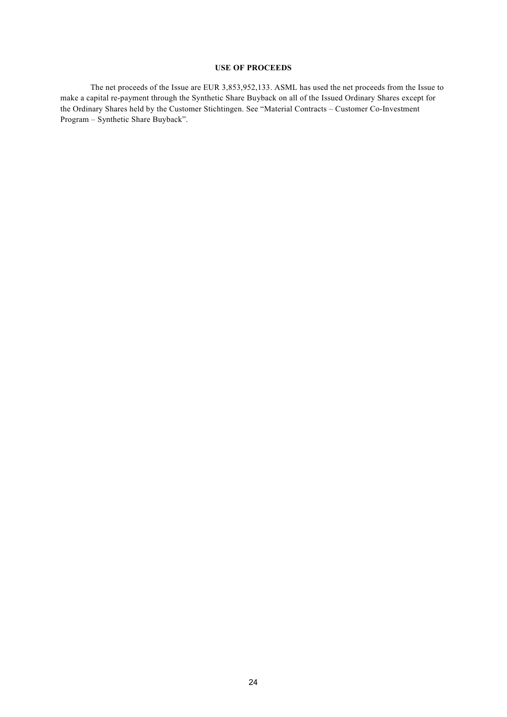# **USE OF PROCEEDS**

The net proceeds of the Issue are EUR 3,853,952,133. ASML has used the net proceeds from the Issue to make a capital re-payment through the Synthetic Share Buyback on all of the Issued Ordinary Shares except for the Ordinary Shares held by the Customer Stichtingen. See "Material Contracts – Customer Co-Investment Program – Synthetic Share Buyback".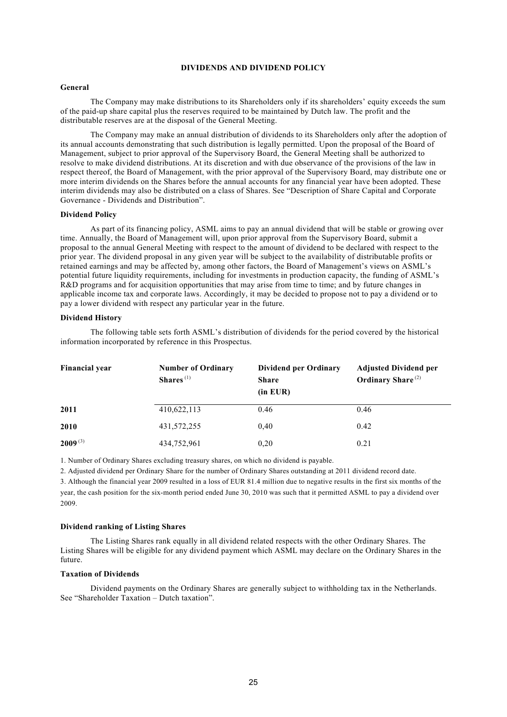## **DIVIDENDS AND DIVIDEND POLICY**

#### **General**

The Company may make distributions to its Shareholders only if its shareholders' equity exceeds the sum of the paid-up share capital plus the reserves required to be maintained by Dutch law. The profit and the distributable reserves are at the disposal of the General Meeting.

The Company may make an annual distribution of dividends to its Shareholders only after the adoption of its annual accounts demonstrating that such distribution is legally permitted. Upon the proposal of the Board of Management, subject to prior approval of the Supervisory Board, the General Meeting shall be authorized to resolve to make dividend distributions. At its discretion and with due observance of the provisions of the law in respect thereof, the Board of Management, with the prior approval of the Supervisory Board, may distribute one or more interim dividends on the Shares before the annual accounts for any financial year have been adopted. These interim dividends may also be distributed on a class of Shares. See "Description of Share Capital and Corporate Governance - Dividends and Distribution".

#### **Dividend Policy**

As part of its financing policy, ASML aims to pay an annual dividend that will be stable or growing over time. Annually, the Board of Management will, upon prior approval from the Supervisory Board, submit a proposal to the annual General Meeting with respect to the amount of dividend to be declared with respect to the prior year. The dividend proposal in any given year will be subject to the availability of distributable profits or retained earnings and may be affected by, among other factors, the Board of Management's views on ASML's potential future liquidity requirements, including for investments in production capacity, the funding of ASML's R&D programs and for acquisition opportunities that may arise from time to time; and by future changes in applicable income tax and corporate laws. Accordingly, it may be decided to propose not to pay a dividend or to pay a lower dividend with respect any particular year in the future.

#### **Dividend History**

The following table sets forth ASML's distribution of dividends for the period covered by the historical information incorporated by reference in this Prospectus.

| <b>Financial year</b> | <b>Number of Ordinary</b><br>Shares $(1)$ | <b>Dividend per Ordinary</b><br><b>Share</b><br>(in EUR) | <b>Adjusted Dividend per</b><br>Ordinary Share <sup>(2)</sup> |  |
|-----------------------|-------------------------------------------|----------------------------------------------------------|---------------------------------------------------------------|--|
| 2011                  | 410,622,113                               | 0.46                                                     | 0.46                                                          |  |
| 2010                  | 431,572,255                               | 0,40                                                     | 0.42                                                          |  |
| $2009^{(3)}$          | 434,752,961                               | 0,20                                                     | 0.21                                                          |  |

1. Number of Ordinary Shares excluding treasury shares, on which no dividend is payable.

2. Adjusted dividend per Ordinary Share for the number of Ordinary Shares outstanding at 2011 dividend record date.

3. Although the financial year 2009 resulted in a loss of EUR 81.4 million due to negative results in the first six months of the year, the cash position for the six-month period ended June 30, 2010 was such that it permitted ASML to pay a dividend over 2009.

## **Dividend ranking of Listing Shares**

The Listing Shares rank equally in all dividend related respects with the other Ordinary Shares. The Listing Shares will be eligible for any dividend payment which ASML may declare on the Ordinary Shares in the future.

## **Taxation of Dividends**

Dividend payments on the Ordinary Shares are generally subject to withholding tax in the Netherlands. See "Shareholder Taxation – Dutch taxation".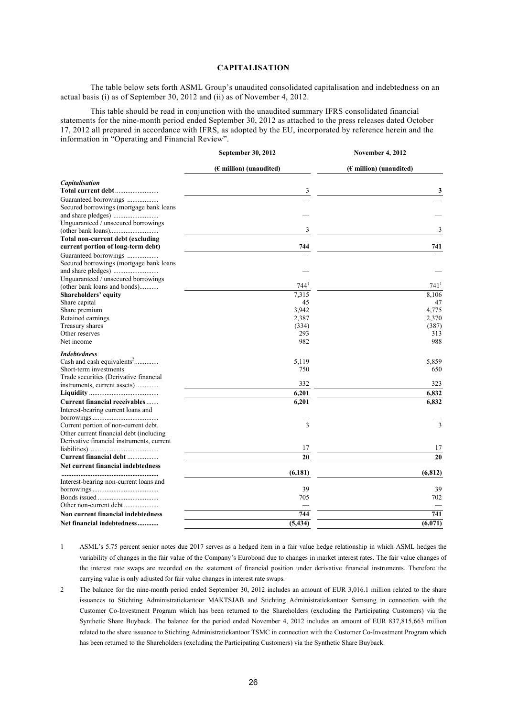# **CAPITALISATION**

The table below sets forth ASML Group's unaudited consolidated capitalisation and indebtedness on an actual basis (i) as of September 30, 2012 and (ii) as of November 4, 2012.

This table should be read in conjunction with the unaudited summary IFRS consolidated financial statements for the nine-month period ended September 30, 2012 as attached to the press releases dated October 17, 2012 all prepared in accordance with IFRS, as adopted by the EU, incorporated by reference herein and the information in "Operating and Financial Review".

**September 30, 2012**

**November 4, 2012**

|                                           | 50 pigmog 20, 2012        | $VUIIIULI = VULI$                |  |  |
|-------------------------------------------|---------------------------|----------------------------------|--|--|
|                                           | $(E$ million) (unaudited) | $(\epsilon$ million) (unaudited) |  |  |
| Capitalisation                            |                           |                                  |  |  |
| Total current debt                        | 3                         | 3                                |  |  |
| Guaranteed borrowings                     |                           |                                  |  |  |
| Secured borrowings (mortgage bank loans   |                           |                                  |  |  |
|                                           |                           |                                  |  |  |
| Unguaranteed / unsecured borrowings       |                           |                                  |  |  |
|                                           | 3                         | 3                                |  |  |
| Total non-current debt (excluding         |                           |                                  |  |  |
| current portion of long-term debt)        | 744                       | 741                              |  |  |
| Guaranteed borrowings                     |                           |                                  |  |  |
| Secured borrowings (mortgage bank loans   |                           |                                  |  |  |
|                                           |                           |                                  |  |  |
| Unguaranteed / unsecured borrowings       |                           |                                  |  |  |
| (other bank loans and bonds)              | 744'                      | 741'                             |  |  |
| <b>Shareholders' equity</b>               | 7,315                     | 8,106                            |  |  |
| Share capital                             | 45                        | 47                               |  |  |
| Share premium                             | 3,942                     | 4,775                            |  |  |
| Retained earnings                         | 2,387                     | 2,370                            |  |  |
| Treasury shares                           | (334)                     | (387)                            |  |  |
| Other reserves                            | 293                       | 313                              |  |  |
| Net income                                | 982                       | 988                              |  |  |
| <b>Indebtedness</b>                       |                           |                                  |  |  |
| Cash and cash equivalents <sup>2</sup>    | 5.119                     | 5,859                            |  |  |
| Short-term investments                    | 750                       | 650                              |  |  |
| Trade securities (Derivative financial    |                           |                                  |  |  |
| instruments, current assets)              | 332                       | 323                              |  |  |
|                                           | 6,201                     | 6.832                            |  |  |
| Current financial receivables             | 6,201                     | 6,832                            |  |  |
| Interest-bearing current loans and        |                           |                                  |  |  |
|                                           |                           |                                  |  |  |
| Current portion of non-current debt.      | 3                         | 3                                |  |  |
| Other current financial debt (including   |                           |                                  |  |  |
| Derivative financial instruments, current |                           |                                  |  |  |
|                                           | 17                        | 17                               |  |  |
| Current financial debt                    | 20                        | 20                               |  |  |
| Net current financial indebtedness        |                           |                                  |  |  |
|                                           | (6, 181)                  | (6, 812)                         |  |  |
| Interest-bearing non-current loans and    |                           |                                  |  |  |
|                                           | 39                        | 39                               |  |  |
|                                           | 705                       | 702                              |  |  |
|                                           |                           |                                  |  |  |
| Non current financial indebtedness        | 744                       | 741                              |  |  |
| Net financial indebtedness                | (5, 434)                  | $\sqrt{6,071}$                   |  |  |
|                                           |                           |                                  |  |  |

- 1 ASML's 5.75 percent senior notes due 2017 serves as a hedged item in a fair value hedge relationship in which ASML hedges the variability of changes in the fair value of the Company's Eurobond due to changes in market interest rates. The fair value changes of the interest rate swaps are recorded on the statement of financial position under derivative financial instruments. Therefore the carrying value is only adjusted for fair value changes in interest rate swaps.
- 2 The balance for the nine-month period ended September 30, 2012 includes an amount of EUR 3,016.1 million related to the share issuances to Stichting Administratiekantoor MAKTSJAB and Stichting Administratiekantoor Samsung in connection with the Customer Co-Investment Program which has been returned to the Shareholders (excluding the Participating Customers) via the Synthetic Share Buyback. The balance for the period ended November 4, 2012 includes an amount of EUR 837,815,663 million related to the share issuance to Stichting Administratiekantoor TSMC in connection with the Customer Co-Investment Program which has been returned to the Shareholders (excluding the Participating Customers) via the Synthetic Share Buyback.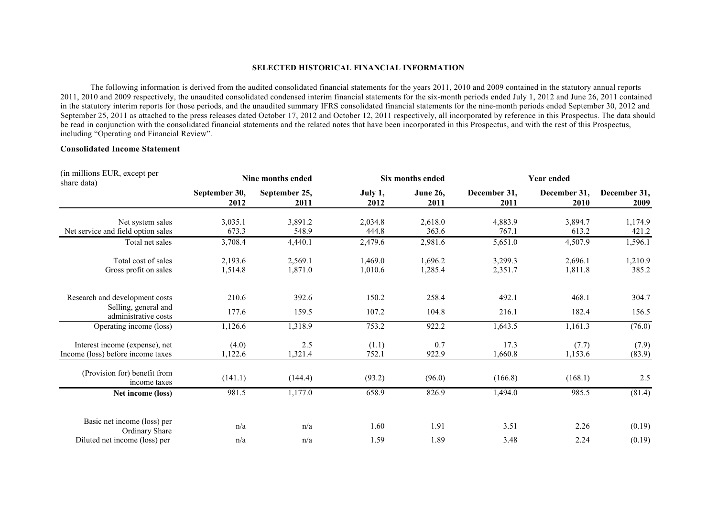#### **SELECTED HISTORICAL FINANCIAL INFORMATION**

The following information is derived from the audited consolidated financial statements for the years 2011, 2010 and 2009 contained in the statutory annual reports 2011, 2010 and 2009 respectively, the unaudited consolidated condensed interim financial statements for the six-month periods ended July 1, 2012 and June 26, 2011 contained in the statutory interim reports for those periods, and the unaudited summary IFRS consolidated financial statements for the nine-month periods ended September 30, 2012 and September 25, 2011 as attached to the press releases dated October 17, 2012 and October 12, 2011 respectively, all incorporated by reference in this Prospectus. The data should be read in conjunction with the consolidated financial statements and the related notes that have been incorporated in this Prospectus, and with the rest of this Prospectus, including "Operating and Financial Review".

# **Consolidated Income Statement**

| (in millions EUR, except per<br>share data)   | Nine months ended     |                       |                 | Six months ended        |                      | <b>Year ended</b>    |                      |  |
|-----------------------------------------------|-----------------------|-----------------------|-----------------|-------------------------|----------------------|----------------------|----------------------|--|
|                                               | September 30,<br>2012 | September 25,<br>2011 | July 1,<br>2012 | <b>June 26,</b><br>2011 | December 31,<br>2011 | December 31,<br>2010 | December 31,<br>2009 |  |
| Net system sales                              | 3,035.1               | 3,891.2               | 2,034.8         | 2,618.0                 | 4,883.9              | 3,894.7              | 1,174.9              |  |
| Net service and field option sales            | 673.3                 | 548.9                 | 444.8           | 363.6                   | 767.1                | 613.2                | 421.2                |  |
| Total net sales                               | 3,708.4               | 4,440.1               | 2,479.6         | 2,981.6                 | 5,651.0              | 4,507.9              | 1,596.1              |  |
| Total cost of sales                           | 2,193.6               | 2,569.1               | 1,469.0         | 1,696.2                 | 3,299.3              | 2,696.1              | 1,210.9              |  |
| Gross profit on sales                         | 1,514.8               | 1,871.0               | 1,010.6         | 1,285.4                 | 2,351.7              | 1,811.8              | 385.2                |  |
| Research and development costs                | 210.6                 | 392.6                 | 150.2           | 258.4                   | 492.1                | 468.1                | 304.7                |  |
| Selling, general and<br>administrative costs  | 177.6                 | 159.5                 | 107.2           | 104.8                   | 216.1                | 182.4                | 156.5                |  |
| Operating income (loss)                       | 1,126.6               | 1,318.9               | 753.2           | 922.2                   | 1,643.5              | 1,161.3              | (76.0)               |  |
| Interest income (expense), net                | (4.0)                 | 2.5                   | (1.1)           | 0.7                     | 17.3                 | (7.7)                | (7.9)                |  |
| Income (loss) before income taxes             | 1,122.6               | 1,321.4               | 752.1           | 922.9                   | 1,660.8              | 1,153.6              | (83.9)               |  |
| (Provision for) benefit from<br>income taxes  | (141.1)               | (144.4)               | (93.2)          | (96.0)                  | (166.8)              | (168.1)              | 2.5                  |  |
| Net income (loss)                             | 981.5                 | 1,177.0               | 658.9           | 826.9                   | 1,494.0              | 985.5                | (81.4)               |  |
| Basic net income (loss) per<br>Ordinary Share | n/a                   | n/a                   | 1.60            | 1.91                    | 3.51                 | 2.26                 | (0.19)               |  |
| Diluted net income (loss) per                 | n/a                   | n/a                   | 1.59            | 1.89                    | 3.48                 | 2.24                 | (0.19)               |  |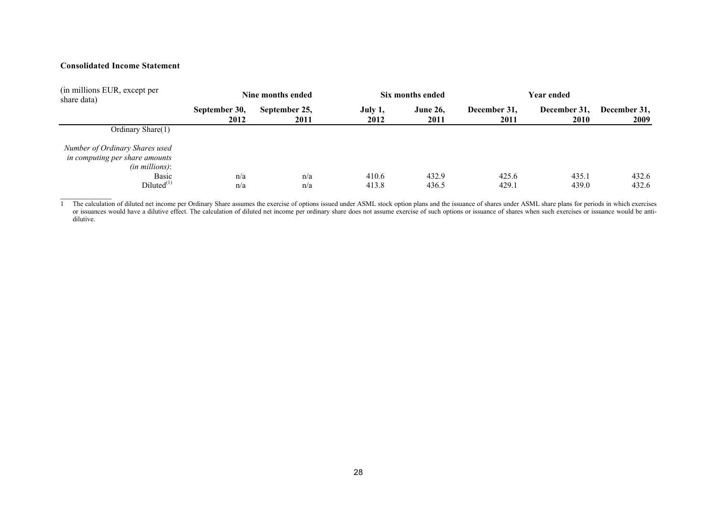# **Consolidated Income Statement**

| (in millions EUR, except per<br>share data)                                                                               | Nine months ended     |                       | Six months ended |                         | Year ended           |                      |                      |
|---------------------------------------------------------------------------------------------------------------------------|-----------------------|-----------------------|------------------|-------------------------|----------------------|----------------------|----------------------|
|                                                                                                                           | September 30,<br>2012 | September 25,<br>2011 | July 1,<br>2012  | <b>June 26,</b><br>2011 | December 31,<br>2011 | December 31,<br>2010 | December 31,<br>2009 |
| Ordinary Share(1)                                                                                                         |                       |                       |                  |                         |                      |                      |                      |
| Number of Ordinary Shares used<br>in computing per share amounts<br>$(in\, millions):$<br><b>Basic</b><br>$Diluted^{(1)}$ | n/a<br>n/a            | n/a<br>n/a            | 410.6<br>413.8   | 432.9<br>436.5          | 425.6<br>429.1       | 435.1<br>439.0       | 432.6<br>432.6       |

1 The calculation of diluted net income per Ordinary Share assumes the exercise of options issued under ASML stock option plans and the issuance of shares under ASML share plans for periods in which exercises or issuances would have a dilutive effect. The calculation of diluted net income per ordinary share does not assume exercise of such options or issuance of shares when such exercises or issuance would be antidilutive.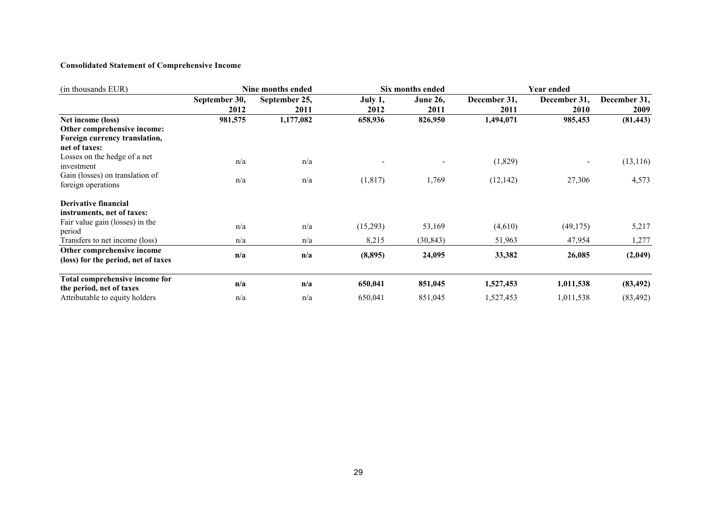# **Consolidated Statement of Comprehensive Income**

| (in thousands EUR)                  | Nine months ended |               |          | Six months ended | <b>Year ended</b> |              |              |
|-------------------------------------|-------------------|---------------|----------|------------------|-------------------|--------------|--------------|
|                                     | September 30,     | September 25, | July 1,  | <b>June 26,</b>  | December 31,      | December 31, | December 31, |
|                                     | 2012              | 2011          | 2012     | 2011             | 2011              | 2010         | 2009         |
| Net income (loss)                   | 981,575           | 1,177,082     | 658,936  | 826,950          | 1,494,071         | 985,453      | (81, 443)    |
| Other comprehensive income:         |                   |               |          |                  |                   |              |              |
| Foreign currency translation,       |                   |               |          |                  |                   |              |              |
| net of taxes:                       |                   |               |          |                  |                   |              |              |
| Losses on the hedge of a net        | n/a               | n/a           |          |                  | (1,829)           |              | (13, 116)    |
| investment                          |                   |               |          |                  |                   |              |              |
| Gain (losses) on translation of     | n/a               | n/a           | (1, 817) | 1,769            | (12, 142)         | 27,306       | 4,573        |
| foreign operations                  |                   |               |          |                  |                   |              |              |
| Derivative financial                |                   |               |          |                  |                   |              |              |
| instruments, net of taxes:          |                   |               |          |                  |                   |              |              |
| Fair value gain (losses) in the     |                   |               |          |                  |                   |              |              |
| period                              | n/a               | n/a           | (15,293) | 53,169           | (4,610)           | (49, 175)    | 5,217        |
| Transfers to net income (loss)      | n/a               | n/a           | 8,215    | (30, 843)        | 51,963            | 47,954       | 1,277        |
| Other comprehensive income          | n/a               | n/a           | (8, 895) | 24,095           | 33,382            | 26,085       | (2,049)      |
| (loss) for the period, net of taxes |                   |               |          |                  |                   |              |              |
| Total comprehensive income for      |                   |               |          |                  |                   |              |              |
| the period, net of taxes            | n/a               | n/a           | 650,041  | 851,045          | 1,527,453         | 1,011,538    | (83, 492)    |
| Attributable to equity holders      | n/a               | n/a           | 650,041  | 851,045          | 1,527,453         | 1,011,538    | (83, 492)    |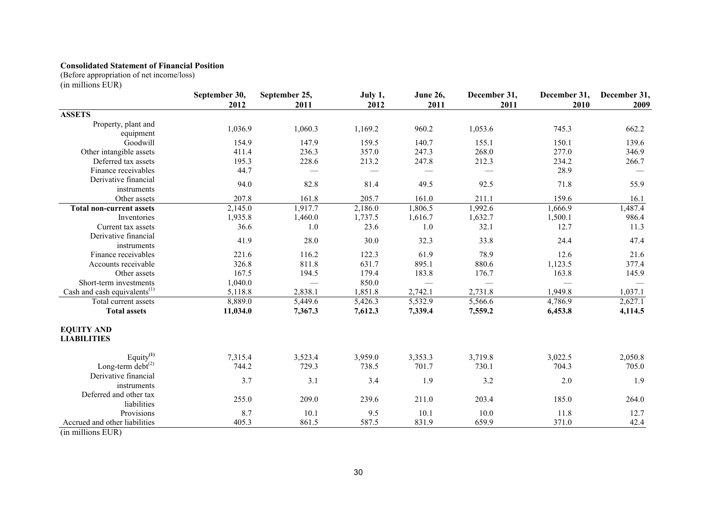# **Consolidated Statement of Financial Position**

(Before appropriation of net income/loss)

(in millions EUR)

|                                          | September 30,<br>2012 | September 25,<br>2011 | July 1,<br>2012 | <b>June 26,</b><br>2011 | December 31,<br>2011 | December 31,<br>2010 | December 31,<br>2009 |
|------------------------------------------|-----------------------|-----------------------|-----------------|-------------------------|----------------------|----------------------|----------------------|
| <b>ASSETS</b>                            |                       |                       |                 |                         |                      |                      |                      |
| Property, plant and<br>equipment         | 1,036.9               | 1,060.3               | 1,169.2         | 960.2                   | 1,053.6              | 745.3                | 662.2                |
| Goodwill                                 | 154.9                 | 147.9                 | 159.5           | 140.7                   | 155.1                | 150.1                | 139.6                |
| Other intangible assets                  | 411.4                 | 236.3                 | 357.0           | 247.3                   | 268.0                | 277.0                | 346.9                |
| Deferred tax assets                      | 195.3                 | 228.6                 | 213.2           | 247.8                   | 212.3                | 234.2                | 266.7                |
| Finance receivables                      | 44.7                  |                       |                 |                         |                      | 28.9                 |                      |
| Derivative financial<br>instruments      | 94.0                  | 82.8                  | 81.4            | 49.5                    | 92.5                 | 71.8                 | 55.9                 |
| Other assets                             | 207.8                 | 161.8                 | 205.7           | 161.0                   | 211.1                | 159.6                | 16.1                 |
| <b>Total non-current assets</b>          | 2,145.0               | 1,917.7               | 2,186.0         | 1,806.5                 | 1,992.6              | 1,666.9              | 1,487.4              |
| Inventories                              | 1,935.8               | 1,460.0               | 1,737.5         | 1,616.7                 | 1,632.7              | 1,500.1              | 986.4                |
| Current tax assets                       | 36.6                  | 1.0                   | 23.6            | 1.0                     | 32.1                 | 12.7                 | 11.3                 |
| Derivative financial<br>instruments      | 41.9                  | 28.0                  | 30.0            | 32.3                    | 33.8                 | 24.4                 | 47.4                 |
| Finance receivables                      | 221.6                 | 116.2                 | 122.3           | 61.9                    | 78.9                 | 12.6                 | 21.6                 |
| Accounts receivable                      | 326.8                 | 811.8                 | 631.7           | 895.1                   | 880.6                | 1,123.5              | 377.4                |
| Other assets                             | 167.5                 | 194.5                 | 179.4           | 183.8                   | 176.7                | 163.8                | 145.9                |
| Short-term investments                   | 1,040.0               |                       | 850.0           |                         |                      | —                    |                      |
| Cash and cash equivalents <sup>(1)</sup> | 5,118.8               | 2,838.1               | 1,851.8         | 2,742.1                 | 2,731.8              | 1,949.8              | 1,037.1              |
| Total current assets                     | 8,889.0               | 5,449.6               | 5,426.3         | 5,532.9                 | 5,566.6              | 4,786.9              | 2,627.1              |
| <b>Total assets</b>                      | 11,034.0              | 7,367.3               | 7,612.3         | 7,339.4                 | 7,559.2              | 6,453.8              | 4,114.5              |
| <b>EQUITY AND</b><br><b>LIABILITIES</b>  |                       |                       |                 |                         |                      |                      |                      |
| Equity $(1)$                             | 7,315.4               | 3,523.4               | 3,959.0         | 3,353.3                 | 3,719.8              | 3,022.5              | 2,050.8              |
| Long-term debt <sup>(2)</sup>            | 744.2                 | 729.3                 | 738.5           | 701.7                   | 730.1                | 704.3                | 705.0                |
| Derivative financial<br>instruments      | 3.7                   | 3.1                   | 3.4             | 1.9                     | 3.2                  | 2.0                  | 1.9                  |
| Deferred and other tax<br>liabilities    | 255.0                 | 209.0                 | 239.6           | 211.0                   | 203.4                | 185.0                | 264.0                |
| Provisions                               | 8.7                   | 10.1                  | 9.5             | 10.1                    | 10.0                 | 11.8                 | 12.7                 |
| Accrued and other liabilities            | 405.3                 | 861.5                 | 587.5           | 831.9                   | 659.9                | 371.0                | 42.4                 |

(in millions EUR)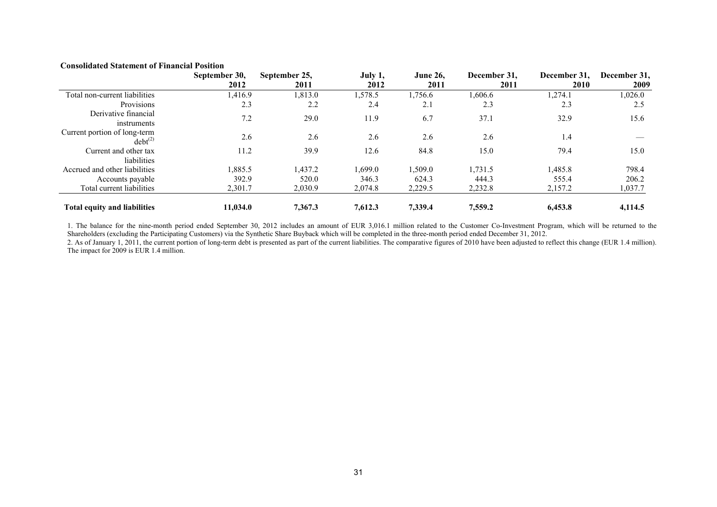# **Consolidated Statement of Financial Position**

|                                              | September 30, | September 25, | July 1, | <b>June 26.</b> | December 31. | December 31. | December 31, |
|----------------------------------------------|---------------|---------------|---------|-----------------|--------------|--------------|--------------|
|                                              | 2012          | 2011          | 2012    | 2011            | 2011         | 2010         | 2009         |
| Total non-current liabilities                | 1,416.9       | 1,813.0       | 1,578.5 | 1,756.6         | 1,606.6      | 1,274.1      | 1,026.0      |
| Provisions                                   | 2.3           | 2.2           | 2.4     | 2.1             | 2.3          | 2.3          | 2.5          |
| Derivative financial<br>instruments          | 7.2           | 29.0          | 11.9    | 6.7             | 37.1         | 32.9         | 15.6         |
| Current portion of long-term<br>$debt^{(2)}$ | 2.6           | 2.6           | 2.6     | 2.6             | 2.6          | 1.4          |              |
| Current and other tax<br>liabilities         | 11.2          | 39.9          | 12.6    | 84.8            | 15.0         | 79.4         | 15.0         |
| Accrued and other liabilities                | ,885.5        | 1.437.2       | 1.699.0 | 1.509.0         | 1.731.5      | 1,485.8      | 798.4        |
| Accounts payable                             | 392.9         | 520.0         | 346.3   | 624.3           | 444.3        | 555.4        | 206.2        |
| Total current liabilities                    | 2,301.7       | 2,030.9       | 2,074.8 | 2,229.5         | 2,232.8      | 2,157.2      | 1,037.7      |
| <b>Total equity and liabilities</b>          | 11,034.0      | 7,367.3       | 7.612.3 | 7.339.4         | 7,559.2      | 6,453.8      | 4,114.5      |

1. The balance for the nine-month period ended September 30, 2012 includes an amount of EUR 3,016.1 million related to the Customer Co-Investment Program, which will be returned to the Shareholders (excluding the Participating Customers) via the Synthetic Share Buyback which will be completed in the three-month period ended December 31, 2012.

2. As of January 1, 2011, the current portion of long-term debt is presented as part of the current liabilities. The comparative figures of 2010 have been adjusted to reflect this change (EUR 1.4 million). The impact for 2009 is EUR 1.4 million.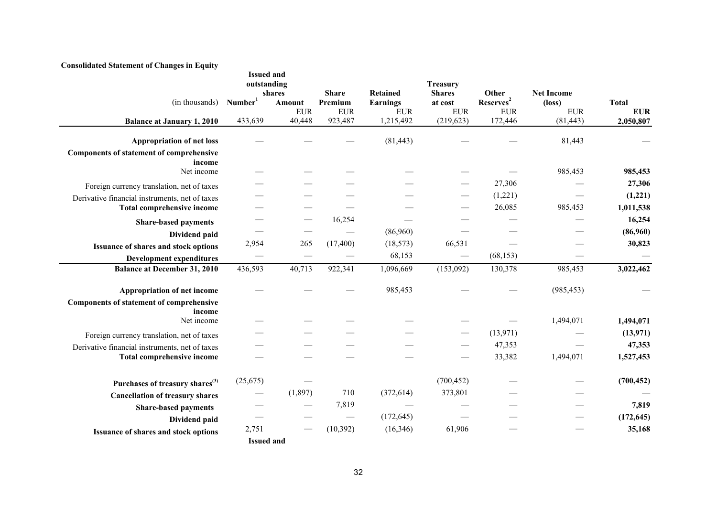| (in thousands)                                            | <b>Issued and</b><br>outstanding<br>Number <sup>1</sup> | shares<br><b>Amount</b><br><b>EUR</b> | <b>Share</b><br>Premium<br><b>EUR</b> | <b>Retained</b><br><b>Earnings</b><br>${\rm EUR}$ | <b>Treasury</b><br><b>Shares</b><br>at cost<br>${\rm EUR}$ | Other<br>Reserves <sup>2</sup><br><b>EUR</b> | <b>Net Income</b><br>$(\text{loss})$<br><b>EUR</b> | <b>Total</b><br><b>EUR</b> |
|-----------------------------------------------------------|---------------------------------------------------------|---------------------------------------|---------------------------------------|---------------------------------------------------|------------------------------------------------------------|----------------------------------------------|----------------------------------------------------|----------------------------|
| <b>Balance at January 1, 2010</b>                         | 433,639                                                 | 40,448                                | 923,487                               | 1,215,492                                         | (219, 623)                                                 | 172,446                                      | (81, 443)                                          | 2,050,807                  |
| <b>Appropriation of net loss</b>                          |                                                         |                                       |                                       | (81, 443)                                         |                                                            |                                              | 81,443                                             |                            |
| <b>Components of statement of comprehensive</b>           |                                                         |                                       |                                       |                                                   |                                                            |                                              |                                                    |                            |
| income                                                    |                                                         |                                       |                                       |                                                   |                                                            |                                              |                                                    |                            |
| Net income                                                |                                                         |                                       |                                       |                                                   |                                                            |                                              | 985,453                                            | 985,453                    |
| Foreign currency translation, net of taxes                |                                                         |                                       |                                       |                                                   |                                                            | 27,306                                       |                                                    | 27,306                     |
| Derivative financial instruments, net of taxes            |                                                         |                                       |                                       |                                                   |                                                            | (1,221)                                      |                                                    | (1,221)                    |
| <b>Total comprehensive income</b>                         |                                                         |                                       |                                       |                                                   |                                                            | 26,085                                       | 985,453                                            | 1,011,538                  |
| <b>Share-based payments</b>                               |                                                         |                                       | 16,254                                |                                                   |                                                            |                                              |                                                    | 16,254                     |
| Dividend paid                                             |                                                         |                                       |                                       | (86,960)                                          |                                                            |                                              |                                                    | (86,960)                   |
| Issuance of shares and stock options                      | 2,954                                                   | 265                                   | (17, 400)                             | (18, 573)                                         | 66,531                                                     |                                              |                                                    | 30,823                     |
| <b>Development expenditures</b>                           |                                                         |                                       |                                       | 68,153                                            |                                                            | (68, 153)                                    |                                                    |                            |
| <b>Balance at December 31, 2010</b>                       | 436,593                                                 | 40,713                                | 922,341                               | 1,096,669                                         | (153,092)                                                  | 130,378                                      | 985,453                                            | 3,022,462                  |
|                                                           |                                                         |                                       |                                       |                                                   |                                                            |                                              |                                                    |                            |
| Appropriation of net income                               |                                                         |                                       |                                       | 985,453                                           |                                                            |                                              | (985, 453)                                         |                            |
| <b>Components of statement of comprehensive</b><br>income |                                                         |                                       |                                       |                                                   |                                                            |                                              |                                                    |                            |
| Net income                                                |                                                         |                                       |                                       |                                                   |                                                            |                                              | 1,494,071                                          | 1,494,071                  |
| Foreign currency translation, net of taxes                |                                                         |                                       |                                       |                                                   |                                                            | (13,971)                                     |                                                    | (13, 971)                  |
| Derivative financial instruments, net of taxes            |                                                         |                                       |                                       |                                                   |                                                            | 47,353                                       |                                                    | 47,353                     |
| <b>Total comprehensive income</b>                         |                                                         |                                       |                                       |                                                   |                                                            | 33,382                                       | 1,494,071                                          | 1,527,453                  |
|                                                           | (25,675)                                                |                                       |                                       |                                                   | (700, 452)                                                 |                                              |                                                    | (700, 452)                 |
| Purchases of treasury shares <sup>(3)</sup>               |                                                         |                                       |                                       |                                                   |                                                            |                                              |                                                    |                            |
| <b>Cancellation of treasury shares</b>                    |                                                         | (1,897)                               | 710                                   | (372, 614)                                        | 373,801                                                    |                                              |                                                    |                            |
| <b>Share-based payments</b>                               |                                                         |                                       | 7,819                                 |                                                   |                                                            |                                              |                                                    | 7,819                      |
| Dividend paid                                             |                                                         |                                       |                                       | (172, 645)                                        |                                                            |                                              |                                                    | (172, 645)                 |
| Issuance of shares and stock options                      | 2,751                                                   |                                       | (10, 392)                             | (16,346)                                          | 61,906                                                     |                                              |                                                    | 35,168                     |
|                                                           | <b>Issued and</b>                                       |                                       |                                       |                                                   |                                                            |                                              |                                                    |                            |

## **Consolidated Statement of Changes in Equity**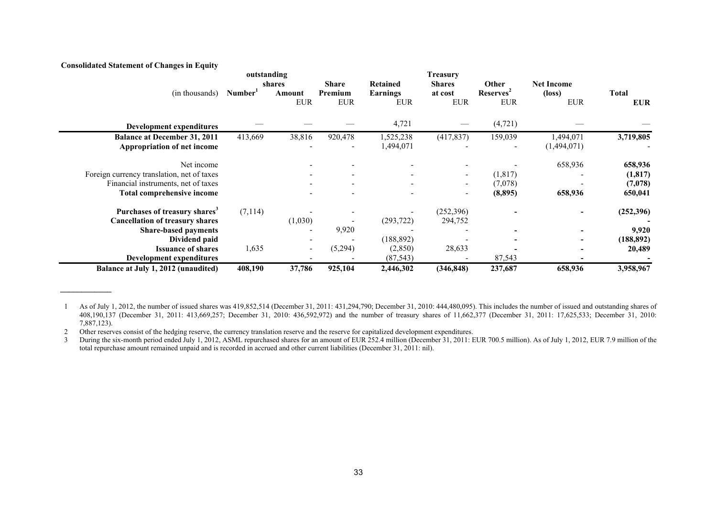# **Consolidated Statement of Changes in Equity**

**\_\_\_\_\_\_\_\_\_\_\_\_**

|                                            | outstanding |                  |                          |                             | <b>Treasury</b>          |                                 |                             |            |
|--------------------------------------------|-------------|------------------|--------------------------|-----------------------------|--------------------------|---------------------------------|-----------------------------|------------|
| (in thousands)                             | Number      | shares<br>Amount | <b>Share</b><br>Premium  | Retained<br><b>Earnings</b> | <b>Shares</b><br>at cost | <b>Other</b><br><b>Reserves</b> | <b>Net Income</b><br>(loss) | Total      |
|                                            |             | <b>EUR</b>       | <b>EUR</b>               | <b>EUR</b>                  | <b>EUR</b>               | <b>EUR</b>                      | <b>EUR</b>                  | <b>EUR</b> |
| Development expenditures                   |             |                  |                          | 4,721                       |                          | (4, 721)                        |                             |            |
| <b>Balance at December 31, 2011</b>        | 413,669     | 38,816           | 920,478                  | 1,525,238                   | (417, 837)               | 159,039                         | 1,494,071                   | 3,719,805  |
| Appropriation of net income                |             |                  |                          | 1,494,071                   |                          | $\overline{\phantom{a}}$        | (1,494,071)                 |            |
| Net income                                 |             |                  |                          |                             |                          |                                 | 658,936                     | 658,936    |
| Foreign currency translation, net of taxes |             |                  | $\overline{\phantom{a}}$ |                             | $\overline{\phantom{a}}$ | (1, 817)                        |                             | (1, 817)   |
| Financial instruments, net of taxes        |             |                  |                          |                             | $\overline{\phantom{0}}$ | (7,078)                         |                             | (7,078)    |
| <b>Total comprehensive income</b>          |             |                  |                          |                             | $\overline{\phantom{a}}$ | (8,895)                         | 658,936                     | 650,041    |
| Purchases of treasury shares <sup>3</sup>  | (7,114)     |                  |                          |                             | (252, 396)               |                                 |                             | (252,396)  |
| <b>Cancellation of treasury shares</b>     |             | (1,030)          |                          | (293, 722)                  | 294,752                  |                                 |                             |            |
| <b>Share-based payments</b>                |             |                  | 9,920                    |                             |                          |                                 |                             | 9,920      |
| Dividend paid                              |             |                  |                          | (188, 892)                  |                          |                                 |                             | (188, 892) |
| <b>Issuance of shares</b>                  | 1,635       | $\sim$           | (5,294)                  | (2, 850)                    | 28,633                   |                                 |                             | 20,489     |
| Development expenditures                   |             |                  |                          | (87, 543)                   |                          | 87,543                          |                             |            |
| Balance at July 1, 2012 (unaudited)        | 408,190     | 37,786           | 925,104                  | 2,446,302                   | (346, 848)               | 237,687                         | 658,936                     | 3,958,967  |

1 As of July 1, 2012, the number of issued shares was 419,852,514 (December 31, 2011: 431,294,790; December 31, 2010: 444,480,095). This includes the number of issued and outstanding shares of 408,190,137 (December 31, 2011: 413,669,257; December 31, 2010: 436,592,972) and the number of treasury shares of 11,662,377 (December 31, 2011: 17,625,533; December 31, 2010: 7,887,123).

2 Other reserves consist of the hedging reserve, the currency translation reserve and the reserve for capitalized development expenditures.<br>2 During the six-month period ended July 1, 2012, ASML repurchased shares for an a

During the six-month period ended July 1, 2012, ASML repurchased shares for an amount of EUR 252.4 million (December 31, 2011: EUR 700.5 million). As of July 1, 2012, EUR 7.9 million of the total repurchase amount remained unpaid and is recorded in accrued and other current liabilities (December 31, 2011: nil).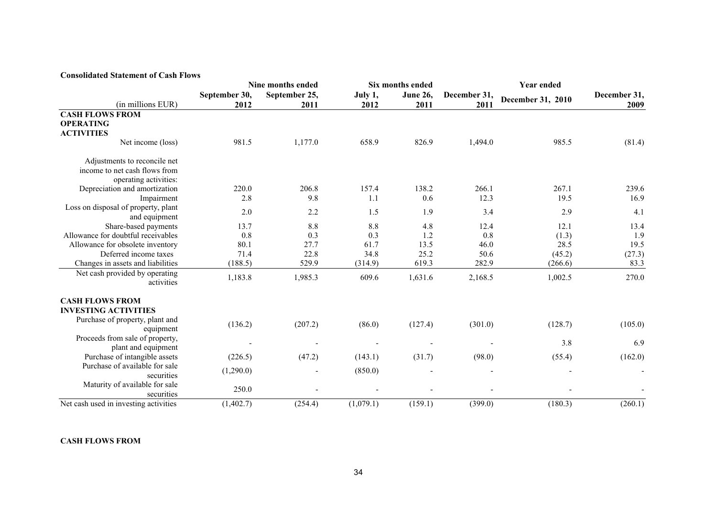| <b>Consolidated Statement of Cash Flows</b> |  |  |  |
|---------------------------------------------|--|--|--|
|---------------------------------------------|--|--|--|

|                                              |               | Nine months ended |           | Six months ended | <b>Year ended</b> |                   |              |  |
|----------------------------------------------|---------------|-------------------|-----------|------------------|-------------------|-------------------|--------------|--|
|                                              | September 30, | September 25,     | July 1,   | <b>June 26,</b>  | December 31,      | December 31, 2010 | December 31, |  |
| (in millions EUR)                            | 2012          | 2011              | 2012      | 2011             | 2011              |                   | 2009         |  |
| <b>CASH FLOWS FROM</b>                       |               |                   |           |                  |                   |                   |              |  |
| <b>OPERATING</b>                             |               |                   |           |                  |                   |                   |              |  |
| <b>ACTIVITIES</b>                            |               |                   |           |                  |                   |                   |              |  |
| Net income (loss)                            | 981.5         | 1,177.0           | 658.9     | 826.9            | 1,494.0           | 985.5             | (81.4)       |  |
| Adjustments to reconcile net                 |               |                   |           |                  |                   |                   |              |  |
| income to net cash flows from                |               |                   |           |                  |                   |                   |              |  |
| operating activities:                        |               |                   |           |                  |                   |                   |              |  |
| Depreciation and amortization                | 220.0         | 206.8             | 157.4     | 138.2            | 266.1             | 267.1             | 239.6        |  |
| Impairment                                   | 2.8           | 9.8               | 1.1       | 0.6              | 12.3              | 19.5              | 16.9         |  |
| Loss on disposal of property, plant          | 2.0           | 2.2               | 1.5       | 1.9              | 3.4               | 2.9               | 4.1          |  |
| and equipment                                |               |                   |           |                  |                   |                   |              |  |
| Share-based payments                         | 13.7          | 8.8               | 8.8       | 4.8              | 12.4              | 12.1              | 13.4         |  |
| Allowance for doubtful receivables           | 0.8           | 0.3               | 0.3       | 1.2              | 0.8               | (1.3)             | 1.9          |  |
| Allowance for obsolete inventory             | 80.1          | 27.7              | 61.7      | 13.5             | 46.0              | 28.5              | 19.5         |  |
| Deferred income taxes                        | 71.4          | 22.8              | 34.8      | 25.2             | 50.6              | (45.2)            | (27.3)       |  |
| Changes in assets and liabilities            | (188.5)       | 529.9             | (314.9)   | 619.3            | 282.9             | (266.6)           | 83.3         |  |
| Net cash provided by operating<br>activities | 1,183.8       | 1,985.3           | 609.6     | 1,631.6          | 2,168.5           | 1,002.5           | 270.0        |  |
| <b>CASH FLOWS FROM</b>                       |               |                   |           |                  |                   |                   |              |  |
| <b>INVESTING ACTIVITIES</b>                  |               |                   |           |                  |                   |                   |              |  |
| Purchase of property, plant and              | (136.2)       | (207.2)           | (86.0)    | (127.4)          | (301.0)           | (128.7)           |              |  |
| equipment                                    |               |                   |           |                  |                   |                   | (105.0)      |  |
| Proceeds from sale of property,              |               |                   |           |                  |                   | 3.8               | 6.9          |  |
| plant and equipment                          |               |                   |           |                  |                   |                   |              |  |
| Purchase of intangible assets                | (226.5)       | (47.2)            | (143.1)   | (31.7)           | (98.0)            | (55.4)            | (162.0)      |  |
| Purchase of available for sale               | (1,290.0)     |                   | (850.0)   |                  |                   |                   |              |  |
| securities                                   |               |                   |           |                  |                   |                   |              |  |
| Maturity of available for sale<br>securities | 250.0         |                   |           |                  |                   |                   |              |  |
| Net cash used in investing activities        | (1,402.7)     | (254.4)           | (1,079.1) | (159.1)          | (399.0)           | (180.3)           | (260.1)      |  |

**CASH FLOWS FROM**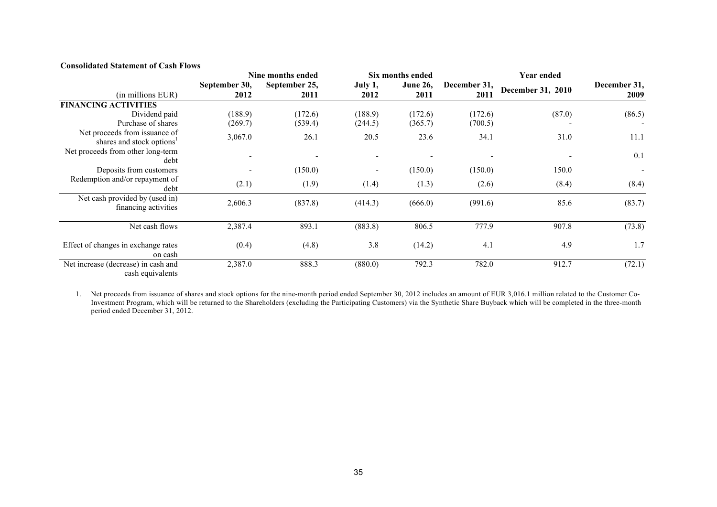# **Consolidated Statement of Cash Flows**

|                                                                        |                       | Nine months ended     |                          | Six months ended         | <b>Year ended</b>    |                   |                      |  |
|------------------------------------------------------------------------|-----------------------|-----------------------|--------------------------|--------------------------|----------------------|-------------------|----------------------|--|
| (in millions EUR)                                                      | September 30,<br>2012 | September 25,<br>2011 | July 1,<br>2012          | <b>June 26,</b><br>2011  | December 31,<br>2011 | December 31, 2010 | December 31,<br>2009 |  |
| <b>FINANCING ACTIVITIES</b>                                            |                       |                       |                          |                          |                      |                   |                      |  |
| Dividend paid<br>Purchase of shares                                    | (188.9)<br>(269.7)    | (172.6)<br>(539.4)    | (188.9)<br>(244.5)       | (172.6)<br>(365.7)       | (172.6)<br>(700.5)   | (87.0)            | (86.5)               |  |
| Net proceeds from issuance of<br>shares and stock options <sup>1</sup> | 3,067.0               | 26.1                  | 20.5                     | 23.6                     | 34.1                 | 31.0              | 11.1                 |  |
| Net proceeds from other long-term<br>debt                              | $\overline{a}$        |                       | $\overline{\phantom{a}}$ | $\overline{\phantom{0}}$ |                      |                   | 0.1                  |  |
| Deposits from customers                                                |                       | (150.0)               | $\overline{\phantom{a}}$ | (150.0)                  | (150.0)              | 150.0             |                      |  |
| Redemption and/or repayment of<br>debt                                 | (2.1)                 | (1.9)                 | (1.4)                    | (1.3)                    | (2.6)                | (8.4)             | (8.4)                |  |
| Net cash provided by (used in)<br>financing activities                 | 2,606.3               | (837.8)               | (414.3)                  | (666.0)                  | (991.6)              | 85.6              | (83.7)               |  |
| Net cash flows                                                         | 2,387.4               | 893.1                 | (883.8)                  | 806.5                    | 777.9                | 907.8             | (73.8)               |  |
| Effect of changes in exchange rates<br>on cash                         | (0.4)                 | (4.8)                 | 3.8                      | (14.2)                   | 4.1                  | 4.9               | 1.7                  |  |
| Net increase (decrease) in cash and<br>cash equivalents                | 2,387.0               | 888.3                 | (880.0)                  | 792.3                    | 782.0                | 912.7             | (72.1)               |  |

1. Net proceeds from issuance of shares and stock options for the nine-month period ended September 30, 2012 includes an amount of EUR 3,016.1 million related to the Customer Co-Investment Program, which will be returned to the Shareholders (excluding the Participating Customers) via the Synthetic Share Buyback which will be completed in the three-month period ended December 31, 2012.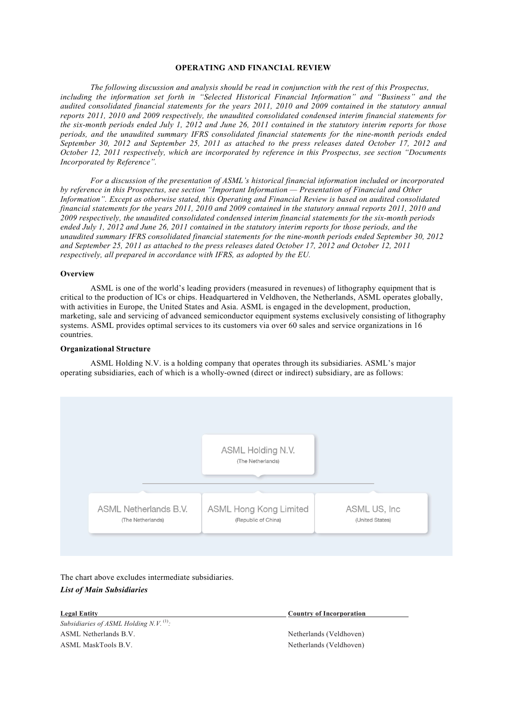## **OPERATING AND FINANCIAL REVIEW**

*The following discussion and analysis should be read in conjunction with the rest of this Prospectus, including the information set forth in "Selected Historical Financial Information" and "Business" and the audited consolidated financial statements for the years 2011, 2010 and 2009 contained in the statutory annual reports 2011, 2010 and 2009 respectively, the unaudited consolidated condensed interim financial statements for the six-month periods ended July 1, 2012 and June 26, 2011 contained in the statutory interim reports for those periods, and the unaudited summary IFRS consolidated financial statements for the nine-month periods ended September 30, 2012 and September 25, 2011 as attached to the press releases dated October 17, 2012 and October 12, 2011 respectively, which are incorporated by reference in this Prospectus, see section "Documents Incorporated by Reference".* 

*For a discussion of the presentation of ASML's historical financial information included or incorporated by reference in this Prospectus, see section "Important Information — Presentation of Financial and Other Information". Except as otherwise stated, this Operating and Financial Review is based on audited consolidated financial statements for the years 2011, 2010 and 2009 contained in the statutory annual reports 2011, 2010 and 2009 respectively, the unaudited consolidated condensed interim financial statements for the six-month periods ended July 1, 2012 and June 26, 2011 contained in the statutory interim reports for those periods, and the unaudited summary IFRS consolidated financial statements for the nine-month periods ended September 30, 2012 and September 25, 2011 as attached to the press releases dated October 17, 2012 and October 12, 2011 respectively, all prepared in accordance with IFRS, as adopted by the EU.*

## **Overview**

ASML is one of the world's leading providers (measured in revenues) of lithography equipment that is critical to the production of ICs or chips. Headquartered in Veldhoven, the Netherlands, ASML operates globally, with activities in Europe, the United States and Asia. ASML is engaged in the development, production, marketing, sale and servicing of advanced semiconductor equipment systems exclusively consisting of lithography systems. ASML provides optimal services to its customers via over 60 sales and service organizations in 16 countries.

# **Organizational Structure**

ASML Holding N.V. is a holding company that operates through its subsidiaries. ASML's major operating subsidiaries, each of which is a wholly-owned (direct or indirect) subsidiary, are as follows:



The chart above excludes intermediate subsidiaries. *List of Main Subsidiaries*

*Subsidiaries of ASML Holding N.V.*<sup>(1)</sup>: ASML Netherlands B.V. Netherlands (Veldhoven) ASML MaskTools B.V. Netherlands (Veldhoven)

**Legal Entity Country of Incorporation**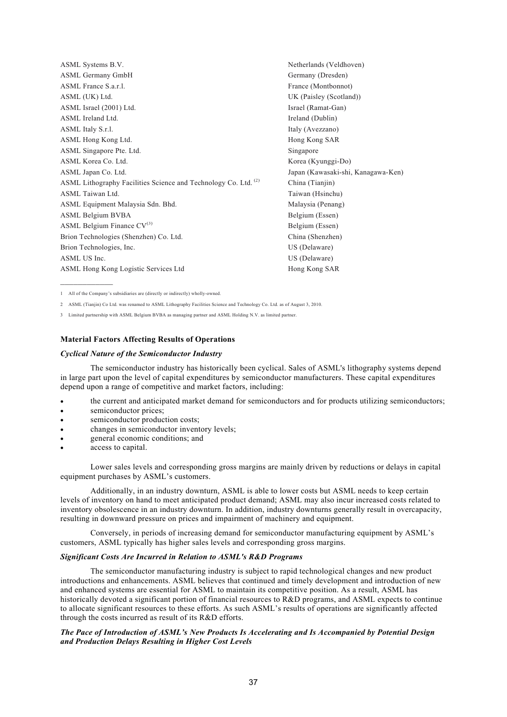| ASML Systems B.V.                                                          | Netherlands (Veldhoven) |
|----------------------------------------------------------------------------|-------------------------|
| <b>ASML Germany GmbH</b>                                                   | Germany (Dresden)       |
| ASML France S.a.r.l.                                                       | France (Montbonnot)     |
| ASML (UK) Ltd.                                                             | UK (Paisley (Scotland)) |
| ASML Israel (2001) Ltd.                                                    | Israel (Ramat-Gan)      |
| ASML Ireland Ltd.                                                          | Ireland (Dublin)        |
| ASML Italy S.r.l.                                                          | Italy (Avezzano)        |
| ASML Hong Kong Ltd.                                                        | Hong Kong SAR           |
| ASML Singapore Pte. Ltd.                                                   | Singapore               |
| ASML Korea Co. Ltd.                                                        | Korea (Kyunggi-Do)      |
| ASML Japan Co. Ltd.                                                        | Japan (Kawasaki-shi, Ka |
| ASML Lithography Facilities Science and Technology Co. Ltd. <sup>(2)</sup> | China (Tianjin)         |
| ASML Taiwan Ltd.                                                           | Taiwan (Hsinchu)        |
| ASML Equipment Malaysia Sdn. Bhd.                                          | Malaysia (Penang)       |
| <b>ASML Belgium BVBA</b>                                                   | Belgium (Essen)         |
| ASML Belgium Finance $CV^{(3)}$                                            | Belgium (Essen)         |
| Brion Technologies (Shenzhen) Co. Ltd.                                     | China (Shenzhen)        |
| Brion Technologies, Inc.                                                   | US (Delaware)           |
| ASML US Inc.                                                               | US (Delaware)           |
| ASML Hong Kong Logistic Services Ltd                                       | Hong Kong SAR           |

Kanagawa-Ken)

1 All of the Company's subsidiaries are (directly or indirectly) wholly-owned.

2 ASML (Tianjin) Co Ltd. was renamed to ASML Lithography Facilities Science and Technology Co. Ltd. as of August 3, 2010.

3 Limited partnership with ASML Belgium BVBA as managing partner and ASML Holding N.V. as limited partner.

## **Material Factors Affecting Results of Operations**

## *Cyclical Nature of the Semiconductor Industry*

The semiconductor industry has historically been cyclical. Sales of ASML's lithography systems depend in large part upon the level of capital expenditures by semiconductor manufacturers. These capital expenditures depend upon a range of competitive and market factors, including:

- the current and anticipated market demand for semiconductors and for products utilizing semiconductors;
- semiconductor prices;
- semiconductor production costs;
- changes in semiconductor inventory levels;
- general economic conditions; and
- access to capital.

Lower sales levels and corresponding gross margins are mainly driven by reductions or delays in capital equipment purchases by ASML's customers.

Additionally, in an industry downturn, ASML is able to lower costs but ASML needs to keep certain levels of inventory on hand to meet anticipated product demand; ASML may also incur increased costs related to inventory obsolescence in an industry downturn. In addition, industry downturns generally result in overcapacity, resulting in downward pressure on prices and impairment of machinery and equipment.

Conversely, in periods of increasing demand for semiconductor manufacturing equipment by ASML's customers, ASML typically has higher sales levels and corresponding gross margins.

# *Significant Costs Are Incurred in Relation to ASML's R&D Programs*

The semiconductor manufacturing industry is subject to rapid technological changes and new product introductions and enhancements. ASML believes that continued and timely development and introduction of new and enhanced systems are essential for ASML to maintain its competitive position. As a result, ASML has historically devoted a significant portion of financial resources to R&D programs, and ASML expects to continue to allocate significant resources to these efforts. As such ASML's results of operations are significantly affected through the costs incurred as result of its R&D efforts.

# *The Pace of Introduction of ASML's New Products Is Accelerating and Is Accompanied by Potential Design and Production Delays Resulting in Higher Cost Levels*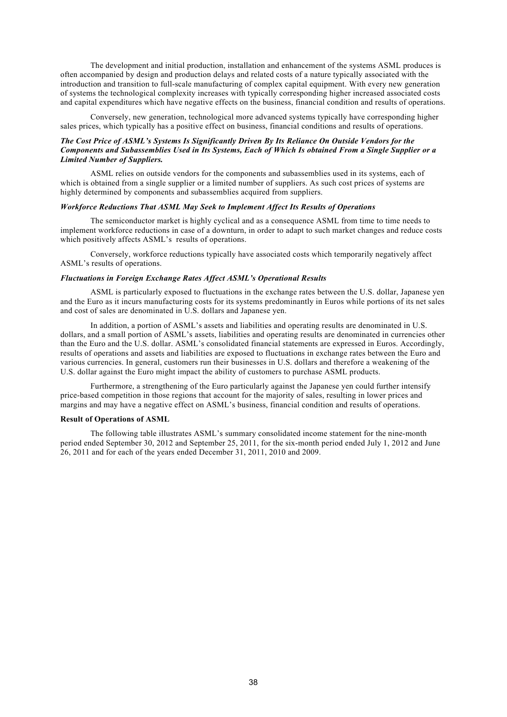The development and initial production, installation and enhancement of the systems ASML produces is often accompanied by design and production delays and related costs of a nature typically associated with the introduction and transition to full-scale manufacturing of complex capital equipment. With every new generation of systems the technological complexity increases with typically corresponding higher increased associated costs and capital expenditures which have negative effects on the business, financial condition and results of operations.

Conversely, new generation, technological more advanced systems typically have corresponding higher sales prices, which typically has a positive effect on business, financial conditions and results of operations.

## *The Cost Price of ASML's Systems Is Significantly Driven By Its Reliance On Outside Vendors for the Components and Subassemblies Used in Its Systems, Each of Which Is obtained From a Single Supplier or a Limited Number of Suppliers.*

ASML relies on outside vendors for the components and subassemblies used in its systems, each of which is obtained from a single supplier or a limited number of suppliers. As such cost prices of systems are highly determined by components and subassemblies acquired from suppliers.

# *Workforce Reductions That ASML May Seek to Implement Affect Its Results of Operations*

The semiconductor market is highly cyclical and as a consequence ASML from time to time needs to implement workforce reductions in case of a downturn, in order to adapt to such market changes and reduce costs which positively affects ASML's results of operations.

Conversely, workforce reductions typically have associated costs which temporarily negatively affect ASML's results of operations.

## *Fluctuations in Foreign Exchange Rates Affect ASML's Operational Results*

ASML is particularly exposed to fluctuations in the exchange rates between the U.S. dollar, Japanese yen and the Euro as it incurs manufacturing costs for its systems predominantly in Euros while portions of its net sales and cost of sales are denominated in U.S. dollars and Japanese yen.

In addition, a portion of ASML's assets and liabilities and operating results are denominated in U.S. dollars, and a small portion of ASML's assets, liabilities and operating results are denominated in currencies other than the Euro and the U.S. dollar. ASML's consolidated financial statements are expressed in Euros. Accordingly, results of operations and assets and liabilities are exposed to fluctuations in exchange rates between the Euro and various currencies. In general, customers run their businesses in U.S. dollars and therefore a weakening of the U.S. dollar against the Euro might impact the ability of customers to purchase ASML products.

Furthermore, a strengthening of the Euro particularly against the Japanese yen could further intensify price-based competition in those regions that account for the majority of sales, resulting in lower prices and margins and may have a negative effect on ASML's business, financial condition and results of operations.

### **Result of Operations of ASML**

The following table illustrates ASML's summary consolidated income statement for the nine-month period ended September 30, 2012 and September 25, 2011, for the six-month period ended July 1, 2012 and June 26, 2011 and for each of the years ended December 31, 2011, 2010 and 2009.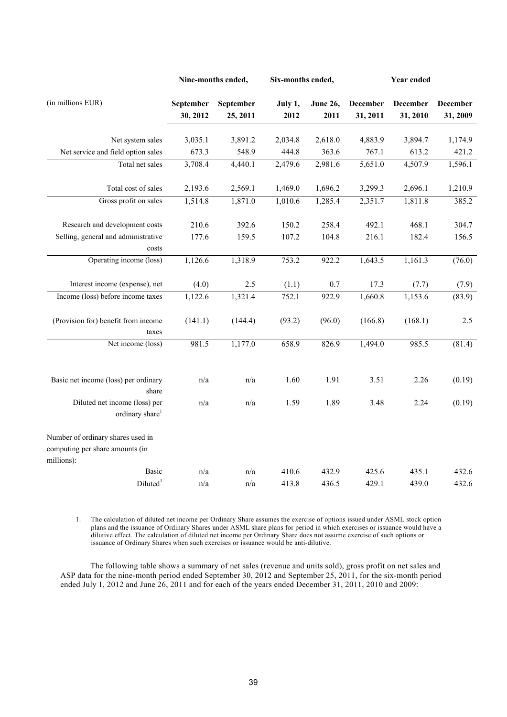|                                                              | Nine-months ended,    |                       | Six-months ended, |                         | Year ended                  |                             |                      |
|--------------------------------------------------------------|-----------------------|-----------------------|-------------------|-------------------------|-----------------------------|-----------------------------|----------------------|
| (in millions EUR)                                            | September<br>30, 2012 | September<br>25, 2011 | July 1,<br>2012   | <b>June 26,</b><br>2011 | <b>December</b><br>31, 2011 | <b>December</b><br>31, 2010 | December<br>31, 2009 |
|                                                              |                       |                       |                   |                         |                             |                             |                      |
| Net system sales                                             | 3,035.1               | 3,891.2               | 2,034.8           | 2,618.0                 | 4,883.9                     | 3,894.7                     | 1,174.9              |
| Net service and field option sales                           | 673.3                 | 548.9                 | 444.8             | 363.6                   | 767.1                       | 613.2                       | 421.2                |
| Total net sales                                              | 3,708.4               | 4,440.1               | 2,479.6           | 2,981.6                 | 5,651.0                     | 4,507.9                     | 1,596.1              |
| Total cost of sales                                          | 2,193.6               | 2,569.1               | 1,469.0           | 1,696.2                 | 3,299.3                     | 2,696.1                     | 1,210.9              |
| Gross profit on sales                                        | 1,514.8               | 1,871.0               | 1,010.6           | 1,285.4                 | 2,351.7                     | 1,811.8                     | 385.2                |
| Research and development costs                               | 210.6                 | 392.6                 | 150.2             | 258.4                   | 492.1                       | 468.1                       | 304.7                |
| Selling, general and administrative                          | 177.6                 | 159.5                 | 107.2             | 104.8                   | 216.1                       | 182.4                       | 156.5                |
| costs                                                        |                       |                       |                   |                         |                             |                             |                      |
| Operating income (loss)                                      | 1,126.6               | 1,318.9               | 753.2             | 922.2                   | 1,643.5                     | 1,161.3                     | (76.0)               |
| Interest income (expense), net                               | (4.0)                 | 2.5                   | (1.1)             | 0.7                     | 17.3                        | (7.7)                       | (7.9)                |
| Income (loss) before income taxes                            | 1,122.6               | 1,321.4               | 752.1             | 922.9                   | 1,660.8                     | 1,153.6                     | (83.9)               |
| (Provision for) benefit from income<br>taxes                 | (141.1)               | (144.4)               | (93.2)            | (96.0)                  | (166.8)                     | (168.1)                     | 2.5                  |
| Net income (loss)                                            | 981.5                 | 1,177.0               | 658.9             | 826.9                   | 1,494.0                     | 985.5                       | (81.4)               |
| Basic net income (loss) per ordinary<br>share                | n/a                   | n/a                   | 1.60              | 1.91                    | 3.51                        | 2.26                        | (0.19)               |
| Diluted net income (loss) per<br>ordinary share <sup>1</sup> | n/a                   | n/a                   | 1.59              | 1.89                    | 3.48                        | 2.24                        | (0.19)               |
| Number of ordinary shares used in                            |                       |                       |                   |                         |                             |                             |                      |
| computing per share amounts (in                              |                       |                       |                   |                         |                             |                             |                      |
| millions):                                                   |                       |                       |                   |                         |                             |                             |                      |
| <b>Basic</b>                                                 | n/a                   | n/a                   | 410.6             | 432.9                   | 425.6                       | 435.1                       | 432.6                |
| Diluted <sup>1</sup>                                         | n/a                   | n/a                   | 413.8             | 436.5                   | 429.1                       | 439.0                       | 432.6                |

1. The calculation of diluted net income per Ordinary Share assumes the exercise of options issued under ASML stock option plans and the issuance of Ordinary Shares under ASML share plans for period in which exercises or issuance would have a dilutive effect. The calculation of diluted net income per Ordinary Share does not assume exercise of such options or issuance of Ordinary Shares when such exercises or issuance would be anti-dilutive.

The following table shows a summary of net sales (revenue and units sold), gross profit on net sales and ASP data for the nine-month period ended September 30, 2012 and September 25, 2011, for the six-month period ended July 1, 2012 and June 26, 2011 and for each of the years ended December 31, 2011, 2010 and 2009: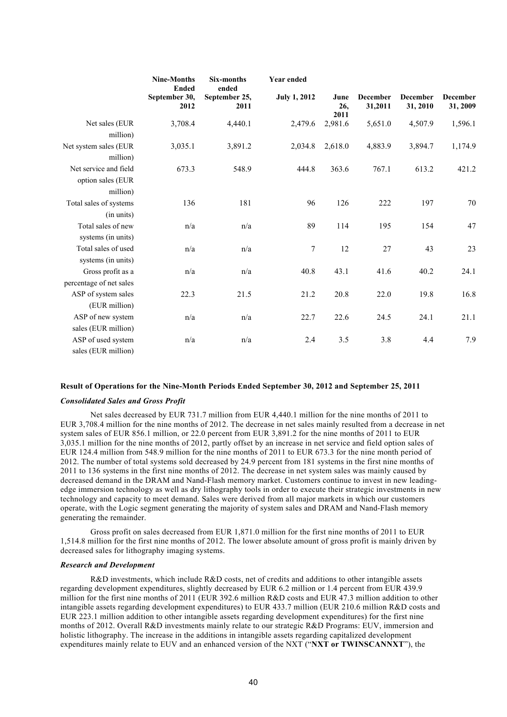|                                                        | <b>Nine-Months</b><br><b>Ended</b> | <b>Six-months</b><br>ended | <b>Year ended</b>   |                     |                            |                             |                             |
|--------------------------------------------------------|------------------------------------|----------------------------|---------------------|---------------------|----------------------------|-----------------------------|-----------------------------|
|                                                        | September 30,<br>2012              | September 25,<br>2011      | <b>July 1, 2012</b> | June<br>26,<br>2011 | <b>December</b><br>31,2011 | <b>December</b><br>31, 2010 | <b>December</b><br>31, 2009 |
| Net sales (EUR<br>million)                             | 3,708.4                            | 4,440.1                    | 2,479.6             | 2,981.6             | 5,651.0                    | 4,507.9                     | 1,596.1                     |
| Net system sales (EUR<br>million)                      | 3,035.1                            | 3,891.2                    | 2,034.8             | 2,618.0             | 4,883.9                    | 3,894.7                     | 1,174.9                     |
| Net service and field<br>option sales (EUR<br>million) | 673.3                              | 548.9                      | 444.8               | 363.6               | 767.1                      | 613.2                       | 421.2                       |
| Total sales of systems<br>(in units)                   | 136                                | 181                        | 96                  | 126                 | 222                        | 197                         | 70                          |
| Total sales of new<br>systems (in units)               | n/a                                | n/a                        | 89                  | 114                 | 195                        | 154                         | 47                          |
| Total sales of used<br>systems (in units)              | n/a                                | n/a                        | 7                   | 12                  | 27                         | 43                          | 23                          |
| Gross profit as a<br>percentage of net sales           | n/a                                | n/a                        | 40.8                | 43.1                | 41.6                       | 40.2                        | 24.1                        |
| ASP of system sales<br>(EUR million)                   | 22.3                               | 21.5                       | 21.2                | 20.8                | 22.0                       | 19.8                        | 16.8                        |
| ASP of new system<br>sales (EUR million)               | n/a                                | n/a                        | 22.7                | 22.6                | 24.5                       | 24.1                        | 21.1                        |
| ASP of used system<br>sales (EUR million)              | n/a                                | n/a                        | 2.4                 | 3.5                 | 3.8                        | 4.4                         | 7.9                         |

# **Result of Operations for the Nine-Month Periods Ended September 30, 2012 and September 25, 2011**

## *Consolidated Sales and Gross Profit*

Net sales decreased by EUR 731.7 million from EUR 4,440.1 million for the nine months of 2011 to EUR 3,708.4 million for the nine months of 2012. The decrease in net sales mainly resulted from a decrease in net system sales of EUR 856.1 million, or 22.0 percent from EUR 3,891.2 for the nine months of 2011 to EUR 3,035.1 million for the nine months of 2012, partly offset by an increase in net service and field option sales of EUR 124.4 million from 548.9 million for the nine months of 2011 to EUR 673.3 for the nine month period of 2012. The number of total systems sold decreased by 24.9 percent from 181 systems in the first nine months of 2011 to 136 systems in the first nine months of 2012. The decrease in net system sales was mainly caused by decreased demand in the DRAM and Nand-Flash memory market. Customers continue to invest in new leadingedge immersion technology as well as dry lithography tools in order to execute their strategic investments in new technology and capacity to meet demand. Sales were derived from all major markets in which our customers operate, with the Logic segment generating the majority of system sales and DRAM and Nand-Flash memory generating the remainder.

Gross profit on sales decreased from EUR 1,871.0 million for the first nine months of 2011 to EUR 1,514.8 million for the first nine months of 2012. The lower absolute amount of gross profit is mainly driven by decreased sales for lithography imaging systems.

# *Research and Development*

R&D investments, which include R&D costs, net of credits and additions to other intangible assets regarding development expenditures, slightly decreased by EUR 6.2 million or 1.4 percent from EUR 439.9 million for the first nine months of 2011 (EUR 392.6 million R&D costs and EUR 47.3 million addition to other intangible assets regarding development expenditures) to EUR 433.7 million (EUR 210.6 million R&D costs and EUR 223.1 million addition to other intangible assets regarding development expenditures) for the first nine months of 2012. Overall R&D investments mainly relate to our strategic R&D Programs: EUV, immersion and holistic lithography. The increase in the additions in intangible assets regarding capitalized development expenditures mainly relate to EUV and an enhanced version of the NXT ("NXT or TWINSCANNXT"), the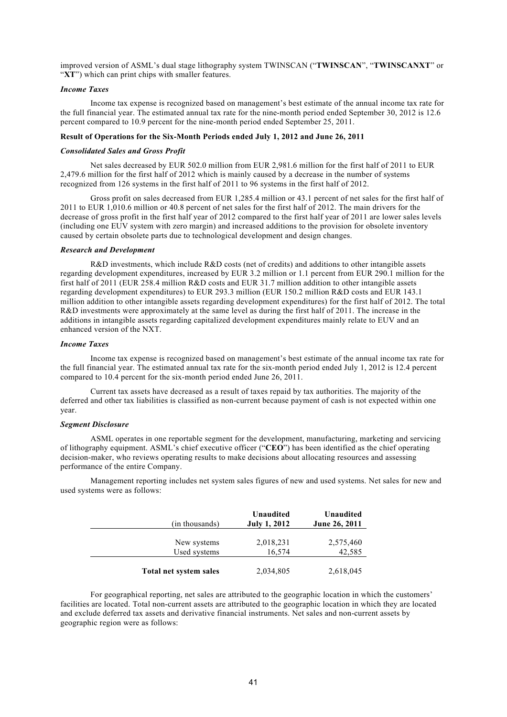improved version of ASML's dual stage lithography system TWINSCAN ("**TWINSCAN**", "**TWINSCANXT**" or "XT") which can print chips with smaller features.

# *Income Taxes*

Income tax expense is recognized based on management's best estimate of the annual income tax rate for the full financial year. The estimated annual tax rate for the nine-month period ended September 30, 2012 is 12.6 percent compared to 10.9 percent for the nine-month period ended September 25, 2011.

# **Result of Operations for the Six-Month Periods ended July 1, 2012 and June 26, 2011**

### *Consolidated Sales and Gross Profit*

Net sales decreased by EUR 502.0 million from EUR 2,981.6 million for the first half of 2011 to EUR 2,479.6 million for the first half of 2012 which is mainly caused by a decrease in the number of systems recognized from 126 systems in the first half of 2011 to 96 systems in the first half of 2012.

Gross profit on sales decreased from EUR 1,285.4 million or 43.1 percent of net sales for the first half of 2011 to EUR 1,010.6 million or 40.8 percent of net sales for the first half of 2012. The main drivers for the decrease of gross profit in the first half year of 2012 compared to the first half year of 2011 are lower sales levels (including one EUV system with zero margin) and increased additions to the provision for obsolete inventory caused by certain obsolete parts due to technological development and design changes.

#### *Research and Development*

R&D investments, which include R&D costs (net of credits) and additions to other intangible assets regarding development expenditures, increased by EUR 3.2 million or 1.1 percent from EUR 290.1 million for the first half of 2011 (EUR 258.4 million R&D costs and EUR 31.7 million addition to other intangible assets regarding development expenditures) to EUR 293.3 million (EUR 150.2 million R&D costs and EUR 143.1 million addition to other intangible assets regarding development expenditures) for the first half of 2012. The total R&D investments were approximately at the same level as during the first half of 2011. The increase in the additions in intangible assets regarding capitalized development expenditures mainly relate to EUV and an enhanced version of the NXT.

### *Income Taxes*

Income tax expense is recognized based on management's best estimate of the annual income tax rate for the full financial year. The estimated annual tax rate for the six-month period ended July 1, 2012 is 12.4 percent compared to 10.4 percent for the six-month period ended June 26, 2011.

Current tax assets have decreased as a result of taxes repaid by tax authorities. The majority of the deferred and other tax liabilities is classified as non-current because payment of cash is not expected within one year.

# *Segment Disclosure*

ASML operates in one reportable segment for the development, manufacturing, marketing and servicing of lithography equipment. ASML's chief executive officer ("**CEO**") has been identified as the chief operating decision-maker, who reviews operating results to make decisions about allocating resources and assessing performance of the entire Company.

Management reporting includes net system sales figures of new and used systems. Net sales for new and used systems were as follows:

| (in thousands)         | Unaudited<br><b>July 1, 2012</b> | Unaudited<br><b>June 26, 2011</b> |
|------------------------|----------------------------------|-----------------------------------|
| New systems            | 2,018,231                        | 2,575,460                         |
| Used systems           | 16,574                           | 42,585                            |
| Total net system sales | 2,034,805                        | 2,618,045                         |

For geographical reporting, net sales are attributed to the geographic location in which the customers' facilities are located. Total non-current assets are attributed to the geographic location in which they are located and exclude deferred tax assets and derivative financial instruments. Net sales and non-current assets by geographic region were as follows: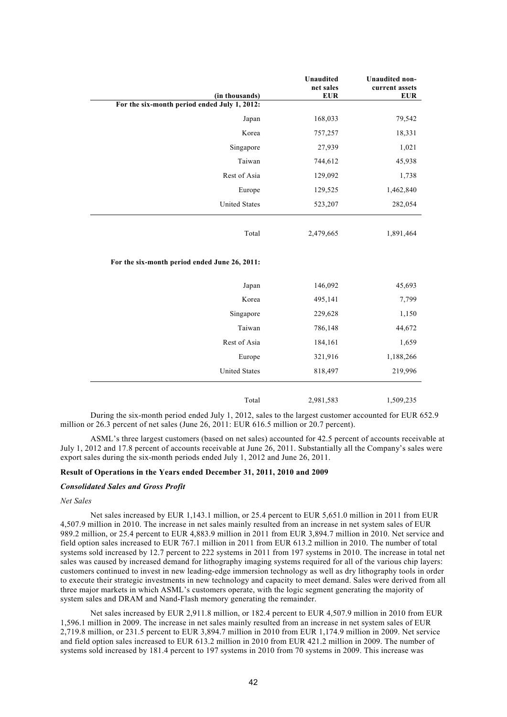| (in thousands)                                | Unaudited<br>net sales<br><b>EUR</b> | <b>Unaudited non-</b><br>current assets<br><b>EUR</b> |
|-----------------------------------------------|--------------------------------------|-------------------------------------------------------|
| For the six-month period ended July 1, 2012:  |                                      |                                                       |
| Japan                                         | 168,033                              | 79,542                                                |
| Korea                                         | 757,257                              | 18,331                                                |
| Singapore                                     | 27,939                               | 1,021                                                 |
| Taiwan                                        | 744,612                              | 45,938                                                |
| Rest of Asia                                  | 129,092                              | 1,738                                                 |
| Europe                                        | 129,525                              | 1,462,840                                             |
| <b>United States</b>                          | 523,207                              | 282,054                                               |
| Total                                         | 2,479,665                            | 1,891,464                                             |
| For the six-month period ended June 26, 2011: |                                      |                                                       |
| Japan                                         | 146,092                              | 45,693                                                |
| Korea                                         | 495,141                              | 7,799                                                 |
| Singapore                                     | 229,628                              | 1,150                                                 |
| Taiwan                                        | 786,148                              | 44,672                                                |
| Rest of Asia                                  | 184,161                              | 1,659                                                 |
| Europe                                        | 321,916                              | 1,188,266                                             |
| <b>United States</b>                          | 818,497                              | 219,996                                               |
| Total                                         | 2,981,583                            | 1,509,235                                             |

During the six-month period ended July 1, 2012, sales to the largest customer accounted for EUR 652.9 million or 26.3 percent of net sales (June 26, 2011: EUR 616.5 million or 20.7 percent).

ASML's three largest customers (based on net sales) accounted for 42.5 percent of accounts receivable at July 1, 2012 and 17.8 percent of accounts receivable at June 26, 2011. Substantially all the Company's sales were export sales during the six-month periods ended July 1, 2012 and June 26, 2011.

## **Result of Operations in the Years ended December 31, 2011, 2010 and 2009**

### *Consolidated Sales and Gross Profit*

### *Net Sales*

Net sales increased by EUR 1,143.1 million, or 25.4 percent to EUR 5,651.0 million in 2011 from EUR 4,507.9 million in 2010. The increase in net sales mainly resulted from an increase in net system sales of EUR 989.2 million, or 25.4 percent to EUR 4,883.9 million in 2011 from EUR 3,894.7 million in 2010. Net service and field option sales increased to EUR 767.1 million in 2011 from EUR 613.2 million in 2010. The number of total systems sold increased by 12.7 percent to 222 systems in 2011 from 197 systems in 2010. The increase in total net sales was caused by increased demand for lithography imaging systems required for all of the various chip layers: customers continued to invest in new leading-edge immersion technology as well as dry lithography tools in order to execute their strategic investments in new technology and capacity to meet demand. Sales were derived from all three major markets in which ASML's customers operate, with the logic segment generating the majority of system sales and DRAM and Nand-Flash memory generating the remainder.

Net sales increased by EUR 2,911.8 million, or 182.4 percent to EUR 4,507.9 million in 2010 from EUR 1,596.1 million in 2009. The increase in net sales mainly resulted from an increase in net system sales of EUR 2,719.8 million, or 231.5 percent to EUR 3,894.7 million in 2010 from EUR 1,174.9 million in 2009. Net service and field option sales increased to EUR 613.2 million in 2010 from EUR 421.2 million in 2009. The number of systems sold increased by 181.4 percent to 197 systems in 2010 from 70 systems in 2009. This increase was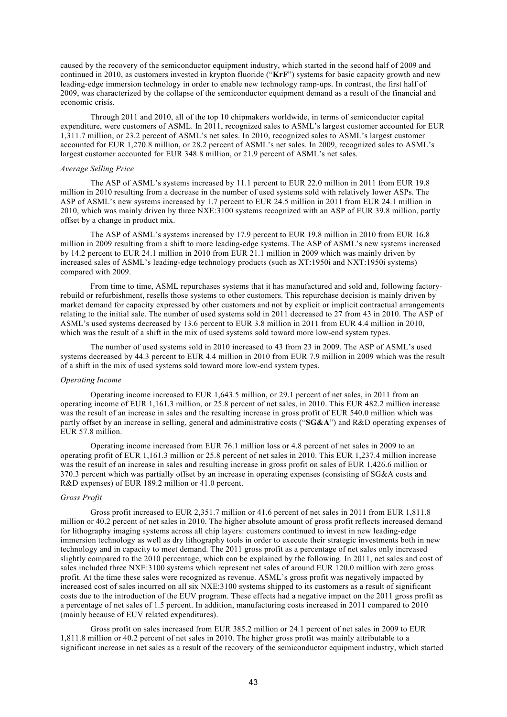caused by the recovery of the semiconductor equipment industry, which started in the second half of 2009 and continued in 2010, as customers invested in krypton fluoride ("**KrF**") systems for basic capacity growth and new leading-edge immersion technology in order to enable new technology ramp-ups. In contrast, the first half of 2009, was characterized by the collapse of the semiconductor equipment demand as a result of the financial and economic crisis.

Through 2011 and 2010, all of the top 10 chipmakers worldwide, in terms of semiconductor capital expenditure, were customers of ASML. In 2011, recognized sales to ASML's largest customer accounted for EUR 1,311.7 million, or 23.2 percent of ASML's net sales. In 2010, recognized sales to ASML's largest customer accounted for EUR 1,270.8 million, or 28.2 percent of ASML's net sales. In 2009, recognized sales to ASML's largest customer accounted for EUR 348.8 million, or 21.9 percent of ASML's net sales.

#### *Average Selling Price*

The ASP of ASML's systems increased by 11.1 percent to EUR 22.0 million in 2011 from EUR 19.8 million in 2010 resulting from a decrease in the number of used systems sold with relatively lower ASPs. The ASP of ASML's new systems increased by 1.7 percent to EUR 24.5 million in 2011 from EUR 24.1 million in 2010, which was mainly driven by three NXE:3100 systems recognized with an ASP of EUR 39.8 million, partly offset by a change in product mix.

The ASP of ASML's systems increased by 17.9 percent to EUR 19.8 million in 2010 from EUR 16.8 million in 2009 resulting from a shift to more leading-edge systems. The ASP of ASML's new systems increased by 14.2 percent to EUR 24.1 million in 2010 from EUR 21.1 million in 2009 which was mainly driven by increased sales of ASML's leading-edge technology products (such as XT:1950i and NXT:1950i systems) compared with 2009.

From time to time, ASML repurchases systems that it has manufactured and sold and, following factoryrebuild or refurbishment, resells those systems to other customers. This repurchase decision is mainly driven by market demand for capacity expressed by other customers and not by explicit or implicit contractual arrangements relating to the initial sale. The number of used systems sold in 2011 decreased to 27 from 43 in 2010. The ASP of ASML's used systems decreased by 13.6 percent to EUR 3.8 million in 2011 from EUR 4.4 million in 2010, which was the result of a shift in the mix of used systems sold toward more low-end system types.

The number of used systems sold in 2010 increased to 43 from 23 in 2009. The ASP of ASML's used systems decreased by 44.3 percent to EUR 4.4 million in 2010 from EUR 7.9 million in 2009 which was the result of a shift in the mix of used systems sold toward more low-end system types.

### *Operating Income*

Operating income increased to EUR 1,643.5 million, or 29.1 percent of net sales, in 2011 from an operating income of EUR 1,161.3 million, or 25.8 percent of net sales, in 2010. This EUR 482.2 million increase was the result of an increase in sales and the resulting increase in gross profit of EUR 540.0 million which was partly offset by an increase in selling, general and administrative costs ("**SG&A**") and R&D operating expenses of EUR 57.8 million.

Operating income increased from EUR 76.1 million loss or 4.8 percent of net sales in 2009 to an operating profit of EUR 1,161.3 million or 25.8 percent of net sales in 2010. This EUR 1,237.4 million increase was the result of an increase in sales and resulting increase in gross profit on sales of EUR 1,426.6 million or 370.3 percent which was partially offset by an increase in operating expenses (consisting of SG&A costs and R&D expenses) of EUR 189.2 million or 41.0 percent.

### *Gross Profit*

Gross profit increased to EUR 2,351.7 million or 41.6 percent of net sales in 2011 from EUR 1,811.8 million or 40.2 percent of net sales in 2010. The higher absolute amount of gross profit reflects increased demand for lithography imaging systems across all chip layers: customers continued to invest in new leading-edge immersion technology as well as dry lithography tools in order to execute their strategic investments both in new technology and in capacity to meet demand. The 2011 gross profit as a percentage of net sales only increased slightly compared to the 2010 percentage, which can be explained by the following. In 2011, net sales and cost of sales included three NXE:3100 systems which represent net sales of around EUR 120.0 million with zero gross profit. At the time these sales were recognized as revenue. ASML's gross profit was negatively impacted by increased cost of sales incurred on all six NXE:3100 systems shipped to its customers as a result of significant costs due to the introduction of the EUV program. These effects had a negative impact on the 2011 gross profit as a percentage of net sales of 1.5 percent. In addition, manufacturing costs increased in 2011 compared to 2010 (mainly because of EUV related expenditures).

Gross profit on sales increased from EUR 385.2 million or 24.1 percent of net sales in 2009 to EUR 1,811.8 million or 40.2 percent of net sales in 2010. The higher gross profit was mainly attributable to a significant increase in net sales as a result of the recovery of the semiconductor equipment industry, which started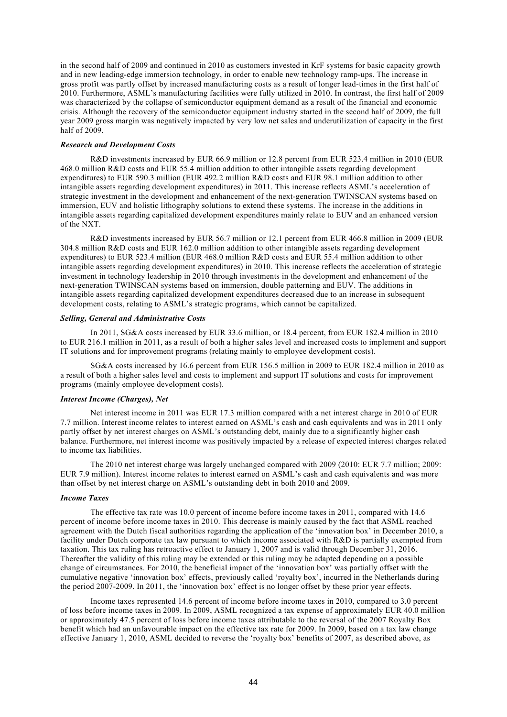in the second half of 2009 and continued in 2010 as customers invested in KrF systems for basic capacity growth and in new leading-edge immersion technology, in order to enable new technology ramp-ups. The increase in gross profit was partly offset by increased manufacturing costs as a result of longer lead-times in the first half of 2010. Furthermore, ASML's manufacturing facilities were fully utilized in 2010. In contrast, the first half of 2009 was characterized by the collapse of semiconductor equipment demand as a result of the financial and economic crisis. Although the recovery of the semiconductor equipment industry started in the second half of 2009, the full year 2009 gross margin was negatively impacted by very low net sales and underutilization of capacity in the first half of 2009.

## *Research and Development Costs*

R&D investments increased by EUR 66.9 million or 12.8 percent from EUR 523.4 million in 2010 (EUR 468.0 million R&D costs and EUR 55.4 million addition to other intangible assets regarding development expenditures) to EUR 590.3 million (EUR 492.2 million R&D costs and EUR 98.1 million addition to other intangible assets regarding development expenditures) in 2011. This increase reflects ASML's acceleration of strategic investment in the development and enhancement of the next-generation TWINSCAN systems based on immersion, EUV and holistic lithography solutions to extend these systems. The increase in the additions in intangible assets regarding capitalized development expenditures mainly relate to EUV and an enhanced version of the NXT.

R&D investments increased by EUR 56.7 million or 12.1 percent from EUR 466.8 million in 2009 (EUR 304.8 million R&D costs and EUR 162.0 million addition to other intangible assets regarding development expenditures) to EUR 523.4 million (EUR 468.0 million R&D costs and EUR 55.4 million addition to other intangible assets regarding development expenditures) in 2010. This increase reflects the acceleration of strategic investment in technology leadership in 2010 through investments in the development and enhancement of the next-generation TWINSCAN systems based on immersion, double patterning and EUV. The additions in intangible assets regarding capitalized development expenditures decreased due to an increase in subsequent development costs, relating to ASML's strategic programs, which cannot be capitalized.

#### *Selling, General and Administrative Costs*

In 2011, SG&A costs increased by EUR 33.6 million, or 18.4 percent, from EUR 182.4 million in 2010 to EUR 216.1 million in 2011, as a result of both a higher sales level and increased costs to implement and support IT solutions and for improvement programs (relating mainly to employee development costs).

SG&A costs increased by 16.6 percent from EUR 156.5 million in 2009 to EUR 182.4 million in 2010 as a result of both a higher sales level and costs to implement and support IT solutions and costs for improvement programs (mainly employee development costs).

### *Interest Income (Charges), Net*

Net interest income in 2011 was EUR 17.3 million compared with a net interest charge in 2010 of EUR 7.7 million. Interest income relates to interest earned on ASML's cash and cash equivalents and was in 2011 only partly offset by net interest charges on ASML's outstanding debt, mainly due to a significantly higher cash balance. Furthermore, net interest income was positively impacted by a release of expected interest charges related to income tax liabilities.

The 2010 net interest charge was largely unchanged compared with 2009 (2010: EUR 7.7 million; 2009: EUR 7.9 million). Interest income relates to interest earned on ASML's cash and cash equivalents and was more than offset by net interest charge on ASML's outstanding debt in both 2010 and 2009.

### *Income Taxes*

The effective tax rate was 10.0 percent of income before income taxes in 2011, compared with 14.6 percent of income before income taxes in 2010. This decrease is mainly caused by the fact that ASML reached agreement with the Dutch fiscal authorities regarding the application of the 'innovation box' in December 2010, a facility under Dutch corporate tax law pursuant to which income associated with R&D is partially exempted from taxation. This tax ruling has retroactive effect to January 1, 2007 and is valid through December 31, 2016. Thereafter the validity of this ruling may be extended or this ruling may be adapted depending on a possible change of circumstances. For 2010, the beneficial impact of the 'innovation box' was partially offset with the cumulative negative 'innovation box' effects, previously called 'royalty box', incurred in the Netherlands during the period 2007-2009. In 2011, the 'innovation box' effect is no longer offset by these prior year effects.

Income taxes represented 14.6 percent of income before income taxes in 2010, compared to 3.0 percent of loss before income taxes in 2009. In 2009, ASML recognized a tax expense of approximately EUR 40.0 million or approximately 47.5 percent of loss before income taxes attributable to the reversal of the 2007 Royalty Box benefit which had an unfavourable impact on the effective tax rate for 2009. In 2009, based on a tax law change effective January 1, 2010, ASML decided to reverse the 'royalty box' benefits of 2007, as described above, as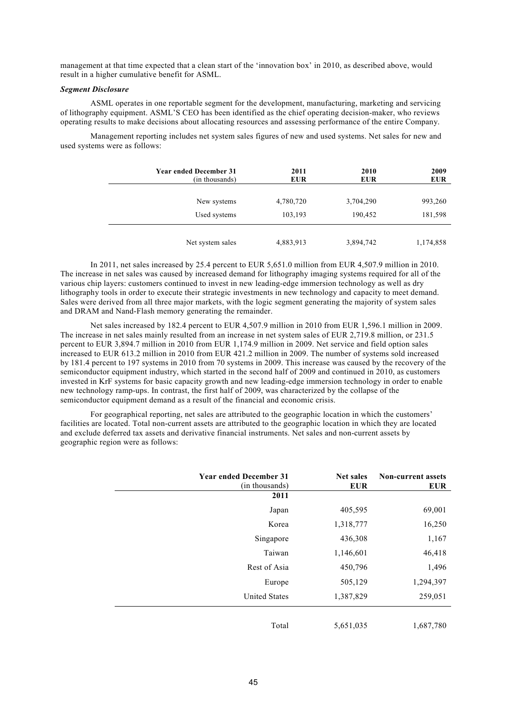management at that time expected that a clean start of the 'innovation box' in 2010, as described above, would result in a higher cumulative benefit for ASML.

## *Segment Disclosure*

ASML operates in one reportable segment for the development, manufacturing, marketing and servicing of lithography equipment. ASML'S CEO has been identified as the chief operating decision-maker, who reviews operating results to make decisions about allocating resources and assessing performance of the entire Company.

Management reporting includes net system sales figures of new and used systems. Net sales for new and used systems were as follows:

| <b>Year ended December 31</b><br>(in thousands) | 2011<br><b>EUR</b> | 2010<br><b>EUR</b> | 2009<br><b>EUR</b> |
|-------------------------------------------------|--------------------|--------------------|--------------------|
| New systems                                     | 4,780,720          | 3,704,290          | 993,260            |
| Used systems                                    | 103,193            | 190,452            | 181,598            |
| Net system sales                                | 4,883,913          | 3,894,742          | 1,174,858          |

In 2011, net sales increased by 25.4 percent to EUR 5,651.0 million from EUR 4,507.9 million in 2010. The increase in net sales was caused by increased demand for lithography imaging systems required for all of the various chip layers: customers continued to invest in new leading-edge immersion technology as well as dry lithography tools in order to execute their strategic investments in new technology and capacity to meet demand. Sales were derived from all three major markets, with the logic segment generating the majority of system sales and DRAM and Nand-Flash memory generating the remainder.

Net sales increased by 182.4 percent to EUR 4,507.9 million in 2010 from EUR 1,596.1 million in 2009. The increase in net sales mainly resulted from an increase in net system sales of EUR 2,719.8 million, or 231.5 percent to EUR 3,894.7 million in 2010 from EUR 1,174.9 million in 2009. Net service and field option sales increased to EUR 613.2 million in 2010 from EUR 421.2 million in 2009. The number of systems sold increased by 181.4 percent to 197 systems in 2010 from 70 systems in 2009. This increase was caused by the recovery of the semiconductor equipment industry, which started in the second half of 2009 and continued in 2010, as customers invested in KrF systems for basic capacity growth and new leading-edge immersion technology in order to enable new technology ramp-ups. In contrast, the first half of 2009, was characterized by the collapse of the semiconductor equipment demand as a result of the financial and economic crisis.

For geographical reporting, net sales are attributed to the geographic location in which the customers' facilities are located. Total non-current assets are attributed to the geographic location in which they are located and exclude deferred tax assets and derivative financial instruments. Net sales and non-current assets by geographic region were as follows:

| <b>Year ended December 31</b><br>(in thousands) | <b>Net sales</b><br><b>EUR</b> | <b>Non-current assets</b><br><b>EUR</b> |
|-------------------------------------------------|--------------------------------|-----------------------------------------|
| 2011                                            |                                |                                         |
| Japan                                           | 405,595                        | 69,001                                  |
| Korea                                           | 1,318,777                      | 16,250                                  |
| Singapore                                       | 436,308                        | 1,167                                   |
| Taiwan                                          | 1,146,601                      | 46,418                                  |
| Rest of Asia                                    | 450,796                        | 1,496                                   |
| Europe                                          | 505,129                        | 1,294,397                               |
| <b>United States</b>                            | 1,387,829                      | 259,051                                 |
| Total                                           | 5,651,035                      | 1,687,780                               |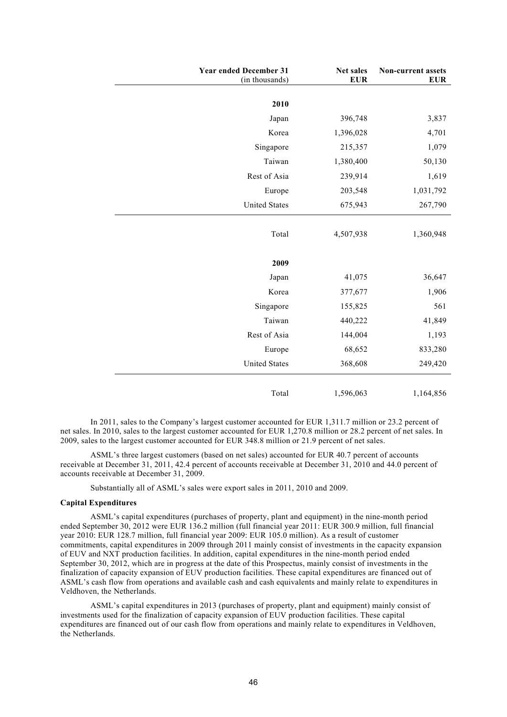| <b>Year ended December 31</b><br>(in thousands) |        | Net sales<br><b>EUR</b> | Non-current assets<br><b>EUR</b> |
|-------------------------------------------------|--------|-------------------------|----------------------------------|
|                                                 |        |                         |                                  |
|                                                 | 2010   |                         |                                  |
|                                                 | Japan  | 396,748                 | 3,837                            |
|                                                 | Korea  | 1,396,028               | 4,701                            |
| Singapore                                       |        | 215,357                 | 1,079                            |
|                                                 | Taiwan | 1,380,400               | 50,130                           |
| Rest of Asia                                    |        | 239,914                 | 1,619                            |
|                                                 | Europe | 203,548                 | 1,031,792                        |
| <b>United States</b>                            |        | 675,943                 | 267,790                          |
|                                                 |        |                         |                                  |
|                                                 | Total  | 4,507,938               | 1,360,948                        |
|                                                 | 2009   |                         |                                  |
|                                                 | Japan  | 41,075                  | 36,647                           |
|                                                 | Korea  | 377,677                 | 1,906                            |
| Singapore                                       |        | 155,825                 | 561                              |
|                                                 | Taiwan | 440,222                 | 41,849                           |
| Rest of Asia                                    |        | 144,004                 | 1,193                            |
|                                                 | Europe | 68,652                  | 833,280                          |
| <b>United States</b>                            |        | 368,608                 | 249,420                          |
|                                                 | Total  | 1,596,063               | 1,164,856                        |

In 2011, sales to the Company's largest customer accounted for EUR 1,311.7 million or 23.2 percent of net sales. In 2010, sales to the largest customer accounted for EUR 1,270.8 million or 28.2 percent of net sales. In 2009, sales to the largest customer accounted for EUR 348.8 million or 21.9 percent of net sales.

ASML's three largest customers (based on net sales) accounted for EUR 40.7 percent of accounts receivable at December 31, 2011, 42.4 percent of accounts receivable at December 31, 2010 and 44.0 percent of accounts receivable at December 31, 2009.

Substantially all of ASML's sales were export sales in 2011, 2010 and 2009.

#### **Capital Expenditures**

ASML's capital expenditures (purchases of property, plant and equipment) in the nine-month period ended September 30, 2012 were EUR 136.2 million (full financial year 2011: EUR 300.9 million, full financial year 2010: EUR 128.7 million, full financial year 2009: EUR 105.0 million). As a result of customer commitments, capital expenditures in 2009 through 2011 mainly consist of investments in the capacity expansion of EUV and NXT production facilities. In addition, capital expenditures in the nine-month period ended September 30, 2012, which are in progress at the date of this Prospectus, mainly consist of investments in the finalization of capacity expansion of EUV production facilities. These capital expenditures are financed out of ASML's cash flow from operations and available cash and cash equivalents and mainly relate to expenditures in Veldhoven, the Netherlands.

ASML's capital expenditures in 2013 (purchases of property, plant and equipment) mainly consist of investments used for the finalization of capacity expansion of EUV production facilities. These capital expenditures are financed out of our cash flow from operations and mainly relate to expenditures in Veldhoven, the Netherlands.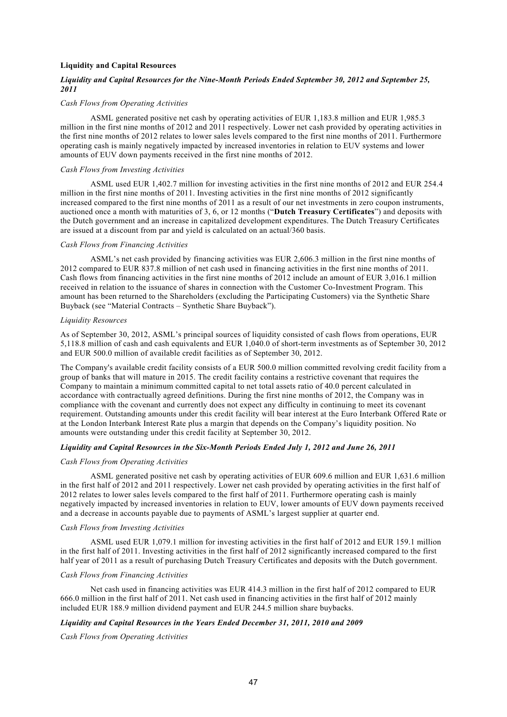## **Liquidity and Capital Resources**

# *Liquidity and Capital Resources for the Nine-Month Periods Ended September 30, 2012 and September 25, 2011*

### *Cash Flows from Operating Activities*

ASML generated positive net cash by operating activities of EUR 1,183.8 million and EUR 1,985.3 million in the first nine months of 2012 and 2011 respectively. Lower net cash provided by operating activities in the first nine months of 2012 relates to lower sales levels compared to the first nine months of 2011. Furthermore operating cash is mainly negatively impacted by increased inventories in relation to EUV systems and lower amounts of EUV down payments received in the first nine months of 2012.

### *Cash Flows from Investing Activities*

ASML used EUR 1,402.7 million for investing activities in the first nine months of 2012 and EUR 254.4 million in the first nine months of 2011. Investing activities in the first nine months of 2012 significantly increased compared to the first nine months of 2011 as a result of our net investments in zero coupon instruments, auctioned once a month with maturities of 3, 6, or 12 months ("**Dutch Treasury Certificates**") and deposits with the Dutch government and an increase in capitalized development expenditures. The Dutch Treasury Certificates are issued at a discount from par and yield is calculated on an actual/360 basis.

### *Cash Flows from Financing Activities*

ASML's net cash provided by financing activities was EUR 2,606.3 million in the first nine months of 2012 compared to EUR 837.8 million of net cash used in financing activities in the first nine months of 2011. Cash flows from financing activities in the first nine months of 2012 include an amount of EUR 3,016.1 million received in relation to the issuance of shares in connection with the Customer Co-Investment Program. This amount has been returned to the Shareholders (excluding the Participating Customers) via the Synthetic Share Buyback (see "Material Contracts – Synthetic Share Buyback").

#### *Liquidity Resources*

As of September 30, 2012, ASML's principal sources of liquidity consisted of cash flows from operations, EUR 5,118.8 million of cash and cash equivalents and EUR 1,040.0 of short-term investments as of September 30, 2012 and EUR 500.0 million of available credit facilities as of September 30, 2012.

The Company's available credit facility consists of a EUR 500.0 million committed revolving credit facility from a group of banks that will mature in 2015. The credit facility contains a restrictive covenant that requires the Company to maintain a minimum committed capital to net total assets ratio of 40.0 percent calculated in accordance with contractually agreed definitions. During the first nine months of 2012, the Company was in compliance with the covenant and currently does not expect any difficulty in continuing to meet its covenant requirement. Outstanding amounts under this credit facility will bear interest at the Euro Interbank Offered Rate or at the London Interbank Interest Rate plus a margin that depends on the Company's liquidity position. No amounts were outstanding under this credit facility at September 30, 2012.

#### *Liquidity and Capital Resources in the Six-Month Periods Ended July 1, 2012 and June 26, 2011*

## *Cash Flows from Operating Activities*

ASML generated positive net cash by operating activities of EUR 609.6 million and EUR 1,631.6 million in the first half of 2012 and 2011 respectively. Lower net cash provided by operating activities in the first half of 2012 relates to lower sales levels compared to the first half of 2011. Furthermore operating cash is mainly negatively impacted by increased inventories in relation to EUV, lower amounts of EUV down payments received and a decrease in accounts payable due to payments of ASML's largest supplier at quarter end.

#### *Cash Flows from Investing Activities*

ASML used EUR 1,079.1 million for investing activities in the first half of 2012 and EUR 159.1 million in the first half of 2011. Investing activities in the first half of 2012 significantly increased compared to the first half year of 2011 as a result of purchasing Dutch Treasury Certificates and deposits with the Dutch government.

#### *Cash Flows from Financing Activities*

Net cash used in financing activities was EUR 414.3 million in the first half of 2012 compared to EUR 666.0 million in the first half of 2011. Net cash used in financing activities in the first half of 2012 mainly included EUR 188.9 million dividend payment and EUR 244.5 million share buybacks.

# *Liquidity and Capital Resources in the Years Ended December 31, 2011, 2010 and 2009*

*Cash Flows from Operating Activities*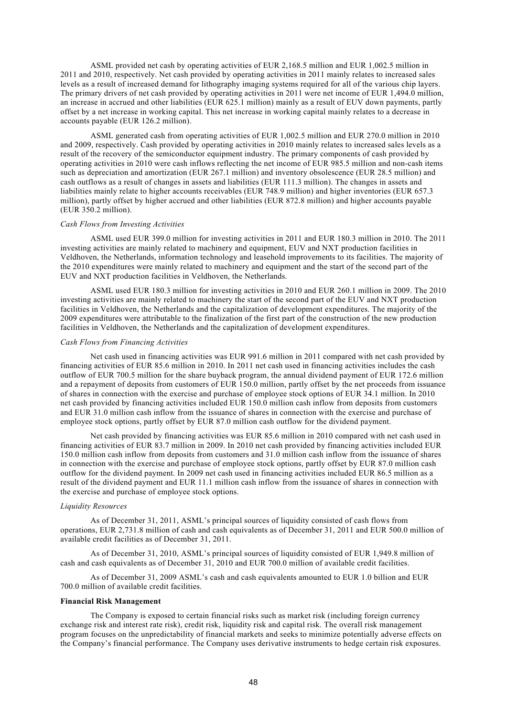ASML provided net cash by operating activities of EUR 2,168.5 million and EUR 1,002.5 million in 2011 and 2010, respectively. Net cash provided by operating activities in 2011 mainly relates to increased sales levels as a result of increased demand for lithography imaging systems required for all of the various chip layers. The primary drivers of net cash provided by operating activities in 2011 were net income of EUR 1,494.0 million, an increase in accrued and other liabilities (EUR 625.1 million) mainly as a result of EUV down payments, partly offset by a net increase in working capital. This net increase in working capital mainly relates to a decrease in accounts payable (EUR 126.2 million).

ASML generated cash from operating activities of EUR 1,002.5 million and EUR 270.0 million in 2010 and 2009, respectively. Cash provided by operating activities in 2010 mainly relates to increased sales levels as a result of the recovery of the semiconductor equipment industry. The primary components of cash provided by operating activities in 2010 were cash inflows reflecting the net income of EUR 985.5 million and non-cash items such as depreciation and amortization (EUR 267.1 million) and inventory obsolescence (EUR 28.5 million) and cash outflows as a result of changes in assets and liabilities (EUR 111.3 million). The changes in assets and liabilities mainly relate to higher accounts receivables (EUR 748.9 million) and higher inventories (EUR 657.3 million), partly offset by higher accrued and other liabilities (EUR 872.8 million) and higher accounts payable (EUR 350.2 million).

#### *Cash Flows from Investing Activities*

ASML used EUR 399.0 million for investing activities in 2011 and EUR 180.3 million in 2010. The 2011 investing activities are mainly related to machinery and equipment, EUV and NXT production facilities in Veldhoven, the Netherlands, information technology and leasehold improvements to its facilities. The majority of the 2010 expenditures were mainly related to machinery and equipment and the start of the second part of the EUV and NXT production facilities in Veldhoven, the Netherlands.

ASML used EUR 180.3 million for investing activities in 2010 and EUR 260.1 million in 2009. The 2010 investing activities are mainly related to machinery the start of the second part of the EUV and NXT production facilities in Veldhoven, the Netherlands and the capitalization of development expenditures. The majority of the 2009 expenditures were attributable to the finalization of the first part of the construction of the new production facilities in Veldhoven, the Netherlands and the capitalization of development expenditures.

#### *Cash Flows from Financing Activities*

Net cash used in financing activities was EUR 991.6 million in 2011 compared with net cash provided by financing activities of EUR 85.6 million in 2010. In 2011 net cash used in financing activities includes the cash outflow of EUR 700.5 million for the share buyback program, the annual dividend payment of EUR 172.6 million and a repayment of deposits from customers of EUR 150.0 million, partly offset by the net proceeds from issuance of shares in connection with the exercise and purchase of employee stock options of EUR 34.1 million. In 2010 net cash provided by financing activities included EUR 150.0 million cash inflow from deposits from customers and EUR 31.0 million cash inflow from the issuance of shares in connection with the exercise and purchase of employee stock options, partly offset by EUR 87.0 million cash outflow for the dividend payment.

Net cash provided by financing activities was EUR 85.6 million in 2010 compared with net cash used in financing activities of EUR 83.7 million in 2009. In 2010 net cash provided by financing activities included EUR 150.0 million cash inflow from deposits from customers and 31.0 million cash inflow from the issuance of shares in connection with the exercise and purchase of employee stock options, partly offset by EUR 87.0 million cash outflow for the dividend payment. In 2009 net cash used in financing activities included EUR 86.5 million as a result of the dividend payment and EUR 11.1 million cash inflow from the issuance of shares in connection with the exercise and purchase of employee stock options.

## *Liquidity Resources*

As of December 31, 2011, ASML's principal sources of liquidity consisted of cash flows from operations, EUR 2,731.8 million of cash and cash equivalents as of December 31, 2011 and EUR 500.0 million of available credit facilities as of December 31, 2011.

As of December 31, 2010, ASML's principal sources of liquidity consisted of EUR 1,949.8 million of cash and cash equivalents as of December 31, 2010 and EUR 700.0 million of available credit facilities.

As of December 31, 2009 ASML's cash and cash equivalents amounted to EUR 1.0 billion and EUR 700.0 million of available credit facilities.

### **Financial Risk Management**

The Company is exposed to certain financial risks such as market risk (including foreign currency exchange risk and interest rate risk), credit risk, liquidity risk and capital risk. The overall risk management program focuses on the unpredictability of financial markets and seeks to minimize potentially adverse effects on the Company's financial performance. The Company uses derivative instruments to hedge certain risk exposures.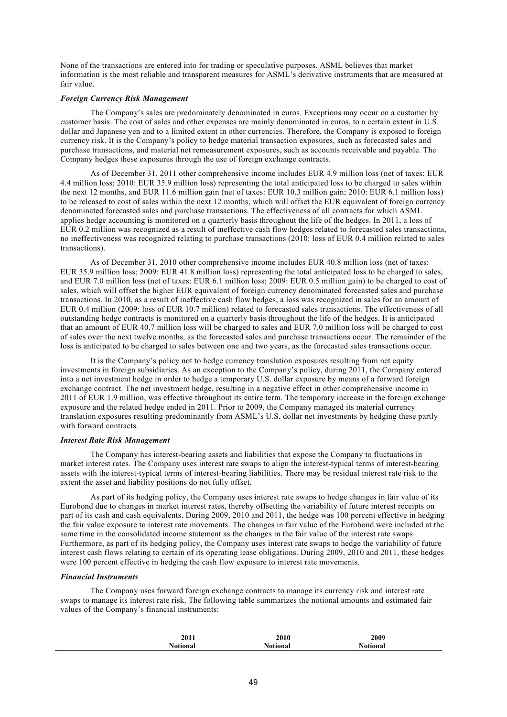None of the transactions are entered into for trading or speculative purposes. ASML believes that market information is the most reliable and transparent measures for ASML's derivative instruments that are measured at fair value.

## *Foreign Currency Risk Management*

The Company's sales are predominately denominated in euros. Exceptions may occur on a customer by customer basis. The cost of sales and other expenses are mainly denominated in euros, to a certain extent in U.S. dollar and Japanese yen and to a limited extent in other currencies. Therefore, the Company is exposed to foreign currency risk. It is the Company's policy to hedge material transaction exposures, such as forecasted sales and purchase transactions, and material net remeasurement exposures, such as accounts receivable and payable. The Company hedges these exposures through the use of foreign exchange contracts.

As of December 31, 2011 other comprehensive income includes EUR 4.9 million loss (net of taxes: EUR 4.4 million loss; 2010: EUR 35.9 million loss) representing the total anticipated loss to be charged to sales within the next 12 months, and EUR 11.6 million gain (net of taxes: EUR 10.3 million gain; 2010: EUR 6.1 million loss) to be released to cost of sales within the next 12 months, which will offset the EUR equivalent of foreign currency denominated forecasted sales and purchase transactions. The effectiveness of all contracts for which ASML applies hedge accounting is monitored on a quarterly basis throughout the life of the hedges. In 2011, a loss of EUR 0.2 million was recognized as a result of ineffective cash flow hedges related to forecasted sales transactions. no ineffectiveness was recognized relating to purchase transactions (2010: loss of EUR 0.4 million related to sales transactions).

As of December 31, 2010 other comprehensive income includes EUR 40.8 million loss (net of taxes: EUR 35.9 million loss; 2009: EUR 41.8 million loss) representing the total anticipated loss to be charged to sales, and EUR 7.0 million loss (net of taxes: EUR 6.1 million loss; 2009: EUR 0.5 million gain) to be charged to cost of sales, which will offset the higher EUR equivalent of foreign currency denominated forecasted sales and purchase transactions. In 2010, as a result of ineffective cash flow hedges, a loss was recognized in sales for an amount of EUR 0.4 million (2009: loss of EUR 10.7 million) related to forecasted sales transactions. The effectiveness of all outstanding hedge contracts is monitored on a quarterly basis throughout the life of the hedges. It is anticipated that an amount of EUR 40.7 million loss will be charged to sales and EUR 7.0 million loss will be charged to cost of sales over the next twelve months, as the forecasted sales and purchase transactions occur. The remainder of the loss is anticipated to be charged to sales between one and two years, as the forecasted sales transactions occur.

It is the Company's policy not to hedge currency translation exposures resulting from net equity investments in foreign subsidiaries. As an exception to the Company's policy, during 2011, the Company entered into a net investment hedge in order to hedge a temporary U.S. dollar exposure by means of a forward foreign exchange contract. The net investment hedge, resulting in a negative effect in other comprehensive income in 2011 of EUR 1.9 million, was effective throughout its entire term. The temporary increase in the foreign exchange exposure and the related hedge ended in 2011. Prior to 2009, the Company managed its material currency translation exposures resulting predominantly from ASML's U.S. dollar net investments by hedging these partly with forward contracts.

### *Interest Rate Risk Management*

The Company has interest-bearing assets and liabilities that expose the Company to fluctuations in market interest rates. The Company uses interest rate swaps to align the interest-typical terms of interest-bearing assets with the interest-typical terms of interest-bearing liabilities. There may be residual interest rate risk to the extent the asset and liability positions do not fully offset.

As part of its hedging policy, the Company uses interest rate swaps to hedge changes in fair value of its Eurobond due to changes in market interest rates, thereby offsetting the variability of future interest receipts on part of its cash and cash equivalents. During 2009, 2010 and 2011, the hedge was 100 percent effective in hedging the fair value exposure to interest rate movements. The changes in fair value of the Eurobond were included at the same time in the consolidated income statement as the changes in the fair value of the interest rate swaps. Furthermore, as part of its hedging policy, the Company uses interest rate swaps to hedge the variability of future interest cash flows relating to certain of its operating lease obligations. During 2009, 2010 and 2011, these hedges were 100 percent effective in hedging the cash flow exposure to interest rate movements.

### *Financial Instruments*

The Company uses forward foreign exchange contracts to manage its currency risk and interest rate swaps to manage its interest rate risk. The following table summarizes the notional amounts and estimated fair values of the Company's financial instruments:

| 2011     | 2010     | 2009            |  |
|----------|----------|-----------------|--|
| Notional | Notional | <b>Notional</b> |  |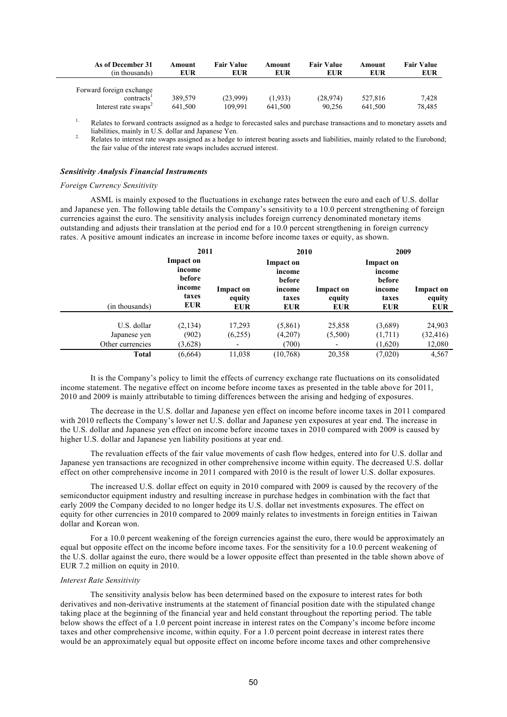| As of December 31                                                                      | Amount             | <b>Fair Value</b>   | Amount             | <b>Fair Value</b>  | Amount             | <b>Fair Value</b> |
|----------------------------------------------------------------------------------------|--------------------|---------------------|--------------------|--------------------|--------------------|-------------------|
| (in thousands)                                                                         | <b>EUR</b>         | EUR                 | EUR                | EUR                | EUR                | <b>EUR</b>        |
| Forward foreign exchange<br>contracts <sup>1</sup><br>Interest rate swaps <sup>2</sup> | 389.579<br>641.500 | (23.999)<br>109.991 | (1.933)<br>641.500 | (28.974)<br>90.256 | 527.816<br>641.500 | 7,428<br>78,485   |

<sup>1.</sup> Relates to forward contracts assigned as a hedge to forecasted sales and purchase transactions and to monetary assets and liabilities, mainly in U.S. dollar and Japanese Yen.

<sup>2.</sup> Relates to interest rate swaps assigned as a hedge to interest bearing assets and liabilities, mainly related to the Eurobond: the fair value of the interest rate swaps includes accrued interest.

## *Sensitivity Analysis Financial Instruments*

### *Foreign Currency Sensitivity*

ASML is mainly exposed to the fluctuations in exchange rates between the euro and each of U.S. dollar and Japanese yen. The following table details the Company's sensitivity to a 10.0 percent strengthening of foreign currencies against the euro. The sensitivity analysis includes foreign currency denominated monetary items outstanding and adjusts their translation at the period end for a 10.0 percent strengthening in foreign currency rates. A positive amount indicates an increase in income before income taxes or equity, as shown.

|                                                 | 2011                                                           |                                   | 2010                                                           |                                   | 2009                                                           |                                   |
|-------------------------------------------------|----------------------------------------------------------------|-----------------------------------|----------------------------------------------------------------|-----------------------------------|----------------------------------------------------------------|-----------------------------------|
| (in thousands)                                  | Impact on<br>income<br>before<br>income<br>taxes<br><b>EUR</b> | Impact on<br>equity<br><b>EUR</b> | Impact on<br>income<br>before<br>income<br>taxes<br><b>EUR</b> | Impact on<br>equity<br><b>EUR</b> | Impact on<br>income<br>before<br>income<br>taxes<br><b>EUR</b> | Impact on<br>equity<br><b>EUR</b> |
| U.S. dollar<br>Japanese yen<br>Other currencies | (2,134)<br>(902)<br>(3,628)                                    | 17,293<br>(6,255)                 | (5,861)<br>(4,207)<br>(700)                                    | 25,858<br>(5,500)                 | (3,689)<br>(1,711)<br>(1,620)                                  | 24,903<br>(32, 416)<br>12,080     |
| <b>Total</b>                                    | (6,664)                                                        | 11,038                            | (10,768)                                                       | 20,358                            | (7,020)                                                        | 4,567                             |

It is the Company's policy to limit the effects of currency exchange rate fluctuations on its consolidated income statement. The negative effect on income before income taxes as presented in the table above for 2011, 2010 and 2009 is mainly attributable to timing differences between the arising and hedging of exposures.

The decrease in the U.S. dollar and Japanese yen effect on income before income taxes in 2011 compared with 2010 reflects the Company's lower net U.S. dollar and Japanese yen exposures at year end. The increase in the U.S. dollar and Japanese yen effect on income before income taxes in 2010 compared with 2009 is caused by higher U.S. dollar and Japanese yen liability positions at year end.

The revaluation effects of the fair value movements of cash flow hedges, entered into for U.S. dollar and Japanese yen transactions are recognized in other comprehensive income within equity. The decreased U.S. dollar effect on other comprehensive income in 2011 compared with 2010 is the result of lower U.S. dollar exposures.

The increased U.S. dollar effect on equity in 2010 compared with 2009 is caused by the recovery of the semiconductor equipment industry and resulting increase in purchase hedges in combination with the fact that early 2009 the Company decided to no longer hedge its U.S. dollar net investments exposures. The effect on equity for other currencies in 2010 compared to 2009 mainly relates to investments in foreign entities in Taiwan dollar and Korean won.

For a 10.0 percent weakening of the foreign currencies against the euro, there would be approximately an equal but opposite effect on the income before income taxes. For the sensitivity for a 10.0 percent weakening of the U.S. dollar against the euro, there would be a lower opposite effect than presented in the table shown above of EUR 7.2 million on equity in 2010.

### *Interest Rate Sensitivity*

The sensitivity analysis below has been determined based on the exposure to interest rates for both derivatives and non-derivative instruments at the statement of financial position date with the stipulated change taking place at the beginning of the financial year and held constant throughout the reporting period. The table below shows the effect of a 1.0 percent point increase in interest rates on the Company's income before income taxes and other comprehensive income, within equity. For a 1.0 percent point decrease in interest rates there would be an approximately equal but opposite effect on income before income taxes and other comprehensive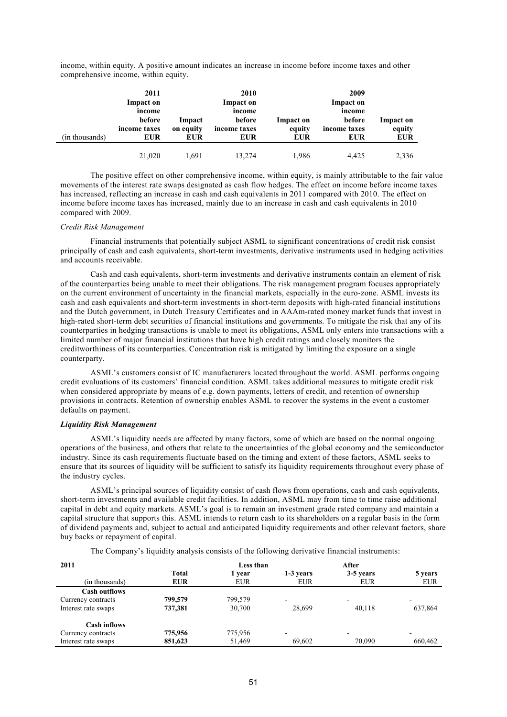income, within equity. A positive amount indicates an increase in income before income taxes and other comprehensive income, within equity.

| (in thousands) | 2011<br>Impact on<br>income<br>before<br>income taxes<br>EUR | Impact<br>on equity<br>EUR | 2010<br>Impact on<br>income<br>before<br>income taxes<br><b>EUR</b> | Impact on<br>equity<br><b>EUR</b> | 2009<br>Impact on<br>income<br>before<br>income taxes<br><b>EUR</b> | Impact on<br>equity<br><b>EUR</b> |
|----------------|--------------------------------------------------------------|----------------------------|---------------------------------------------------------------------|-----------------------------------|---------------------------------------------------------------------|-----------------------------------|
|                | 21,020                                                       | 1.691                      | 13,274                                                              | 1,986                             | 4.425                                                               | 2,336                             |

The positive effect on other comprehensive income, within equity, is mainly attributable to the fair value movements of the interest rate swaps designated as cash flow hedges. The effect on income before income taxes has increased, reflecting an increase in cash and cash equivalents in 2011 compared with 2010. The effect on income before income taxes has increased, mainly due to an increase in cash and cash equivalents in 2010 compared with 2009.

### *Credit Risk Management*

Financial instruments that potentially subject ASML to significant concentrations of credit risk consist principally of cash and cash equivalents, short-term investments, derivative instruments used in hedging activities and accounts receivable.

Cash and cash equivalents, short-term investments and derivative instruments contain an element of risk of the counterparties being unable to meet their obligations. The risk management program focuses appropriately on the current environment of uncertainty in the financial markets, especially in the euro-zone. ASML invests its cash and cash equivalents and short-term investments in short-term deposits with high-rated financial institutions and the Dutch government, in Dutch Treasury Certificates and in AAAm-rated money market funds that invest in high-rated short-term debt securities of financial institutions and governments. To mitigate the risk that any of its counterparties in hedging transactions is unable to meet its obligations, ASML only enters into transactions with a limited number of major financial institutions that have high credit ratings and closely monitors the creditworthiness of its counterparties. Concentration risk is mitigated by limiting the exposure on a single counterparty.

ASML's customers consist of IC manufacturers located throughout the world. ASML performs ongoing credit evaluations of its customers' financial condition. ASML takes additional measures to mitigate credit risk when considered appropriate by means of e.g. down payments, letters of credit, and retention of ownership provisions in contracts. Retention of ownership enables ASML to recover the systems in the event a customer defaults on payment.

## *Liquidity Risk Management*

ASML's liquidity needs are affected by many factors, some of which are based on the normal ongoing operations of the business, and others that relate to the uncertainties of the global economy and the semiconductor industry. Since its cash requirements fluctuate based on the timing and extent of these factors, ASML seeks to ensure that its sources of liquidity will be sufficient to satisfy its liquidity requirements throughout every phase of the industry cycles.

ASML's principal sources of liquidity consist of cash flows from operations, cash and cash equivalents, short-term investments and available credit facilities. In addition, ASML may from time to time raise additional capital in debt and equity markets. ASML's goal is to remain an investment grade rated company and maintain a capital structure that supports this. ASML intends to return cash to its shareholders on a regular basis in the form of dividend payments and, subject to actual and anticipated liquidity requirements and other relevant factors, share buy backs or repayment of capital.

The Company's liquidity analysis consists of the following derivative financial instruments:

| 2011                 |              | Less than  |                          | After                    |            |  |
|----------------------|--------------|------------|--------------------------|--------------------------|------------|--|
|                      | <b>Total</b> | 1 vear     | 1-3 years                | 3-5 years                | 5 years    |  |
| (in thousands)       | <b>EUR</b>   | <b>EUR</b> | <b>EUR</b>               | EUR                      | <b>EUR</b> |  |
| <b>Cash outflows</b> |              |            |                          |                          |            |  |
| Currency contracts   | 799,579      | 799.579    | ۰                        | $\overline{\phantom{0}}$ |            |  |
| Interest rate swaps  | 737,381      | 30,700     | 28,699                   | 40,118                   | 637,864    |  |
| <b>Cash inflows</b>  |              |            |                          |                          |            |  |
| Currency contracts   | 775,956      | 775,956    | $\overline{\phantom{a}}$ | $\overline{\phantom{0}}$ |            |  |
| Interest rate swaps  | 851,623      | 51,469     | 69,602                   | 70.090                   | 660.462    |  |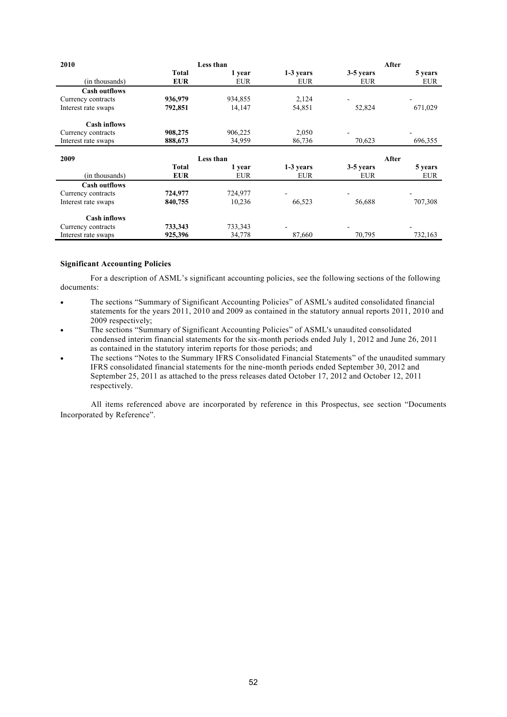| 2010                 | Less than    |            |            | After      |            |  |
|----------------------|--------------|------------|------------|------------|------------|--|
|                      | Total        | 1 year     | 1-3 years  | 3-5 years  | 5 years    |  |
| (in thousands)       | <b>EUR</b>   | <b>EUR</b> | <b>EUR</b> | <b>EUR</b> | <b>EUR</b> |  |
| <b>Cash outflows</b> |              |            |            |            |            |  |
| Currency contracts   | 936,979      | 934,855    | 2,124      |            |            |  |
| Interest rate swaps  | 792,851      | 14,147     | 54,851     | 52,824     | 671,029    |  |
| <b>Cash inflows</b>  |              |            |            |            |            |  |
| Currency contracts   | 908,275      | 906,225    | 2,050      |            |            |  |
| Interest rate swaps  | 888,673      | 34,959     | 86,736     | 70,623     | 696,355    |  |
|                      |              |            |            |            |            |  |
|                      |              |            |            |            |            |  |
| 2009                 |              | Less than  |            |            | After      |  |
|                      | <b>Total</b> | 1 year     | 1-3 years  | 3-5 years  | 5 years    |  |
| (in thousands)       | <b>EUR</b>   | <b>EUR</b> | <b>EUR</b> | <b>EUR</b> | <b>EUR</b> |  |
| <b>Cash outflows</b> |              |            |            |            |            |  |
| Currency contracts   | 724,977      | 724,977    |            |            |            |  |
| Interest rate swaps  | 840,755      | 10,236     | 66,523     | 56,688     | 707,308    |  |
| <b>Cash inflows</b>  |              |            |            |            |            |  |
| Currency contracts   | 733,343      | 733,343    |            |            |            |  |

### **Significant Accounting Policies**

For a description of ASML's significant accounting policies, see the following sections of the following documents:

- The sections "Summary of Significant Accounting Policies" of ASML's audited consolidated financial statements for the years 2011, 2010 and 2009 as contained in the statutory annual reports 2011, 2010 and 2009 respectively:
- The sections "Summary of Significant Accounting Policies" of ASML's unaudited consolidated condensed interim financial statements for the six-month periods ended July 1, 2012 and June 26, 2011 as contained in the statutory interim reports for those periods; and
- The sections "Notes to the Summary IFRS Consolidated Financial Statements" of the unaudited summary IFRS consolidated financial statements for the nine-month periods ended September 30, 2012 and September 25, 2011 as attached to the press releases dated October 17, 2012 and October 12, 2011 respectively.

All items referenced above are incorporated by reference in this Prospectus, see section "Documents Incorporated by Reference".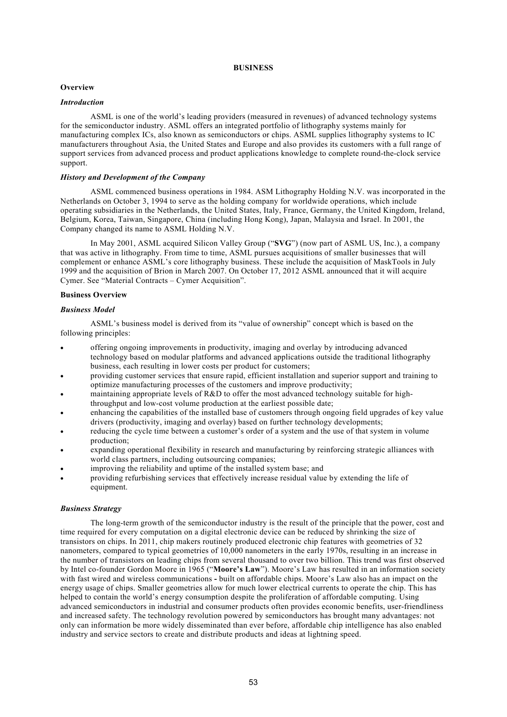## **BUSINESS**

# **Overview**

## *Introduction*

ASML is one of the world's leading providers (measured in revenues) of advanced technology systems for the semiconductor industry. ASML offers an integrated portfolio of lithography systems mainly for manufacturing complex ICs, also known as semiconductors or chips. ASML supplies lithography systems to IC manufacturers throughout Asia, the United States and Europe and also provides its customers with a full range of support services from advanced process and product applications knowledge to complete round-the-clock service support.

# *History and Development of the Company*

ASML commenced business operations in 1984. ASM Lithography Holding N.V. was incorporated in the Netherlands on October 3, 1994 to serve as the holding company for worldwide operations, which include operating subsidiaries in the Netherlands, the United States, Italy, France, Germany, the United Kingdom, Ireland, Belgium, Korea, Taiwan, Singapore, China (including Hong Kong), Japan, Malaysia and Israel. In 2001, the Company changed its name to ASML Holding N.V.

In May 2001, ASML acquired Silicon Valley Group ("**SVG**") (now part of ASML US, Inc.), a company that was active in lithography. From time to time, ASML pursues acquisitions of smaller businesses that will complement or enhance ASML's core lithography business. These include the acquisition of MaskTools in July 1999 and the acquisition of Brion in March 2007. On October 17, 2012 ASML announced that it will acquire Cymer. See "Material Contracts – Cymer Acquisition".

# **Business Overview**

## *Business Model*

ASML's business model is derived from its "value of ownership" concept which is based on the following principles:

- offering ongoing improvements in productivity, imaging and overlay by introducing advanced technology based on modular platforms and advanced applications outside the traditional lithography business, each resulting in lower costs per product for customers;
- providing customer services that ensure rapid, efficient installation and superior support and training to optimize manufacturing processes of the customers and improve productivity;
- maintaining appropriate levels of R&D to offer the most advanced technology suitable for highthroughput and low-cost volume production at the earliest possible date;
- enhancing the capabilities of the installed base of customers through ongoing field upgrades of key value drivers (productivity, imaging and overlay) based on further technology developments;
- reducing the cycle time between a customer's order of a system and the use of that system in volume production;
- expanding operational flexibility in research and manufacturing by reinforcing strategic alliances with world class partners, including outsourcing companies;
- improving the reliability and uptime of the installed system base; and
- providing refurbishing services that effectively increase residual value by extending the life of equipment.

### *Business Strategy*

The long-term growth of the semiconductor industry is the result of the principle that the power, cost and time required for every computation on a digital electronic device can be reduced by shrinking the size of transistors on chips. In 2011, chip makers routinely produced electronic chip features with geometries of 32 nanometers, compared to typical geometries of 10,000 nanometers in the early 1970s, resulting in an increase in the number of transistors on leading chips from several thousand to over two billion. This trend was first observed by Intel co-founder Gordon Moore in 1965 ("**Moore's Law**"). Moore's Law has resulted in an information society with fast wired and wireless communications **-** built on affordable chips. Moore's Law also has an impact on the energy usage of chips. Smaller geometries allow for much lower electrical currents to operate the chip. This has helped to contain the world's energy consumption despite the proliferation of affordable computing. Using advanced semiconductors in industrial and consumer products often provides economic benefits, user-friendliness and increased safety. The technology revolution powered by semiconductors has brought many advantages: not only can information be more widely disseminated than ever before, affordable chip intelligence has also enabled industry and service sectors to create and distribute products and ideas at lightning speed.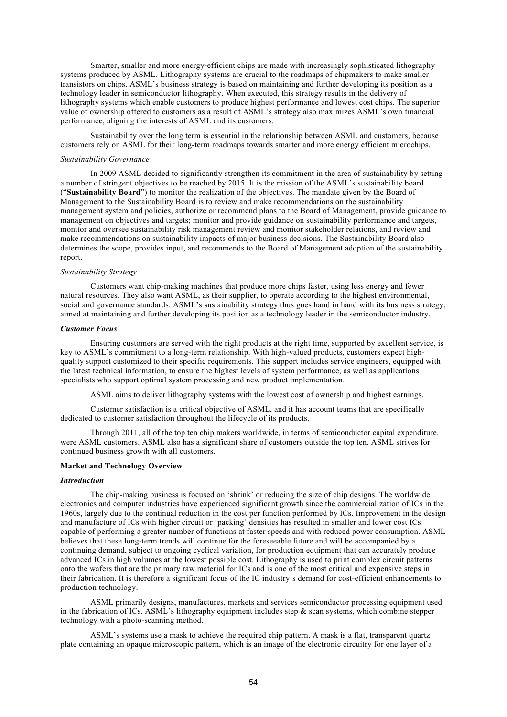Smarter, smaller and more energy-efficient chips are made with increasingly sophisticated lithography systems produced by ASML. Lithography systems are crucial to the roadmaps of chipmakers to make smaller transistors on chips. ASML's business strategy is based on maintaining and further developing its position as a technology leader in semiconductor lithography. When executed, this strategy results in the delivery of lithography systems which enable customers to produce highest performance and lowest cost chips. The superior value of ownership offered to customers as a result of ASML's strategy also maximizes ASML's own financial performance, aligning the interests of ASML and its customers.

Sustainability over the long term is essential in the relationship between ASML and customers, because customers rely on ASML for their long-term roadmaps towards smarter and more energy efficient microchips.

### *Sustainability Governance*

In 2009 ASML decided to significantly strengthen its commitment in the area of sustainability by setting a number of stringent objectives to be reached by 2015. It is the mission of the ASML's sustainability board ("**Sustainability Board**") to monitor the realization of the objectives. The mandate given by the Board of Management to the Sustainability Board is to review and make recommendations on the sustainability management system and policies, authorize or recommend plans to the Board of Management, provide guidance to management on objectives and targets; monitor and provide guidance on sustainability performance and targets, monitor and oversee sustainability risk management review and monitor stakeholder relations, and review and make recommendations on sustainability impacts of major business decisions. The Sustainability Board also determines the scope, provides input, and recommends to the Board of Management adoption of the sustainability report.

### *Sustainability Strategy*

Customers want chip-making machines that produce more chips faster, using less energy and fewer natural resources. They also want ASML, as their supplier, to operate according to the highest environmental, social and governance standards. ASML's sustainability strategy thus goes hand in hand with its business strategy, aimed at maintaining and further developing its position as a technology leader in the semiconductor industry.

### *Customer Focus*

Ensuring customers are served with the right products at the right time, supported by excellent service, is key to ASML's commitment to a long-term relationship. With high-valued products, customers expect highquality support customized to their specific requirements. This support includes service engineers, equipped with the latest technical information, to ensure the highest levels of system performance, as well as applications specialists who support optimal system processing and new product implementation.

ASML aims to deliver lithography systems with the lowest cost of ownership and highest earnings.

Customer satisfaction is a critical objective of ASML, and it has account teams that are specifically dedicated to customer satisfaction throughout the lifecycle of its products.

Through 2011, all of the top ten chip makers worldwide, in terms of semiconductor capital expenditure, were ASML customers. ASML also has a significant share of customers outside the top ten. ASML strives for continued business growth with all customers.

#### **Market and Technology Overview**

#### *Introduction*

The chip-making business is focused on 'shrink' or reducing the size of chip designs. The worldwide electronics and computer industries have experienced significant growth since the commercialization of ICs in the 1960s, largely due to the continual reduction in the cost per function performed by ICs. Improvement in the design and manufacture of ICs with higher circuit or 'packing' densities has resulted in smaller and lower cost ICs capable of performing a greater number of functions at faster speeds and with reduced power consumption. ASML believes that these long-term trends will continue for the foreseeable future and will be accompanied by a continuing demand, subject to ongoing cyclical variation, for production equipment that can accurately produce advanced ICs in high volumes at the lowest possible cost. Lithography is used to print complex circuit patterns onto the wafers that are the primary raw material for ICs and is one of the most critical and expensive steps in their fabrication. It is therefore a significant focus of the IC industry's demand for cost-efficient enhancements to production technology.

ASML primarily designs, manufactures, markets and services semiconductor processing equipment used in the fabrication of ICs. ASML's lithography equipment includes step  $\&$  scan systems, which combine stepper technology with a photo-scanning method.

ASML's systems use a mask to achieve the required chip pattern. A mask is a flat, transparent quartz plate containing an opaque microscopic pattern, which is an image of the electronic circuitry for one layer of a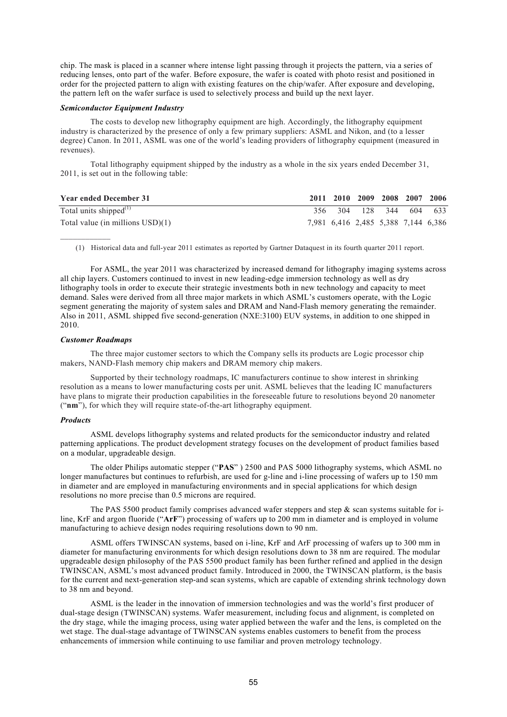chip. The mask is placed in a scanner where intense light passing through it projects the pattern, via a series of reducing lenses, onto part of the wafer. Before exposure, the wafer is coated with photo resist and positioned in order for the projected pattern to align with existing features on the chip/wafer. After exposure and developing, the pattern left on the wafer surface is used to selectively process and build up the next layer.

## *Semiconductor Equipment Industry*

The costs to develop new lithography equipment are high. Accordingly, the lithography equipment industry is characterized by the presence of only a few primary suppliers: ASML and Nikon, and (to a lesser degree) Canon. In 2011, ASML was one of the world's leading providers of lithography equipment (measured in revenues).

Total lithography equipment shipped by the industry as a whole in the six years ended December 31, 2011, is set out in the following table:

| <b>Year ended December 31</b>              |       |         | 2011 2010 2009 2008 2007 2006       |  |
|--------------------------------------------|-------|---------|-------------------------------------|--|
| Total units shipped $^{(1)}$               | 356 - | 304 128 | 344 604 633                         |  |
| Total value (in millions $\text{USD}(1)$ ) |       |         | 7,981 6,416 2,485 5,388 7,144 6,386 |  |

(1) Historical data and full-year 2011 estimates as reported by Gartner Dataquest in its fourth quarter 2011 report.

For ASML, the year 2011 was characterized by increased demand for lithography imaging systems across all chip layers. Customers continued to invest in new leading-edge immersion technology as well as dry lithography tools in order to execute their strategic investments both in new technology and capacity to meet demand. Sales were derived from all three major markets in which ASML's customers operate, with the Logic segment generating the majority of system sales and DRAM and Nand-Flash memory generating the remainder. Also in 2011, ASML shipped five second-generation (NXE:3100) EUV systems, in addition to one shipped in 2010.

## *Customer Roadmaps*

 $\frac{1}{2}$ 

The three major customer sectors to which the Company sells its products are Logic processor chip makers, NAND-Flash memory chip makers and DRAM memory chip makers.

Supported by their technology roadmaps, IC manufacturers continue to show interest in shrinking resolution as a means to lower manufacturing costs per unit. ASML believes that the leading IC manufacturers have plans to migrate their production capabilities in the foreseeable future to resolutions beyond 20 nanometer ("**nm**"), for which they will require state-of-the-art lithography equipment.

#### *Products*

ASML develops lithography systems and related products for the semiconductor industry and related patterning applications. The product development strategy focuses on the development of product families based on a modular, upgradeable design.

The older Philips automatic stepper ("**PAS**" ) 2500 and PAS 5000 lithography systems, which ASML no longer manufactures but continues to refurbish, are used for g-line and i-line processing of wafers up to 150 mm in diameter and are employed in manufacturing environments and in special applications for which design resolutions no more precise than 0.5 microns are required.

The PAS 5500 product family comprises advanced wafer steppers and step  $\&$  scan systems suitable for iline, KrF and argon fluoride ("**ArF**") processing of wafers up to 200 mm in diameter and is employed in volume manufacturing to achieve design nodes requiring resolutions down to 90 nm.

ASML offers TWINSCAN systems, based on i-line, KrF and ArF processing of wafers up to 300 mm in diameter for manufacturing environments for which design resolutions down to 38 nm are required. The modular upgradeable design philosophy of the PAS 5500 product family has been further refined and applied in the design TWINSCAN, ASML's most advanced product family. Introduced in 2000, the TWINSCAN platform, is the basis for the current and next-generation step-and scan systems, which are capable of extending shrink technology down to 38 nm and beyond.

ASML is the leader in the innovation of immersion technologies and was the world's first producer of dual-stage design (TWINSCAN) systems. Wafer measurement, including focus and alignment, is completed on the dry stage, while the imaging process, using water applied between the wafer and the lens, is completed on the wet stage. The dual-stage advantage of TWINSCAN systems enables customers to benefit from the process enhancements of immersion while continuing to use familiar and proven metrology technology.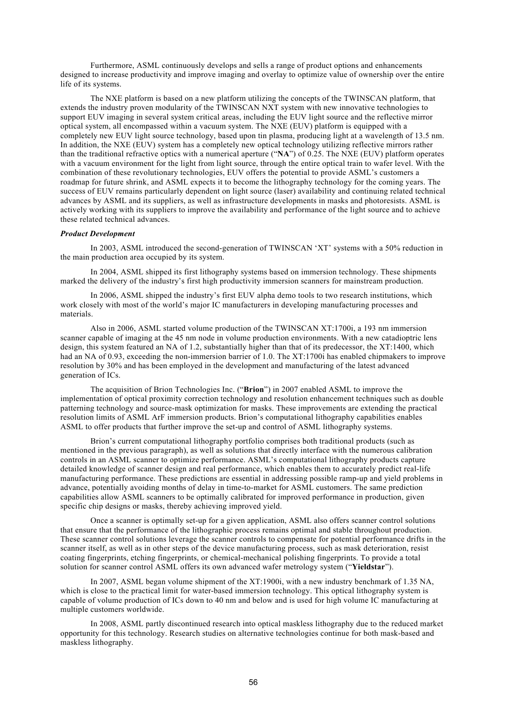Furthermore, ASML continuously develops and sells a range of product options and enhancements designed to increase productivity and improve imaging and overlay to optimize value of ownership over the entire life of its systems.

The NXE platform is based on a new platform utilizing the concepts of the TWINSCAN platform, that extends the industry proven modularity of the TWINSCAN NXT system with new innovative technologies to support EUV imaging in several system critical areas, including the EUV light source and the reflective mirror optical system, all encompassed within a vacuum system. The NXE (EUV) platform is equipped with a completely new EUV light source technology, based upon tin plasma, producing light at a wavelength of 13.5 nm. In addition, the NXE (EUV) system has a completely new optical technology utilizing reflective mirrors rather than the traditional refractive optics with a numerical aperture ("**NA**") of 0.25. The NXE (EUV) platform operates with a vacuum environment for the light from light source, through the entire optical train to wafer level. With the combination of these revolutionary technologies, EUV offers the potential to provide ASML's customers a roadmap for future shrink, and ASML expects it to become the lithography technology for the coming years. The success of EUV remains particularly dependent on light source (laser) availability and continuing related technical advances by ASML and its suppliers, as well as infrastructure developments in masks and photoresists. ASML is actively working with its suppliers to improve the availability and performance of the light source and to achieve these related technical advances.

### *Product Development*

In 2003, ASML introduced the second-generation of TWINSCAN 'XT' systems with a 50% reduction in the main production area occupied by its system.

In 2004, ASML shipped its first lithography systems based on immersion technology. These shipments marked the delivery of the industry's first high productivity immersion scanners for mainstream production.

In 2006, ASML shipped the industry's first EUV alpha demo tools to two research institutions, which work closely with most of the world's major IC manufacturers in developing manufacturing processes and materials.

Also in 2006, ASML started volume production of the TWINSCAN XT:1700i, a 193 nm immersion scanner capable of imaging at the 45 nm node in volume production environments. With a new catadioptric lens design, this system featured an NA of 1.2, substantially higher than that of its predecessor, the XT:1400, which had an NA of 0.93, exceeding the non-immersion barrier of 1.0. The XT:1700i has enabled chipmakers to improve resolution by 30% and has been employed in the development and manufacturing of the latest advanced generation of ICs.

The acquisition of Brion Technologies Inc. ("**Brion**") in 2007 enabled ASML to improve the implementation of optical proximity correction technology and resolution enhancement techniques such as double patterning technology and source-mask optimization for masks. These improvements are extending the practical resolution limits of ASML ArF immersion products. Brion's computational lithography capabilities enables ASML to offer products that further improve the set-up and control of ASML lithography systems.

Brion's current computational lithography portfolio comprises both traditional products (such as mentioned in the previous paragraph), as well as solutions that directly interface with the numerous calibration controls in an ASML scanner to optimize performance. ASML's computational lithography products capture detailed knowledge of scanner design and real performance, which enables them to accurately predict real-life manufacturing performance. These predictions are essential in addressing possible ramp-up and yield problems in advance, potentially avoiding months of delay in time-to-market for ASML customers. The same prediction capabilities allow ASML scanners to be optimally calibrated for improved performance in production, given specific chip designs or masks, thereby achieving improved yield.

Once a scanner is optimally set-up for a given application, ASML also offers scanner control solutions that ensure that the performance of the lithographic process remains optimal and stable throughout production. These scanner control solutions leverage the scanner controls to compensate for potential performance drifts in the scanner itself, as well as in other steps of the device manufacturing process, such as mask deterioration, resist coating fingerprints, etching fingerprints, or chemical-mechanical polishing fingerprints. To provide a total solution for scanner control ASML offers its own advanced wafer metrology system ("**Yieldstar**").

In 2007, ASML began volume shipment of the XT:1900i, with a new industry benchmark of 1.35 NA, which is close to the practical limit for water-based immersion technology. This optical lithography system is capable of volume production of ICs down to 40 nm and below and is used for high volume IC manufacturing at multiple customers worldwide.

In 2008, ASML partly discontinued research into optical maskless lithography due to the reduced market opportunity for this technology. Research studies on alternative technologies continue for both mask-based and maskless lithography.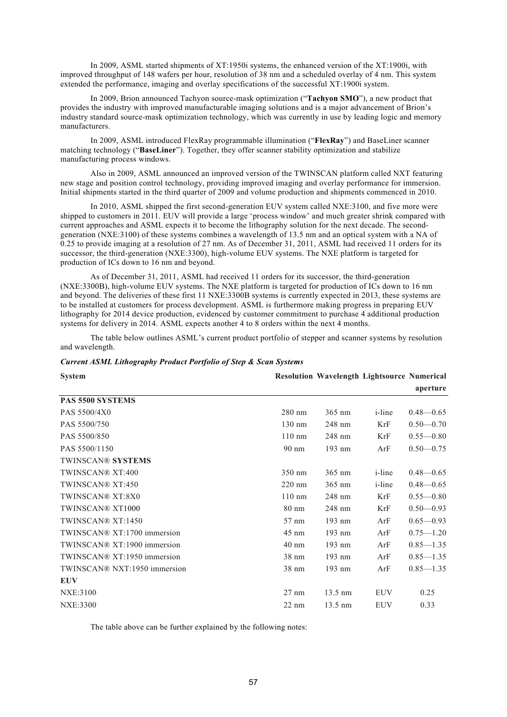In 2009, ASML started shipments of XT:1950i systems, the enhanced version of the XT:1900i, with improved throughput of 148 wafers per hour, resolution of 38 nm and a scheduled overlay of 4 nm. This system extended the performance, imaging and overlay specifications of the successful XT:1900i system.

In 2009, Brion announced Tachyon source-mask optimization ("**Tachyon SMO**"), a new product that provides the industry with improved manufacturable imaging solutions and is a major advancement of Brion's industry standard source-mask optimization technology, which was currently in use by leading logic and memory manufacturers.

In 2009, ASML introduced FlexRay programmable illumination ("**FlexRay**") and BaseLiner scanner matching technology ("**BaseLiner**"). Together, they offer scanner stability optimization and stabilize manufacturing process windows.

Also in 2009, ASML announced an improved version of the TWINSCAN platform called NXT featuring new stage and position control technology, providing improved imaging and overlay performance for immersion. Initial shipments started in the third quarter of 2009 and volume production and shipments commenced in 2010.

In 2010, ASML shipped the first second-generation EUV system called NXE:3100, and five more were shipped to customers in 2011. EUV will provide a large 'process window' and much greater shrink compared with current approaches and ASML expects it to become the lithography solution for the next decade. The secondgeneration (NXE:3100) of these systems combines a wavelength of 13.5 nm and an optical system with a NA of 0.25 to provide imaging at a resolution of 27 nm. As of December 31, 2011, ASML had received 11 orders for its successor, the third-generation (NXE:3300), high-volume EUV systems. The NXE platform is targeted for production of ICs down to 16 nm and beyond.

As of December 31, 2011, ASML had received 11 orders for its successor, the third-generation (NXE:3300B), high-volume EUV systems. The NXE platform is targeted for production of ICs down to 16 nm and beyond. The deliveries of these first 11 NXE:3300B systems is currently expected in 2013, these systems are to be installed at customers for process development. ASML is furthermore making progress in preparing EUV lithography for 2014 device production, evidenced by customer commitment to purchase 4 additional production systems for delivery in 2014. ASML expects another 4 to 8 orders within the next 4 months.

The table below outlines ASML's current product portfolio of stepper and scanner systems by resolution and wavelength.

| <b>Current ASML Lithography Product Portfolio of Step &amp; Scan Systems</b> |  |  |  |
|------------------------------------------------------------------------------|--|--|--|
|                                                                              |  |  |  |

| <b>System</b>                |                  |                   | <b>Resolution Wavelength Lightsource Numerical</b> |               |
|------------------------------|------------------|-------------------|----------------------------------------------------|---------------|
|                              |                  |                   |                                                    | aperture      |
| PAS 5500 SYSTEMS             |                  |                   |                                                    |               |
| PAS 5500/4X0                 | 280 nm           | $365 \text{ nm}$  | <i>i</i> -line                                     | $0.48 - 0.65$ |
| PAS 5500/750                 | $130 \text{ nm}$ | 248 nm            | KrF                                                | $0.50 - 0.70$ |
| PAS 5500/850                 | $110$ nm         | 248 nm            | KrF                                                | $0.55 - 0.80$ |
| PAS 5500/1150                | $90 \text{ nm}$  | 193 nm            | ArF                                                | $0.50 - 0.75$ |
| <b>TWINSCAN® SYSTEMS</b>     |                  |                   |                                                    |               |
| TWINSCAN® XT:400             | $350 \text{ nm}$ | $365 \text{ nm}$  | <i>i</i> -line                                     | $0.48 - 0.65$ |
| TWINSCAN® XT:450             | 220 nm           | $365 \text{ nm}$  | <i>i</i> -line                                     | $0.48 - 0.65$ |
| TWINSCAN® XT:8X0             | $110 \text{ nm}$ | $248$ nm          | KrF                                                | $0.55 - 0.80$ |
| TWINSCAN® XT1000             | $80 \text{ nm}$  | 248 nm            | KrF                                                | $0.50 - 0.93$ |
| TWINSCAN® XT:1450            | $57 \text{ nm}$  | 193 nm            | ArF                                                | $0.65 - 0.93$ |
| TWINSCAN® XT:1700 immersion  | $45 \text{ nm}$  | $193$ nm          | ArF                                                | $0.75 - 1.20$ |
| TWINSCAN® XT:1900 immersion  | $40 \text{ nm}$  | $193$ nm          | ArF                                                | $0.85 - 1.35$ |
| TWINSCAN® XT:1950 immersion  | 38 nm            | 193 nm            | ArF                                                | $0.85 - 1.35$ |
| TWINSCAN® NXT:1950 immersion | $38 \text{ nm}$  | $193$ nm          | ArF                                                | $0.85 - 1.35$ |
| <b>EUV</b>                   |                  |                   |                                                    |               |
| NXE:3100                     | $27 \text{ nm}$  | $13.5 \text{ nm}$ | <b>EUV</b>                                         | 0.25          |
| NXE:3300                     | $22 \text{ nm}$  | $13.5 \text{ nm}$ | <b>EUV</b>                                         | 0.33          |

The table above can be further explained by the following notes: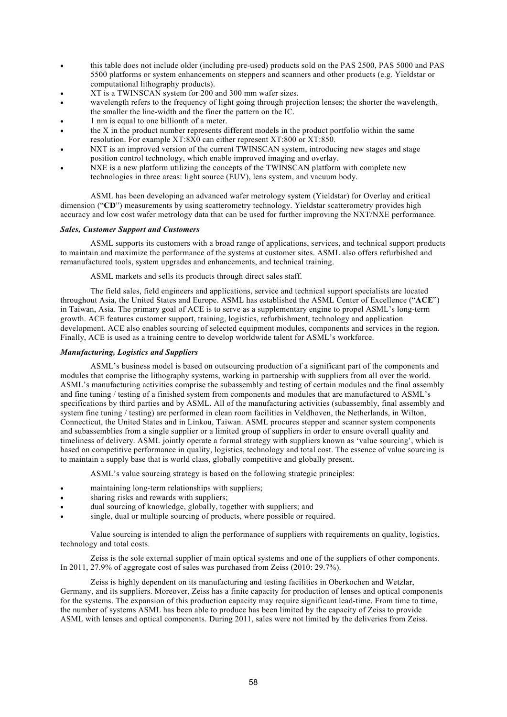- this table does not include older (including pre-used) products sold on the PAS 2500, PAS 5000 and PAS 5500 platforms or system enhancements on steppers and scanners and other products (e.g. Yieldstar or computational lithography products).
- XT is a TWINSCAN system for 200 and 300 mm wafer sizes.
- wavelength refers to the frequency of light going through projection lenses; the shorter the wavelength, the smaller the line-width and the finer the pattern on the IC.
- 1 nm is equal to one billionth of a meter.
- the X in the product number represents different models in the product portfolio within the same resolution. For example XT:8X0 can either represent XT:800 or XT:850.
- NXT is an improved version of the current TWINSCAN system, introducing new stages and stage position control technology, which enable improved imaging and overlay.
- NXE is a new platform utilizing the concepts of the TWINSCAN platform with complete new technologies in three areas: light source (EUV), lens system, and vacuum body.

ASML has been developing an advanced wafer metrology system (Yieldstar) for Overlay and critical dimension ("**CD**") measurements by using scatterometry technology. Yieldstar scatterometry provides high accuracy and low cost wafer metrology data that can be used for further improving the NXT/NXE performance.

## *Sales, Customer Support and Customers*

ASML supports its customers with a broad range of applications, services, and technical support products to maintain and maximize the performance of the systems at customer sites. ASML also offers refurbished and remanufactured tools, system upgrades and enhancements, and technical training.

ASML markets and sells its products through direct sales staff.

The field sales, field engineers and applications, service and technical support specialists are located throughout Asia, the United States and Europe. ASML has established the ASML Center of Excellence ("**ACE**") in Taiwan, Asia. The primary goal of ACE is to serve as a supplementary engine to propel ASML's long-term growth. ACE features customer support, training, logistics, refurbishment, technology and application development. ACE also enables sourcing of selected equipment modules, components and services in the region. Finally, ACE is used as a training centre to develop worldwide talent for ASML's workforce.

## *Manufacturing, Logistics and Suppliers*

ASML's business model is based on outsourcing production of a significant part of the components and modules that comprise the lithography systems, working in partnership with suppliers from all over the world. ASML's manufacturing activities comprise the subassembly and testing of certain modules and the final assembly and fine tuning / testing of a finished system from components and modules that are manufactured to ASML's specifications by third parties and by ASML. All of the manufacturing activities (subassembly, final assembly and system fine tuning / testing) are performed in clean room facilities in Veldhoven, the Netherlands, in Wilton, Connecticut, the United States and in Linkou, Taiwan. ASML procures stepper and scanner system components and subassemblies from a single supplier or a limited group of suppliers in order to ensure overall quality and timeliness of delivery. ASML jointly operate a formal strategy with suppliers known as 'value sourcing', which is based on competitive performance in quality, logistics, technology and total cost. The essence of value sourcing is to maintain a supply base that is world class, globally competitive and globally present.

ASML's value sourcing strategy is based on the following strategic principles:

- maintaining long-term relationships with suppliers;
- sharing risks and rewards with suppliers;
- dual sourcing of knowledge, globally, together with suppliers; and
- single, dual or multiple sourcing of products, where possible or required.

Value sourcing is intended to align the performance of suppliers with requirements on quality, logistics, technology and total costs.

Zeiss is the sole external supplier of main optical systems and one of the suppliers of other components. In 2011, 27.9% of aggregate cost of sales was purchased from Zeiss (2010: 29.7%).

Zeiss is highly dependent on its manufacturing and testing facilities in Oberkochen and Wetzlar, Germany, and its suppliers. Moreover, Zeiss has a finite capacity for production of lenses and optical components for the systems. The expansion of this production capacity may require significant lead-time. From time to time, the number of systems ASML has been able to produce has been limited by the capacity of Zeiss to provide ASML with lenses and optical components. During 2011, sales were not limited by the deliveries from Zeiss.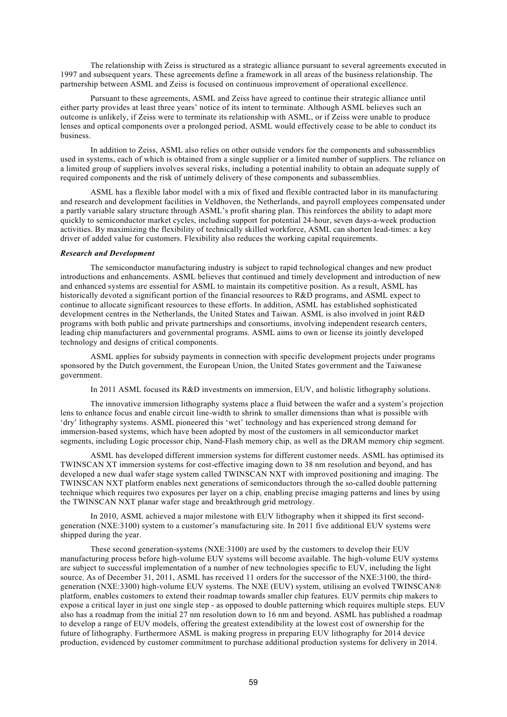The relationship with Zeiss is structured as a strategic alliance pursuant to several agreements executed in 1997 and subsequent years. These agreements define a framework in all areas of the business relationship. The partnership between ASML and Zeiss is focused on continuous improvement of operational excellence.

Pursuant to these agreements, ASML and Zeiss have agreed to continue their strategic alliance until either party provides at least three years' notice of its intent to terminate. Although ASML believes such an outcome is unlikely, if Zeiss were to terminate its relationship with ASML, or if Zeiss were unable to produce lenses and optical components over a prolonged period, ASML would effectively cease to be able to conduct its business.

In addition to Zeiss, ASML also relies on other outside vendors for the components and subassemblies used in systems, each of which is obtained from a single supplier or a limited number of suppliers. The reliance on a limited group of suppliers involves several risks, including a potential inability to obtain an adequate supply of required components and the risk of untimely delivery of these components and subassemblies.

ASML has a flexible labor model with a mix of fixed and flexible contracted labor in its manufacturing and research and development facilities in Veldhoven, the Netherlands, and payroll employees compensated under a partly variable salary structure through ASML's profit sharing plan. This reinforces the ability to adapt more quickly to semiconductor market cycles, including support for potential 24-hour, seven days-a-week production activities. By maximizing the flexibility of technically skilled workforce, ASML can shorten lead-times: a key driver of added value for customers. Flexibility also reduces the working capital requirements.

#### *Research and Development*

The semiconductor manufacturing industry is subject to rapid technological changes and new product introductions and enhancements. ASML believes that continued and timely development and introduction of new and enhanced systems are essential for ASML to maintain its competitive position. As a result, ASML has historically devoted a significant portion of the financial resources to R&D programs, and ASML expect to continue to allocate significant resources to these efforts. In addition, ASML has established sophisticated development centres in the Netherlands, the United States and Taiwan. ASML is also involved in joint R&D programs with both public and private partnerships and consortiums, involving independent research centers, leading chip manufacturers and governmental programs. ASML aims to own or license its jointly developed technology and designs of critical components.

ASML applies for subsidy payments in connection with specific development projects under programs sponsored by the Dutch government, the European Union, the United States government and the Taiwanese government.

In 2011 ASML focused its R&D investments on immersion, EUV, and holistic lithography solutions.

The innovative immersion lithography systems place a fluid between the wafer and a system's projection lens to enhance focus and enable circuit line-width to shrink to smaller dimensions than what is possible with 'dry' lithography systems. ASML pioneered this 'wet' technology and has experienced strong demand for immersion-based systems, which have been adopted by most of the customers in all semiconductor market segments, including Logic processor chip, Nand-Flash memory chip, as well as the DRAM memory chip segment.

ASML has developed different immersion systems for different customer needs. ASML has optimised its TWINSCAN XT immersion systems for cost-effective imaging down to 38 nm resolution and beyond, and has developed a new dual wafer stage system called TWINSCAN NXT with improved positioning and imaging. The TWINSCAN NXT platform enables next generations of semiconductors through the so-called double patterning technique which requires two exposures per layer on a chip, enabling precise imaging patterns and lines by using the TWINSCAN NXT planar wafer stage and breakthrough grid metrology.

In 2010, ASML achieved a major milestone with EUV lithography when it shipped its first secondgeneration (NXE:3100) system to a customer's manufacturing site. In 2011 five additional EUV systems were shipped during the year.

These second generation-systems (NXE:3100) are used by the customers to develop their EUV manufacturing process before high-volume EUV systems will become available. The high-volume EUV systems are subject to successful implementation of a number of new technologies specific to EUV, including the light source. As of December 31, 2011, ASML has received 11 orders for the successor of the NXE:3100, the thirdgeneration (NXE:3300) high-volume EUV systems. The NXE (EUV) system, utilising an evolved TWINSCAN® platform, enables customers to extend their roadmap towards smaller chip features. EUV permits chip makers to expose a critical layer in just one single step - as opposed to double patterning which requires multiple steps. EUV also has a roadmap from the initial 27 nm resolution down to 16 nm and beyond. ASML has published a roadmap to develop a range of EUV models, offering the greatest extendibility at the lowest cost of ownership for the future of lithography. Furthermore ASML is making progress in preparing EUV lithography for 2014 device production, evidenced by customer commitment to purchase additional production systems for delivery in 2014.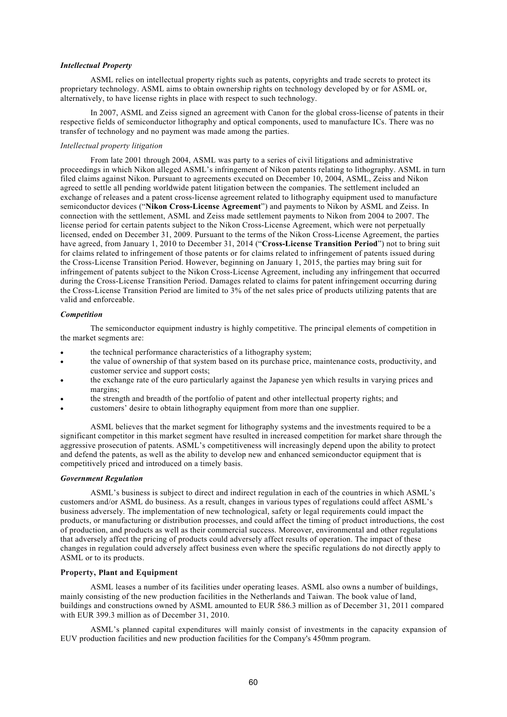### *Intellectual Property*

ASML relies on intellectual property rights such as patents, copyrights and trade secrets to protect its proprietary technology. ASML aims to obtain ownership rights on technology developed by or for ASML or, alternatively, to have license rights in place with respect to such technology.

In 2007, ASML and Zeiss signed an agreement with Canon for the global cross-license of patents in their respective fields of semiconductor lithography and optical components, used to manufacture ICs. There was no transfer of technology and no payment was made among the parties.

### *Intellectual property litigation*

From late 2001 through 2004, ASML was party to a series of civil litigations and administrative proceedings in which Nikon alleged ASML's infringement of Nikon patents relating to lithography. ASML in turn filed claims against Nikon. Pursuant to agreements executed on December 10, 2004, ASML, Zeiss and Nikon agreed to settle all pending worldwide patent litigation between the companies. The settlement included an exchange of releases and a patent cross-license agreement related to lithography equipment used to manufacture semiconductor devices ("**Nikon Cross-License Agreement**") and payments to Nikon by ASML and Zeiss. In connection with the settlement, ASML and Zeiss made settlement payments to Nikon from 2004 to 2007. The license period for certain patents subject to the Nikon Cross-License Agreement, which were not perpetually licensed, ended on December 31, 2009. Pursuant to the terms of the Nikon Cross-License Agreement, the parties have agreed, from January 1, 2010 to December 31, 2014 ("**Cross-License Transition Period**") not to bring suit for claims related to infringement of those patents or for claims related to infringement of patents issued during the Cross-License Transition Period. However, beginning on January 1, 2015, the parties may bring suit for infringement of patents subject to the Nikon Cross-License Agreement, including any infringement that occurred during the Cross-License Transition Period. Damages related to claims for patent infringement occurring during the Cross-License Transition Period are limited to 3% of the net sales price of products utilizing patents that are valid and enforceable.

## *Competition*

The semiconductor equipment industry is highly competitive. The principal elements of competition in the market segments are:

- the technical performance characteristics of a lithography system;
- the value of ownership of that system based on its purchase price, maintenance costs, productivity, and customer service and support costs;
- the exchange rate of the euro particularly against the Japanese yen which results in varying prices and margins;
- the strength and breadth of the portfolio of patent and other intellectual property rights; and
- customers' desire to obtain lithography equipment from more than one supplier.

ASML believes that the market segment for lithography systems and the investments required to be a significant competitor in this market segment have resulted in increased competition for market share through the aggressive prosecution of patents. ASML's competitiveness will increasingly depend upon the ability to protect and defend the patents, as well as the ability to develop new and enhanced semiconductor equipment that is competitively priced and introduced on a timely basis.

## *Government Regulation*

ASML's business is subject to direct and indirect regulation in each of the countries in which ASML's customers and/or ASML do business. As a result, changes in various types of regulations could affect ASML's business adversely. The implementation of new technological, safety or legal requirements could impact the products, or manufacturing or distribution processes, and could affect the timing of product introductions, the cost of production, and products as well as their commercial success. Moreover, environmental and other regulations that adversely affect the pricing of products could adversely affect results of operation. The impact of these changes in regulation could adversely affect business even where the specific regulations do not directly apply to ASML or to its products.

## **Property, Plant and Equipment**

ASML leases a number of its facilities under operating leases. ASML also owns a number of buildings, mainly consisting of the new production facilities in the Netherlands and Taiwan. The book value of land, buildings and constructions owned by ASML amounted to EUR 586.3 million as of December 31, 2011 compared with EUR 399.3 million as of December 31, 2010.

ASML's planned capital expenditures will mainly consist of investments in the capacity expansion of EUV production facilities and new production facilities for the Company's 450mm program.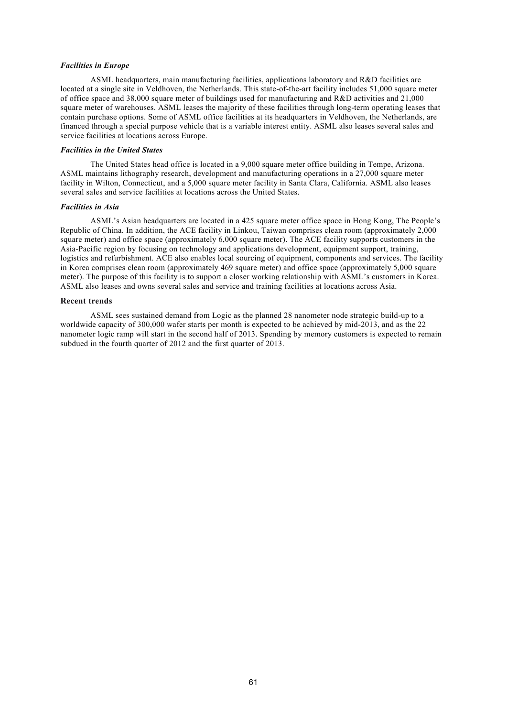### *Facilities in Europe*

ASML headquarters, main manufacturing facilities, applications laboratory and R&D facilities are located at a single site in Veldhoven, the Netherlands. This state-of-the-art facility includes 51,000 square meter of office space and 38,000 square meter of buildings used for manufacturing and R&D activities and 21,000 square meter of warehouses. ASML leases the majority of these facilities through long-term operating leases that contain purchase options. Some of ASML office facilities at its headquarters in Veldhoven, the Netherlands, are financed through a special purpose vehicle that is a variable interest entity. ASML also leases several sales and service facilities at locations across Europe.

### *Facilities in the United States*

The United States head office is located in a 9,000 square meter office building in Tempe, Arizona. ASML maintains lithography research, development and manufacturing operations in a 27,000 square meter facility in Wilton, Connecticut, and a 5,000 square meter facility in Santa Clara, California. ASML also leases several sales and service facilities at locations across the United States.

#### *Facilities in Asia*

ASML's Asian headquarters are located in a 425 square meter office space in Hong Kong, The People's Republic of China. In addition, the ACE facility in Linkou, Taiwan comprises clean room (approximately 2,000 square meter) and office space (approximately 6,000 square meter). The ACE facility supports customers in the Asia-Pacific region by focusing on technology and applications development, equipment support, training, logistics and refurbishment. ACE also enables local sourcing of equipment, components and services. The facility in Korea comprises clean room (approximately 469 square meter) and office space (approximately 5,000 square meter). The purpose of this facility is to support a closer working relationship with ASML's customers in Korea. ASML also leases and owns several sales and service and training facilities at locations across Asia.

### **Recent trends**

ASML sees sustained demand from Logic as the planned 28 nanometer node strategic build-up to a worldwide capacity of 300,000 wafer starts per month is expected to be achieved by mid-2013, and as the 22 nanometer logic ramp will start in the second half of 2013. Spending by memory customers is expected to remain subdued in the fourth quarter of 2012 and the first quarter of 2013.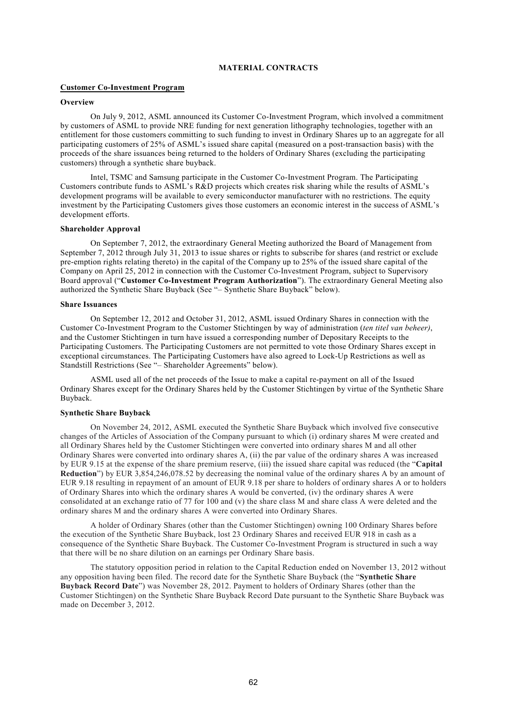## **MATERIAL CONTRACTS**

### **Customer Co-Investment Program**

### **Overview**

On July 9, 2012, ASML announced its Customer Co-Investment Program, which involved a commitment by customers of ASML to provide NRE funding for next generation lithography technologies, together with an entitlement for those customers committing to such funding to invest in Ordinary Shares up to an aggregate for all participating customers of 25% of ASML's issued share capital (measured on a post-transaction basis) with the proceeds of the share issuances being returned to the holders of Ordinary Shares (excluding the participating customers) through a synthetic share buyback.

Intel, TSMC and Samsung participate in the Customer Co-Investment Program. The Participating Customers contribute funds to ASML's R&D projects which creates risk sharing while the results of ASML's development programs will be available to every semiconductor manufacturer with no restrictions. The equity investment by the Participating Customers gives those customers an economic interest in the success of ASML's development efforts.

### **Shareholder Approval**

On September 7, 2012, the extraordinary General Meeting authorized the Board of Management from September 7, 2012 through July 31, 2013 to issue shares or rights to subscribe for shares (and restrict or exclude pre-emption rights relating thereto) in the capital of the Company up to 25% of the issued share capital of the Company on April 25, 2012 in connection with the Customer Co-Investment Program, subject to Supervisory Board approval ("**Customer Co-Investment Program Authorization**"). The extraordinary General Meeting also authorized the Synthetic Share Buyback (See "– Synthetic Share Buyback" below).

### **Share Issuances**

On September 12, 2012 and October 31, 2012, ASML issued Ordinary Shares in connection with the Customer Co-Investment Program to the Customer Stichtingen by way of administration (*ten titel van beheer)*, and the Customer Stichtingen in turn have issued a corresponding number of Depositary Receipts to the Participating Customers. The Participating Customers are not permitted to vote those Ordinary Shares except in exceptional circumstances. The Participating Customers have also agreed to Lock-Up Restrictions as well as Standstill Restrictions (See "– Shareholder Agreements" below).

ASML used all of the net proceeds of the Issue to make a capital re-payment on all of the Issued Ordinary Shares except for the Ordinary Shares held by the Customer Stichtingen by virtue of the Synthetic Share Buyback.

### **Synthetic Share Buyback**

On November 24, 2012, ASML executed the Synthetic Share Buyback which involved five consecutive changes of the Articles of Association of the Company pursuant to which (i) ordinary shares M were created and all Ordinary Shares held by the Customer Stichtingen were converted into ordinary shares M and all other Ordinary Shares were converted into ordinary shares A, (ii) the par value of the ordinary shares A was increased by EUR 9.15 at the expense of the share premium reserve, (iii) the issued share capital was reduced (the "**Capital Reduction**") by EUR 3,854,246,078.52 by decreasing the nominal value of the ordinary shares A by an amount of EUR 9.18 resulting in repayment of an amount of EUR 9.18 per share to holders of ordinary shares A or to holders of Ordinary Shares into which the ordinary shares A would be converted, (iv) the ordinary shares A were consolidated at an exchange ratio of 77 for 100 and (v) the share class M and share class A were deleted and the ordinary shares M and the ordinary shares A were converted into Ordinary Shares.

A holder of Ordinary Shares (other than the Customer Stichtingen) owning 100 Ordinary Shares before the execution of the Synthetic Share Buyback, lost 23 Ordinary Shares and received EUR 918 in cash as a consequence of the Synthetic Share Buyback. The Customer Co-Investment Program is structured in such a way that there will be no share dilution on an earnings per Ordinary Share basis.

The statutory opposition period in relation to the Capital Reduction ended on November 13, 2012 without any opposition having been filed. The record date for the Synthetic Share Buyback (the "**Synthetic Share Buyback Record Date**") was November 28, 2012. Payment to holders of Ordinary Shares (other than the Customer Stichtingen) on the Synthetic Share Buyback Record Date pursuant to the Synthetic Share Buyback was made on December 3, 2012.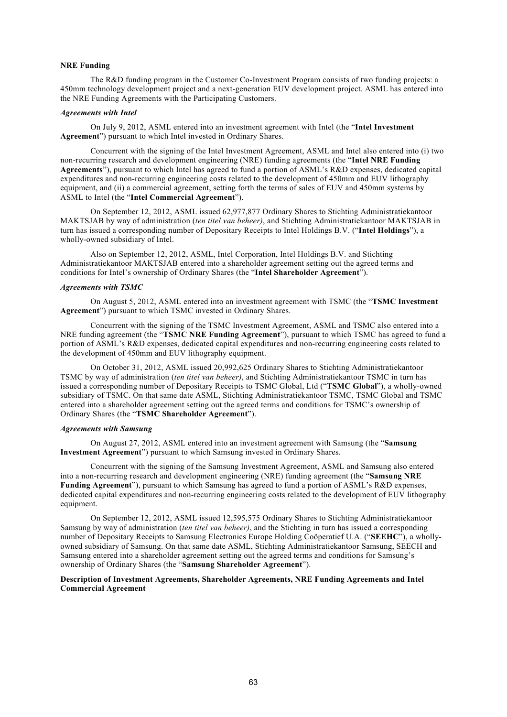## **NRE Funding**

The R&D funding program in the Customer Co-Investment Program consists of two funding projects: a 450mm technology development project and a next-generation EUV development project. ASML has entered into the NRE Funding Agreements with the Participating Customers.

# *Agreements with Intel*

On July 9, 2012, ASML entered into an investment agreement with Intel (the "**Intel Investment Agreement**") pursuant to which Intel invested in Ordinary Shares.

Concurrent with the signing of the Intel Investment Agreement, ASML and Intel also entered into (i) two non-recurring research and development engineering (NRE) funding agreements (the "**Intel NRE Funding Agreements**"), pursuant to which Intel has agreed to fund a portion of ASML's R&D expenses, dedicated capital expenditures and non-recurring engineering costs related to the development of 450mm and EUV lithography equipment, and (ii) a commercial agreement, setting forth the terms of sales of EUV and 450mm systems by ASML to Intel (the "**Intel Commercial Agreement**").

On September 12, 2012, ASML issued 62,977,877 Ordinary Shares to Stichting Administratiekantoor MAKTSJAB by way of administration (*ten titel van beheer)*, and Stichting Administratiekantoor MAKTSJAB in turn has issued a corresponding number of Depositary Receipts to Intel Holdings B.V. ("**Intel Holdings**"), a wholly-owned subsidiary of Intel.

Also on September 12, 2012, ASML, Intel Corporation, Intel Holdings B.V. and Stichting Administratiekantoor MAKTSJAB entered into a shareholder agreement setting out the agreed terms and conditions for Intel's ownership of Ordinary Shares (the "**Intel Shareholder Agreement**").

### *Agreements with TSMC*

On August 5, 2012, ASML entered into an investment agreement with TSMC (the "**TSMC Investment Agreement**") pursuant to which TSMC invested in Ordinary Shares.

Concurrent with the signing of the TSMC Investment Agreement, ASML and TSMC also entered into a NRE funding agreement (the "**TSMC NRE Funding Agreement**"), pursuant to which TSMC has agreed to fund a portion of ASML's R&D expenses, dedicated capital expenditures and non-recurring engineering costs related to the development of 450mm and EUV lithography equipment.

On October 31, 2012, ASML issued 20,992,625 Ordinary Shares to Stichting Administratiekantoor TSMC by way of administration (*ten titel van beheer)*, and Stichting Administratiekantoor TSMC in turn has issued a corresponding number of Depositary Receipts to TSMC Global, Ltd ("**TSMC Global**"), a wholly-owned subsidiary of TSMC. On that same date ASML, Stichting Administratiekantoor TSMC, TSMC Global and TSMC entered into a shareholder agreement setting out the agreed terms and conditions for TSMC's ownership of Ordinary Shares (the "**TSMC Shareholder Agreement**").

#### *Agreements with Samsung*

On August 27, 2012, ASML entered into an investment agreement with Samsung (the "**Samsung Investment Agreement**") pursuant to which Samsung invested in Ordinary Shares.

Concurrent with the signing of the Samsung Investment Agreement, ASML and Samsung also entered into a non-recurring research and development engineering (NRE) funding agreement (the "**Samsung NRE Funding Agreement**"), pursuant to which Samsung has agreed to fund a portion of ASML's R&D expenses, dedicated capital expenditures and non-recurring engineering costs related to the development of EUV lithography equipment.

On September 12, 2012, ASML issued 12,595,575 Ordinary Shares to Stichting Administratiekantoor Samsung by way of administration (*ten titel van beheer)*, and the Stichting in turn has issued a corresponding number of Depositary Receipts to Samsung Electronics Europe Holding Coöperatief U.A. ("**SEEHC**"), a whollyowned subsidiary of Samsung. On that same date ASML, Stichting Administratiekantoor Samsung, SEECH and Samsung entered into a shareholder agreement setting out the agreed terms and conditions for Samsung's ownership of Ordinary Shares (the "**Samsung Shareholder Agreement**").

## **Description of Investment Agreements, Shareholder Agreements, NRE Funding Agreements and Intel Commercial Agreement**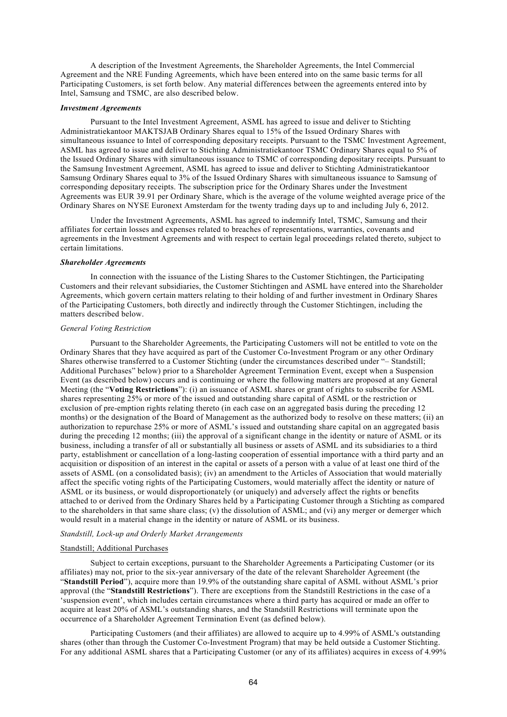A description of the Investment Agreements, the Shareholder Agreements, the Intel Commercial Agreement and the NRE Funding Agreements, which have been entered into on the same basic terms for all Participating Customers, is set forth below. Any material differences between the agreements entered into by Intel, Samsung and TSMC, are also described below.

### *Investment Agreements*

Pursuant to the Intel Investment Agreement, ASML has agreed to issue and deliver to Stichting Administratiekantoor MAKTSJAB Ordinary Shares equal to 15% of the Issued Ordinary Shares with simultaneous issuance to Intel of corresponding depositary receipts. Pursuant to the TSMC Investment Agreement, ASML has agreed to issue and deliver to Stichting Administratiekantoor TSMC Ordinary Shares equal to 5% of the Issued Ordinary Shares with simultaneous issuance to TSMC of corresponding depositary receipts. Pursuant to the Samsung Investment Agreement, ASML has agreed to issue and deliver to Stichting Administratiekantoor Samsung Ordinary Shares equal to 3% of the Issued Ordinary Shares with simultaneous issuance to Samsung of corresponding depositary receipts. The subscription price for the Ordinary Shares under the Investment Agreements was EUR 39.91 per Ordinary Share, which is the average of the volume weighted average price of the Ordinary Shares on NYSE Euronext Amsterdam for the twenty trading days up to and including July 6, 2012.

Under the Investment Agreements, ASML has agreed to indemnify Intel, TSMC, Samsung and their affiliates for certain losses and expenses related to breaches of representations, warranties, covenants and agreements in the Investment Agreements and with respect to certain legal proceedings related thereto, subject to certain limitations.

### *Shareholder Agreements*

In connection with the issuance of the Listing Shares to the Customer Stichtingen, the Participating Customers and their relevant subsidiaries, the Customer Stichtingen and ASML have entered into the Shareholder Agreements, which govern certain matters relating to their holding of and further investment in Ordinary Shares of the Participating Customers, both directly and indirectly through the Customer Stichtingen, including the matters described below.

#### *General Voting Restriction*

Pursuant to the Shareholder Agreements, the Participating Customers will not be entitled to vote on the Ordinary Shares that they have acquired as part of the Customer Co-Investment Program or any other Ordinary Shares otherwise transferred to a Customer Stichting (under the circumstances described under "– Standstill; Additional Purchases" below) prior to a Shareholder Agreement Termination Event, except when a Suspension Event (as described below) occurs and is continuing or where the following matters are proposed at any General Meeting (the "**Voting Restrictions**"): (i) an issuance of ASML shares or grant of rights to subscribe for ASML shares representing 25% or more of the issued and outstanding share capital of ASML or the restriction or exclusion of pre-emption rights relating thereto (in each case on an aggregated basis during the preceding 12 months) or the designation of the Board of Management as the authorized body to resolve on these matters; (ii) an authorization to repurchase 25% or more of ASML's issued and outstanding share capital on an aggregated basis during the preceding 12 months; (iii) the approval of a significant change in the identity or nature of ASML or its business, including a transfer of all or substantially all business or assets of ASML and its subsidiaries to a third party, establishment or cancellation of a long-lasting cooperation of essential importance with a third party and an acquisition or disposition of an interest in the capital or assets of a person with a value of at least one third of the assets of ASML (on a consolidated basis); (iv) an amendment to the Articles of Association that would materially affect the specific voting rights of the Participating Customers, would materially affect the identity or nature of ASML or its business, or would disproportionately (or uniquely) and adversely affect the rights or benefits attached to or derived from the Ordinary Shares held by a Participating Customer through a Stichting as compared to the shareholders in that same share class; (v) the dissolution of ASML; and (vi) any merger or demerger which would result in a material change in the identity or nature of ASML or its business.

## *Standstill, Lock-up and Orderly Market Arrangements*

### Standstill; Additional Purchases

Subject to certain exceptions, pursuant to the Shareholder Agreements a Participating Customer (or its affiliates) may not, prior to the six-year anniversary of the date of the relevant Shareholder Agreement (the "**Standstill Period**"), acquire more than 19.9% of the outstanding share capital of ASML without ASML's prior approval (the "**Standstill Restrictions**"). There are exceptions from the Standstill Restrictions in the case of a 'suspension event', which includes certain circumstances where a third party has acquired or made an offer to acquire at least 20% of ASML's outstanding shares, and the Standstill Restrictions will terminate upon the occurrence of a Shareholder Agreement Termination Event (as defined below).

Participating Customers (and their affiliates) are allowed to acquire up to 4.99% of ASML's outstanding shares (other than through the Customer Co-Investment Program) that may be held outside a Customer Stichting. For any additional ASML shares that a Participating Customer (or any of its affiliates) acquires in excess of 4.99%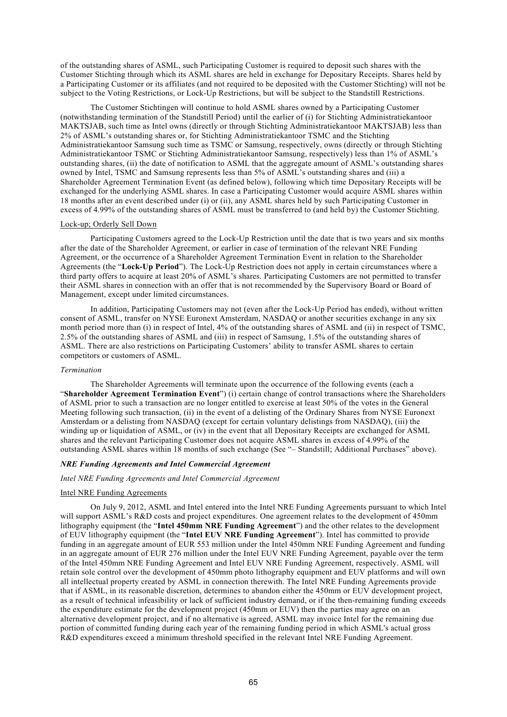of the outstanding shares of ASML, such Participating Customer is required to deposit such shares with the Customer Stichting through which its ASML shares are held in exchange for Depositary Receipts. Shares held by a Participating Customer or its affiliates (and not required to be deposited with the Customer Stichting) will not be subject to the Voting Restrictions, or Lock-Up Restrictions, but will be subject to the Standstill Restrictions.

The Customer Stichtingen will continue to hold ASML shares owned by a Participating Customer (notwithstanding termination of the Standstill Period) until the earlier of (i) for Stichting Administratiekantoor MAKTSJAB, such time as Intel owns (directly or through Stichting Administratiekantoor MAKTSJAB) less than 2% of ASML's outstanding shares or, for Stichting Administratiekantoor TSMC and the Stichting Administratiekantoor Samsung such time as TSMC or Samsung, respectively, owns (directly or through Stichting Administratiekantoor TSMC or Stichting Administratiekantoor Samsung, respectively) less than 1% of ASML's outstanding shares, (ii) the date of notification to ASML that the aggregate amount of ASML's outstanding shares owned by Intel, TSMC and Samsung represents less than 5% of ASML's outstanding shares and (iii) a Shareholder Agreement Termination Event (as defined below), following which time Depositary Receipts will be exchanged for the underlying ASML shares. In case a Participating Customer would acquire ASML shares within 18 months after an event described under (i) or (ii), any ASML shares held by such Participating Customer in excess of 4.99% of the outstanding shares of ASML must be transferred to (and held by) the Customer Stichting.

# Lock-up; Orderly Sell Down

Participating Customers agreed to the Lock-Up Restriction until the date that is two years and six months after the date of the Shareholder Agreement, or earlier in case of termination of the relevant NRE Funding Agreement, or the occurrence of a Shareholder Agreement Termination Event in relation to the Shareholder Agreements (the "**Lock-Up Period**"). The Lock-Up Restriction does not apply in certain circumstances where a third party offers to acquire at least 20% of ASML's shares. Participating Customers are not permitted to transfer their ASML shares in connection with an offer that is not recommended by the Supervisory Board or Board of Management, except under limited circumstances.

In addition, Participating Customers may not (even after the Lock-Up Period has ended), without written consent of ASML, transfer on NYSE Euronext Amsterdam, NASDAQ or another securities exchange in any six month period more than (i) in respect of Intel, 4% of the outstanding shares of ASML and (ii) in respect of TSMC, 2.5% of the outstanding shares of ASML and (iii) in respect of Samsung, 1.5% of the outstanding shares of ASML. There are also restrictions on Participating Customers' ability to transfer ASML shares to certain competitors or customers of ASML.

### *Termination*

The Shareholder Agreements will terminate upon the occurrence of the following events (each a "**Shareholder Agreement Termination Event**") (i) certain change of control transactions where the Shareholders of ASML prior to such a transaction are no longer entitled to exercise at least 50% of the votes in the General Meeting following such transaction, (ii) in the event of a delisting of the Ordinary Shares from NYSE Euronext Amsterdam or a delisting from NASDAQ (except for certain voluntary delistings from NASDAQ), (iii) the winding up or liquidation of ASML, or (iv) in the event that all Depositary Receipts are exchanged for ASML shares and the relevant Participating Customer does not acquire ASML shares in excess of 4.99% of the outstanding ASML shares within 18 months of such exchange (See "– Standstill; Additional Purchases" above).

## *NRE Funding Agreements and Intel Commercial Agreement*

*Intel NRE Funding Agreements and Intel Commercial Agreement*

## Intel NRE Funding Agreements

On July 9, 2012, ASML and Intel entered into the Intel NRE Funding Agreements pursuant to which Intel will support ASML's R&D costs and project expenditures. One agreement relates to the development of 450mm lithography equipment (the "**Intel 450mm NRE Funding Agreement**") and the other relates to the development of EUV lithography equipment (the "**Intel EUV NRE Funding Agreement**"). Intel has committed to provide funding in an aggregate amount of EUR 553 million under the Intel 450mm NRE Funding Agreement and funding in an aggregate amount of EUR 276 million under the Intel EUV NRE Funding Agreement, payable over the term of the Intel 450mm NRE Funding Agreement and Intel EUV NRE Funding Agreement, respectively. ASML will retain sole control over the development of 450mm photo lithography equipment and EUV platforms and will own all intellectual property created by ASML in connection therewith. The Intel NRE Funding Agreements provide that if ASML, in its reasonable discretion, determines to abandon either the 450mm or EUV development project, as a result of technical infeasibility or lack of sufficient industry demand, or if the then-remaining funding exceeds the expenditure estimate for the development project (450mm or EUV) then the parties may agree on an alternative development project, and if no alternative is agreed, ASML may invoice Intel for the remaining due portion of committed funding during each year of the remaining funding period in which ASML's actual gross R&D expenditures exceed a minimum threshold specified in the relevant Intel NRE Funding Agreement.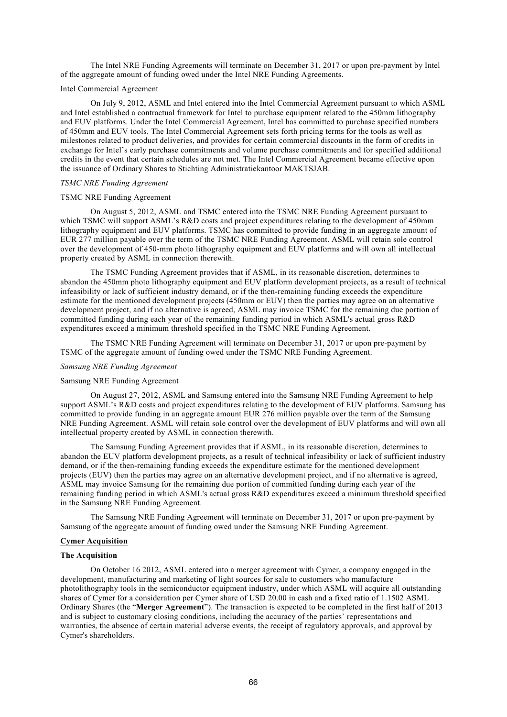The Intel NRE Funding Agreements will terminate on December 31, 2017 or upon pre-payment by Intel of the aggregate amount of funding owed under the Intel NRE Funding Agreements.

## Intel Commercial Agreement

On July 9, 2012, ASML and Intel entered into the Intel Commercial Agreement pursuant to which ASML and Intel established a contractual framework for Intel to purchase equipment related to the 450mm lithography and EUV platforms. Under the Intel Commercial Agreement, Intel has committed to purchase specified numbers of 450mm and EUV tools. The Intel Commercial Agreement sets forth pricing terms for the tools as well as milestones related to product deliveries, and provides for certain commercial discounts in the form of credits in exchange for Intel's early purchase commitments and volume purchase commitments and for specified additional credits in the event that certain schedules are not met. The Intel Commercial Agreement became effective upon the issuance of Ordinary Shares to Stichting Administratiekantoor MAKTSJAB.

#### *TSMC NRE Funding Agreement*

### TSMC NRE Funding Agreement

On August 5, 2012, ASML and TSMC entered into the TSMC NRE Funding Agreement pursuant to which TSMC will support ASML's R&D costs and project expenditures relating to the development of 450mm lithography equipment and EUV platforms. TSMC has committed to provide funding in an aggregate amount of EUR 277 million payable over the term of the TSMC NRE Funding Agreement. ASML will retain sole control over the development of 450-mm photo lithography equipment and EUV platforms and will own all intellectual property created by ASML in connection therewith.

The TSMC Funding Agreement provides that if ASML, in its reasonable discretion, determines to abandon the 450mm photo lithography equipment and EUV platform development projects, as a result of technical infeasibility or lack of sufficient industry demand, or if the then-remaining funding exceeds the expenditure estimate for the mentioned development projects (450mm or EUV) then the parties may agree on an alternative development project, and if no alternative is agreed, ASML may invoice TSMC for the remaining due portion of committed funding during each year of the remaining funding period in which ASML's actual gross R&D expenditures exceed a minimum threshold specified in the TSMC NRE Funding Agreement.

The TSMC NRE Funding Agreement will terminate on December 31, 2017 or upon pre-payment by TSMC of the aggregate amount of funding owed under the TSMC NRE Funding Agreement.

### *Samsung NRE Funding Agreement*

### Samsung NRE Funding Agreement

On August 27, 2012, ASML and Samsung entered into the Samsung NRE Funding Agreement to help support ASML's R&D costs and project expenditures relating to the development of EUV platforms. Samsung has committed to provide funding in an aggregate amount EUR 276 million payable over the term of the Samsung NRE Funding Agreement. ASML will retain sole control over the development of EUV platforms and will own all intellectual property created by ASML in connection therewith.

The Samsung Funding Agreement provides that if ASML, in its reasonable discretion, determines to abandon the EUV platform development projects, as a result of technical infeasibility or lack of sufficient industry demand, or if the then-remaining funding exceeds the expenditure estimate for the mentioned development projects (EUV) then the parties may agree on an alternative development project, and if no alternative is agreed, ASML may invoice Samsung for the remaining due portion of committed funding during each year of the remaining funding period in which ASML's actual gross R&D expenditures exceed a minimum threshold specified in the Samsung NRE Funding Agreement.

The Samsung NRE Funding Agreement will terminate on December 31, 2017 or upon pre-payment by Samsung of the aggregate amount of funding owed under the Samsung NRE Funding Agreement.

## **Cymer Acquisition**

### **The Acquisition**

On October 16 2012, ASML entered into a merger agreement with Cymer, a company engaged in the development, manufacturing and marketing of light sources for sale to customers who manufacture photolithography tools in the semiconductor equipment industry, under which ASML will acquire all outstanding shares of Cymer for a consideration per Cymer share of USD 20.00 in cash and a fixed ratio of 1.1502 ASML Ordinary Shares (the "**Merger Agreement**"). The transaction is expected to be completed in the first half of 2013 and is subject to customary closing conditions, including the accuracy of the parties' representations and warranties, the absence of certain material adverse events, the receipt of regulatory approvals, and approval by Cymer's shareholders.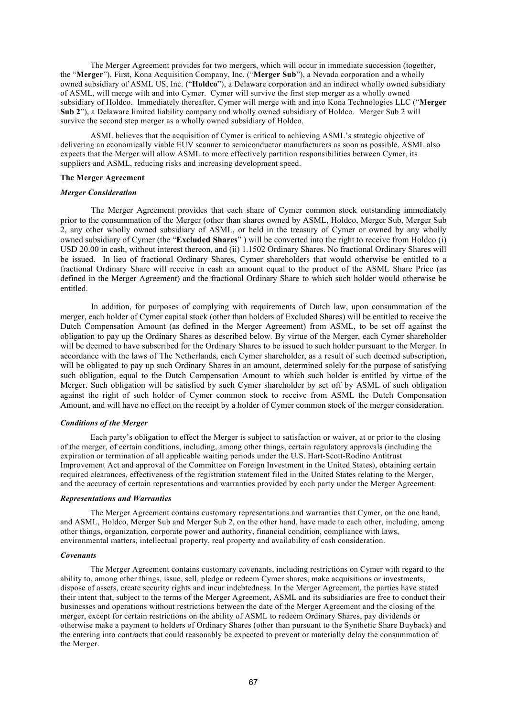The Merger Agreement provides for two mergers, which will occur in immediate succession (together, the "**Merger**"). First, Kona Acquisition Company, Inc. ("**Merger Sub**"), a Nevada corporation and a wholly owned subsidiary of ASML US, Inc. ("**Holdco**"), a Delaware corporation and an indirect wholly owned subsidiary of ASML, will merge with and into Cymer. Cymer will survive the first step merger as a wholly owned subsidiary of Holdco. Immediately thereafter, Cymer will merge with and into Kona Technologies LLC ("**Merger Sub 2**"), a Delaware limited liability company and wholly owned subsidiary of Holdco. Merger Sub 2 will survive the second step merger as a wholly owned subsidiary of Holdco.

ASML believes that the acquisition of Cymer is critical to achieving ASML's strategic objective of delivering an economically viable EUV scanner to semiconductor manufacturers as soon as possible. ASML also expects that the Merger will allow ASML to more effectively partition responsibilities between Cymer, its suppliers and ASML, reducing risks and increasing development speed.

# **The Merger Agreement**

### *Merger Consideration*

The Merger Agreement provides that each share of Cymer common stock outstanding immediately prior to the consummation of the Merger (other than shares owned by ASML, Holdco, Merger Sub, Merger Sub 2, any other wholly owned subsidiary of ASML, or held in the treasury of Cymer or owned by any wholly owned subsidiary of Cymer (the "**Excluded Shares**" ) will be converted into the right to receive from Holdco (i) USD 20.00 in cash, without interest thereon, and (ii) 1.1502 Ordinary Shares. No fractional Ordinary Shares will be issued. In lieu of fractional Ordinary Shares, Cymer shareholders that would otherwise be entitled to a fractional Ordinary Share will receive in cash an amount equal to the product of the ASML Share Price (as defined in the Merger Agreement) and the fractional Ordinary Share to which such holder would otherwise be entitled.

In addition, for purposes of complying with requirements of Dutch law, upon consummation of the merger, each holder of Cymer capital stock (other than holders of Excluded Shares) will be entitled to receive the Dutch Compensation Amount (as defined in the Merger Agreement) from ASML, to be set off against the obligation to pay up the Ordinary Shares as described below. By virtue of the Merger, each Cymer shareholder will be deemed to have subscribed for the Ordinary Shares to be issued to such holder pursuant to the Merger. In accordance with the laws of The Netherlands, each Cymer shareholder, as a result of such deemed subscription, will be obligated to pay up such Ordinary Shares in an amount, determined solely for the purpose of satisfying such obligation, equal to the Dutch Compensation Amount to which such holder is entitled by virtue of the Merger. Such obligation will be satisfied by such Cymer shareholder by set off by ASML of such obligation against the right of such holder of Cymer common stock to receive from ASML the Dutch Compensation Amount, and will have no effect on the receipt by a holder of Cymer common stock of the merger consideration.

## *Conditions of the Merger*

Each party's obligation to effect the Merger is subject to satisfaction or waiver, at or prior to the closing of the merger, of certain conditions, including, among other things, certain regulatory approvals (including the expiration or termination of all applicable waiting periods under the U.S. Hart-Scott-Rodino Antitrust Improvement Act and approval of the Committee on Foreign Investment in the United States), obtaining certain required clearances, effectiveness of the registration statement filed in the United States relating to the Merger, and the accuracy of certain representations and warranties provided by each party under the Merger Agreement.

#### *Representations and Warranties*

The Merger Agreement contains customary representations and warranties that Cymer, on the one hand, and ASML, Holdco, Merger Sub and Merger Sub 2, on the other hand, have made to each other, including, among other things, organization, corporate power and authority, financial condition, compliance with laws, environmental matters, intellectual property, real property and availability of cash consideration.

#### *Covenants*

The Merger Agreement contains customary covenants, including restrictions on Cymer with regard to the ability to, among other things, issue, sell, pledge or redeem Cymer shares, make acquisitions or investments, dispose of assets, create security rights and incur indebtedness. In the Merger Agreement, the parties have stated their intent that, subject to the terms of the Merger Agreement, ASML and its subsidiaries are free to conduct their businesses and operations without restrictions between the date of the Merger Agreement and the closing of the merger, except for certain restrictions on the ability of ASML to redeem Ordinary Shares, pay dividends or otherwise make a payment to holders of Ordinary Shares (other than pursuant to the Synthetic Share Buyback) and the entering into contracts that could reasonably be expected to prevent or materially delay the consummation of the Merger.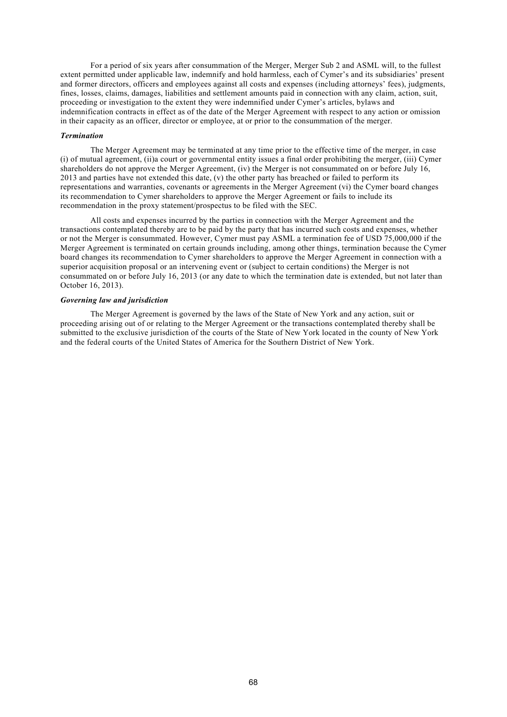For a period of six years after consummation of the Merger, Merger Sub 2 and ASML will, to the fullest extent permitted under applicable law, indemnify and hold harmless, each of Cymer's and its subsidiaries' present and former directors, officers and employees against all costs and expenses (including attorneys' fees), judgments, fines, losses, claims, damages, liabilities and settlement amounts paid in connection with any claim, action, suit, proceeding or investigation to the extent they were indemnified under Cymer's articles, bylaws and indemnification contracts in effect as of the date of the Merger Agreement with respect to any action or omission in their capacity as an officer, director or employee, at or prior to the consummation of the merger.

### *Termination*

The Merger Agreement may be terminated at any time prior to the effective time of the merger, in case (i) of mutual agreement, (ii)a court or governmental entity issues a final order prohibiting the merger, (iii) Cymer shareholders do not approve the Merger Agreement, (iv) the Merger is not consummated on or before July 16, 2013 and parties have not extended this date, (v) the other party has breached or failed to perform its representations and warranties, covenants or agreements in the Merger Agreement (vi) the Cymer board changes its recommendation to Cymer shareholders to approve the Merger Agreement or fails to include its recommendation in the proxy statement/prospectus to be filed with the SEC.

All costs and expenses incurred by the parties in connection with the Merger Agreement and the transactions contemplated thereby are to be paid by the party that has incurred such costs and expenses, whether or not the Merger is consummated. However, Cymer must pay ASML a termination fee of USD 75,000,000 if the Merger Agreement is terminated on certain grounds including, among other things, termination because the Cymer board changes its recommendation to Cymer shareholders to approve the Merger Agreement in connection with a superior acquisition proposal or an intervening event or (subject to certain conditions) the Merger is not consummated on or before July 16, 2013 (or any date to which the termination date is extended, but not later than October 16, 2013).

# *Governing law and jurisdiction*

The Merger Agreement is governed by the laws of the State of New York and any action, suit or proceeding arising out of or relating to the Merger Agreement or the transactions contemplated thereby shall be submitted to the exclusive jurisdiction of the courts of the State of New York located in the county of New York and the federal courts of the United States of America for the Southern District of New York.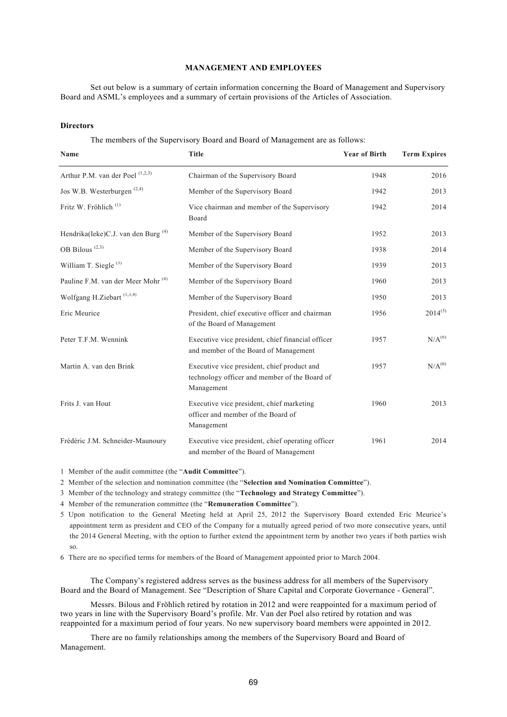# **MANAGEMENT AND EMPLOYEES**

Set out below is a summary of certain information concerning the Board of Management and Supervisory Board and ASML's employees and a summary of certain provisions of the Articles of Association.

## **Directors**

The members of the Supervisory Board and Board of Management are as follows:

| Name                                           | <b>Title</b>                                                                                               | <b>Year of Birth</b> | <b>Term Expires</b> |
|------------------------------------------------|------------------------------------------------------------------------------------------------------------|----------------------|---------------------|
| Arthur P.M. van der Poel <sup>(1,2,3)</sup>    | Chairman of the Supervisory Board                                                                          | 1948                 | 2016                |
| Jos W.B. Westerburgen <sup>(2,4)</sup>         | Member of the Supervisory Board                                                                            | 1942                 | 2013                |
| Fritz W. Fröhlich <sup>(1)</sup>               | Vice chairman and member of the Supervisory<br>Board                                                       | 1942                 | 2014                |
| Hendrika(leke)C.J. van den Burg <sup>(4)</sup> | Member of the Supervisory Board                                                                            | 1952                 | 2013                |
| OB Bilous <sup>(2,3)</sup>                     | Member of the Supervisory Board                                                                            | 1938                 | 2014                |
| William T. Siegle <sup>(3)</sup>               | Member of the Supervisory Board                                                                            | 1939                 | 2013                |
| Pauline F.M. van der Meer Mohr <sup>(4)</sup>  | Member of the Supervisory Board                                                                            | 1960                 | 2013                |
| Wolfgang H.Ziebart <sup>(1,3,4)</sup>          | Member of the Supervisory Board                                                                            | 1950                 | 2013                |
| Eric Meurice                                   | President, chief executive officer and chairman<br>of the Board of Management                              | 1956                 | $2014^{(5)}$        |
| Peter T.F.M. Wennink                           | Executive vice president, chief financial officer<br>and member of the Board of Management                 | 1957                 | N/A <sup>(6)</sup>  |
| Martin A. van den Brink                        | Executive vice president, chief product and<br>technology officer and member of the Board of<br>Management | 1957                 | N/A <sup>(6)</sup>  |
| Frits J. van Hout                              | Executive vice president, chief marketing<br>officer and member of the Board of<br>Management              | 1960                 | 2013                |
| Frédéric J.M. Schneider-Maunoury               | Executive vice president, chief operating officer<br>and member of the Board of Management                 | 1961                 | 2014                |

1 Member of the audit committee (the "**Audit Committee**").

2 Member of the selection and nomination committee (the "**Selection and Nomination Committee**").

3 Member of the technology and strategy committee (the "**Technology and Strategy Committee**").

4 Member of the remuneration committee (the "**Remuneration Committee**").

5 Upon notification to the General Meeting held at April 25, 2012 the Supervisory Board extended Eric Meurice's appointment term as president and CEO of the Company for a mutually agreed period of two more consecutive years, until the 2014 General Meeting, with the option to further extend the appointment term by another two years if both parties wish so.

6 There are no specified terms for members of the Board of Management appointed prior to March 2004.

The Company's registered address serves as the business address for all members of the Supervisory Board and the Board of Management. See "Description of Share Capital and Corporate Governance - General".

Messrs. Bilous and Fröhlich retired by rotation in 2012 and were reappointed for a maximum period of two years in line with the Supervisory Board's profile. Mr. Van der Poel also retired by rotation and was reappointed for a maximum period of four years. No new supervisory board members were appointed in 2012.

There are no family relationships among the members of the Supervisory Board and Board of Management.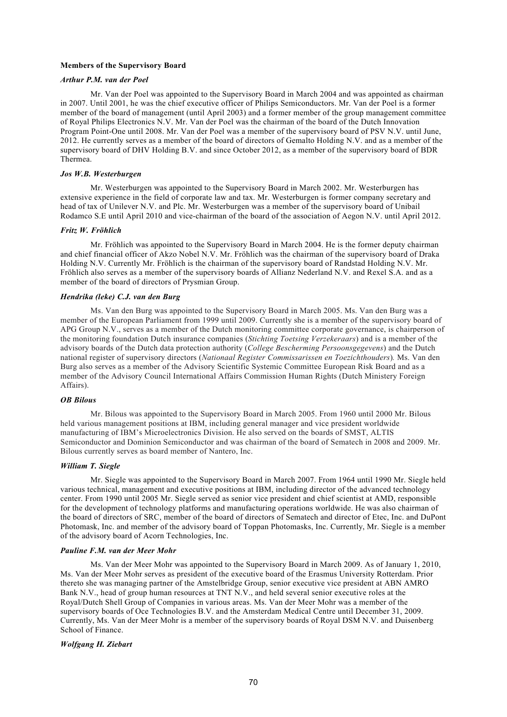### **Members of the Supervisory Board**

# *Arthur P.M. van der Poel*

Mr. Van der Poel was appointed to the Supervisory Board in March 2004 and was appointed as chairman in 2007. Until 2001, he was the chief executive officer of Philips Semiconductors. Mr. Van der Poel is a former member of the board of management (until April 2003) and a former member of the group management committee of Royal Philips Electronics N.V. Mr. Van der Poel was the chairman of the board of the Dutch Innovation Program Point-One until 2008. Mr. Van der Poel was a member of the supervisory board of PSV N.V. until June, 2012. He currently serves as a member of the board of directors of Gemalto Holding N.V. and as a member of the supervisory board of DHV Holding B.V. and since October 2012, as a member of the supervisory board of BDR Thermea.

# *Jos W.B. Westerburgen*

Mr. Westerburgen was appointed to the Supervisory Board in March 2002. Mr. Westerburgen has extensive experience in the field of corporate law and tax. Mr. Westerburgen is former company secretary and head of tax of Unilever N.V. and Plc. Mr. Westerburgen was a member of the supervisory board of Unibail Rodamco S.E until April 2010 and vice-chairman of the board of the association of Aegon N.V. until April 2012.

# *Fritz W. Fröhlich*

Mr. Fröhlich was appointed to the Supervisory Board in March 2004. He is the former deputy chairman and chief financial officer of Akzo Nobel N.V. Mr. Fröhlich was the chairman of the supervisory board of Draka Holding N.V. Currently Mr. Fröhlich is the chairman of the supervisory board of Randstad Holding N.V. Mr. Fröhlich also serves as a member of the supervisory boards of Allianz Nederland N.V. and Rexel S.A. and as a member of the board of directors of Prysmian Group.

### *Hendrika (leke) C.J. van den Burg*

Ms. Van den Burg was appointed to the Supervisory Board in March 2005. Ms. Van den Burg was a member of the European Parliament from 1999 until 2009. Currently she is a member of the supervisory board of APG Group N.V., serves as a member of the Dutch monitoring committee corporate governance, is chairperson of the monitoring foundation Dutch insurance companies (*Stichting Toetsing Verzekeraars*) and is a member of the advisory boards of the Dutch data protection authority (*College Bescherming Persoonsgegevens*) and the Dutch national register of supervisory directors (*Nationaal Register Commissarissen en Toezichthouders*)*.* Ms. Van den Burg also serves as a member of the Advisory Scientific Systemic Committee European Risk Board and as a member of the Advisory Council International Affairs Commission Human Rights (Dutch Ministery Foreign Affairs).

#### *OB Bilous*

Mr. Bilous was appointed to the Supervisory Board in March 2005. From 1960 until 2000 Mr. Bilous held various management positions at IBM, including general manager and vice president worldwide manufacturing of IBM's Microelectronics Division. He also served on the boards of SMST, ALTIS Semiconductor and Dominion Semiconductor and was chairman of the board of Sematech in 2008 and 2009. Mr. Bilous currently serves as board member of Nantero, Inc.

#### *William T. Siegle*

Mr. Siegle was appointed to the Supervisory Board in March 2007. From 1964 until 1990 Mr. Siegle held various technical, management and executive positions at IBM, including director of the advanced technology center. From 1990 until 2005 Mr. Siegle served as senior vice president and chief scientist at AMD, responsible for the development of technology platforms and manufacturing operations worldwide. He was also chairman of the board of directors of SRC, member of the board of directors of Sematech and director of Etec, Inc. and DuPont Photomask, Inc. and member of the advisory board of Toppan Photomasks, Inc. Currently, Mr. Siegle is a member of the advisory board of Acorn Technologies, Inc.

#### *Pauline F.M. van der Meer Mohr*

Ms. Van der Meer Mohr was appointed to the Supervisory Board in March 2009. As of January 1, 2010, Ms. Van der Meer Mohr serves as president of the executive board of the Erasmus University Rotterdam. Prior thereto she was managing partner of the Amstelbridge Group, senior executive vice president at ABN AMRO Bank N.V., head of group human resources at TNT N.V., and held several senior executive roles at the Royal/Dutch Shell Group of Companies in various areas. Ms. Van der Meer Mohr was a member of the supervisory boards of Oce Technologies B.V. and the Amsterdam Medical Centre until December 31, 2009. Currently, Ms. Van der Meer Mohr is a member of the supervisory boards of Royal DSM N.V. and Duisenberg School of Finance.

### *Wolfgang H. Ziebart*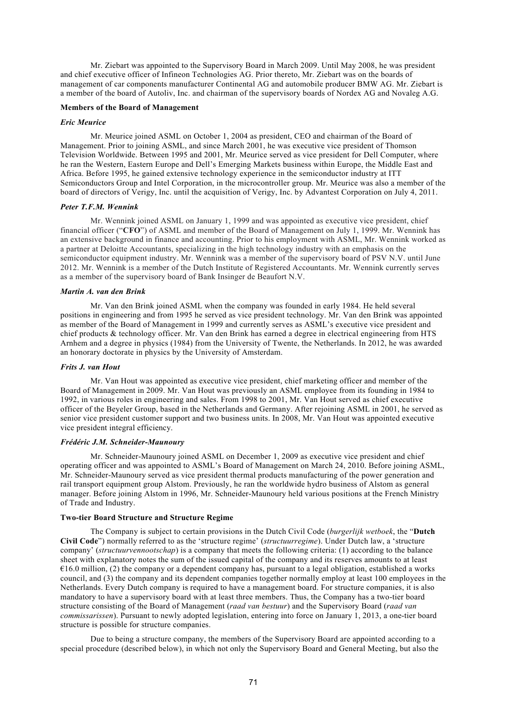Mr. Ziebart was appointed to the Supervisory Board in March 2009. Until May 2008, he was president and chief executive officer of Infineon Technologies AG. Prior thereto, Mr. Ziebart was on the boards of management of car components manufacturer Continental AG and automobile producer BMW AG. Mr. Ziebart is a member of the board of Autoliv, Inc. and chairman of the supervisory boards of Nordex AG and Novaleg A.G.

## **Members of the Board of Management**

#### *Eric Meurice*

Mr. Meurice joined ASML on October 1, 2004 as president, CEO and chairman of the Board of Management. Prior to joining ASML, and since March 2001, he was executive vice president of Thomson Television Worldwide. Between 1995 and 2001, Mr. Meurice served as vice president for Dell Computer, where he ran the Western, Eastern Europe and Dell's Emerging Markets business within Europe, the Middle East and Africa. Before 1995, he gained extensive technology experience in the semiconductor industry at ITT Semiconductors Group and Intel Corporation, in the microcontroller group. Mr. Meurice was also a member of the board of directors of Verigy, Inc. until the acquisition of Verigy, Inc. by Advantest Corporation on July 4, 2011.

### *Peter T.F.M. Wennink*

Mr. Wennink joined ASML on January 1, 1999 and was appointed as executive vice president, chief financial officer ("**CFO**") of ASML and member of the Board of Management on July 1, 1999. Mr. Wennink has an extensive background in finance and accounting. Prior to his employment with ASML, Mr. Wennink worked as a partner at Deloitte Accountants, specializing in the high technology industry with an emphasis on the semiconductor equipment industry. Mr. Wennink was a member of the supervisory board of PSV N.V. until June 2012. Mr. Wennink is a member of the Dutch Institute of Registered Accountants. Mr. Wennink currently serves as a member of the supervisory board of Bank Insinger de Beaufort N.V.

#### *Martin A. van den Brink*

Mr. Van den Brink joined ASML when the company was founded in early 1984. He held several positions in engineering and from 1995 he served as vice president technology. Mr. Van den Brink was appointed as member of the Board of Management in 1999 and currently serves as ASML's executive vice president and chief products & technology officer. Mr. Van den Brink has earned a degree in electrical engineering from HTS Arnhem and a degree in physics (1984) from the University of Twente, the Netherlands. In 2012, he was awarded an honorary doctorate in physics by the University of Amsterdam.

### *Frits J. van Hout*

Mr. Van Hout was appointed as executive vice president, chief marketing officer and member of the Board of Management in 2009. Mr. Van Hout was previously an ASML employee from its founding in 1984 to 1992, in various roles in engineering and sales. From 1998 to 2001, Mr. Van Hout served as chief executive officer of the Beyeler Group, based in the Netherlands and Germany. After rejoining ASML in 2001, he served as senior vice president customer support and two business units. In 2008, Mr. Van Hout was appointed executive vice president integral efficiency.

## *Frédéric J.M. Schneider-Maunoury*

Mr. Schneider-Maunoury joined ASML on December 1, 2009 as executive vice president and chief operating officer and was appointed to ASML's Board of Management on March 24, 2010. Before joining ASML, Mr. Schneider-Maunoury served as vice president thermal products manufacturing of the power generation and rail transport equipment group Alstom. Previously, he ran the worldwide hydro business of Alstom as general manager. Before joining Alstom in 1996, Mr. Schneider-Maunoury held various positions at the French Ministry of Trade and Industry.

#### **Two-tier Board Structure and Structure Regime**

The Company is subject to certain provisions in the Dutch Civil Code (*burgerlijk wetboek*, the "**Dutch Civil Code**") normally referred to as the 'structure regime' (*structuurregime*). Under Dutch law, a 'structure company' (*structuurvennootschap*) is a company that meets the following criteria: (1) according to the balance sheet with explanatory notes the sum of the issued capital of the company and its reserves amounts to at least  $\epsilon$ 16.0 million, (2) the company or a dependent company has, pursuant to a legal obligation, established a works council, and (3) the company and its dependent companies together normally employ at least 100 employees in the Netherlands. Every Dutch company is required to have a management board. For structure companies, it is also mandatory to have a supervisory board with at least three members. Thus, the Company has a two-tier board structure consisting of the Board of Management (*raad van bestuur*) and the Supervisory Board (*raad van commissarissen*). Pursuant to newly adopted legislation, entering into force on January 1, 2013, a one-tier board structure is possible for structure companies.

Due to being a structure company, the members of the Supervisory Board are appointed according to a special procedure (described below), in which not only the Supervisory Board and General Meeting, but also the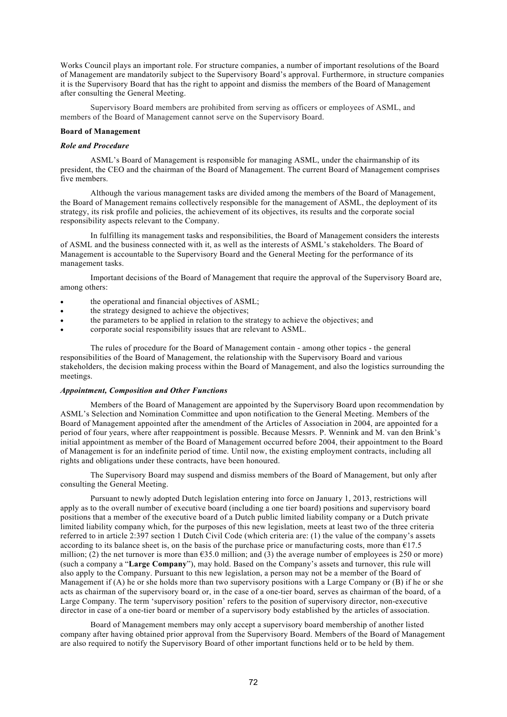Works Council plays an important role. For structure companies, a number of important resolutions of the Board of Management are mandatorily subject to the Supervisory Board's approval. Furthermore, in structure companies it is the Supervisory Board that has the right to appoint and dismiss the members of the Board of Management after consulting the General Meeting.

Supervisory Board members are prohibited from serving as officers or employees of ASML, and members of the Board of Management cannot serve on the Supervisory Board.

# **Board of Management**

# *Role and Procedure*

ASML's Board of Management is responsible for managing ASML, under the chairmanship of its president, the CEO and the chairman of the Board of Management. The current Board of Management comprises five members.

Although the various management tasks are divided among the members of the Board of Management, the Board of Management remains collectively responsible for the management of ASML, the deployment of its strategy, its risk profile and policies, the achievement of its objectives, its results and the corporate social responsibility aspects relevant to the Company.

In fulfilling its management tasks and responsibilities, the Board of Management considers the interests of ASML and the business connected with it, as well as the interests of ASML's stakeholders. The Board of Management is accountable to the Supervisory Board and the General Meeting for the performance of its management tasks.

Important decisions of the Board of Management that require the approval of the Supervisory Board are, among others:

- the operational and financial objectives of ASML;
- $\bullet$  the strategy designed to achieve the objectives;
- the parameters to be applied in relation to the strategy to achieve the objectives; and
- corporate social responsibility issues that are relevant to ASML.

The rules of procedure for the Board of Management contain - among other topics - the general responsibilities of the Board of Management, the relationship with the Supervisory Board and various stakeholders, the decision making process within the Board of Management, and also the logistics surrounding the meetings.

### *Appointment, Composition and Other Functions*

Members of the Board of Management are appointed by the Supervisory Board upon recommendation by ASML's Selection and Nomination Committee and upon notification to the General Meeting. Members of the Board of Management appointed after the amendment of the Articles of Association in 2004, are appointed for a period of four years, where after reappointment is possible. Because Messrs. P. Wennink and M. van den Brink's initial appointment as member of the Board of Management occurred before 2004, their appointment to the Board of Management is for an indefinite period of time. Until now, the existing employment contracts, including all rights and obligations under these contracts, have been honoured.

The Supervisory Board may suspend and dismiss members of the Board of Management, but only after consulting the General Meeting.

Pursuant to newly adopted Dutch legislation entering into force on January 1, 2013, restrictions will apply as to the overall number of executive board (including a one tier board) positions and supervisory board positions that a member of the executive board of a Dutch public limited liability company or a Dutch private limited liability company which, for the purposes of this new legislation, meets at least two of the three criteria referred to in article 2:397 section 1 Dutch Civil Code (which criteria are: (1) the value of the company's assets according to its balance sheet is, on the basis of the purchase price or manufacturing costs, more than €17.5 million; (2) the net turnover is more than  $635.0$  million; and (3) the average number of employees is 250 or more) (such a company a "**Large Company**"), may hold. Based on the Company's assets and turnover, this rule will also apply to the Company. Pursuant to this new legislation, a person may not be a member of the Board of Management if (A) he or she holds more than two supervisory positions with a Large Company or (B) if he or she acts as chairman of the supervisory board or, in the case of a one-tier board, serves as chairman of the board, of a Large Company. The term 'supervisory position' refers to the position of supervisory director, non-executive director in case of a one-tier board or member of a supervisory body established by the articles of association.

Board of Management members may only accept a supervisory board membership of another listed company after having obtained prior approval from the Supervisory Board. Members of the Board of Management are also required to notify the Supervisory Board of other important functions held or to be held by them.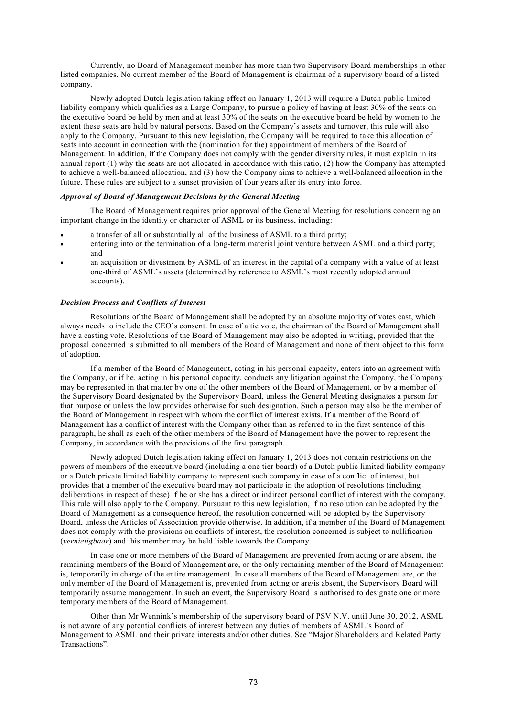Currently, no Board of Management member has more than two Supervisory Board memberships in other listed companies. No current member of the Board of Management is chairman of a supervisory board of a listed company.

Newly adopted Dutch legislation taking effect on January 1, 2013 will require a Dutch public limited liability company which qualifies as a Large Company, to pursue a policy of having at least 30% of the seats on the executive board be held by men and at least 30% of the seats on the executive board be held by women to the extent these seats are held by natural persons. Based on the Company's assets and turnover, this rule will also apply to the Company. Pursuant to this new legislation, the Company will be required to take this allocation of seats into account in connection with the (nomination for the) appointment of members of the Board of Management. In addition, if the Company does not comply with the gender diversity rules, it must explain in its annual report (1) why the seats are not allocated in accordance with this ratio, (2) how the Company has attempted to achieve a well-balanced allocation, and (3) how the Company aims to achieve a well-balanced allocation in the future. These rules are subject to a sunset provision of four years after its entry into force.

### *Approval of Board of Management Decisions by the General Meeting*

The Board of Management requires prior approval of the General Meeting for resolutions concerning an important change in the identity or character of ASML or its business, including:

- a transfer of all or substantially all of the business of ASML to a third party;
- entering into or the termination of a long-term material joint venture between ASML and a third party; and
- an acquisition or divestment by ASML of an interest in the capital of a company with a value of at least one-third of ASML's assets (determined by reference to ASML's most recently adopted annual accounts).

## *Decision Process and Conflicts of Interest*

Resolutions of the Board of Management shall be adopted by an absolute majority of votes cast, which always needs to include the CEO's consent. In case of a tie vote, the chairman of the Board of Management shall have a casting vote. Resolutions of the Board of Management may also be adopted in writing, provided that the proposal concerned is submitted to all members of the Board of Management and none of them object to this form of adoption.

If a member of the Board of Management, acting in his personal capacity, enters into an agreement with the Company, or if he, acting in his personal capacity, conducts any litigation against the Company, the Company may be represented in that matter by one of the other members of the Board of Management, or by a member of the Supervisory Board designated by the Supervisory Board, unless the General Meeting designates a person for that purpose or unless the law provides otherwise for such designation. Such a person may also be the member of the Board of Management in respect with whom the conflict of interest exists. If a member of the Board of Management has a conflict of interest with the Company other than as referred to in the first sentence of this paragraph, he shall as each of the other members of the Board of Management have the power to represent the Company, in accordance with the provisions of the first paragraph.

Newly adopted Dutch legislation taking effect on January 1, 2013 does not contain restrictions on the powers of members of the executive board (including a one tier board) of a Dutch public limited liability company or a Dutch private limited liability company to represent such company in case of a conflict of interest, but provides that a member of the executive board may not participate in the adoption of resolutions (including deliberations in respect of these) if he or she has a direct or indirect personal conflict of interest with the company. This rule will also apply to the Company. Pursuant to this new legislation, if no resolution can be adopted by the Board of Management as a consequence hereof, the resolution concerned will be adopted by the Supervisory Board, unless the Articles of Association provide otherwise. In addition, if a member of the Board of Management does not comply with the provisions on conflicts of interest, the resolution concerned is subject to nullification (*vernietigbaar*) and this member may be held liable towards the Company.

In case one or more members of the Board of Management are prevented from acting or are absent, the remaining members of the Board of Management are, or the only remaining member of the Board of Management is, temporarily in charge of the entire management. In case all members of the Board of Management are, or the only member of the Board of Management is, prevented from acting or are/is absent, the Supervisory Board will temporarily assume management. In such an event, the Supervisory Board is authorised to designate one or more temporary members of the Board of Management.

Other than Mr Wennink's membership of the supervisory board of PSV N.V. until June 30, 2012, ASML is not aware of any potential conflicts of interest between any duties of members of ASML's Board of Management to ASML and their private interests and/or other duties. See "Major Shareholders and Related Party Transactions".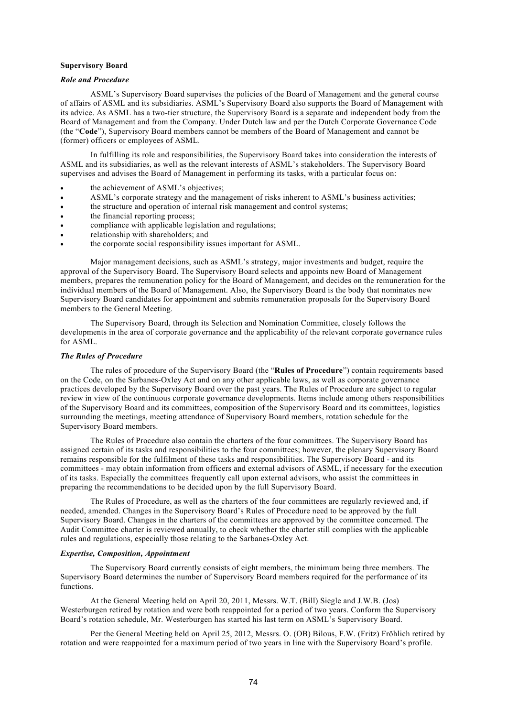## **Supervisory Board**

## *Role and Procedure*

ASML's Supervisory Board supervises the policies of the Board of Management and the general course of affairs of ASML and its subsidiaries. ASML's Supervisory Board also supports the Board of Management with its advice. As ASML has a two-tier structure, the Supervisory Board is a separate and independent body from the Board of Management and from the Company. Under Dutch law and per the Dutch Corporate Governance Code (the "**Code**"), Supervisory Board members cannot be members of the Board of Management and cannot be (former) officers or employees of ASML.

In fulfilling its role and responsibilities, the Supervisory Board takes into consideration the interests of ASML and its subsidiaries, as well as the relevant interests of ASML's stakeholders. The Supervisory Board supervises and advises the Board of Management in performing its tasks, with a particular focus on:

- the achievement of ASML's objectives;
- ASML's corporate strategy and the management of risks inherent to ASML's business activities;
- the structure and operation of internal risk management and control systems;
- the financial reporting process;
- compliance with applicable legislation and regulations;
- relationship with shareholders; and
- the corporate social responsibility issues important for ASML.

Major management decisions, such as ASML's strategy, major investments and budget, require the approval of the Supervisory Board. The Supervisory Board selects and appoints new Board of Management members, prepares the remuneration policy for the Board of Management, and decides on the remuneration for the individual members of the Board of Management. Also, the Supervisory Board is the body that nominates new Supervisory Board candidates for appointment and submits remuneration proposals for the Supervisory Board members to the General Meeting.

The Supervisory Board, through its Selection and Nomination Committee, closely follows the developments in the area of corporate governance and the applicability of the relevant corporate governance rules for ASML.

#### *The Rules of Procedure*

The rules of procedure of the Supervisory Board (the "**Rules of Procedure**") contain requirements based on the Code, on the Sarbanes-Oxley Act and on any other applicable laws, as well as corporate governance practices developed by the Supervisory Board over the past years. The Rules of Procedure are subject to regular review in view of the continuous corporate governance developments. Items include among others responsibilities of the Supervisory Board and its committees, composition of the Supervisory Board and its committees, logistics surrounding the meetings, meeting attendance of Supervisory Board members, rotation schedule for the Supervisory Board members.

The Rules of Procedure also contain the charters of the four committees. The Supervisory Board has assigned certain of its tasks and responsibilities to the four committees; however, the plenary Supervisory Board remains responsible for the fulfilment of these tasks and responsibilities. The Supervisory Board - and its committees - may obtain information from officers and external advisors of ASML, if necessary for the execution of its tasks. Especially the committees frequently call upon external advisors, who assist the committees in preparing the recommendations to be decided upon by the full Supervisory Board.

The Rules of Procedure, as well as the charters of the four committees are regularly reviewed and, if needed, amended. Changes in the Supervisory Board's Rules of Procedure need to be approved by the full Supervisory Board. Changes in the charters of the committees are approved by the committee concerned. The Audit Committee charter is reviewed annually, to check whether the charter still complies with the applicable rules and regulations, especially those relating to the Sarbanes-Oxley Act.

### *Expertise, Composition, Appointment*

The Supervisory Board currently consists of eight members, the minimum being three members. The Supervisory Board determines the number of Supervisory Board members required for the performance of its functions.

At the General Meeting held on April 20, 2011, Messrs. W.T. (Bill) Siegle and J.W.B. (Jos) Westerburgen retired by rotation and were both reappointed for a period of two years. Conform the Supervisory Board's rotation schedule, Mr. Westerburgen has started his last term on ASML's Supervisory Board.

Per the General Meeting held on April 25, 2012, Messrs. O. (OB) Bilous, F.W. (Fritz) Fröhlich retired by rotation and were reappointed for a maximum period of two years in line with the Supervisory Board's profile.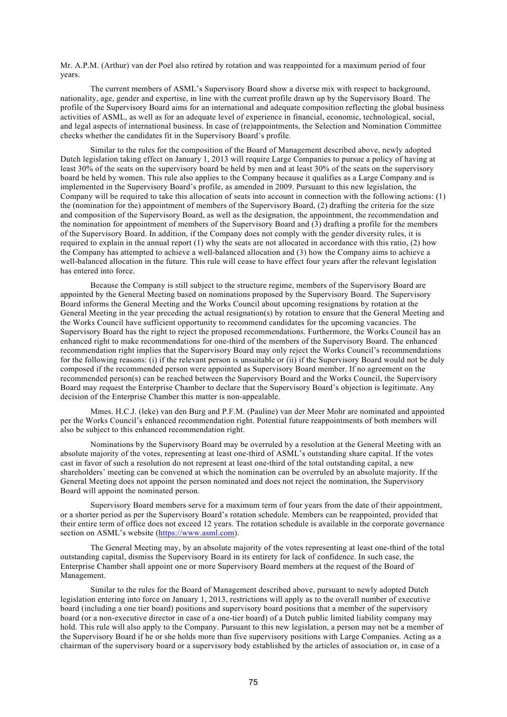Mr. A.P.M. (Arthur) van der Poel also retired by rotation and was reappointed for a maximum period of four years.

The current members of ASML's Supervisory Board show a diverse mix with respect to background, nationality, age, gender and expertise, in line with the current profile drawn up by the Supervisory Board. The profile of the Supervisory Board aims for an international and adequate composition reflecting the global business activities of ASML, as well as for an adequate level of experience in financial, economic, technological, social, and legal aspects of international business. In case of (re)appointments, the Selection and Nomination Committee checks whether the candidates fit in the Supervisory Board's profile.

Similar to the rules for the composition of the Board of Management described above, newly adopted Dutch legislation taking effect on January 1, 2013 will require Large Companies to pursue a policy of having at least 30% of the seats on the supervisory board be held by men and at least 30% of the seats on the supervisory board be held by women. This rule also applies to the Company because it qualifies as a Large Company and is implemented in the Supervisory Board's profile, as amended in 2009. Pursuant to this new legislation, the Company will be required to take this allocation of seats into account in connection with the following actions: (1) the (nomination for the) appointment of members of the Supervisory Board, (2) drafting the criteria for the size and composition of the Supervisory Board, as well as the designation, the appointment, the recommendation and the nomination for appointment of members of the Supervisory Board and (3) drafting a profile for the members of the Supervisory Board. In addition, if the Company does not comply with the gender diversity rules, it is required to explain in the annual report (1) why the seats are not allocated in accordance with this ratio, (2) how the Company has attempted to achieve a well-balanced allocation and (3) how the Company aims to achieve a well-balanced allocation in the future. This rule will cease to have effect four years after the relevant legislation has entered into force.

Because the Company is still subject to the structure regime, members of the Supervisory Board are appointed by the General Meeting based on nominations proposed by the Supervisory Board. The Supervisory Board informs the General Meeting and the Works Council about upcoming resignations by rotation at the General Meeting in the year preceding the actual resignation(s) by rotation to ensure that the General Meeting and the Works Council have sufficient opportunity to recommend candidates for the upcoming vacancies. The Supervisory Board has the right to reject the proposed recommendations. Furthermore, the Works Council has an enhanced right to make recommendations for one-third of the members of the Supervisory Board. The enhanced recommendation right implies that the Supervisory Board may only reject the Works Council's recommendations for the following reasons: (i) if the relevant person is unsuitable or (ii) if the Supervisory Board would not be duly composed if the recommended person were appointed as Supervisory Board member. If no agreement on the recommended person(s) can be reached between the Supervisory Board and the Works Council, the Supervisory Board may request the Enterprise Chamber to declare that the Supervisory Board's objection is legitimate. Any decision of the Enterprise Chamber this matter is non-appealable.

Mmes. H.C.J. (leke) van den Burg and P.F.M. (Pauline) van der Meer Mohr are nominated and appointed per the Works Council's enhanced recommendation right. Potential future reappointments of both members will also be subject to this enhanced recommendation right.

Nominations by the Supervisory Board may be overruled by a resolution at the General Meeting with an absolute majority of the votes, representing at least one-third of ASML's outstanding share capital. If the votes cast in favor of such a resolution do not represent at least one-third of the total outstanding capital, a new shareholders' meeting can be convened at which the nomination can be overruled by an absolute majority. If the General Meeting does not appoint the person nominated and does not reject the nomination, the Supervisory Board will appoint the nominated person.

Supervisory Board members serve for a maximum term of four years from the date of their appointment, or a shorter period as per the Supervisory Board's rotation schedule. Members can be reappointed, provided that their entire term of office does not exceed 12 years. The rotation schedule is available in the corporate governance section on ASML's website [\(https://www.asml.com](https://www.asml.com/)).

The General Meeting may, by an absolute majority of the votes representing at least one-third of the total outstanding capital, dismiss the Supervisory Board in its entirety for lack of confidence. In such case, the Enterprise Chamber shall appoint one or more Supervisory Board members at the request of the Board of Management.

Similar to the rules for the Board of Management described above, pursuant to newly adopted Dutch legislation entering into force on January 1, 2013, restrictions will apply as to the overall number of executive board (including a one tier board) positions and supervisory board positions that a member of the supervisory board (or a non-executive director in case of a one-tier board) of a Dutch public limited liability company may hold. This rule will also apply to the Company. Pursuant to this new legislation, a person may not be a member of the Supervisory Board if he or she holds more than five supervisory positions with Large Companies. Acting as a chairman of the supervisory board or a supervisory body established by the articles of association or, in case of a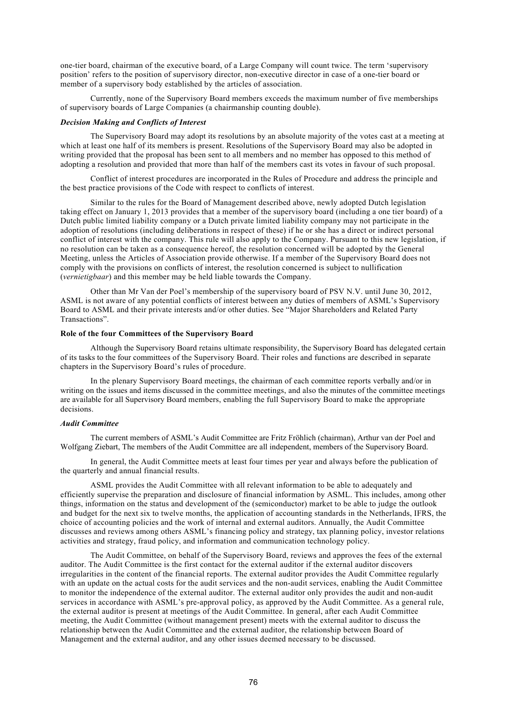one-tier board, chairman of the executive board, of a Large Company will count twice. The term 'supervisory position' refers to the position of supervisory director, non-executive director in case of a one-tier board or member of a supervisory body established by the articles of association.

Currently, none of the Supervisory Board members exceeds the maximum number of five memberships of supervisory boards of Large Companies (a chairmanship counting double).

#### *Decision Making and Conflicts of Interest*

The Supervisory Board may adopt its resolutions by an absolute majority of the votes cast at a meeting at which at least one half of its members is present. Resolutions of the Supervisory Board may also be adopted in writing provided that the proposal has been sent to all members and no member has opposed to this method of adopting a resolution and provided that more than half of the members cast its votes in favour of such proposal.

Conflict of interest procedures are incorporated in the Rules of Procedure and address the principle and the best practice provisions of the Code with respect to conflicts of interest.

Similar to the rules for the Board of Management described above, newly adopted Dutch legislation taking effect on January 1, 2013 provides that a member of the supervisory board (including a one tier board) of a Dutch public limited liability company or a Dutch private limited liability company may not participate in the adoption of resolutions (including deliberations in respect of these) if he or she has a direct or indirect personal conflict of interest with the company. This rule will also apply to the Company. Pursuant to this new legislation, if no resolution can be taken as a consequence hereof, the resolution concerned will be adopted by the General Meeting, unless the Articles of Association provide otherwise. If a member of the Supervisory Board does not comply with the provisions on conflicts of interest, the resolution concerned is subject to nullification (*vernietigbaar*) and this member may be held liable towards the Company.

Other than Mr Van der Poel's membership of the supervisory board of PSV N.V. until June 30, 2012, ASML is not aware of any potential conflicts of interest between any duties of members of ASML's Supervisory Board to ASML and their private interests and/or other duties. See "Major Shareholders and Related Party Transactions".

#### **Role of the four Committees of the Supervisory Board**

Although the Supervisory Board retains ultimate responsibility, the Supervisory Board has delegated certain of its tasks to the four committees of the Supervisory Board. Their roles and functions are described in separate chapters in the Supervisory Board's rules of procedure.

In the plenary Supervisory Board meetings, the chairman of each committee reports verbally and/or in writing on the issues and items discussed in the committee meetings, and also the minutes of the committee meetings are available for all Supervisory Board members, enabling the full Supervisory Board to make the appropriate decisions.

## *Audit Committee*

The current members of ASML's Audit Committee are Fritz Fröhlich (chairman), Arthur van der Poel and Wolfgang Ziebart, The members of the Audit Committee are all independent, members of the Supervisory Board.

In general, the Audit Committee meets at least four times per year and always before the publication of the quarterly and annual financial results.

ASML provides the Audit Committee with all relevant information to be able to adequately and efficiently supervise the preparation and disclosure of financial information by ASML. This includes, among other things, information on the status and development of the (semiconductor) market to be able to judge the outlook and budget for the next six to twelve months, the application of accounting standards in the Netherlands, IFRS, the choice of accounting policies and the work of internal and external auditors. Annually, the Audit Committee discusses and reviews among others ASML's financing policy and strategy, tax planning policy, investor relations activities and strategy, fraud policy, and information and communication technology policy.

The Audit Committee, on behalf of the Supervisory Board, reviews and approves the fees of the external auditor. The Audit Committee is the first contact for the external auditor if the external auditor discovers irregularities in the content of the financial reports. The external auditor provides the Audit Committee regularly with an update on the actual costs for the audit services and the non-audit services, enabling the Audit Committee to monitor the independence of the external auditor. The external auditor only provides the audit and non-audit services in accordance with ASML's pre-approval policy, as approved by the Audit Committee. As a general rule, the external auditor is present at meetings of the Audit Committee. In general, after each Audit Committee meeting, the Audit Committee (without management present) meets with the external auditor to discuss the relationship between the Audit Committee and the external auditor, the relationship between Board of Management and the external auditor, and any other issues deemed necessary to be discussed.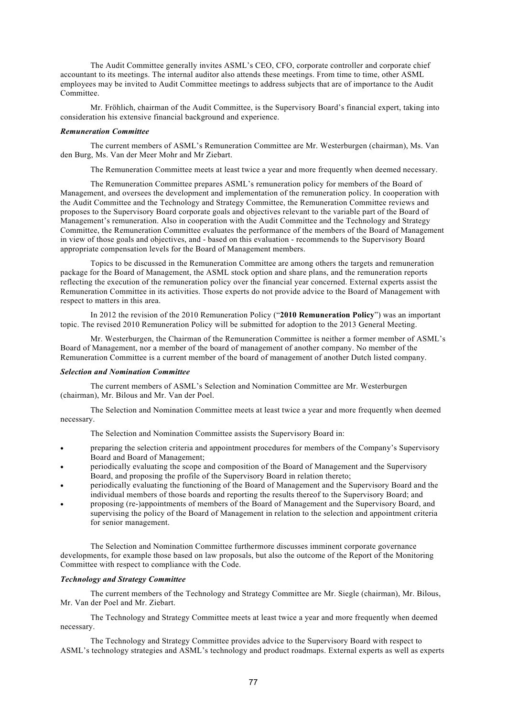The Audit Committee generally invites ASML's CEO, CFO, corporate controller and corporate chief accountant to its meetings. The internal auditor also attends these meetings. From time to time, other ASML employees may be invited to Audit Committee meetings to address subjects that are of importance to the Audit Committee.

Mr. Fröhlich, chairman of the Audit Committee, is the Supervisory Board's financial expert, taking into consideration his extensive financial background and experience.

#### *Remuneration Committee*

The current members of ASML's Remuneration Committee are Mr. Westerburgen (chairman), Ms. Van den Burg, Ms. Van der Meer Mohr and Mr Ziebart.

The Remuneration Committee meets at least twice a year and more frequently when deemed necessary.

The Remuneration Committee prepares ASML's remuneration policy for members of the Board of Management, and oversees the development and implementation of the remuneration policy. In cooperation with the Audit Committee and the Technology and Strategy Committee, the Remuneration Committee reviews and proposes to the Supervisory Board corporate goals and objectives relevant to the variable part of the Board of Management's remuneration. Also in cooperation with the Audit Committee and the Technology and Strategy Committee, the Remuneration Committee evaluates the performance of the members of the Board of Management in view of those goals and objectives, and - based on this evaluation - recommends to the Supervisory Board appropriate compensation levels for the Board of Management members.

Topics to be discussed in the Remuneration Committee are among others the targets and remuneration package for the Board of Management, the ASML stock option and share plans, and the remuneration reports reflecting the execution of the remuneration policy over the financial year concerned. External experts assist the Remuneration Committee in its activities. Those experts do not provide advice to the Board of Management with respect to matters in this area.

In 2012 the revision of the 2010 Remuneration Policy ("**2010 Remuneration Policy**") was an important topic. The revised 2010 Remuneration Policy will be submitted for adoption to the 2013 General Meeting.

Mr. Westerburgen, the Chairman of the Remuneration Committee is neither a former member of ASML's Board of Management, nor a member of the board of management of another company. No member of the Remuneration Committee is a current member of the board of management of another Dutch listed company.

#### *Selection and Nomination Committee*

The current members of ASML's Selection and Nomination Committee are Mr. Westerburgen (chairman), Mr. Bilous and Mr. Van der Poel.

The Selection and Nomination Committee meets at least twice a year and more frequently when deemed necessary.

The Selection and Nomination Committee assists the Supervisory Board in:

- preparing the selection criteria and appointment procedures for members of the Company's Supervisory Board and Board of Management;
- periodically evaluating the scope and composition of the Board of Management and the Supervisory Board, and proposing the profile of the Supervisory Board in relation thereto;
- periodically evaluating the functioning of the Board of Management and the Supervisory Board and the individual members of those boards and reporting the results thereof to the Supervisory Board; and
- proposing (re-)appointments of members of the Board of Management and the Supervisory Board, and supervising the policy of the Board of Management in relation to the selection and appointment criteria for senior management.

The Selection and Nomination Committee furthermore discusses imminent corporate governance developments, for example those based on law proposals, but also the outcome of the Report of the Monitoring Committee with respect to compliance with the Code.

### *Technology and Strategy Committee*

The current members of the Technology and Strategy Committee are Mr. Siegle (chairman), Mr. Bilous, Mr. Van der Poel and Mr. Ziebart.

The Technology and Strategy Committee meets at least twice a year and more frequently when deemed necessary.

The Technology and Strategy Committee provides advice to the Supervisory Board with respect to ASML's technology strategies and ASML's technology and product roadmaps. External experts as well as experts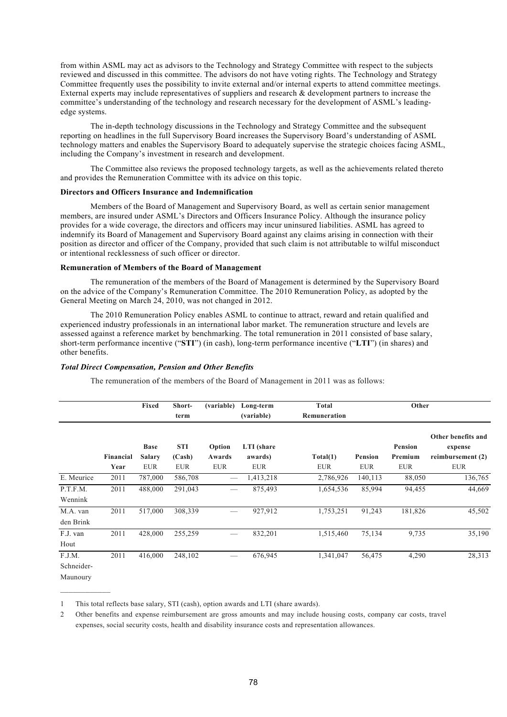from within ASML may act as advisors to the Technology and Strategy Committee with respect to the subjects reviewed and discussed in this committee. The advisors do not have voting rights. The Technology and Strategy Committee frequently uses the possibility to invite external and/or internal experts to attend committee meetings. External experts may include representatives of suppliers and research & development partners to increase the committee's understanding of the technology and research necessary for the development of ASML's leadingedge systems.

The in-depth technology discussions in the Technology and Strategy Committee and the subsequent reporting on headlines in the full Supervisory Board increases the Supervisory Board's understanding of ASML technology matters and enables the Supervisory Board to adequately supervise the strategic choices facing ASML, including the Company's investment in research and development.

The Committee also reviews the proposed technology targets, as well as the achievements related thereto and provides the Remuneration Committee with its advice on this topic.

## **Directors and Officers Insurance and Indemnification**

Members of the Board of Management and Supervisory Board, as well as certain senior management members, are insured under ASML's Directors and Officers Insurance Policy. Although the insurance policy provides for a wide coverage, the directors and officers may incur uninsured liabilities. ASML has agreed to indemnify its Board of Management and Supervisory Board against any claims arising in connection with their position as director and officer of the Company, provided that such claim is not attributable to wilful misconduct or intentional recklessness of such officer or director.

#### **Remuneration of Members of the Board of Management**

The remuneration of the members of the Board of Management is determined by the Supervisory Board on the advice of the Company's Remuneration Committee. The 2010 Remuneration Policy, as adopted by the General Meeting on March 24, 2010, was not changed in 2012.

The 2010 Remuneration Policy enables ASML to continue to attract, reward and retain qualified and experienced industry professionals in an international labor market. The remuneration structure and levels are assessed against a reference market by benchmarking. The total remuneration in 2011 consisted of base salary, short-term performance incentive ("**STI**") (in cash), long-term performance incentive ("**LTI**") (in shares) and other benefits.

#### *Total Direct Compensation, Pension and Other Benefits*

The remuneration of the members of the Board of Management in 2011 was as follows:

|                                  |                   | Fixed                                      | Short-<br>term                     | (variable)                       | Long-term<br>(variable)             | Total<br>Remuneration  |                       | Other                                   |                                                                  |
|----------------------------------|-------------------|--------------------------------------------|------------------------------------|----------------------------------|-------------------------------------|------------------------|-----------------------|-----------------------------------------|------------------------------------------------------------------|
|                                  | Financial<br>Year | <b>Base</b><br><b>Salary</b><br><b>EUR</b> | <b>STI</b><br>(Cash)<br><b>EUR</b> | Option<br>Awards<br><b>EUR</b>   | LTI (share<br>awards)<br><b>EUR</b> | Total(1)<br><b>EUR</b> | Pension<br><b>EUR</b> | <b>Pension</b><br>Premium<br><b>EUR</b> | Other benefits and<br>expense<br>reimbursement (2)<br><b>EUR</b> |
| E. Meurice                       | 2011              | 787,000                                    | 586,708                            |                                  | 1,413,218                           | 2,786,926              | 140,113               | 88,050                                  | 136,765                                                          |
| P.T.F.M.<br>Wennink              | 2011              | 488,000                                    | 291,043                            |                                  | 875,493                             | 1,654,536              | 85,994                | 94,455                                  | 44,669                                                           |
| M.A. van<br>den Brink            | 2011              | 517,000                                    | 308,339                            |                                  | 927,912                             | 1,753,251              | 91,243                | 181,826                                 | 45,502                                                           |
| F.J. van<br>Hout                 | 2011              | 428,000                                    | 255,259                            |                                  | 832,201                             | 1,515,460              | 75,134                | 9,735                                   | 35,190                                                           |
| F.J.M.<br>Schneider-<br>Maunoury | 2011              | 416,000                                    | 248,102                            | $\overbrace{\phantom{aaaaa}}^{}$ | 676,945                             | 1,341,047              | 56,475                | 4,290                                   | 28,313                                                           |

1 This total reflects base salary, STI (cash), option awards and LTI (share awards).

2 Other benefits and expense reimbursement are gross amounts and may include housing costs, company car costs, travel expenses, social security costs, health and disability insurance costs and representation allowances.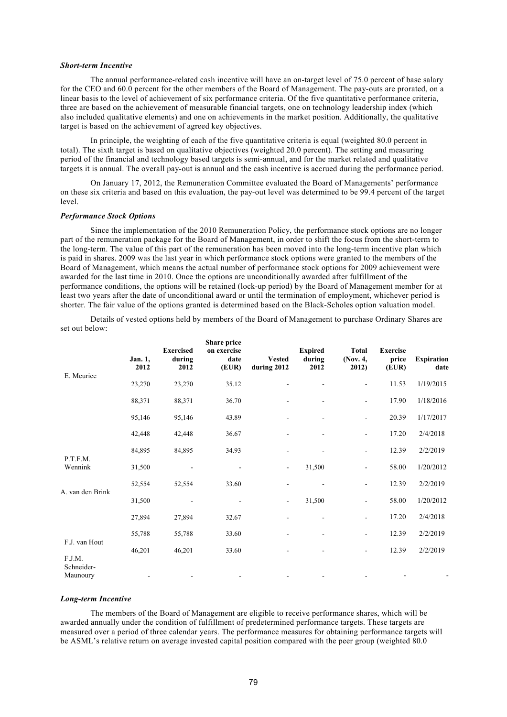#### *Short-term Incentive*

The annual performance-related cash incentive will have an on-target level of 75.0 percent of base salary for the CEO and 60.0 percent for the other members of the Board of Management. The pay-outs are prorated, on a linear basis to the level of achievement of six performance criteria. Of the five quantitative performance criteria, three are based on the achievement of measurable financial targets, one on technology leadership index (which also included qualitative elements) and one on achievements in the market position. Additionally, the qualitative target is based on the achievement of agreed key objectives.

In principle, the weighting of each of the five quantitative criteria is equal (weighted 80.0 percent in total). The sixth target is based on qualitative objectives (weighted 20.0 percent). The setting and measuring period of the financial and technology based targets is semi-annual, and for the market related and qualitative targets it is annual. The overall pay-out is annual and the cash incentive is accrued during the performance period.

On January 17, 2012, the Remuneration Committee evaluated the Board of Managements' performance on these six criteria and based on this evaluation, the pay-out level was determined to be 99.4 percent of the target level.

#### *Performance Stock Options*

Since the implementation of the 2010 Remuneration Policy, the performance stock options are no longer part of the remuneration package for the Board of Management, in order to shift the focus from the short-term to the long-term. The value of this part of the remuneration has been moved into the long-term incentive plan which is paid in shares. 2009 was the last year in which performance stock options were granted to the members of the Board of Management, which means the actual number of performance stock options for 2009 achievement were awarded for the last time in 2010. Once the options are unconditionally awarded after fulfillment of the performance conditions, the options will be retained (lock-up period) by the Board of Management member for at least two years after the date of unconditional award or until the termination of employment, whichever period is shorter. The fair value of the options granted is determined based on the Black-Scholes option valuation model.

Details of vested options held by members of the Board of Management to purchase Ordinary Shares are set out below:

|                                       | Jan. 1,<br>2012 | <b>Exercised</b><br>during<br>2012 | <b>Share price</b><br>on exercise<br>date<br>(EUR) | <b>Vested</b><br>during 2012 | <b>Expired</b><br>during<br>2012 | <b>Total</b><br>(Nov. 4,<br>2012) | <b>Exercise</b><br>price<br>(EUR) | <b>Expiration</b><br>date |
|---------------------------------------|-----------------|------------------------------------|----------------------------------------------------|------------------------------|----------------------------------|-----------------------------------|-----------------------------------|---------------------------|
| E. Meurice                            | 23,270          | 23,270                             | 35.12                                              | $\overline{a}$               | $\overline{\phantom{a}}$         | $\overline{\phantom{a}}$          | 11.53                             | 1/19/2015                 |
|                                       | 88,371          | 88,371                             | 36.70                                              | $\overline{\phantom{a}}$     | $\overline{\phantom{0}}$         | $\overline{\phantom{a}}$          | 17.90                             | 1/18/2016                 |
|                                       | 95,146          | 95,146                             | 43.89                                              | $\overline{\phantom{a}}$     | $\overline{\phantom{0}}$         | $\overline{\phantom{a}}$          | 20.39                             | 1/17/2017                 |
|                                       | 42,448          | 42,448                             | 36.67                                              |                              |                                  | $\overline{a}$                    | 17.20                             | 2/4/2018                  |
| P.T.F.M.<br>Wennink                   | 84,895          | 84,895                             | 34.93                                              |                              | $\overline{a}$                   | $\overline{\phantom{a}}$          | 12.39                             | 2/2/2019                  |
|                                       | 31,500          |                                    |                                                    | $\qquad \qquad \blacksquare$ | 31,500                           | $\overline{\phantom{a}}$          | 58.00                             | 1/20/2012                 |
|                                       | 52,554          | 52,554                             | 33.60                                              |                              |                                  | $\blacksquare$                    | 12.39                             | 2/2/2019                  |
| A. van den Brink                      | 31,500          | $\blacksquare$                     | $\overline{\phantom{a}}$                           | $\overline{\phantom{a}}$     | 31,500                           | $\overline{\phantom{a}}$          | 58.00                             | 1/20/2012                 |
|                                       | 27,894          | 27,894                             | 32.67                                              |                              | $\overline{a}$                   | $\overline{\phantom{a}}$          | 17.20                             | 2/4/2018                  |
|                                       | 55,788          | 55,788                             | 33.60                                              | $\overline{\phantom{a}}$     | $\overline{\phantom{a}}$         | $\overline{\phantom{a}}$          | 12.39                             | 2/2/2019                  |
| F.J. van Hout<br>F.J.M.<br>Schneider- | 46,201          | 46,201                             | 33.60                                              |                              |                                  |                                   | 12.39                             | 2/2/2019                  |
| Maunoury                              |                 |                                    |                                                    |                              | -                                |                                   |                                   |                           |

#### *Long-term Incentive*

The members of the Board of Management are eligible to receive performance shares, which will be awarded annually under the condition of fulfillment of predetermined performance targets. These targets are measured over a period of three calendar years. The performance measures for obtaining performance targets will be ASML's relative return on average invested capital position compared with the peer group (weighted 80.0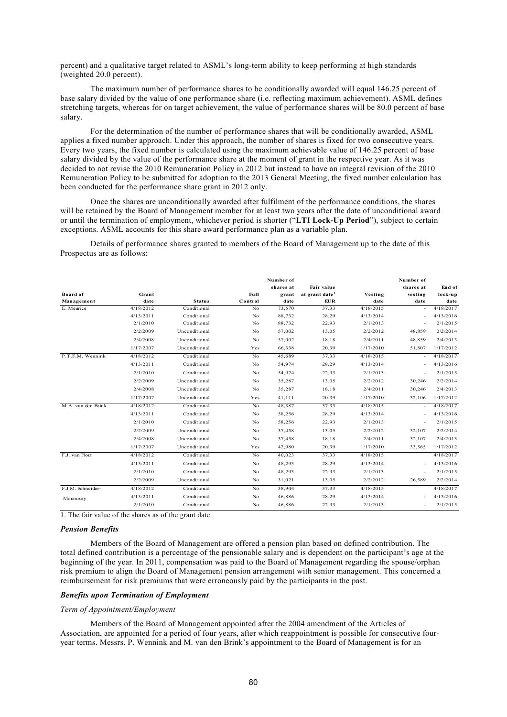percent) and a qualitative target related to ASML's long-term ability to keep performing at high standards (weighted 20.0 percent).

The maximum number of performance shares to be conditionally awarded will equal 146.25 percent of base salary divided by the value of one performance share (i.e. reflecting maximum achievement). ASML defines stretching targets, whereas for on target achievement, the value of performance shares will be 80.0 percent of base salary.

For the determination of the number of performance shares that will be conditionally awarded, ASML applies a fixed number approach. Under this approach, the number of shares is fixed for two consecutive years. Every two years, the fixed number is calculated using the maximum achievable value of 146.25 percent of base salary divided by the value of the performance share at the moment of grant in the respective year. As it was decided to not revise the 2010 Remuneration Policy in 2012 but instead to have an integral revision of the 2010 Remuneration Policy to be submitted for adoption to the 2013 General Meeting, the fixed number calculation has been conducted for the performance share grant in 2012 only.

Once the shares are unconditionally awarded after fulfilment of the performance conditions, the shares will be retained by the Board of Management member for at least two years after the date of unconditional award or until the termination of employment, whichever period is shorter ("**LTI Lock-Up Period**"), subject to certain exceptions. ASML accounts for this share award performance plan as a variable plan.

Details of performance shares granted to members of the Board of Management up to the date of this Prospectus are as follows:

|                    |                     |                        |         | Number of |                            |           | Number of                |           |
|--------------------|---------------------|------------------------|---------|-----------|----------------------------|-----------|--------------------------|-----------|
|                    |                     |                        |         | shares at | <b>Fair value</b>          |           | shares at                | End of    |
| <b>Board</b> of    | Grant               |                        | Full    | grant     | at grant date <sup>1</sup> | Vesting   | vesting                  | lock-up   |
| Management         | date                | <b>Status</b>          | Control | date      | EUR                        | date      | date                     | date      |
| E. Meurice         | 4/18/2012           | Conditional            | No      | 73,570    | 37.33                      | 4/18/2015 | $\overline{\phantom{a}}$ | 4/18/2017 |
|                    | 4/13/2011           | Conditional            | No      | 88,732    | 28.29                      | 4/13/2014 | $\sim$                   | 4/13/2016 |
|                    | 2/1/2010            | Conditional            | No      | 88,732    | 22.93                      | 2/1/2013  | $\overline{\phantom{a}}$ | 2/1/2015  |
|                    | 2/2/2009            | Unconditional          | No      | 57,002    | 13.05                      | 2/2/2012  | 48,859                   | 2/2/2014  |
|                    | 2/4/2008            | Unconditional          | No      | 57,002    | 18.18                      | 2/4/2011  | 48,859                   | 2/4/2013  |
|                    | 1/17/2007           | Unconditional          | Yes     | 66,338    | 20.39                      | 1/17/2010 | 51,807                   | 1/17/2012 |
| P.T.F.M. Wennink   | 4/18/2012           | Conditional            | No      | 45,689    | 37.33                      | 4/18/2015 | $\overline{\phantom{a}}$ | 4/18/2017 |
|                    | 4/13/2011           | Conditional            | No      | 54,974    | 28.29                      | 4/13/2014 | $\overline{\phantom{a}}$ | 4/13/2016 |
|                    | 2/1/2010            | Conditional            | No      | 54,974    | 22.93                      | 2/1/2013  | $\overline{\phantom{a}}$ | 2/1/2015  |
|                    | 2/2/2009            | Unconditional          | No      | 35,287    | 13.05                      | 2/2/2012  | 30,246                   | 2/2/2014  |
|                    | 2/4/2008            | Unconditional          | No      | 35,287    | 18.18                      | 2/4/2011  | 30,246                   | 2/4/2013  |
|                    | 1/17/2007           | Unconditional          | Yes     | 41,111    | 20.39                      | 1/17/2010 | 32,106                   | 1/17/2012 |
| M.A. van den Brink | 4/18/2012           | Conditional            | No      | 48,387    | 37.33                      | 4/18/2015 | $\sim$                   | 4/18/2017 |
|                    | 4/13/2011           | Conditional            | No      | 58,256    | 28.29                      | 4/13/2014 | $\overline{\phantom{a}}$ | 4/13/2016 |
|                    | 2/1/2010            | Conditional            | No      | 58,256    | 22.93                      | 2/1/2013  | $\overline{\phantom{a}}$ | 2/1/2015  |
|                    | 2/2/2009            | Unconditional          | No      | 37,458    | 13.05                      | 2/2/2012  | 32,107                   | 2/2/2014  |
|                    | 2/4/2008            | Unconditional          | No      | 37,458    | 18.18                      | 2/4/2011  | 32,107                   | 2/4/2013  |
|                    | 1/17/2007           | Unconditional          | Yes     | 42,980    | 20.39                      | 1/17/2010 | 33,565                   | 1/17/2012 |
| F.J. van Hout      | 4/18/2012           | Conditional            | No      | 40,023    | 37.33                      | 4/18/2015 |                          | 4/18/2017 |
|                    | 4/13/2011           | Conditional            | No      | 48,293    | 28.29                      | 4/13/2014 | $\overline{\phantom{a}}$ | 4/13/2016 |
|                    | 2/1/2010            | Conditional            | No      | 48,293    | 22.93                      | 2/1/2013  | $\sim$                   | 2/1/2015  |
|                    | 2/2/2009            | Unconditional          | No      | 31,021    | 13.05                      | 2/2/2012  | 26,589                   | 2/2/2014  |
| F.J.M. Schneider-  | 4/18/2012           | Conditional            | No      | 38,944    | 37.33                      | 4/18/2015 |                          | 4/18/2017 |
| Maunoury           | 4/13/2011           | Conditional            | No      | 46,886    | 28.29                      | 4/13/2014 | ÷                        | 4/13/2016 |
|                    | 2/1/2010            | Conditional            | No      | 46,886    | 22.93                      | 2/1/2013  |                          | 2/1/2015  |
| 1.71.01            | 0.1<br>$\mathbf{1}$ | $C_{11}$<br>$\sqrt{1}$ |         |           |                            |           |                          |           |

1. The fair value of the shares as of the grant date.

### *Pension Benefits*

Members of the Board of Management are offered a pension plan based on defined contribution. The total defined contribution is a percentage of the pensionable salary and is dependent on the participant's age at the beginning of the year. In 2011, compensation was paid to the Board of Management regarding the spouse/orphan risk premium to align the Board of Management pension arrangement with senior management. This concerned a reimbursement for risk premiums that were erroneously paid by the participants in the past.

#### *Benefits upon Termination of Employment*

## *Term of Appointment/Employment*

Members of the Board of Management appointed after the 2004 amendment of the Articles of Association, are appointed for a period of four years, after which reappointment is possible for consecutive fouryear terms. Messrs. P. Wennink and M. van den Brink's appointment to the Board of Management is for an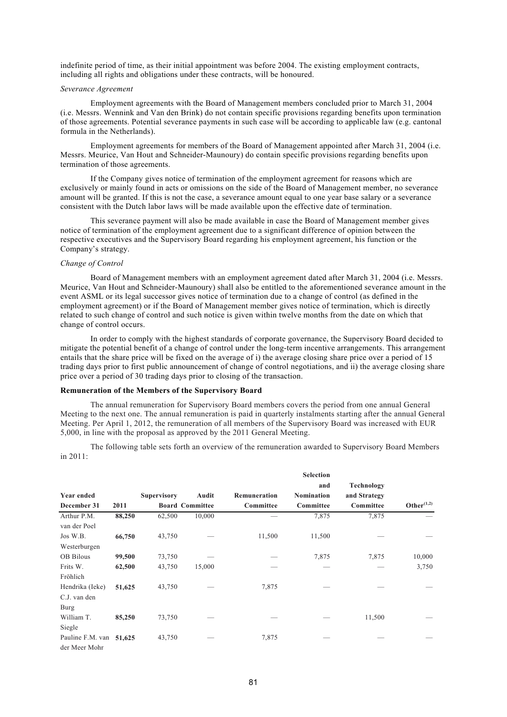indefinite period of time, as their initial appointment was before 2004. The existing employment contracts, including all rights and obligations under these contracts, will be honoured.

#### *Severance Agreement*

Employment agreements with the Board of Management members concluded prior to March 31, 2004 (i.e. Messrs. Wennink and Van den Brink) do not contain specific provisions regarding benefits upon termination of those agreements. Potential severance payments in such case will be according to applicable law (e.g. cantonal formula in the Netherlands).

Employment agreements for members of the Board of Management appointed after March 31, 2004 (i.e. Messrs. Meurice, Van Hout and Schneider-Maunoury) do contain specific provisions regarding benefits upon termination of those agreements.

If the Company gives notice of termination of the employment agreement for reasons which are exclusively or mainly found in acts or omissions on the side of the Board of Management member, no severance amount will be granted. If this is not the case, a severance amount equal to one year base salary or a severance consistent with the Dutch labor laws will be made available upon the effective date of termination.

This severance payment will also be made available in case the Board of Management member gives notice of termination of the employment agreement due to a significant difference of opinion between the respective executives and the Supervisory Board regarding his employment agreement, his function or the Company's strategy.

#### *Change of Control*

Board of Management members with an employment agreement dated after March 31, 2004 (i.e. Messrs. Meurice, Van Hout and Schneider-Maunoury) shall also be entitled to the aforementioned severance amount in the event ASML or its legal successor gives notice of termination due to a change of control (as defined in the employment agreement) or if the Board of Management member gives notice of termination, which is directly related to such change of control and such notice is given within twelve months from the date on which that change of control occurs.

In order to comply with the highest standards of corporate governance, the Supervisory Board decided to mitigate the potential benefit of a change of control under the long-term incentive arrangements. This arrangement entails that the share price will be fixed on the average of i) the average closing share price over a period of 15 trading days prior to first public announcement of change of control negotiations, and ii) the average closing share price over a period of 30 trading days prior to closing of the transaction.

### **Remuneration of the Members of the Supervisory Board**

The annual remuneration for Supervisory Board members covers the period from one annual General Meeting to the next one. The annual remuneration is paid in quarterly instalments starting after the annual General Meeting. Per April 1, 2012, the remuneration of all members of the Supervisory Board was increased with EUR 5,000, in line with the proposal as approved by the 2011 General Meeting.

The following table sets forth an overview of the remuneration awarded to Supervisory Board Members in 2011:

|                         |        |                    |                        |              | <b>Selection</b> |              |               |
|-------------------------|--------|--------------------|------------------------|--------------|------------------|--------------|---------------|
|                         |        |                    |                        |              | and              | Technology   |               |
| <b>Year ended</b>       |        | <b>Supervisory</b> | Audit                  | Remuneration | Nomination       | and Strategy |               |
| December 31             | 2011   |                    | <b>Board Committee</b> | Committee    | Committee        | Committee    | Other $(1,2)$ |
| Arthur P.M.             | 88,250 | 62,500             | 10,000                 |              | 7,875            | 7,875        |               |
| van der Poel            |        |                    |                        |              |                  |              |               |
| Jos W.B.                | 66,750 | 43,750             |                        | 11,500       | 11,500           |              |               |
| Westerburgen            |        |                    |                        |              |                  |              |               |
| <b>OB</b> Bilous        | 99,500 | 73,750             |                        |              | 7,875            | 7,875        | 10,000        |
| Frits W.                | 62,500 | 43,750             | 15,000                 |              |                  |              | 3,750         |
| Fröhlich                |        |                    |                        |              |                  |              |               |
| Hendrika (Ieke)         | 51,625 | 43,750             |                        | 7,875        |                  |              |               |
| C.J. van den            |        |                    |                        |              |                  |              |               |
| Burg                    |        |                    |                        |              |                  |              |               |
| William T.              | 85,250 | 73,750             |                        |              |                  | 11,500       |               |
| Siegle                  |        |                    |                        |              |                  |              |               |
| Pauline F.M. van 51,625 |        | 43,750             |                        | 7,875        |                  |              |               |
| der Meer Mohr           |        |                    |                        |              |                  |              |               |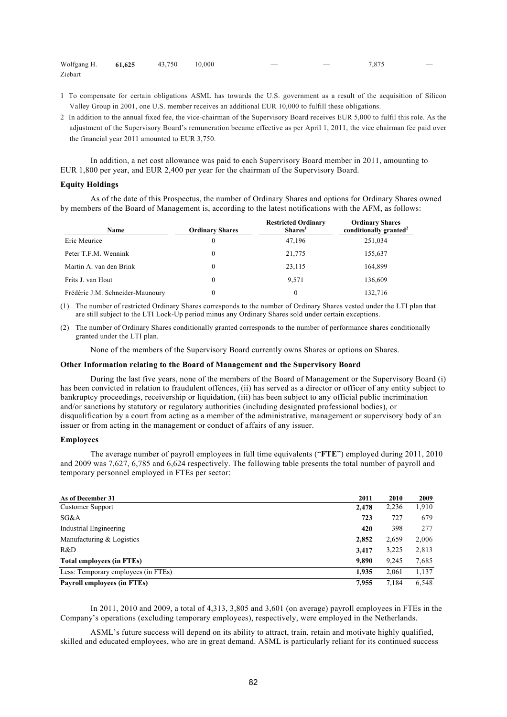| Wolfgang H. 61,625 43,750 |  | 10.000 | $\overline{\phantom{a}}$ | $\overline{\phantom{a}}$ | 7.875 | $\hspace{0.1mm}-\hspace{0.1mm}$ |
|---------------------------|--|--------|--------------------------|--------------------------|-------|---------------------------------|
| Ziebart                   |  |        |                          |                          |       |                                 |

- 1 To compensate for certain obligations ASML has towards the U.S. government as a result of the acquisition of Silicon Valley Group in 2001, one U.S. member receives an additional EUR 10,000 to fulfill these obligations.
- 2 In addition to the annual fixed fee, the vice-chairman of the Supervisory Board receives EUR 5,000 to fulfil this role. As the adjustment of the Supervisory Board's remuneration became effective as per April 1, 2011, the vice chairman fee paid over the financial year 2011 amounted to EUR 3,750.

In addition, a net cost allowance was paid to each Supervisory Board member in 2011, amounting to EUR 1,800 per year, and EUR 2,400 per year for the chairman of the Supervisory Board.

## **Equity Holdings**

As of the date of this Prospectus, the number of Ordinary Shares and options for Ordinary Shares owned by members of the Board of Management is, according to the latest notifications with the AFM, as follows:

| <b>Name</b>                      | <b>Ordinary Shares</b> | <b>Restricted Ordinary</b><br>Shares <sup>1</sup> | <b>Ordinary Shares</b><br>conditionally granted <sup>2</sup> |
|----------------------------------|------------------------|---------------------------------------------------|--------------------------------------------------------------|
| Eric Meurice                     | 0                      | 47,196                                            | 251,034                                                      |
| Peter T.F.M. Wennink             | 0                      | 21,775                                            | 155,637                                                      |
| Martin A. van den Brink          | 0                      | 23,115                                            | 164,899                                                      |
| Frits J. van Hout                | 0                      | 9.571                                             | 136,609                                                      |
| Frédéric J.M. Schneider-Maunoury | 0                      | $\theta$                                          | 132,716                                                      |

(1) The number of restricted Ordinary Shares corresponds to the number of Ordinary Shares vested under the LTI plan that are still subject to the LTI Lock-Up period minus any Ordinary Shares sold under certain exceptions.

(2) The number of Ordinary Shares conditionally granted corresponds to the number of performance shares conditionally granted under the LTI plan.

None of the members of the Supervisory Board currently owns Shares or options on Shares.

#### **Other Information relating to the Board of Management and the Supervisory Board**

During the last five years, none of the members of the Board of Management or the Supervisory Board (i) has been convicted in relation to fraudulent offences, (ii) has served as a director or officer of any entity subject to bankruptcy proceedings, receivership or liquidation, (iii) has been subject to any official public incrimination and/or sanctions by statutory or regulatory authorities (including designated professional bodies), or disqualification by a court from acting as a member of the administrative, management or supervisory body of an issuer or from acting in the management or conduct of affairs of any issuer.

### **Employees**

The average number of payroll employees in full time equivalents ("**FTE**") employed during 2011, 2010 and 2009 was 7,627, 6,785 and 6,624 respectively. The following table presents the total number of payroll and temporary personnel employed in FTEs per sector:

| As of December 31                   | 2011  | 2010  | 2009  |
|-------------------------------------|-------|-------|-------|
| Customer Support                    | 2,478 | 2,236 | 1,910 |
| SG&A                                | 723   | 727   | 679   |
| Industrial Engineering              | 420   | 398   | 277   |
| Manufacturing & Logistics           | 2,852 | 2,659 | 2,006 |
| R&D                                 | 3,417 | 3,225 | 2,813 |
| Total employees (in FTEs)           | 9.890 | 9,245 | 7,685 |
| Less: Temporary employees (in FTEs) | 1,935 | 2,061 | 1,137 |
| Payroll employees (in FTEs)         | 7.955 | 7,184 | 6,548 |

In 2011, 2010 and 2009, a total of 4,313, 3,805 and 3,601 (on average) payroll employees in FTEs in the Company's operations (excluding temporary employees), respectively, were employed in the Netherlands.

ASML's future success will depend on its ability to attract, train, retain and motivate highly qualified, skilled and educated employees, who are in great demand. ASML is particularly reliant for its continued success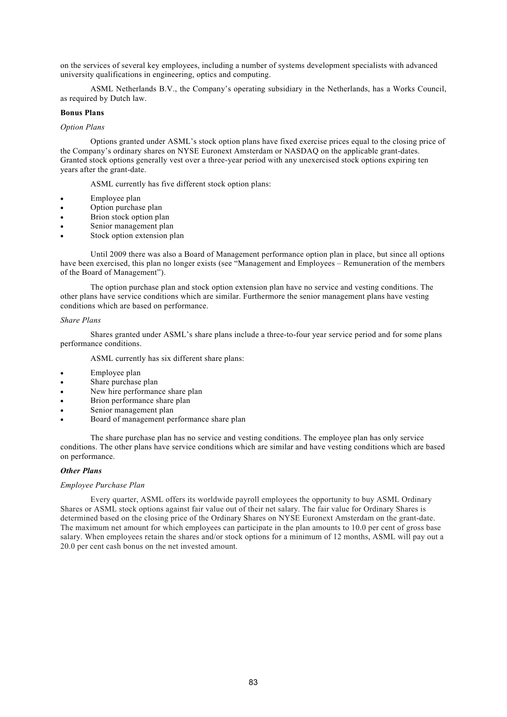on the services of several key employees, including a number of systems development specialists with advanced university qualifications in engineering, optics and computing.

ASML Netherlands B.V., the Company's operating subsidiary in the Netherlands, has a Works Council, as required by Dutch law.

### **Bonus Plans**

### *Option Plans*

Options granted under ASML's stock option plans have fixed exercise prices equal to the closing price of the Company's ordinary shares on NYSE Euronext Amsterdam or NASDAQ on the applicable grant-dates. Granted stock options generally vest over a three-year period with any unexercised stock options expiring ten years after the grant-date.

ASML currently has five different stock option plans:

- Employee plan
- Option purchase plan
- Brion stock option plan
- Senior management plan
- Stock option extension plan

Until 2009 there was also a Board of Management performance option plan in place, but since all options have been exercised, this plan no longer exists (see "Management and Employees – Remuneration of the members of the Board of Management").

The option purchase plan and stock option extension plan have no service and vesting conditions. The other plans have service conditions which are similar. Furthermore the senior management plans have vesting conditions which are based on performance.

### *Share Plans*

Shares granted under ASML's share plans include a three-to-four year service period and for some plans performance conditions.

ASML currently has six different share plans:

- Employee plan
- Share purchase plan
- New hire performance share plan
- Brion performance share plan
- Senior management plan
- Board of management performance share plan

The share purchase plan has no service and vesting conditions. The employee plan has only service conditions. The other plans have service conditions which are similar and have vesting conditions which are based on performance.

### *Other Plans*

### *Employee Purchase Plan*

Every quarter, ASML offers its worldwide payroll employees the opportunity to buy ASML Ordinary Shares or ASML stock options against fair value out of their net salary. The fair value for Ordinary Shares is determined based on the closing price of the Ordinary Shares on NYSE Euronext Amsterdam on the grant-date. The maximum net amount for which employees can participate in the plan amounts to 10.0 per cent of gross base salary. When employees retain the shares and/or stock options for a minimum of 12 months, ASML will pay out a 20.0 per cent cash bonus on the net invested amount.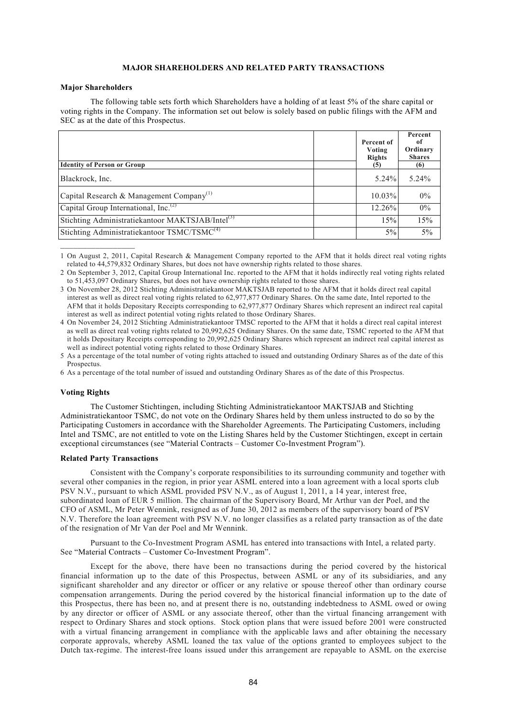## **MAJOR SHAREHOLDERS AND RELATED PARTY TRANSACTIONS**

#### **Major Shareholders**

 $\frac{1}{2}$  ,  $\frac{1}{2}$  ,  $\frac{1}{2}$  ,  $\frac{1}{2}$  ,  $\frac{1}{2}$  ,  $\frac{1}{2}$  ,  $\frac{1}{2}$ 

The following table sets forth which Shareholders have a holding of at least 5% of the share capital or voting rights in the Company. The information set out below is solely based on public filings with the AFM and SEC as at the date of this Prospectus.

| <b>Identity of Person or Group</b>                           | Percent of<br>Voting<br><b>Rights</b><br>(5) | Percent<br>-of<br>Ordinary<br><b>Shares</b><br>(6) |
|--------------------------------------------------------------|----------------------------------------------|----------------------------------------------------|
| Blackrock, Inc.                                              | $5.24\%$                                     | $5.24\%$                                           |
| Capital Research & Management Company <sup>(1)</sup>         | $10.03\%$                                    | $0\%$                                              |
| Capital Group International, Inc. <sup>(2)</sup>             | 12.26%                                       | $0\%$                                              |
| Stichting Administratiekantoor MAKTSJAB/Intel <sup>(3)</sup> | 15%                                          | 15%                                                |
| Stichting Administratiekantoor TSMC/TSMC <sup>(4)</sup>      | $5\%$                                        | 5%                                                 |

<sup>1</sup> On August 2, 2011, Capital Research & Management Company reported to the AFM that it holds direct real voting rights related to 44,579,832 Ordinary Shares, but does not have ownership rights related to those shares.

#### **Voting Rights**

The Customer Stichtingen, including Stichting Administratiekantoor MAKTSJAB and Stichting Administratiekantoor TSMC, do not vote on the Ordinary Shares held by them unless instructed to do so by the Participating Customers in accordance with the Shareholder Agreements. The Participating Customers, including Intel and TSMC, are not entitled to vote on the Listing Shares held by the Customer Stichtingen, except in certain exceptional circumstances (see "Material Contracts – Customer Co-Investment Program").

#### **Related Party Transactions**

Consistent with the Company's corporate responsibilities to its surrounding community and together with several other companies in the region, in prior year ASML entered into a loan agreement with a local sports club PSV N.V., pursuant to which ASML provided PSV N.V., as of August 1, 2011, a 14 year, interest free, subordinated loan of EUR 5 million. The chairman of the Supervisory Board, Mr Arthur van der Poel, and the CFO of ASML, Mr Peter Wennink, resigned as of June 30, 2012 as members of the supervisory board of PSV N.V. Therefore the loan agreement with PSV N.V. no longer classifies as a related party transaction as of the date of the resignation of Mr Van der Poel and Mr Wennink.

Pursuant to the Co-Investment Program ASML has entered into transactions with Intel, a related party. See "Material Contracts – Customer Co-Investment Program".

Except for the above, there have been no transactions during the period covered by the historical financial information up to the date of this Prospectus, between ASML or any of its subsidiaries, and any significant shareholder and any director or officer or any relative or spouse thereof other than ordinary course compensation arrangements. During the period covered by the historical financial information up to the date of this Prospectus, there has been no, and at present there is no, outstanding indebtedness to ASML owed or owing by any director or officer of ASML or any associate thereof, other than the virtual financing arrangement with respect to Ordinary Shares and stock options. Stock option plans that were issued before 2001 were constructed with a virtual financing arrangement in compliance with the applicable laws and after obtaining the necessary corporate approvals, whereby ASML loaned the tax value of the options granted to employees subject to the Dutch tax-regime. The interest-free loans issued under this arrangement are repayable to ASML on the exercise

<sup>2</sup> On September 3, 2012, Capital Group International Inc. reported to the AFM that it holds indirectly real voting rights related to 51,453,097 Ordinary Shares, but does not have ownership rights related to those shares.

<sup>3</sup> On November 28, 2012 Stichting Administratiekantoor MAKTSJAB reported to the AFM that it holds direct real capital interest as well as direct real voting rights related to 62,977,877 Ordinary Shares. On the same date, Intel reported to the AFM that it holds Depositary Receipts corresponding to 62,977,877 Ordinary Shares which represent an indirect real capital interest as well as indirect potential voting rights related to those Ordinary Shares.

<sup>4</sup> On November 24, 2012 Stichting Administratiekantoor TMSC reported to the AFM that it holds a direct real capital interest as well as direct real voting rights related to 20,992,625 Ordinary Shares. On the same date, TSMC reported to the AFM that it holds Depositary Receipts corresponding to 20,992,625 Ordinary Shares which represent an indirect real capital interest as well as indirect potential voting rights related to those Ordinary Shares.

<sup>5</sup> As a percentage of the total number of voting rights attached to issued and outstanding Ordinary Shares as of the date of this **Prospectus** 

<sup>6</sup> As a percentage of the total number of issued and outstanding Ordinary Shares as of the date of this Prospectus.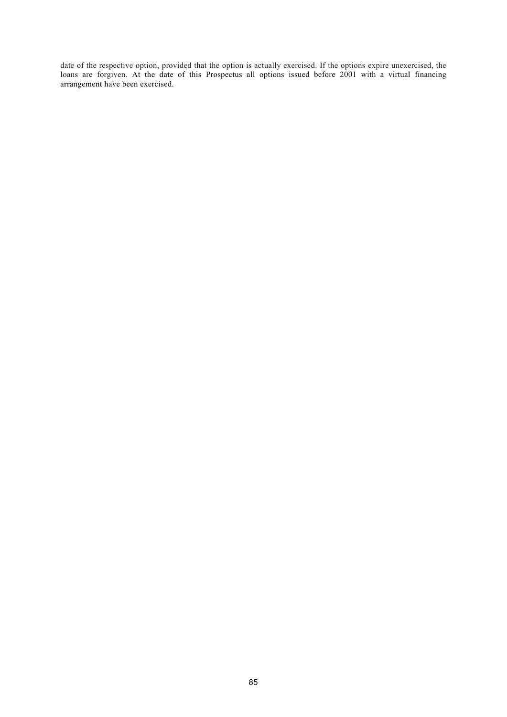date of the respective option, provided that the option is actually exercised. If the options expire unexercised, the loans are forgiven. At the date of this Prospectus all options issued before 2001 with a virtual financing arrangement have been exercised.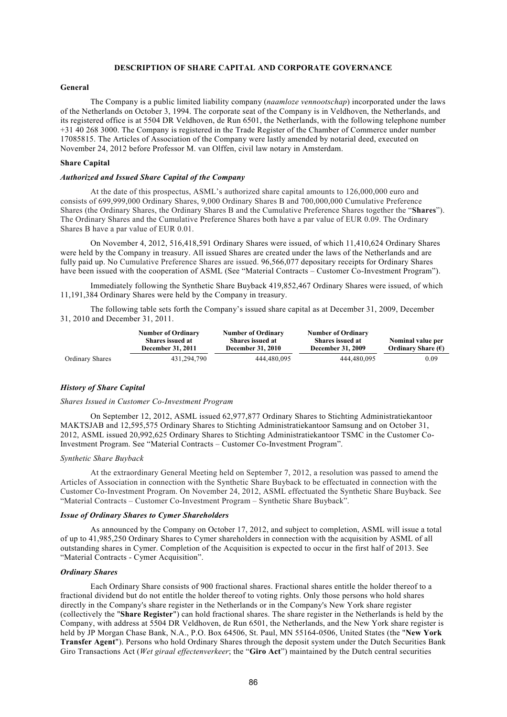## **DESCRIPTION OF SHARE CAPITAL AND CORPORATE GOVERNANCE**

#### **General**

The Company is a public limited liability company (*naamloze vennootschap*) incorporated under the laws of the Netherlands on October 3, 1994. The corporate seat of the Company is in Veldhoven, the Netherlands, and its registered office is at 5504 DR Veldhoven, de Run 6501, the Netherlands, with the following telephone number +31 40 268 3000. The Company is registered in the Trade Register of the Chamber of Commerce under number 17085815. The Articles of Association of the Company were lastly amended by notarial deed, executed on November 24, 2012 before Professor M. van Olffen, civil law notary in Amsterdam.

## **Share Capital**

## *Authorized and Issued Share Capital of the Company*

At the date of this prospectus, ASML's authorized share capital amounts to 126,000,000 euro and consists of 699,999,000 Ordinary Shares, 9,000 Ordinary Shares B and 700,000,000 Cumulative Preference Shares (the Ordinary Shares, the Ordinary Shares B and the Cumulative Preference Shares together the "**Shares**"). The Ordinary Shares and the Cumulative Preference Shares both have a par value of EUR 0.09. The Ordinary Shares B have a par value of EUR 0.01.

On November 4, 2012, 516,418,591 Ordinary Shares were issued, of which 11,410,624 Ordinary Shares were held by the Company in treasury. All issued Shares are created under the laws of the Netherlands and are fully paid up. No Cumulative Preference Shares are issued. 96,566,077 depositary receipts for Ordinary Shares have been issued with the cooperation of ASML (See "Material Contracts – Customer Co-Investment Program").

Immediately following the Synthetic Share Buyback 419,852,467 Ordinary Shares were issued, of which 11,191,384 Ordinary Shares were held by the Company in treasury.

The following table sets forth the Company's issued share capital as at December 31, 2009, December 31, 2010 and December 31, 2011.

|                 | <b>Number of Ordinary</b><br><b>Shares issued at</b><br><b>December 31, 2011</b> | <b>Number of Ordinary</b><br><b>Shares issued at</b><br><b>December 31, 2010</b> | <b>Number of Ordinary</b><br><b>Shares issued at</b><br><b>December 31, 2009</b> | Nominal value per<br>Ordinary Share $(\epsilon)$ |
|-----------------|----------------------------------------------------------------------------------|----------------------------------------------------------------------------------|----------------------------------------------------------------------------------|--------------------------------------------------|
| Ordinary Shares | 431.294.790                                                                      | 444.480.095                                                                      | 444.480.095                                                                      | 0.09                                             |

## *History of Share Capital*

#### *Shares Issued in Customer Co-Investment Program*

On September 12, 2012, ASML issued 62,977,877 Ordinary Shares to Stichting Administratiekantoor MAKTSJAB and 12,595,575 Ordinary Shares to Stichting Administratiekantoor Samsung and on October 31, 2012, ASML issued 20,992,625 Ordinary Shares to Stichting Administratiekantoor TSMC in the Customer Co-Investment Program. See "Material Contracts – Customer Co-Investment Program".

#### *Synthetic Share Buyback*

At the extraordinary General Meeting held on September 7, 2012, a resolution was passed to amend the Articles of Association in connection with the Synthetic Share Buyback to be effectuated in connection with the Customer Co-Investment Program. On November 24, 2012, ASML effectuated the Synthetic Share Buyback. See "Material Contracts – Customer Co-Investment Program – Synthetic Share Buyback".

#### *Issue of Ordinary Shares to Cymer Shareholders*

As announced by the Company on October 17, 2012, and subject to completion, ASML will issue a total of up to 41,985,250 Ordinary Shares to Cymer shareholders in connection with the acquisition by ASML of all outstanding shares in Cymer. Completion of the Acquisition is expected to occur in the first half of 2013. See "Material Contracts - Cymer Acquisition".

## *Ordinary Shares*

Each Ordinary Share consists of 900 fractional shares. Fractional shares entitle the holder thereof to a fractional dividend but do not entitle the holder thereof to voting rights. Only those persons who hold shares directly in the Company's share register in the Netherlands or in the Company's New York share register (collectively the "**Share Register**") can hold fractional shares. The share register in the Netherlands is held by the Company, with address at 5504 DR Veldhoven, de Run 6501, the Netherlands, and the New York share register is held by JP Morgan Chase Bank, N.A., P.O. Box 64506, St. Paul, MN 55164-0506, United States (the "**New York Transfer Agent**"). Persons who hold Ordinary Shares through the deposit system under the Dutch Securities Bank Giro Transactions Act (*Wet giraal effectenverkeer*; the "**Giro Act**") maintained by the Dutch central securities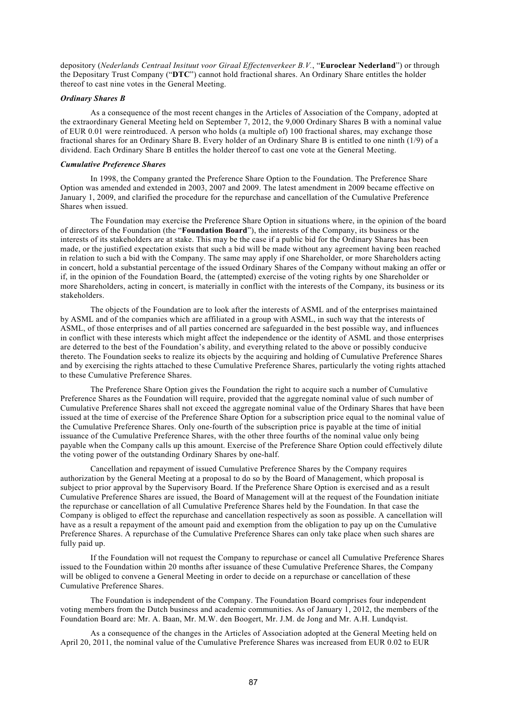depository (*Nederlands Centraal Insituut voor Giraal Effectenverkeer B.V.*, "**Euroclear Nederland**") or through the Depositary Trust Company ("**DTC**") cannot hold fractional shares. An Ordinary Share entitles the holder thereof to cast nine votes in the General Meeting.

### *Ordinary Shares B*

As a consequence of the most recent changes in the Articles of Association of the Company, adopted at the extraordinary General Meeting held on September 7, 2012, the 9,000 Ordinary Shares B with a nominal value of EUR 0.01 were reintroduced. A person who holds (a multiple of) 100 fractional shares, may exchange those fractional shares for an Ordinary Share B. Every holder of an Ordinary Share B is entitled to one ninth (1/9) of a dividend. Each Ordinary Share B entitles the holder thereof to cast one vote at the General Meeting.

## *Cumulative Preference Shares*

In 1998, the Company granted the Preference Share Option to the Foundation. The Preference Share Option was amended and extended in 2003, 2007 and 2009. The latest amendment in 2009 became effective on January 1, 2009, and clarified the procedure for the repurchase and cancellation of the Cumulative Preference Shares when issued.

The Foundation may exercise the Preference Share Option in situations where, in the opinion of the board of directors of the Foundation (the "**Foundation Board**"), the interests of the Company, its business or the interests of its stakeholders are at stake. This may be the case if a public bid for the Ordinary Shares has been made, or the justified expectation exists that such a bid will be made without any agreement having been reached in relation to such a bid with the Company. The same may apply if one Shareholder, or more Shareholders acting in concert, hold a substantial percentage of the issued Ordinary Shares of the Company without making an offer or if, in the opinion of the Foundation Board, the (attempted) exercise of the voting rights by one Shareholder or more Shareholders, acting in concert, is materially in conflict with the interests of the Company, its business or its stakeholders.

The objects of the Foundation are to look after the interests of ASML and of the enterprises maintained by ASML and of the companies which are affiliated in a group with ASML, in such way that the interests of ASML, of those enterprises and of all parties concerned are safeguarded in the best possible way, and influences in conflict with these interests which might affect the independence or the identity of ASML and those enterprises are deterred to the best of the Foundation's ability, and everything related to the above or possibly conducive thereto. The Foundation seeks to realize its objects by the acquiring and holding of Cumulative Preference Shares and by exercising the rights attached to these Cumulative Preference Shares, particularly the voting rights attached to these Cumulative Preference Shares.

The Preference Share Option gives the Foundation the right to acquire such a number of Cumulative Preference Shares as the Foundation will require, provided that the aggregate nominal value of such number of Cumulative Preference Shares shall not exceed the aggregate nominal value of the Ordinary Shares that have been issued at the time of exercise of the Preference Share Option for a subscription price equal to the nominal value of the Cumulative Preference Shares. Only one-fourth of the subscription price is payable at the time of initial issuance of the Cumulative Preference Shares, with the other three fourths of the nominal value only being payable when the Company calls up this amount. Exercise of the Preference Share Option could effectively dilute the voting power of the outstanding Ordinary Shares by one-half.

Cancellation and repayment of issued Cumulative Preference Shares by the Company requires authorization by the General Meeting at a proposal to do so by the Board of Management, which proposal is subject to prior approval by the Supervisory Board. If the Preference Share Option is exercised and as a result Cumulative Preference Shares are issued, the Board of Management will at the request of the Foundation initiate the repurchase or cancellation of all Cumulative Preference Shares held by the Foundation. In that case the Company is obliged to effect the repurchase and cancellation respectively as soon as possible. A cancellation will have as a result a repayment of the amount paid and exemption from the obligation to pay up on the Cumulative Preference Shares. A repurchase of the Cumulative Preference Shares can only take place when such shares are fully paid up.

If the Foundation will not request the Company to repurchase or cancel all Cumulative Preference Shares issued to the Foundation within 20 months after issuance of these Cumulative Preference Shares, the Company will be obliged to convene a General Meeting in order to decide on a repurchase or cancellation of these Cumulative Preference Shares.

The Foundation is independent of the Company. The Foundation Board comprises four independent voting members from the Dutch business and academic communities. As of January 1, 2012, the members of the Foundation Board are: Mr. A. Baan, Mr. M.W. den Boogert, Mr. J.M. de Jong and Mr. A.H. Lundqvist.

As a consequence of the changes in the Articles of Association adopted at the General Meeting held on April 20, 2011, the nominal value of the Cumulative Preference Shares was increased from EUR 0.02 to EUR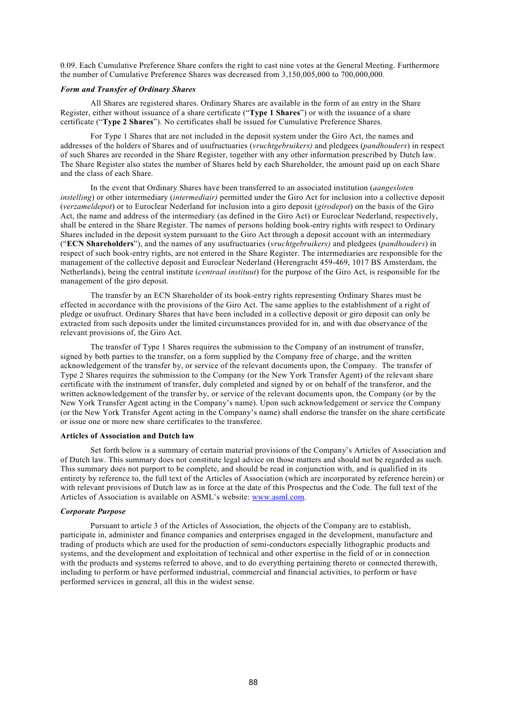0.09. Each Cumulative Preference Share confers the right to cast nine votes at the General Meeting. Furthermore the number of Cumulative Preference Shares was decreased from 3,150,005,000 to 700,000,000.

## *Form and Transfer of Ordinary Shares*

All Shares are registered shares. Ordinary Shares are available in the form of an entry in the Share Register, either without issuance of a share certificate ("**Type 1 Shares**") or with the issuance of a share certificate ("**Type 2 Shares**"). No certificates shall be issued for Cumulative Preference Shares.

For Type 1 Shares that are not included in the deposit system under the Giro Act, the names and addresses of the holders of Shares and of usufructuaries (*vruchtgebruikers)* and pledgees (*pandhouders*) in respect of such Shares are recorded in the Share Register, together with any other information prescribed by Dutch law. The Share Register also states the number of Shares held by each Shareholder, the amount paid up on each Share and the class of each Share.

In the event that Ordinary Shares have been transferred to an associated institution (*aangesloten instelling*) or other intermediary *(intermediair)* permitted under the Giro Act for inclusion into a collective deposit (*verzameldepot*) or to Euroclear Nederland for inclusion into a giro deposit (*girodepot*) on the basis of the Giro Act, the name and address of the intermediary (as defined in the Giro Act) or Euroclear Nederland, respectively, shall be entered in the Share Register. The names of persons holding book-entry rights with respect to Ordinary Shares included in the deposit system pursuant to the Giro Act through a deposit account with an intermediary ("**ECN Shareholders**"), and the names of any usufructuaries (*vruchtgebruikers)* and pledgees (*pandhouders*) in respect of such book-entry rights, are not entered in the Share Register. The intermediaries are responsible for the management of the collective deposit and Euroclear Nederland (Herengracht 459-469, 1017 BS Amsterdam, the Netherlands), being the central institute (*centraal instituut*) for the purpose of the Giro Act, is responsible for the management of the giro deposit.

The transfer by an ECN Shareholder of its book-entry rights representing Ordinary Shares must be effected in accordance with the provisions of the Giro Act. The same applies to the establishment of a right of pledge or usufruct. Ordinary Shares that have been included in a collective deposit or giro deposit can only be extracted from such deposits under the limited circumstances provided for in, and with due observance of the relevant provisions of the Giro Act.

The transfer of Type 1 Shares requires the submission to the Company of an instrument of transfer, signed by both parties to the transfer, on a form supplied by the Company free of charge, and the written acknowledgement of the transfer by, or service of the relevant documents upon, the Company. The transfer of Type 2 Shares requires the submission to the Company (or the New York Transfer Agent) of the relevant share certificate with the instrument of transfer, duly completed and signed by or on behalf of the transferor, and the written acknowledgement of the transfer by, or service of the relevant documents upon, the Company (or by the New York Transfer Agent acting in the Company's name). Upon such acknowledgement or service the Company (or the New York Transfer Agent acting in the Company's name) shall endorse the transfer on the share certificate or issue one or more new share certificates to the transferee.

#### **Articles of Association and Dutch law**

Set forth below is a summary of certain material provisions of the Company's Articles of Association and of Dutch law. This summary does not constitute legal advice on those matters and should not be regarded as such. This summary does not purport to be complete, and should be read in conjunction with, and is qualified in its entirety by reference to, the full text of the Articles of Association (which are incorporated by reference herein) or with relevant provisions of Dutch law as in force at the date of this Prospectus and the Code. The full text of the Articles of Association is available on ASML's website: [www.asml.com](http://www.asml.com/).

### *Corporate Purpose*

Pursuant to article 3 of the Articles of Association, the objects of the Company are to establish, participate in, administer and finance companies and enterprises engaged in the development, manufacture and trading of products which are used for the production of semi-conductors especially lithographic products and systems, and the development and exploitation of technical and other expertise in the field of or in connection with the products and systems referred to above, and to do everything pertaining thereto or connected therewith, including to perform or have performed industrial, commercial and financial activities, to perform or have performed services in general, all this in the widest sense.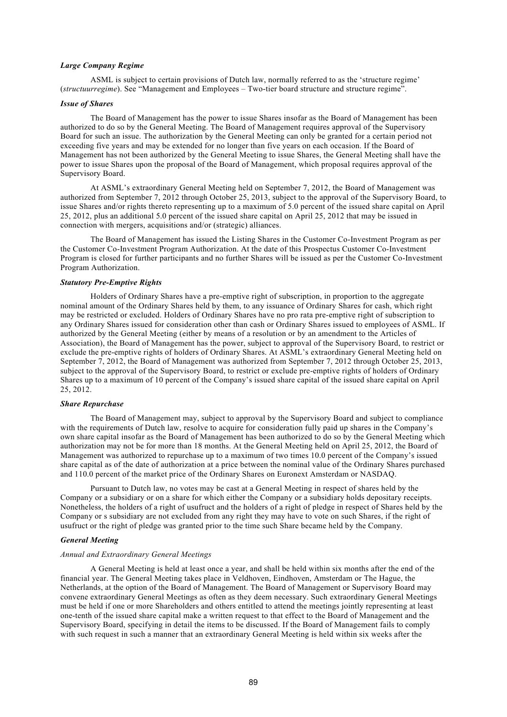#### *Large Company Regime*

ASML is subject to certain provisions of Dutch law, normally referred to as the 'structure regime' (*structuurregime*). See "Management and Employees – Two-tier board structure and structure regime".

### *Issue of Shares*

The Board of Management has the power to issue Shares insofar as the Board of Management has been authorized to do so by the General Meeting. The Board of Management requires approval of the Supervisory Board for such an issue. The authorization by the General Meeting can only be granted for a certain period not exceeding five years and may be extended for no longer than five years on each occasion. If the Board of Management has not been authorized by the General Meeting to issue Shares, the General Meeting shall have the power to issue Shares upon the proposal of the Board of Management, which proposal requires approval of the Supervisory Board.

At ASML's extraordinary General Meeting held on September 7, 2012, the Board of Management was authorized from September 7, 2012 through October 25, 2013, subject to the approval of the Supervisory Board, to issue Shares and/or rights thereto representing up to a maximum of 5.0 percent of the issued share capital on April 25, 2012, plus an additional 5.0 percent of the issued share capital on April 25, 2012 that may be issued in connection with mergers, acquisitions and/or (strategic) alliances.

The Board of Management has issued the Listing Shares in the Customer Co-Investment Program as per the Customer Co-Investment Program Authorization. At the date of this Prospectus Customer Co-Investment Program is closed for further participants and no further Shares will be issued as per the Customer Co-Investment Program Authorization.

#### *Statutory Pre-Emptive Rights*

Holders of Ordinary Shares have a pre-emptive right of subscription, in proportion to the aggregate nominal amount of the Ordinary Shares held by them, to any issuance of Ordinary Shares for cash, which right may be restricted or excluded. Holders of Ordinary Shares have no pro rata pre-emptive right of subscription to any Ordinary Shares issued for consideration other than cash or Ordinary Shares issued to employees of ASML. If authorized by the General Meeting (either by means of a resolution or by an amendment to the Articles of Association), the Board of Management has the power, subject to approval of the Supervisory Board, to restrict or exclude the pre-emptive rights of holders of Ordinary Shares. At ASML's extraordinary General Meeting held on September 7, 2012, the Board of Management was authorized from September 7, 2012 through October 25, 2013, subject to the approval of the Supervisory Board, to restrict or exclude pre-emptive rights of holders of Ordinary Shares up to a maximum of 10 percent of the Company's issued share capital of the issued share capital on April 25, 2012.

#### *Share Repurchase*

The Board of Management may, subject to approval by the Supervisory Board and subject to compliance with the requirements of Dutch law, resolve to acquire for consideration fully paid up shares in the Company's own share capital insofar as the Board of Management has been authorized to do so by the General Meeting which authorization may not be for more than 18 months. At the General Meeting held on April 25, 2012, the Board of Management was authorized to repurchase up to a maximum of two times 10.0 percent of the Company's issued share capital as of the date of authorization at a price between the nominal value of the Ordinary Shares purchased and 110.0 percent of the market price of the Ordinary Shares on Euronext Amsterdam or NASDAQ.

Pursuant to Dutch law, no votes may be cast at a General Meeting in respect of shares held by the Company or a subsidiary or on a share for which either the Company or a subsidiary holds depositary receipts. Nonetheless, the holders of a right of usufruct and the holders of a right of pledge in respect of Shares held by the Company or s subsidiary are not excluded from any right they may have to vote on such Shares, if the right of usufruct or the right of pledge was granted prior to the time such Share became held by the Company.

### *General Meeting*

## *Annual and Extraordinary General Meetings*

A General Meeting is held at least once a year, and shall be held within six months after the end of the financial year. The General Meeting takes place in Veldhoven, Eindhoven, Amsterdam or The Hague, the Netherlands, at the option of the Board of Management. The Board of Management or Supervisory Board may convene extraordinary General Meetings as often as they deem necessary. Such extraordinary General Meetings must be held if one or more Shareholders and others entitled to attend the meetings jointly representing at least one-tenth of the issued share capital make a written request to that effect to the Board of Management and the Supervisory Board, specifying in detail the items to be discussed. If the Board of Management fails to comply with such request in such a manner that an extraordinary General Meeting is held within six weeks after the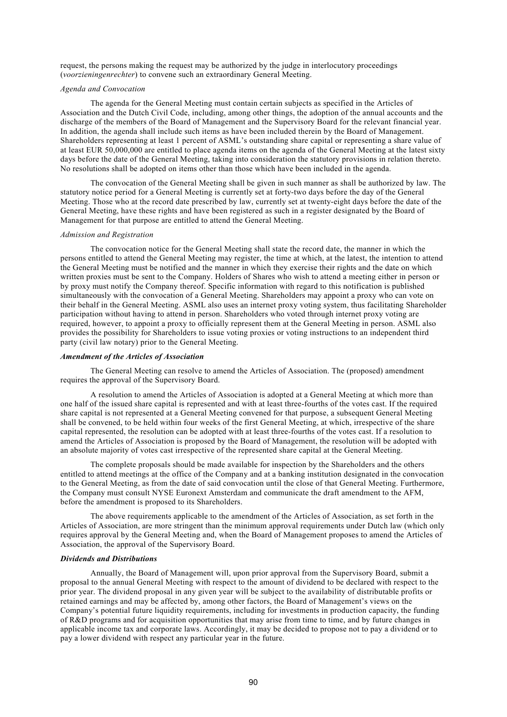request, the persons making the request may be authorized by the judge in interlocutory proceedings (*voorzieningenrechter*) to convene such an extraordinary General Meeting.

### *Agenda and Convocation*

The agenda for the General Meeting must contain certain subjects as specified in the Articles of Association and the Dutch Civil Code, including, among other things, the adoption of the annual accounts and the discharge of the members of the Board of Management and the Supervisory Board for the relevant financial year. In addition, the agenda shall include such items as have been included therein by the Board of Management. Shareholders representing at least 1 percent of ASML's outstanding share capital or representing a share value of at least EUR 50,000,000 are entitled to place agenda items on the agenda of the General Meeting at the latest sixty days before the date of the General Meeting, taking into consideration the statutory provisions in relation thereto. No resolutions shall be adopted on items other than those which have been included in the agenda.

The convocation of the General Meeting shall be given in such manner as shall be authorized by law. The statutory notice period for a General Meeting is currently set at forty-two days before the day of the General Meeting. Those who at the record date prescribed by law, currently set at twenty-eight days before the date of the General Meeting, have these rights and have been registered as such in a register designated by the Board of Management for that purpose are entitled to attend the General Meeting.

#### *Admission and Registration*

The convocation notice for the General Meeting shall state the record date, the manner in which the persons entitled to attend the General Meeting may register, the time at which, at the latest, the intention to attend the General Meeting must be notified and the manner in which they exercise their rights and the date on which written proxies must be sent to the Company. Holders of Shares who wish to attend a meeting either in person or by proxy must notify the Company thereof. Specific information with regard to this notification is published simultaneously with the convocation of a General Meeting. Shareholders may appoint a proxy who can vote on their behalf in the General Meeting. ASML also uses an internet proxy voting system, thus facilitating Shareholder participation without having to attend in person. Shareholders who voted through internet proxy voting are required, however, to appoint a proxy to officially represent them at the General Meeting in person. ASML also provides the possibility for Shareholders to issue voting proxies or voting instructions to an independent third party (civil law notary) prior to the General Meeting.

#### *Amendment of the Articles of Association*

The General Meeting can resolve to amend the Articles of Association. The (proposed) amendment requires the approval of the Supervisory Board.

A resolution to amend the Articles of Association is adopted at a General Meeting at which more than one half of the issued share capital is represented and with at least three-fourths of the votes cast. If the required share capital is not represented at a General Meeting convened for that purpose, a subsequent General Meeting shall be convened, to be held within four weeks of the first General Meeting, at which, irrespective of the share capital represented, the resolution can be adopted with at least three-fourths of the votes cast. If a resolution to amend the Articles of Association is proposed by the Board of Management, the resolution will be adopted with an absolute majority of votes cast irrespective of the represented share capital at the General Meeting.

The complete proposals should be made available for inspection by the Shareholders and the others entitled to attend meetings at the office of the Company and at a banking institution designated in the convocation to the General Meeting, as from the date of said convocation until the close of that General Meeting. Furthermore, the Company must consult NYSE Euronext Amsterdam and communicate the draft amendment to the AFM, before the amendment is proposed to its Shareholders.

The above requirements applicable to the amendment of the Articles of Association, as set forth in the Articles of Association, are more stringent than the minimum approval requirements under Dutch law (which only requires approval by the General Meeting and, when the Board of Management proposes to amend the Articles of Association, the approval of the Supervisory Board.

#### *Dividends and Distributions*

Annually, the Board of Management will, upon prior approval from the Supervisory Board, submit a proposal to the annual General Meeting with respect to the amount of dividend to be declared with respect to the prior year. The dividend proposal in any given year will be subject to the availability of distributable profits or retained earnings and may be affected by, among other factors, the Board of Management's views on the Company's potential future liquidity requirements, including for investments in production capacity, the funding of R&D programs and for acquisition opportunities that may arise from time to time, and by future changes in applicable income tax and corporate laws. Accordingly, it may be decided to propose not to pay a dividend or to pay a lower dividend with respect any particular year in the future.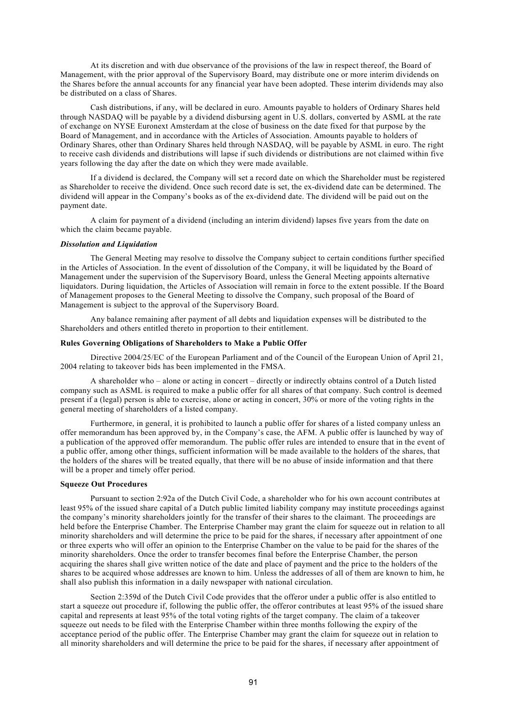At its discretion and with due observance of the provisions of the law in respect thereof, the Board of Management, with the prior approval of the Supervisory Board, may distribute one or more interim dividends on the Shares before the annual accounts for any financial year have been adopted. These interim dividends may also be distributed on a class of Shares.

Cash distributions, if any, will be declared in euro. Amounts payable to holders of Ordinary Shares held through NASDAQ will be payable by a dividend disbursing agent in  $\overline{U}$ .S. dollars, converted by ASML at the rate of exchange on NYSE Euronext Amsterdam at the close of business on the date fixed for that purpose by the Board of Management, and in accordance with the Articles of Association. Amounts payable to holders of Ordinary Shares, other than Ordinary Shares held through NASDAQ, will be payable by ASML in euro. The right to receive cash dividends and distributions will lapse if such dividends or distributions are not claimed within five years following the day after the date on which they were made available.

If a dividend is declared, the Company will set a record date on which the Shareholder must be registered as Shareholder to receive the dividend. Once such record date is set, the ex-dividend date can be determined. The dividend will appear in the Company's books as of the ex-dividend date. The dividend will be paid out on the payment date.

A claim for payment of a dividend (including an interim dividend) lapses five years from the date on which the claim became payable.

#### *Dissolution and Liquidation*

The General Meeting may resolve to dissolve the Company subject to certain conditions further specified in the Articles of Association. In the event of dissolution of the Company, it will be liquidated by the Board of Management under the supervision of the Supervisory Board, unless the General Meeting appoints alternative liquidators. During liquidation, the Articles of Association will remain in force to the extent possible. If the Board of Management proposes to the General Meeting to dissolve the Company, such proposal of the Board of Management is subject to the approval of the Supervisory Board.

Any balance remaining after payment of all debts and liquidation expenses will be distributed to the Shareholders and others entitled thereto in proportion to their entitlement.

## **Rules Governing Obligations of Shareholders to Make a Public Offer**

Directive 2004/25/EC of the European Parliament and of the Council of the European Union of April 21, 2004 relating to takeover bids has been implemented in the FMSA.

A shareholder who – alone or acting in concert – directly or indirectly obtains control of a Dutch listed company such as ASML is required to make a public offer for all shares of that company. Such control is deemed present if a (legal) person is able to exercise, alone or acting in concert, 30% or more of the voting rights in the general meeting of shareholders of a listed company.

Furthermore, in general, it is prohibited to launch a public offer for shares of a listed company unless an offer memorandum has been approved by, in the Company's case, the AFM. A public offer is launched by way of a publication of the approved offer memorandum. The public offer rules are intended to ensure that in the event of a public offer, among other things, sufficient information will be made available to the holders of the shares, that the holders of the shares will be treated equally, that there will be no abuse of inside information and that there will be a proper and timely offer period.

#### **Squeeze Out Procedures**

Pursuant to section 2:92a of the Dutch Civil Code, a shareholder who for his own account contributes at least 95% of the issued share capital of a Dutch public limited liability company may institute proceedings against the company's minority shareholders jointly for the transfer of their shares to the claimant. The proceedings are held before the Enterprise Chamber. The Enterprise Chamber may grant the claim for squeeze out in relation to all minority shareholders and will determine the price to be paid for the shares, if necessary after appointment of one or three experts who will offer an opinion to the Enterprise Chamber on the value to be paid for the shares of the minority shareholders. Once the order to transfer becomes final before the Enterprise Chamber, the person acquiring the shares shall give written notice of the date and place of payment and the price to the holders of the shares to be acquired whose addresses are known to him. Unless the addresses of all of them are known to him, he shall also publish this information in a daily newspaper with national circulation.

Section 2:359d of the Dutch Civil Code provides that the offeror under a public offer is also entitled to start a squeeze out procedure if, following the public offer, the offeror contributes at least 95% of the issued share capital and represents at least 95% of the total voting rights of the target company. The claim of a takeover squeeze out needs to be filed with the Enterprise Chamber within three months following the expiry of the acceptance period of the public offer. The Enterprise Chamber may grant the claim for squeeze out in relation to all minority shareholders and will determine the price to be paid for the shares, if necessary after appointment of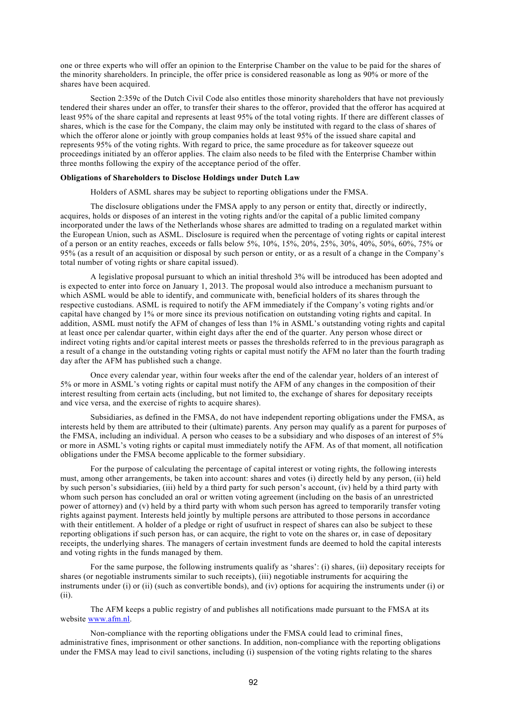one or three experts who will offer an opinion to the Enterprise Chamber on the value to be paid for the shares of the minority shareholders. In principle, the offer price is considered reasonable as long as 90% or more of the shares have been acquired.

Section 2:359c of the Dutch Civil Code also entitles those minority shareholders that have not previously tendered their shares under an offer, to transfer their shares to the offeror, provided that the offeror has acquired at least 95% of the share capital and represents at least 95% of the total voting rights. If there are different classes of shares, which is the case for the Company, the claim may only be instituted with regard to the class of shares of which the offeror alone or jointly with group companies holds at least 95% of the issued share capital and represents 95% of the voting rights. With regard to price, the same procedure as for takeover squeeze out proceedings initiated by an offeror applies. The claim also needs to be filed with the Enterprise Chamber within three months following the expiry of the acceptance period of the offer.

#### **Obligations of Shareholders to Disclose Holdings under Dutch Law**

Holders of ASML shares may be subject to reporting obligations under the FMSA.

The disclosure obligations under the FMSA apply to any person or entity that, directly or indirectly, acquires, holds or disposes of an interest in the voting rights and/or the capital of a public limited company incorporated under the laws of the Netherlands whose shares are admitted to trading on a regulated market within the European Union, such as ASML. Disclosure is required when the percentage of voting rights or capital interest of a person or an entity reaches, exceeds or falls below 5%, 10%, 15%, 20%, 25%, 30%, 40%, 50%, 60%, 75% or 95% (as a result of an acquisition or disposal by such person or entity, or as a result of a change in the Company's total number of voting rights or share capital issued).

A legislative proposal pursuant to which an initial threshold 3% will be introduced has been adopted and is expected to enter into force on January 1, 2013. The proposal would also introduce a mechanism pursuant to which ASML would be able to identify, and communicate with, beneficial holders of its shares through the respective custodians. ASML is required to notify the AFM immediately if the Company's voting rights and/or capital have changed by 1% or more since its previous notification on outstanding voting rights and capital. In addition, ASML must notify the AFM of changes of less than 1% in ASML's outstanding voting rights and capital at least once per calendar quarter, within eight days after the end of the quarter. Any person whose direct or indirect voting rights and/or capital interest meets or passes the thresholds referred to in the previous paragraph as a result of a change in the outstanding voting rights or capital must notify the AFM no later than the fourth trading day after the AFM has published such a change.

Once every calendar year, within four weeks after the end of the calendar year, holders of an interest of 5% or more in ASML's voting rights or capital must notify the AFM of any changes in the composition of their interest resulting from certain acts (including, but not limited to, the exchange of shares for depositary receipts and vice versa, and the exercise of rights to acquire shares).

Subsidiaries, as defined in the FMSA, do not have independent reporting obligations under the FMSA, as interests held by them are attributed to their (ultimate) parents. Any person may qualify as a parent for purposes of the FMSA, including an individual. A person who ceases to be a subsidiary and who disposes of an interest of 5% or more in ASML's voting rights or capital must immediately notify the AFM. As of that moment, all notification obligations under the FMSA become applicable to the former subsidiary.

For the purpose of calculating the percentage of capital interest or voting rights, the following interests must, among other arrangements, be taken into account: shares and votes (i) directly held by any person, (ii) held by such person's subsidiaries, (iii) held by a third party for such person's account, (iv) held by a third party with whom such person has concluded an oral or written voting agreement (including on the basis of an unrestricted power of attorney) and (v) held by a third party with whom such person has agreed to temporarily transfer voting rights against payment. Interests held jointly by multiple persons are attributed to those persons in accordance with their entitlement. A holder of a pledge or right of usufruct in respect of shares can also be subject to these reporting obligations if such person has, or can acquire, the right to vote on the shares or, in case of depositary receipts, the underlying shares. The managers of certain investment funds are deemed to hold the capital interests and voting rights in the funds managed by them.

For the same purpose, the following instruments qualify as 'shares': (i) shares, (ii) depositary receipts for shares (or negotiable instruments similar to such receipts), (iii) negotiable instruments for acquiring the instruments under (i) or (ii) (such as convertible bonds), and (iv) options for acquiring the instruments under (i) or (ii).

The AFM keeps a public registry of and publishes all notifications made pursuant to the FMSA at its website [www.afm.nl](http://www.afm.nl/).

Non-compliance with the reporting obligations under the FMSA could lead to criminal fines, administrative fines, imprisonment or other sanctions. In addition, non-compliance with the reporting obligations under the FMSA may lead to civil sanctions, including (i) suspension of the voting rights relating to the shares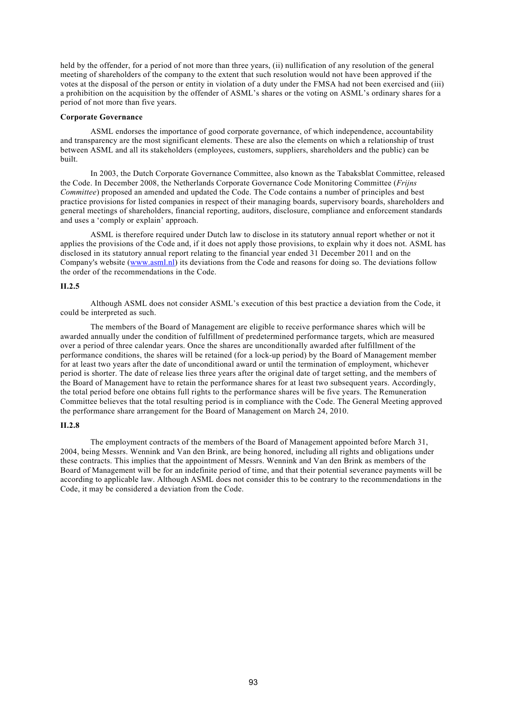held by the offender, for a period of not more than three years, (ii) nullification of any resolution of the general meeting of shareholders of the company to the extent that such resolution would not have been approved if the votes at the disposal of the person or entity in violation of a duty under the FMSA had not been exercised and (iii) a prohibition on the acquisition by the offender of ASML's shares or the voting on ASML's ordinary shares for a period of not more than five years.

## **Corporate Governance**

ASML endorses the importance of good corporate governance, of which independence, accountability and transparency are the most significant elements. These are also the elements on which a relationship of trust between ASML and all its stakeholders (employees, customers, suppliers, shareholders and the public) can be built.

In 2003, the Dutch Corporate Governance Committee, also known as the Tabaksblat Committee, released the Code. In December 2008, the Netherlands Corporate Governance Code Monitoring Committee (*Frijns Committee*) proposed an amended and updated the Code. The Code contains a number of principles and best practice provisions for listed companies in respect of their managing boards, supervisory boards, shareholders and general meetings of shareholders, financial reporting, auditors, disclosure, compliance and enforcement standards and uses a 'comply or explain' approach.

ASML is therefore required under Dutch law to disclose in its statutory annual report whether or not it applies the provisions of the Code and, if it does not apply those provisions, to explain why it does not. ASML has disclosed in its statutory annual report relating to the financial year ended 31 December 2011 and on the Company's website ([www.asml.nl](http://www.asml.nl/)) its deviations from the Code and reasons for doing so. The deviations follow the order of the recommendations in the Code.

## **II.2.5**

Although ASML does not consider ASML's execution of this best practice a deviation from the Code, it could be interpreted as such.

The members of the Board of Management are eligible to receive performance shares which will be awarded annually under the condition of fulfillment of predetermined performance targets, which are measured over a period of three calendar years. Once the shares are unconditionally awarded after fulfillment of the performance conditions, the shares will be retained (for a lock-up period) by the Board of Management member for at least two years after the date of unconditional award or until the termination of employment, whichever period is shorter. The date of release lies three years after the original date of target setting, and the members of the Board of Management have to retain the performance shares for at least two subsequent years. Accordingly, the total period before one obtains full rights to the performance shares will be five years. The Remuneration Committee believes that the total resulting period is in compliance with the Code. The General Meeting approved the performance share arrangement for the Board of Management on March 24, 2010.

### **II.2.8**

The employment contracts of the members of the Board of Management appointed before March 31, 2004, being Messrs. Wennink and Van den Brink, are being honored, including all rights and obligations under these contracts. This implies that the appointment of Messrs. Wennink and Van den Brink as members of the Board of Management will be for an indefinite period of time, and that their potential severance payments will be according to applicable law. Although ASML does not consider this to be contrary to the recommendations in the Code, it may be considered a deviation from the Code.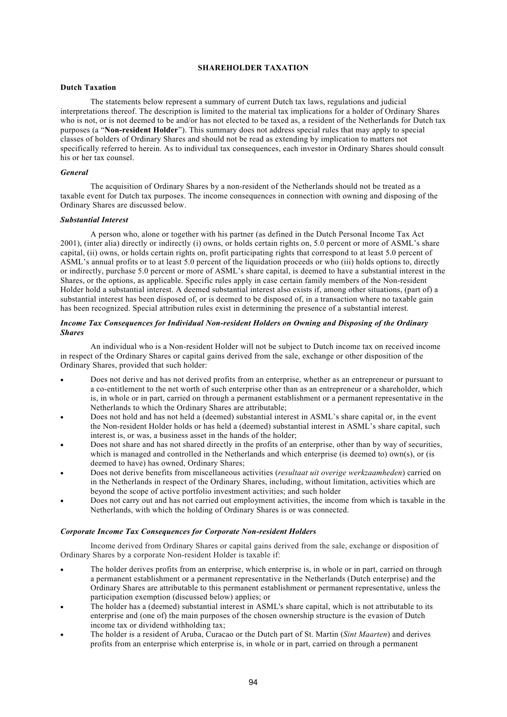## **SHAREHOLDER TAXATION**

## **Dutch Taxation**

The statements below represent a summary of current Dutch tax laws, regulations and judicial interpretations thereof. The description is limited to the material tax implications for a holder of Ordinary Shares who is not, or is not deemed to be and/or has not elected to be taxed as, a resident of the Netherlands for Dutch tax purposes (a "**Non-resident Holder**"). This summary does not address special rules that may apply to special classes of holders of Ordinary Shares and should not be read as extending by implication to matters not specifically referred to herein. As to individual tax consequences, each investor in Ordinary Shares should consult his or her tax counsel.

### *General*

The acquisition of Ordinary Shares by a non-resident of the Netherlands should not be treated as a taxable event for Dutch tax purposes. The income consequences in connection with owning and disposing of the Ordinary Shares are discussed below.

### *Substantial Interest*

A person who, alone or together with his partner (as defined in the Dutch Personal Income Tax Act 2001), (inter alia) directly or indirectly (i) owns, or holds certain rights on, 5.0 percent or more of ASML's share capital, (ii) owns, or holds certain rights on, profit participating rights that correspond to at least 5.0 percent of ASML's annual profits or to at least 5.0 percent of the liquidation proceeds or who (iii) holds options to, directly or indirectly, purchase 5.0 percent or more of ASML's share capital, is deemed to have a substantial interest in the Shares, or the options, as applicable. Specific rules apply in case certain family members of the Non-resident Holder hold a substantial interest. A deemed substantial interest also exists if, among other situations, (part of) a substantial interest has been disposed of, or is deemed to be disposed of, in a transaction where no taxable gain has been recognized. Special attribution rules exist in determining the presence of a substantial interest.

## *Income Tax Consequences for Individual Non-resident Holders on Owning and Disposing of the Ordinary Shares*

An individual who is a Non-resident Holder will not be subject to Dutch income tax on received income in respect of the Ordinary Shares or capital gains derived from the sale, exchange or other disposition of the Ordinary Shares, provided that such holder:

- Does not derive and has not derived profits from an enterprise, whether as an entrepreneur or pursuant to a co-entitlement to the net worth of such enterprise other than as an entrepreneur or a shareholder, which is, in whole or in part, carried on through a permanent establishment or a permanent representative in the Netherlands to which the Ordinary Shares are attributable;
- Does not hold and has not held a (deemed) substantial interest in ASML's share capital or, in the event the Non-resident Holder holds or has held a (deemed) substantial interest in ASML's share capital, such interest is, or was, a business asset in the hands of the holder;
- Does not share and has not shared directly in the profits of an enterprise, other than by way of securities, which is managed and controlled in the Netherlands and which enterprise (is deemed to) own(s), or (is deemed to have) has owned, Ordinary Shares;
- Does not derive benefits from miscellaneous activities (*resultaat uit overige werkzaamheden*) carried on in the Netherlands in respect of the Ordinary Shares, including, without limitation, activities which are beyond the scope of active portfolio investment activities; and such holder
- Does not carry out and has not carried out employment activities, the income from which is taxable in the Netherlands, with which the holding of Ordinary Shares is or was connected.

### *Corporate Income Tax Consequences for Corporate Non-resident Holders*

Income derived from Ordinary Shares or capital gains derived from the sale, exchange or disposition of Ordinary Shares by a corporate Non-resident Holder is taxable if:

- The holder derives profits from an enterprise, which enterprise is, in whole or in part, carried on through a permanent establishment or a permanent representative in the Netherlands (Dutch enterprise) and the Ordinary Shares are attributable to this permanent establishment or permanent representative, unless the participation exemption (discussed below) applies; or
- The holder has a (deemed) substantial interest in ASML's share capital, which is not attributable to its enterprise and (one of) the main purposes of the chosen ownership structure is the evasion of Dutch income tax or dividend withholding tax;
- The holder is a resident of Aruba, Curacao or the Dutch part of St. Martin (*Sint Maarten*) and derives profits from an enterprise which enterprise is, in whole or in part, carried on through a permanent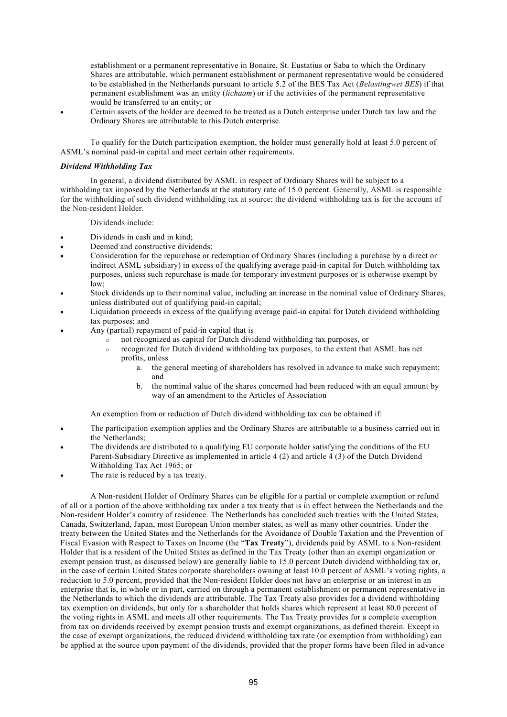establishment or a permanent representative in Bonaire, St. Eustatius or Saba to which the Ordinary Shares are attributable, which permanent establishment or permanent representative would be considered to be established in the Netherlands pursuant to article 5.2 of the BES Tax Act (*Belastingwet BES*) if that permanent establishment was an entity (*lichaam*) or if the activities of the permanent representative would be transferred to an entity; or

 Certain assets of the holder are deemed to be treated as a Dutch enterprise under Dutch tax law and the Ordinary Shares are attributable to this Dutch enterprise.

To qualify for the Dutch participation exemption, the holder must generally hold at least 5.0 percent of ASML's nominal paid-in capital and meet certain other requirements.

### *Dividend Withholding Tax*

In general, a dividend distributed by ASML in respect of Ordinary Shares will be subject to a withholding tax imposed by the Netherlands at the statutory rate of 15.0 percent. Generally, ASML is responsible for the withholding of such dividend withholding tax at source; the dividend withholding tax is for the account of the Non-resident Holder.

Dividends include:

- Dividends in cash and in kind;
- Deemed and constructive dividends;
- Consideration for the repurchase or redemption of Ordinary Shares (including a purchase by a direct or indirect ASML subsidiary) in excess of the qualifying average paid-in capital for Dutch withholding tax purposes, unless such repurchase is made for temporary investment purposes or is otherwise exempt by law;
- Stock dividends up to their nominal value, including an increase in the nominal value of Ordinary Shares, unless distributed out of qualifying paid-in capital;
- Liquidation proceeds in excess of the qualifying average paid-in capital for Dutch dividend withholding tax purposes; and
- Any (partial) repayment of paid-in capital that is
	- o not recognized as capital for Dutch dividend withholding tax purposes, or
		- o recognized for Dutch dividend withholding tax purposes, to the extent that ASML has net profits, unless
			- a. the general meeting of shareholders has resolved in advance to make such repayment; and
			- b. the nominal value of the shares concerned had been reduced with an equal amount by way of an amendment to the Articles of Association

An exemption from or reduction of Dutch dividend withholding tax can be obtained if:

- The participation exemption applies and the Ordinary Shares are attributable to a business carried out in the Netherlands;
- The dividends are distributed to a qualifying EU corporate holder satisfying the conditions of the EU Parent-Subsidiary Directive as implemented in article 4 (2) and article 4 (3) of the Dutch Dividend Withholding Tax Act 1965; or
- The rate is reduced by a tax treaty.

A Non-resident Holder of Ordinary Shares can be eligible for a partial or complete exemption or refund of all or a portion of the above withholding tax under a tax treaty that is in effect between the Netherlands and the Non-resident Holder's country of residence. The Netherlands has concluded such treaties with the United States, Canada, Switzerland, Japan, most European Union member states, as well as many other countries. Under the treaty between the United States and the Netherlands for the Avoidance of Double Taxation and the Prevention of Fiscal Evasion with Respect to Taxes on Income (the "**Tax Treaty**"), dividends paid by ASML to a Non-resident Holder that is a resident of the United States as defined in the Tax Treaty (other than an exempt organization or exempt pension trust, as discussed below) are generally liable to 15.0 percent Dutch dividend withholding tax or, in the case of certain United States corporate shareholders owning at least 10.0 percent of ASML's voting rights, a reduction to 5.0 percent, provided that the Non-resident Holder does not have an enterprise or an interest in an enterprise that is, in whole or in part, carried on through a permanent establishment or permanent representative in the Netherlands to which the dividends are attributable. The Tax Treaty also provides for a dividend withholding tax exemption on dividends, but only for a shareholder that holds shares which represent at least 80.0 percent of the voting rights in ASML and meets all other requirements. The Tax Treaty provides for a complete exemption from tax on dividends received by exempt pension trusts and exempt organizations, as defined therein. Except in the case of exempt organizations, the reduced dividend withholding tax rate (or exemption from withholding) can be applied at the source upon payment of the dividends, provided that the proper forms have been filed in advance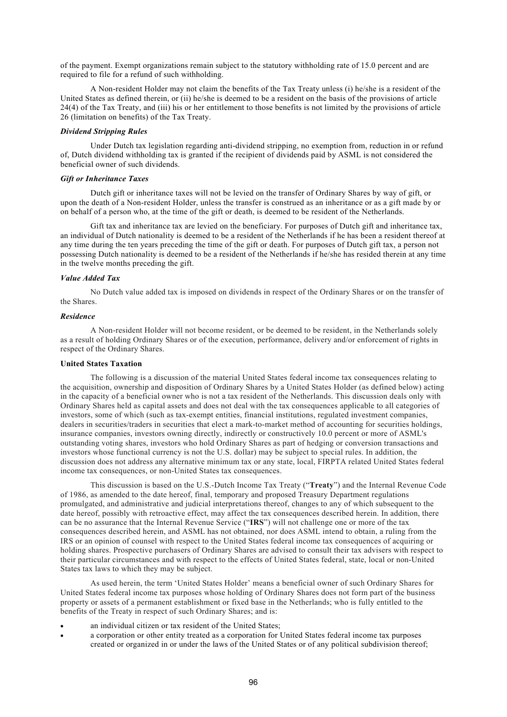of the payment. Exempt organizations remain subject to the statutory withholding rate of 15.0 percent and are required to file for a refund of such withholding.

A Non-resident Holder may not claim the benefits of the Tax Treaty unless (i) he/she is a resident of the United States as defined therein, or (ii) he/she is deemed to be a resident on the basis of the provisions of article 24(4) of the Tax Treaty, and (iii) his or her entitlement to those benefits is not limited by the provisions of article 26 (limitation on benefits) of the Tax Treaty.

### *Dividend Stripping Rules*

Under Dutch tax legislation regarding anti-dividend stripping, no exemption from, reduction in or refund of, Dutch dividend withholding tax is granted if the recipient of dividends paid by ASML is not considered the beneficial owner of such dividends.

#### *Gift or Inheritance Taxes*

Dutch gift or inheritance taxes will not be levied on the transfer of Ordinary Shares by way of gift, or upon the death of a Non-resident Holder, unless the transfer is construed as an inheritance or as a gift made by or on behalf of a person who, at the time of the gift or death, is deemed to be resident of the Netherlands.

Gift tax and inheritance tax are levied on the beneficiary. For purposes of Dutch gift and inheritance tax, an individual of Dutch nationality is deemed to be a resident of the Netherlands if he has been a resident thereof at any time during the ten years preceding the time of the gift or death. For purposes of Dutch gift tax, a person not possessing Dutch nationality is deemed to be a resident of the Netherlands if he/she has resided therein at any time in the twelve months preceding the gift.

### *Value Added Tax*

No Dutch value added tax is imposed on dividends in respect of the Ordinary Shares or on the transfer of the Shares.

### *Residence*

A Non-resident Holder will not become resident, or be deemed to be resident, in the Netherlands solely as a result of holding Ordinary Shares or of the execution, performance, delivery and/or enforcement of rights in respect of the Ordinary Shares.

### **United States Taxation**

The following is a discussion of the material United States federal income tax consequences relating to the acquisition, ownership and disposition of Ordinary Shares by a United States Holder (as defined below) acting in the capacity of a beneficial owner who is not a tax resident of the Netherlands. This discussion deals only with Ordinary Shares held as capital assets and does not deal with the tax consequences applicable to all categories of investors, some of which (such as tax-exempt entities, financial institutions, regulated investment companies, dealers in securities/traders in securities that elect a mark-to-market method of accounting for securities holdings, insurance companies, investors owning directly, indirectly or constructively 10.0 percent or more of ASML's outstanding voting shares, investors who hold Ordinary Shares as part of hedging or conversion transactions and investors whose functional currency is not the U.S. dollar) may be subject to special rules. In addition, the discussion does not address any alternative minimum tax or any state, local, FIRPTA related United States federal income tax consequences, or non-United States tax consequences.

This discussion is based on the U.S.-Dutch Income Tax Treaty ("**Treaty**") and the Internal Revenue Code of 1986, as amended to the date hereof, final, temporary and proposed Treasury Department regulations promulgated, and administrative and judicial interpretations thereof, changes to any of which subsequent to the date hereof, possibly with retroactive effect, may affect the tax consequences described herein. In addition, there can be no assurance that the Internal Revenue Service ("**IRS**") will not challenge one or more of the tax consequences described herein, and ASML has not obtained, nor does ASML intend to obtain, a ruling from the IRS or an opinion of counsel with respect to the United States federal income tax consequences of acquiring or holding shares. Prospective purchasers of Ordinary Shares are advised to consult their tax advisers with respect to their particular circumstances and with respect to the effects of United States federal, state, local or non-United States tax laws to which they may be subject.

As used herein, the term 'United States Holder' means a beneficial owner of such Ordinary Shares for United States federal income tax purposes whose holding of Ordinary Shares does not form part of the business property or assets of a permanent establishment or fixed base in the Netherlands; who is fully entitled to the benefits of the Treaty in respect of such Ordinary Shares; and is:

- an individual citizen or tax resident of the United States;
- a corporation or other entity treated as a corporation for United States federal income tax purposes created or organized in or under the laws of the United States or of any political subdivision thereof;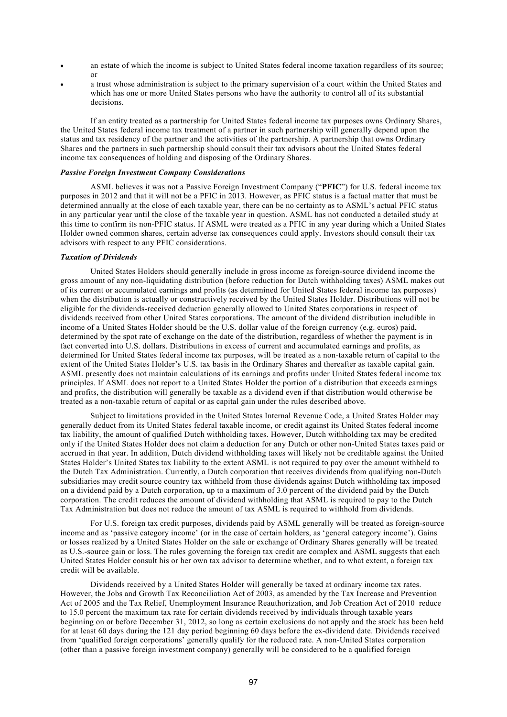- an estate of which the income is subject to United States federal income taxation regardless of its source; or
- a trust whose administration is subject to the primary supervision of a court within the United States and which has one or more United States persons who have the authority to control all of its substantial decisions.

If an entity treated as a partnership for United States federal income tax purposes owns Ordinary Shares, the United States federal income tax treatment of a partner in such partnership will generally depend upon the status and tax residency of the partner and the activities of the partnership. A partnership that owns Ordinary Shares and the partners in such partnership should consult their tax advisors about the United States federal income tax consequences of holding and disposing of the Ordinary Shares.

### *Passive Foreign Investment Company Considerations*

ASML believes it was not a Passive Foreign Investment Company ("**PFIC**") for U.S. federal income tax purposes in 2012 and that it will not be a PFIC in 2013. However, as PFIC status is a factual matter that must be determined annually at the close of each taxable year, there can be no certainty as to ASML's actual PFIC status in any particular year until the close of the taxable year in question. ASML has not conducted a detailed study at this time to confirm its non-PFIC status. If ASML were treated as a PFIC in any year during which a United States Holder owned common shares, certain adverse tax consequences could apply. Investors should consult their tax advisors with respect to any PFIC considerations.

### *Taxation of Dividends*

United States Holders should generally include in gross income as foreign-source dividend income the gross amount of any non-liquidating distribution (before reduction for Dutch withholding taxes) ASML makes out of its current or accumulated earnings and profits (as determined for United States federal income tax purposes) when the distribution is actually or constructively received by the United States Holder. Distributions will not be eligible for the dividends-received deduction generally allowed to United States corporations in respect of dividends received from other United States corporations. The amount of the dividend distribution includible in income of a United States Holder should be the U.S. dollar value of the foreign currency (e.g. euros) paid, determined by the spot rate of exchange on the date of the distribution, regardless of whether the payment is in fact converted into U.S. dollars. Distributions in excess of current and accumulated earnings and profits, as determined for United States federal income tax purposes, will be treated as a non-taxable return of capital to the extent of the United States Holder's U.S. tax basis in the Ordinary Shares and thereafter as taxable capital gain. ASML presently does not maintain calculations of its earnings and profits under United States federal income tax principles. If ASML does not report to a United States Holder the portion of a distribution that exceeds earnings and profits, the distribution will generally be taxable as a dividend even if that distribution would otherwise be treated as a non-taxable return of capital or as capital gain under the rules described above.

Subject to limitations provided in the United States Internal Revenue Code, a United States Holder may generally deduct from its United States federal taxable income, or credit against its United States federal income tax liability, the amount of qualified Dutch withholding taxes. However, Dutch withholding tax may be credited only if the United States Holder does not claim a deduction for any Dutch or other non-United States taxes paid or accrued in that year. In addition, Dutch dividend withholding taxes will likely not be creditable against the United States Holder's United States tax liability to the extent ASML is not required to pay over the amount withheld to the Dutch Tax Administration. Currently, a Dutch corporation that receives dividends from qualifying non-Dutch subsidiaries may credit source country tax withheld from those dividends against Dutch withholding tax imposed on a dividend paid by a Dutch corporation, up to a maximum of 3.0 percent of the dividend paid by the Dutch corporation. The credit reduces the amount of dividend withholding that ASML is required to pay to the Dutch Tax Administration but does not reduce the amount of tax ASML is required to withhold from dividends.

For U.S. foreign tax credit purposes, dividends paid by ASML generally will be treated as foreign-source income and as 'passive category income' (or in the case of certain holders, as 'general category income'). Gains or losses realized by a United States Holder on the sale or exchange of Ordinary Shares generally will be treated as U.S.-source gain or loss. The rules governing the foreign tax credit are complex and ASML suggests that each United States Holder consult his or her own tax advisor to determine whether, and to what extent, a foreign tax credit will be available.

Dividends received by a United States Holder will generally be taxed at ordinary income tax rates. However, the Jobs and Growth Tax Reconciliation Act of 2003, as amended by the Tax Increase and Prevention Act of 2005 and the Tax Relief, Unemployment Insurance Reauthorization, and Job Creation Act of 2010 reduce to 15.0 percent the maximum tax rate for certain dividends received by individuals through taxable years beginning on or before December 31, 2012, so long as certain exclusions do not apply and the stock has been held for at least 60 days during the 121 day period beginning 60 days before the ex-dividend date. Dividends received from 'qualified foreign corporations' generally qualify for the reduced rate. A non-United States corporation (other than a passive foreign investment company) generally will be considered to be a qualified foreign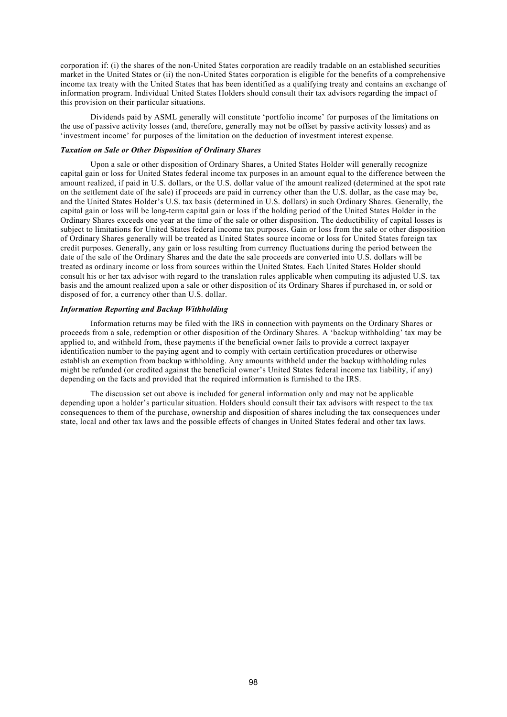corporation if: (i) the shares of the non-United States corporation are readily tradable on an established securities market in the United States or (ii) the non-United States corporation is eligible for the benefits of a comprehensive income tax treaty with the United States that has been identified as a qualifying treaty and contains an exchange of information program. Individual United States Holders should consult their tax advisors regarding the impact of this provision on their particular situations.

Dividends paid by ASML generally will constitute 'portfolio income' for purposes of the limitations on the use of passive activity losses (and, therefore, generally may not be offset by passive activity losses) and as 'investment income' for purposes of the limitation on the deduction of investment interest expense.

### *Taxation on Sale or Other Disposition of Ordinary Shares*

Upon a sale or other disposition of Ordinary Shares, a United States Holder will generally recognize capital gain or loss for United States federal income tax purposes in an amount equal to the difference between the amount realized, if paid in U.S. dollars, or the U.S. dollar value of the amount realized (determined at the spot rate on the settlement date of the sale) if proceeds are paid in currency other than the U.S. dollar, as the case may be, and the United States Holder's U.S. tax basis (determined in U.S. dollars) in such Ordinary Shares. Generally, the capital gain or loss will be long-term capital gain or loss if the holding period of the United States Holder in the Ordinary Shares exceeds one year at the time of the sale or other disposition. The deductibility of capital losses is subject to limitations for United States federal income tax purposes. Gain or loss from the sale or other disposition of Ordinary Shares generally will be treated as United States source income or loss for United States foreign tax credit purposes. Generally, any gain or loss resulting from currency fluctuations during the period between the date of the sale of the Ordinary Shares and the date the sale proceeds are converted into U.S. dollars will be treated as ordinary income or loss from sources within the United States. Each United States Holder should consult his or her tax advisor with regard to the translation rules applicable when computing its adjusted U.S. tax basis and the amount realized upon a sale or other disposition of its Ordinary Shares if purchased in, or sold or disposed of for, a currency other than U.S. dollar.

## *Information Reporting and Backup Withholding*

Information returns may be filed with the IRS in connection with payments on the Ordinary Shares or proceeds from a sale, redemption or other disposition of the Ordinary Shares. A 'backup withholding' tax may be applied to, and withheld from, these payments if the beneficial owner fails to provide a correct taxpayer identification number to the paying agent and to comply with certain certification procedures or otherwise establish an exemption from backup withholding. Any amounts withheld under the backup withholding rules might be refunded (or credited against the beneficial owner's United States federal income tax liability, if any) depending on the facts and provided that the required information is furnished to the IRS.

The discussion set out above is included for general information only and may not be applicable depending upon a holder's particular situation. Holders should consult their tax advisors with respect to the tax consequences to them of the purchase, ownership and disposition of shares including the tax consequences under state, local and other tax laws and the possible effects of changes in United States federal and other tax laws.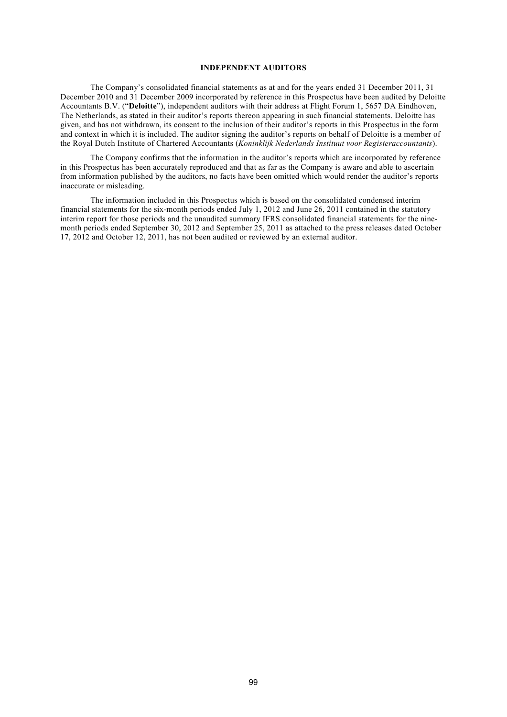### **INDEPENDENT AUDITORS**

The Company's consolidated financial statements as at and for the years ended 31 December 2011, 31 December 2010 and 31 December 2009 incorporated by reference in this Prospectus have been audited by Deloitte Accountants B.V. ("**Deloitte**"), independent auditors with their address at Flight Forum 1, 5657 DA Eindhoven, The Netherlands, as stated in their auditor's reports thereon appearing in such financial statements. Deloitte has given, and has not withdrawn, its consent to the inclusion of their auditor's reports in this Prospectus in the form and context in which it is included. The auditor signing the auditor's reports on behalf of Deloitte is a member of the Royal Dutch Institute of Chartered Accountants (*Koninklijk Nederlands Instituut voor Registeraccountants*).

The Company confirms that the information in the auditor's reports which are incorporated by reference in this Prospectus has been accurately reproduced and that as far as the Company is aware and able to ascertain from information published by the auditors, no facts have been omitted which would render the auditor's reports inaccurate or misleading.

The information included in this Prospectus which is based on the consolidated condensed interim financial statements for the six-month periods ended July 1, 2012 and June 26, 2011 contained in the statutory interim report for those periods and the unaudited summary IFRS consolidated financial statements for the ninemonth periods ended September 30, 2012 and September 25, 2011 as attached to the press releases dated October 17, 2012 and October 12, 2011, has not been audited or reviewed by an external auditor.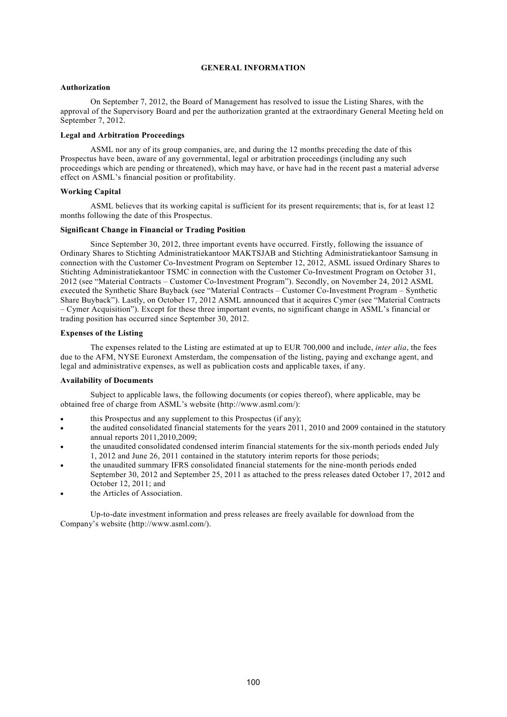## **GENERAL INFORMATION**

### **Authorization**

On September 7, 2012, the Board of Management has resolved to issue the Listing Shares, with the approval of the Supervisory Board and per the authorization granted at the extraordinary General Meeting held on September 7, 2012.

### **Legal and Arbitration Proceedings**

ASML nor any of its group companies, are, and during the 12 months preceding the date of this Prospectus have been, aware of any governmental, legal or arbitration proceedings (including any such proceedings which are pending or threatened), which may have, or have had in the recent past a material adverse effect on ASML's financial position or profitability.

#### **Working Capital**

ASML believes that its working capital is sufficient for its present requirements; that is, for at least 12 months following the date of this Prospectus.

## **Significant Change in Financial or Trading Position**

Since September 30, 2012, three important events have occurred. Firstly, following the issuance of Ordinary Shares to Stichting Administratiekantoor MAKTSJAB and Stichting Administratiekantoor Samsung in connection with the Customer Co-Investment Program on September 12, 2012, ASML issued Ordinary Shares to Stichting Administratiekantoor TSMC in connection with the Customer Co-Investment Program on October 31, 2012 (see "Material Contracts – Customer Co-Investment Program"). Secondly, on November 24, 2012 ASML executed the Synthetic Share Buyback (see "Material Contracts – Customer Co-Investment Program – Synthetic Share Buyback"). Lastly, on October 17, 2012 ASML announced that it acquires Cymer (see "Material Contracts – Cymer Acquisition"). Except for these three important events, no significant change in ASML's financial or trading position has occurred since September 30, 2012.

#### **Expenses of the Listing**

The expenses related to the Listing are estimated at up to EUR 700,000 and include, *inter alia*, the fees due to the AFM, NYSE Euronext Amsterdam, the compensation of the listing, paying and exchange agent, and legal and administrative expenses, as well as publication costs and applicable taxes, if any.

### **Availability of Documents**

Subject to applicable laws, the following documents (or copies thereof), where applicable, may be obtained free of charge from ASML's website (http://www.asml.com/):

- this Prospectus and any supplement to this Prospectus (if any);
- the audited consolidated financial statements for the years 2011, 2010 and 2009 contained in the statutory annual reports 2011,2010,2009;
- the unaudited consolidated condensed interim financial statements for the six-month periods ended July 1, 2012 and June 26, 2011 contained in the statutory interim reports for those periods;
- the unaudited summary IFRS consolidated financial statements for the nine-month periods ended September 30, 2012 and September 25, 2011 as attached to the press releases dated October 17, 2012 and October 12, 2011; and
- the Articles of Association.

Up-to-date investment information and press releases are freely available for download from the Company's website (http://www.asml.com/).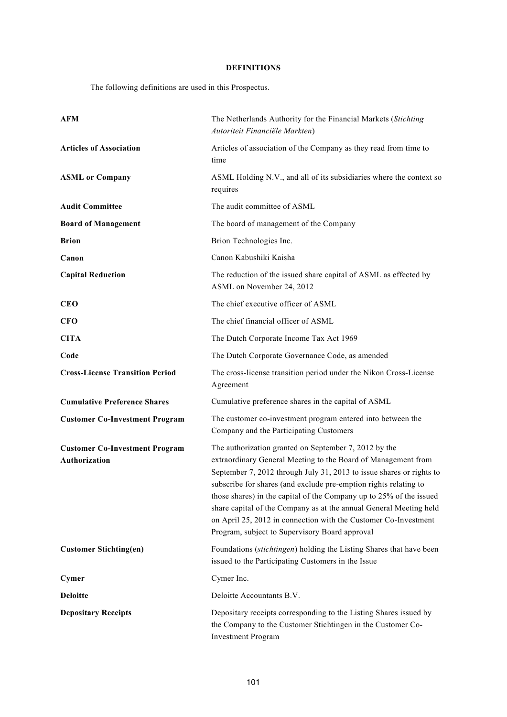## **DEFINITIONS**

The following definitions are used in this Prospectus.

| <b>AFM</b>                                                    | The Netherlands Authority for the Financial Markets (Stichting<br>Autoriteit Financiële Markten)                                                                                                                                                                                                                                                                                                                                                                                                                                     |
|---------------------------------------------------------------|--------------------------------------------------------------------------------------------------------------------------------------------------------------------------------------------------------------------------------------------------------------------------------------------------------------------------------------------------------------------------------------------------------------------------------------------------------------------------------------------------------------------------------------|
| <b>Articles of Association</b>                                | Articles of association of the Company as they read from time to<br>time                                                                                                                                                                                                                                                                                                                                                                                                                                                             |
| <b>ASML</b> or Company                                        | ASML Holding N.V., and all of its subsidiaries where the context so<br>requires                                                                                                                                                                                                                                                                                                                                                                                                                                                      |
| <b>Audit Committee</b>                                        | The audit committee of ASML                                                                                                                                                                                                                                                                                                                                                                                                                                                                                                          |
| <b>Board of Management</b>                                    | The board of management of the Company                                                                                                                                                                                                                                                                                                                                                                                                                                                                                               |
| <b>Brion</b>                                                  | Brion Technologies Inc.                                                                                                                                                                                                                                                                                                                                                                                                                                                                                                              |
| Canon                                                         | Canon Kabushiki Kaisha                                                                                                                                                                                                                                                                                                                                                                                                                                                                                                               |
| <b>Capital Reduction</b>                                      | The reduction of the issued share capital of ASML as effected by<br>ASML on November 24, 2012                                                                                                                                                                                                                                                                                                                                                                                                                                        |
| <b>CEO</b>                                                    | The chief executive officer of ASML                                                                                                                                                                                                                                                                                                                                                                                                                                                                                                  |
| CFO                                                           | The chief financial officer of ASML                                                                                                                                                                                                                                                                                                                                                                                                                                                                                                  |
| <b>CITA</b>                                                   | The Dutch Corporate Income Tax Act 1969                                                                                                                                                                                                                                                                                                                                                                                                                                                                                              |
| Code                                                          | The Dutch Corporate Governance Code, as amended                                                                                                                                                                                                                                                                                                                                                                                                                                                                                      |
| <b>Cross-License Transition Period</b>                        | The cross-license transition period under the Nikon Cross-License<br>Agreement                                                                                                                                                                                                                                                                                                                                                                                                                                                       |
| <b>Cumulative Preference Shares</b>                           | Cumulative preference shares in the capital of ASML                                                                                                                                                                                                                                                                                                                                                                                                                                                                                  |
| <b>Customer Co-Investment Program</b>                         | The customer co-investment program entered into between the<br>Company and the Participating Customers                                                                                                                                                                                                                                                                                                                                                                                                                               |
| <b>Customer Co-Investment Program</b><br><b>Authorization</b> | The authorization granted on September 7, 2012 by the<br>extraordinary General Meeting to the Board of Management from<br>September 7, 2012 through July 31, 2013 to issue shares or rights to<br>subscribe for shares (and exclude pre-emption rights relating to<br>those shares) in the capital of the Company up to 25% of the issued<br>share capital of the Company as at the annual General Meeting held<br>on April 25, 2012 in connection with the Customer Co-Investment<br>Program, subject to Supervisory Board approval |
| <b>Customer Stichting(en)</b>                                 | Foundations (stichtingen) holding the Listing Shares that have been<br>issued to the Participating Customers in the Issue                                                                                                                                                                                                                                                                                                                                                                                                            |
| Cymer                                                         | Cymer Inc.                                                                                                                                                                                                                                                                                                                                                                                                                                                                                                                           |
| <b>Deloitte</b>                                               | Deloitte Accountants B.V.                                                                                                                                                                                                                                                                                                                                                                                                                                                                                                            |
| <b>Depositary Receipts</b>                                    | Depositary receipts corresponding to the Listing Shares issued by<br>the Company to the Customer Stichtingen in the Customer Co-<br><b>Investment Program</b>                                                                                                                                                                                                                                                                                                                                                                        |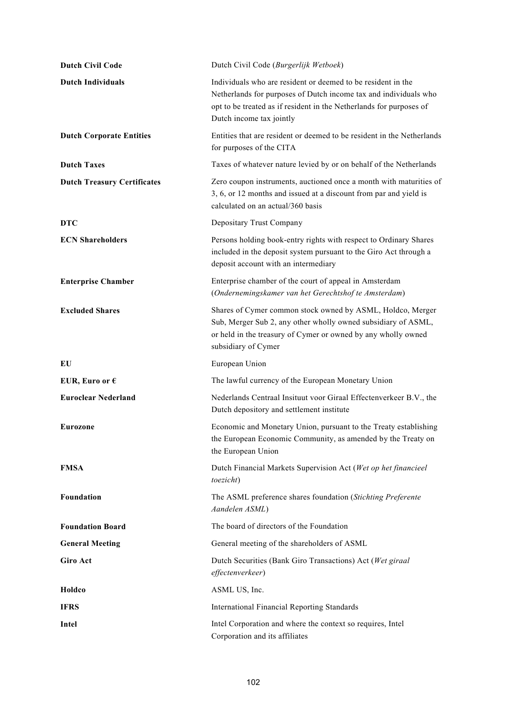| <b>Dutch Civil Code</b>            | Dutch Civil Code (Burgerlijk Wetboek)                                                                                                                                                                                               |
|------------------------------------|-------------------------------------------------------------------------------------------------------------------------------------------------------------------------------------------------------------------------------------|
| <b>Dutch Individuals</b>           | Individuals who are resident or deemed to be resident in the<br>Netherlands for purposes of Dutch income tax and individuals who<br>opt to be treated as if resident in the Netherlands for purposes of<br>Dutch income tax jointly |
| <b>Dutch Corporate Entities</b>    | Entities that are resident or deemed to be resident in the Netherlands<br>for purposes of the CITA                                                                                                                                  |
| <b>Dutch Taxes</b>                 | Taxes of whatever nature levied by or on behalf of the Netherlands                                                                                                                                                                  |
| <b>Dutch Treasury Certificates</b> | Zero coupon instruments, auctioned once a month with maturities of<br>3, 6, or 12 months and issued at a discount from par and yield is<br>calculated on an actual/360 basis                                                        |
| <b>DTC</b>                         | Depositary Trust Company                                                                                                                                                                                                            |
| <b>ECN Shareholders</b>            | Persons holding book-entry rights with respect to Ordinary Shares<br>included in the deposit system pursuant to the Giro Act through a<br>deposit account with an intermediary                                                      |
| <b>Enterprise Chamber</b>          | Enterprise chamber of the court of appeal in Amsterdam<br>(Ondernemingskamer van het Gerechtshof te Amsterdam)                                                                                                                      |
| <b>Excluded Shares</b>             | Shares of Cymer common stock owned by ASML, Holdco, Merger<br>Sub, Merger Sub 2, any other wholly owned subsidiary of ASML,<br>or held in the treasury of Cymer or owned by any wholly owned<br>subsidiary of Cymer                 |
| EU                                 | European Union                                                                                                                                                                                                                      |
| EUR, Euro or $\epsilon$            | The lawful currency of the European Monetary Union                                                                                                                                                                                  |
| <b>Euroclear Nederland</b>         | Nederlands Centraal Insituut voor Giraal Effectenverkeer B.V., the<br>Dutch depository and settlement institute                                                                                                                     |
| <b>Eurozone</b>                    | Economic and Monetary Union, pursuant to the Treaty establishing<br>the European Economic Community, as amended by the Treaty on<br>the European Union                                                                              |
| <b>FMSA</b>                        | Dutch Financial Markets Supervision Act (Wet op het financieel<br>toezicht)                                                                                                                                                         |
| Foundation                         | The ASML preference shares foundation (Stichting Preferente<br>Aandelen ASML)                                                                                                                                                       |
| <b>Foundation Board</b>            | The board of directors of the Foundation                                                                                                                                                                                            |
| <b>General Meeting</b>             | General meeting of the shareholders of ASML                                                                                                                                                                                         |
| <b>Giro Act</b>                    | Dutch Securities (Bank Giro Transactions) Act (Wet giraal<br>effectenverkeer)                                                                                                                                                       |
| Holdco                             | ASML US, Inc.                                                                                                                                                                                                                       |
| <b>IFRS</b>                        | <b>International Financial Reporting Standards</b>                                                                                                                                                                                  |
| Intel                              | Intel Corporation and where the context so requires, Intel<br>Corporation and its affiliates                                                                                                                                        |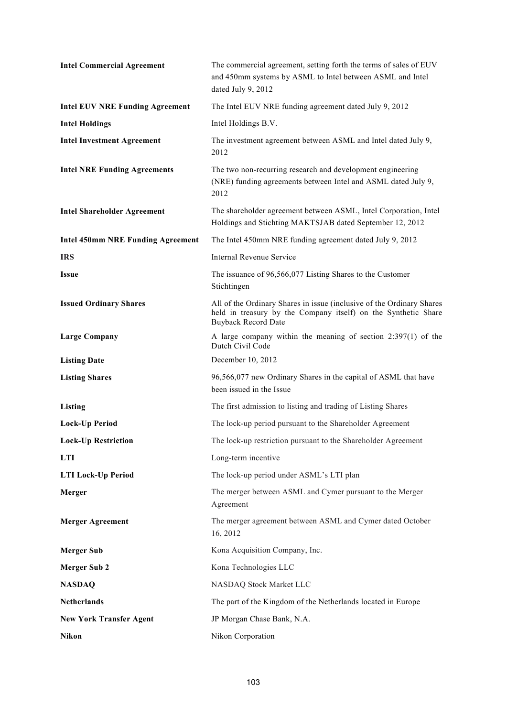| <b>Intel Commercial Agreement</b>        | The commercial agreement, setting forth the terms of sales of EUV<br>and 450mm systems by ASML to Intel between ASML and Intel<br>dated July 9, 2012                  |
|------------------------------------------|-----------------------------------------------------------------------------------------------------------------------------------------------------------------------|
| <b>Intel EUV NRE Funding Agreement</b>   | The Intel EUV NRE funding agreement dated July 9, 2012                                                                                                                |
| <b>Intel Holdings</b>                    | Intel Holdings B.V.                                                                                                                                                   |
| <b>Intel Investment Agreement</b>        | The investment agreement between ASML and Intel dated July 9,<br>2012                                                                                                 |
| <b>Intel NRE Funding Agreements</b>      | The two non-recurring research and development engineering<br>(NRE) funding agreements between Intel and ASML dated July 9,<br>2012                                   |
| <b>Intel Shareholder Agreement</b>       | The shareholder agreement between ASML, Intel Corporation, Intel<br>Holdings and Stichting MAKTSJAB dated September 12, 2012                                          |
| <b>Intel 450mm NRE Funding Agreement</b> | The Intel 450mm NRE funding agreement dated July 9, 2012                                                                                                              |
| <b>IRS</b>                               | Internal Revenue Service                                                                                                                                              |
| <b>Issue</b>                             | The issuance of 96,566,077 Listing Shares to the Customer<br>Stichtingen                                                                                              |
| <b>Issued Ordinary Shares</b>            | All of the Ordinary Shares in issue (inclusive of the Ordinary Shares<br>held in treasury by the Company itself) on the Synthetic Share<br><b>Buyback Record Date</b> |
| <b>Large Company</b>                     | A large company within the meaning of section $2:397(1)$ of the<br>Dutch Civil Code                                                                                   |
| <b>Listing Date</b>                      | December 10, 2012                                                                                                                                                     |
| <b>Listing Shares</b>                    | 96,566,077 new Ordinary Shares in the capital of ASML that have<br>been issued in the Issue                                                                           |
| Listing                                  | The first admission to listing and trading of Listing Shares                                                                                                          |
| <b>Lock-Up Period</b>                    | The lock-up period pursuant to the Shareholder Agreement                                                                                                              |
| <b>Lock-Up Restriction</b>               | The lock-up restriction pursuant to the Shareholder Agreement                                                                                                         |
| <b>LTI</b>                               | Long-term incentive                                                                                                                                                   |
| <b>LTI Lock-Up Period</b>                | The lock-up period under ASML's LTI plan                                                                                                                              |
| Merger                                   | The merger between ASML and Cymer pursuant to the Merger<br>Agreement                                                                                                 |
| <b>Merger Agreement</b>                  | The merger agreement between ASML and Cymer dated October<br>16, 2012                                                                                                 |
| <b>Merger Sub</b>                        | Kona Acquisition Company, Inc.                                                                                                                                        |
| <b>Merger Sub 2</b>                      | Kona Technologies LLC                                                                                                                                                 |
| <b>NASDAQ</b>                            | NASDAQ Stock Market LLC                                                                                                                                               |
| <b>Netherlands</b>                       | The part of the Kingdom of the Netherlands located in Europe                                                                                                          |
| <b>New York Transfer Agent</b>           | JP Morgan Chase Bank, N.A.                                                                                                                                            |
| Nikon                                    | Nikon Corporation                                                                                                                                                     |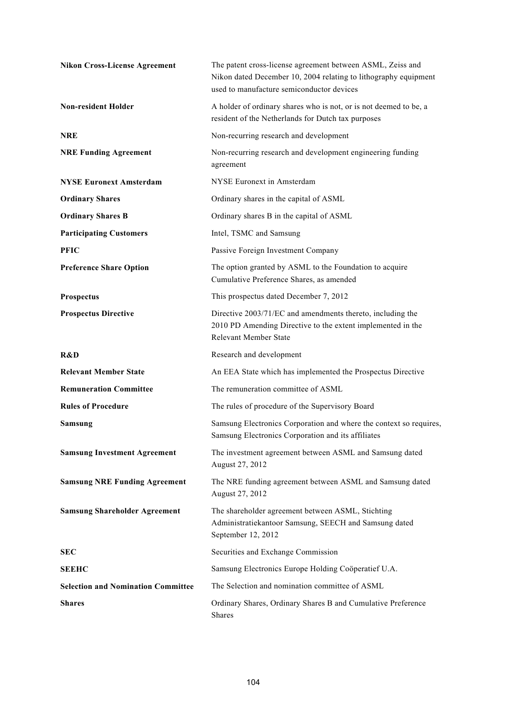| <b>Nikon Cross-License Agreement</b>      | The patent cross-license agreement between ASML, Zeiss and<br>Nikon dated December 10, 2004 relating to lithography equipment<br>used to manufacture semiconductor devices |
|-------------------------------------------|----------------------------------------------------------------------------------------------------------------------------------------------------------------------------|
| <b>Non-resident Holder</b>                | A holder of ordinary shares who is not, or is not deemed to be, a<br>resident of the Netherlands for Dutch tax purposes                                                    |
| <b>NRE</b>                                | Non-recurring research and development                                                                                                                                     |
| <b>NRE Funding Agreement</b>              | Non-recurring research and development engineering funding<br>agreement                                                                                                    |
| <b>NYSE Euronext Amsterdam</b>            | NYSE Euronext in Amsterdam                                                                                                                                                 |
| <b>Ordinary Shares</b>                    | Ordinary shares in the capital of ASML                                                                                                                                     |
| <b>Ordinary Shares B</b>                  | Ordinary shares B in the capital of ASML                                                                                                                                   |
| <b>Participating Customers</b>            | Intel, TSMC and Samsung                                                                                                                                                    |
| <b>PFIC</b>                               | Passive Foreign Investment Company                                                                                                                                         |
| <b>Preference Share Option</b>            | The option granted by ASML to the Foundation to acquire<br>Cumulative Preference Shares, as amended                                                                        |
| Prospectus                                | This prospectus dated December 7, 2012                                                                                                                                     |
| <b>Prospectus Directive</b>               | Directive 2003/71/EC and amendments thereto, including the<br>2010 PD Amending Directive to the extent implemented in the<br><b>Relevant Member State</b>                  |
| R&D                                       | Research and development                                                                                                                                                   |
| <b>Relevant Member State</b>              | An EEA State which has implemented the Prospectus Directive                                                                                                                |
| <b>Remuneration Committee</b>             | The remuneration committee of ASML                                                                                                                                         |
| <b>Rules of Procedure</b>                 | The rules of procedure of the Supervisory Board                                                                                                                            |
| Samsung                                   | Samsung Electronics Corporation and where the context so requires,<br>Samsung Electronics Corporation and its affiliates                                                   |
| <b>Samsung Investment Agreement</b>       | The investment agreement between ASML and Samsung dated<br>August 27, 2012                                                                                                 |
| <b>Samsung NRE Funding Agreement</b>      | The NRE funding agreement between ASML and Samsung dated<br>August 27, 2012                                                                                                |
| <b>Samsung Shareholder Agreement</b>      | The shareholder agreement between ASML, Stichting<br>Administratiekantoor Samsung, SEECH and Samsung dated<br>September 12, 2012                                           |
| <b>SEC</b>                                | Securities and Exchange Commission                                                                                                                                         |
| <b>SEEHC</b>                              | Samsung Electronics Europe Holding Coöperatief U.A.                                                                                                                        |
| <b>Selection and Nomination Committee</b> | The Selection and nomination committee of ASML                                                                                                                             |
| <b>Shares</b>                             | Ordinary Shares, Ordinary Shares B and Cumulative Preference<br>Shares                                                                                                     |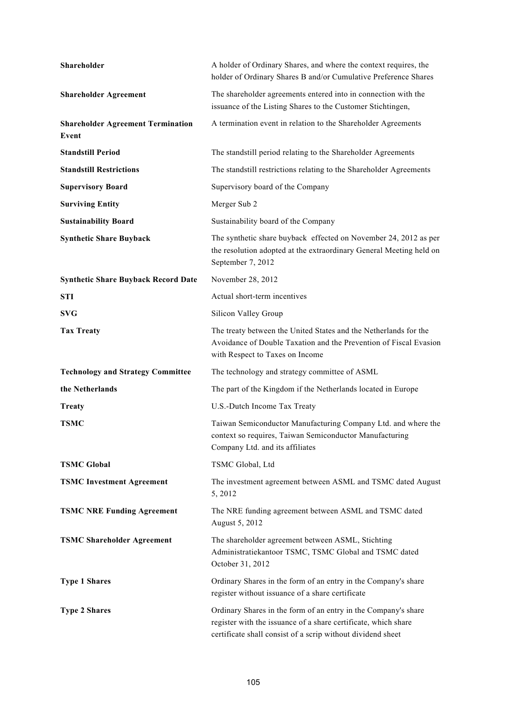| Shareholder                                       | A holder of Ordinary Shares, and where the context requires, the<br>holder of Ordinary Shares B and/or Cumulative Preference Shares                                                             |
|---------------------------------------------------|-------------------------------------------------------------------------------------------------------------------------------------------------------------------------------------------------|
| <b>Shareholder Agreement</b>                      | The shareholder agreements entered into in connection with the<br>issuance of the Listing Shares to the Customer Stichtingen,                                                                   |
| <b>Shareholder Agreement Termination</b><br>Event | A termination event in relation to the Shareholder Agreements                                                                                                                                   |
| <b>Standstill Period</b>                          | The standstill period relating to the Shareholder Agreements                                                                                                                                    |
| <b>Standstill Restrictions</b>                    | The standstill restrictions relating to the Shareholder Agreements                                                                                                                              |
| <b>Supervisory Board</b>                          | Supervisory board of the Company                                                                                                                                                                |
| <b>Surviving Entity</b>                           | Merger Sub 2                                                                                                                                                                                    |
| <b>Sustainability Board</b>                       | Sustainability board of the Company                                                                                                                                                             |
| <b>Synthetic Share Buyback</b>                    | The synthetic share buyback effected on November 24, 2012 as per<br>the resolution adopted at the extraordinary General Meeting held on<br>September 7, 2012                                    |
| <b>Synthetic Share Buyback Record Date</b>        | November 28, 2012                                                                                                                                                                               |
| <b>STI</b>                                        | Actual short-term incentives                                                                                                                                                                    |
| <b>SVG</b>                                        | Silicon Valley Group                                                                                                                                                                            |
| <b>Tax Treaty</b>                                 | The treaty between the United States and the Netherlands for the<br>Avoidance of Double Taxation and the Prevention of Fiscal Evasion<br>with Respect to Taxes on Income                        |
| <b>Technology and Strategy Committee</b>          | The technology and strategy committee of ASML                                                                                                                                                   |
| the Netherlands                                   | The part of the Kingdom if the Netherlands located in Europe                                                                                                                                    |
| <b>Treaty</b>                                     | U.S.-Dutch Income Tax Treaty                                                                                                                                                                    |
| <b>TSMC</b>                                       | Taiwan Semiconductor Manufacturing Company Ltd. and where the<br>context so requires, Taiwan Semiconductor Manufacturing<br>Company Ltd. and its affiliates                                     |
| <b>TSMC Global</b>                                | TSMC Global, Ltd                                                                                                                                                                                |
| <b>TSMC Investment Agreement</b>                  | The investment agreement between ASML and TSMC dated August<br>5, 2012                                                                                                                          |
| <b>TSMC NRE Funding Agreement</b>                 | The NRE funding agreement between ASML and TSMC dated<br>August 5, 2012                                                                                                                         |
| <b>TSMC Shareholder Agreement</b>                 | The shareholder agreement between ASML, Stichting<br>Administratiekantoor TSMC, TSMC Global and TSMC dated<br>October 31, 2012                                                                  |
| <b>Type 1 Shares</b>                              | Ordinary Shares in the form of an entry in the Company's share<br>register without issuance of a share certificate                                                                              |
| <b>Type 2 Shares</b>                              | Ordinary Shares in the form of an entry in the Company's share<br>register with the issuance of a share certificate, which share<br>certificate shall consist of a scrip without dividend sheet |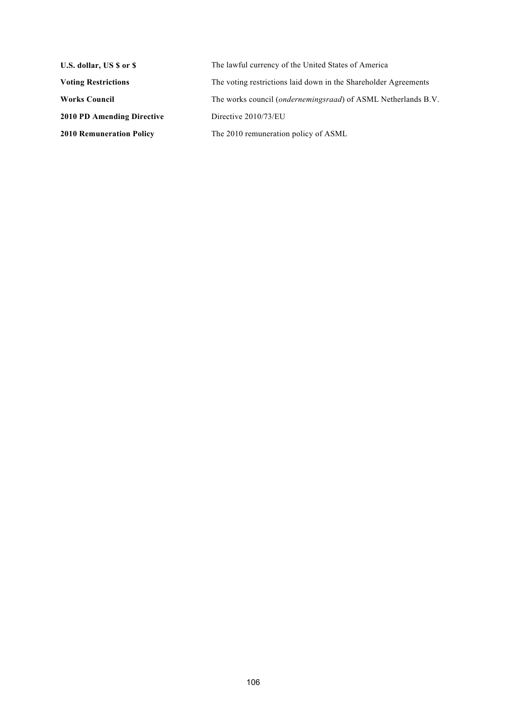| U.S. dollar, US \$ or \$          | The lawful currency of the United States of America                    |
|-----------------------------------|------------------------------------------------------------------------|
| <b>Voting Restrictions</b>        | The voting restrictions laid down in the Shareholder Agreements        |
| <b>Works Council</b>              | The works council ( <i>ondernemingsraad</i> ) of ASML Netherlands B.V. |
| <b>2010 PD Amending Directive</b> | Directive $2010/73/EU$                                                 |
| <b>2010 Remuneration Policy</b>   | The 2010 remuneration policy of ASML                                   |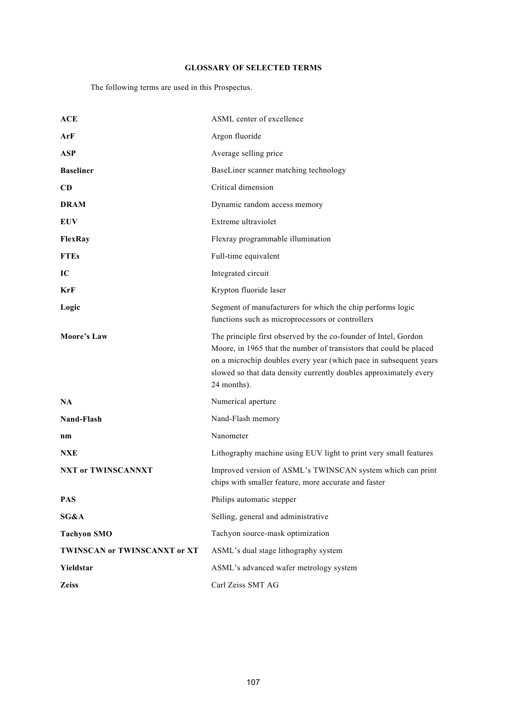# **GLOSSARY OF SELECTED TERMS**

The following terms are used in this Prospectus.

| <b>ACE</b>                   | ASML center of excellence                                                                                                                                                                                                                                                                      |
|------------------------------|------------------------------------------------------------------------------------------------------------------------------------------------------------------------------------------------------------------------------------------------------------------------------------------------|
| ArF                          | Argon fluoride                                                                                                                                                                                                                                                                                 |
| <b>ASP</b>                   | Average selling price                                                                                                                                                                                                                                                                          |
| <b>Baseliner</b>             | BaseLiner scanner matching technology                                                                                                                                                                                                                                                          |
| CD                           | Critical dimension                                                                                                                                                                                                                                                                             |
| <b>DRAM</b>                  | Dynamic random access memory                                                                                                                                                                                                                                                                   |
| <b>EUV</b>                   | Extreme ultraviolet                                                                                                                                                                                                                                                                            |
| FlexRay                      | Flexray programmable illumination                                                                                                                                                                                                                                                              |
| <b>FTEs</b>                  | Full-time equivalent                                                                                                                                                                                                                                                                           |
| IC                           | Integrated circuit                                                                                                                                                                                                                                                                             |
| KrF                          | Krypton fluoride laser                                                                                                                                                                                                                                                                         |
| Logic                        | Segment of manufacturers for which the chip performs logic<br>functions such as microprocessors or controllers                                                                                                                                                                                 |
| <b>Moore's Law</b>           | The principle first observed by the co-founder of Intel, Gordon<br>Moore, in 1965 that the number of transistors that could be placed<br>on a microchip doubles every year (which pace in subsequent years<br>slowed so that data density currently doubles approximately every<br>24 months). |
| <b>NA</b>                    | Numerical aperture                                                                                                                                                                                                                                                                             |
| Nand-Flash                   | Nand-Flash memory                                                                                                                                                                                                                                                                              |
| $n_{m}$                      | Nanometer                                                                                                                                                                                                                                                                                      |
| NXE                          | Lithography machine using EUV light to print very small features                                                                                                                                                                                                                               |
| <b>NXT or TWINSCANNXT</b>    | Improved version of ASML's TWINSCAN system which can print<br>chips with smaller feature, more accurate and faster                                                                                                                                                                             |
| <b>PAS</b>                   | Philips automatic stepper                                                                                                                                                                                                                                                                      |
| SG&A                         | Selling, general and administrative                                                                                                                                                                                                                                                            |
| <b>Tachyon SMO</b>           | Tachyon source-mask optimization                                                                                                                                                                                                                                                               |
| TWINSCAN or TWINSCANXT or XT | ASML's dual stage lithography system                                                                                                                                                                                                                                                           |
| Yieldstar                    | ASML's advanced wafer metrology system                                                                                                                                                                                                                                                         |
| <b>Zeiss</b>                 | Carl Zeiss SMT AG                                                                                                                                                                                                                                                                              |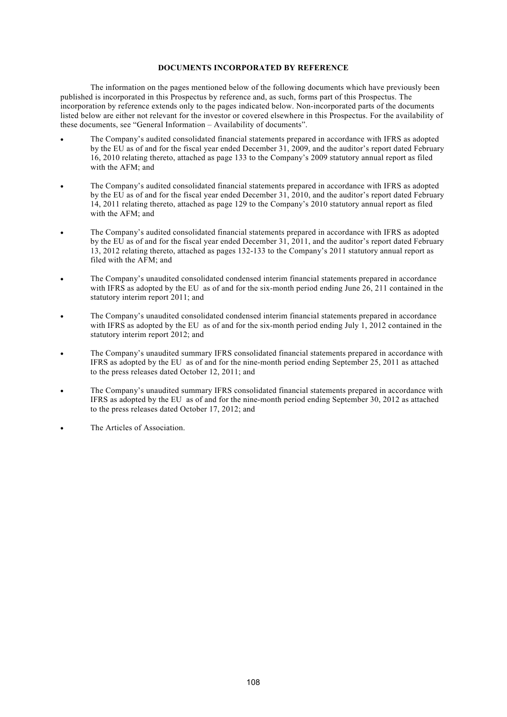## **DOCUMENTS INCORPORATED BY REFERENCE**

The information on the pages mentioned below of the following documents which have previously been published is incorporated in this Prospectus by reference and, as such, forms part of this Prospectus. The incorporation by reference extends only to the pages indicated below. Non-incorporated parts of the documents listed below are either not relevant for the investor or covered elsewhere in this Prospectus. For the availability of these documents, see "General Information – Availability of documents".

- The Company's audited consolidated financial statements prepared in accordance with IFRS as adopted by the EU as of and for the fiscal year ended December 31, 2009, and the auditor's report dated February 16, 2010 relating thereto, attached as page 133 to the Company's 2009 statutory annual report as filed with the AFM; and
- The Company's audited consolidated financial statements prepared in accordance with IFRS as adopted by the EU as of and for the fiscal year ended December 31, 2010, and the auditor's report dated February 14, 2011 relating thereto, attached as page 129 to the Company's 2010 statutory annual report as filed with the AFM; and
- The Company's audited consolidated financial statements prepared in accordance with IFRS as adopted by the EU as of and for the fiscal year ended December 31, 2011, and the auditor's report dated February 13, 2012 relating thereto, attached as pages 132-133 to the Company's 2011 statutory annual report as filed with the AFM; and
- The Company's unaudited consolidated condensed interim financial statements prepared in accordance with IFRS as adopted by the EU as of and for the six-month period ending June 26, 211 contained in the statutory interim report 2011; and
- The Company's unaudited consolidated condensed interim financial statements prepared in accordance with IFRS as adopted by the EU as of and for the six-month period ending July 1, 2012 contained in the statutory interim report 2012; and
- The Company's unaudited summary IFRS consolidated financial statements prepared in accordance with IFRS as adopted by the EU as of and for the nine-month period ending September 25, 2011 as attached to the press releases dated October 12, 2011; and
- The Company's unaudited summary IFRS consolidated financial statements prepared in accordance with IFRS as adopted by the EU as of and for the nine-month period ending September 30, 2012 as attached to the press releases dated October 17, 2012; and
- The Articles of Association.